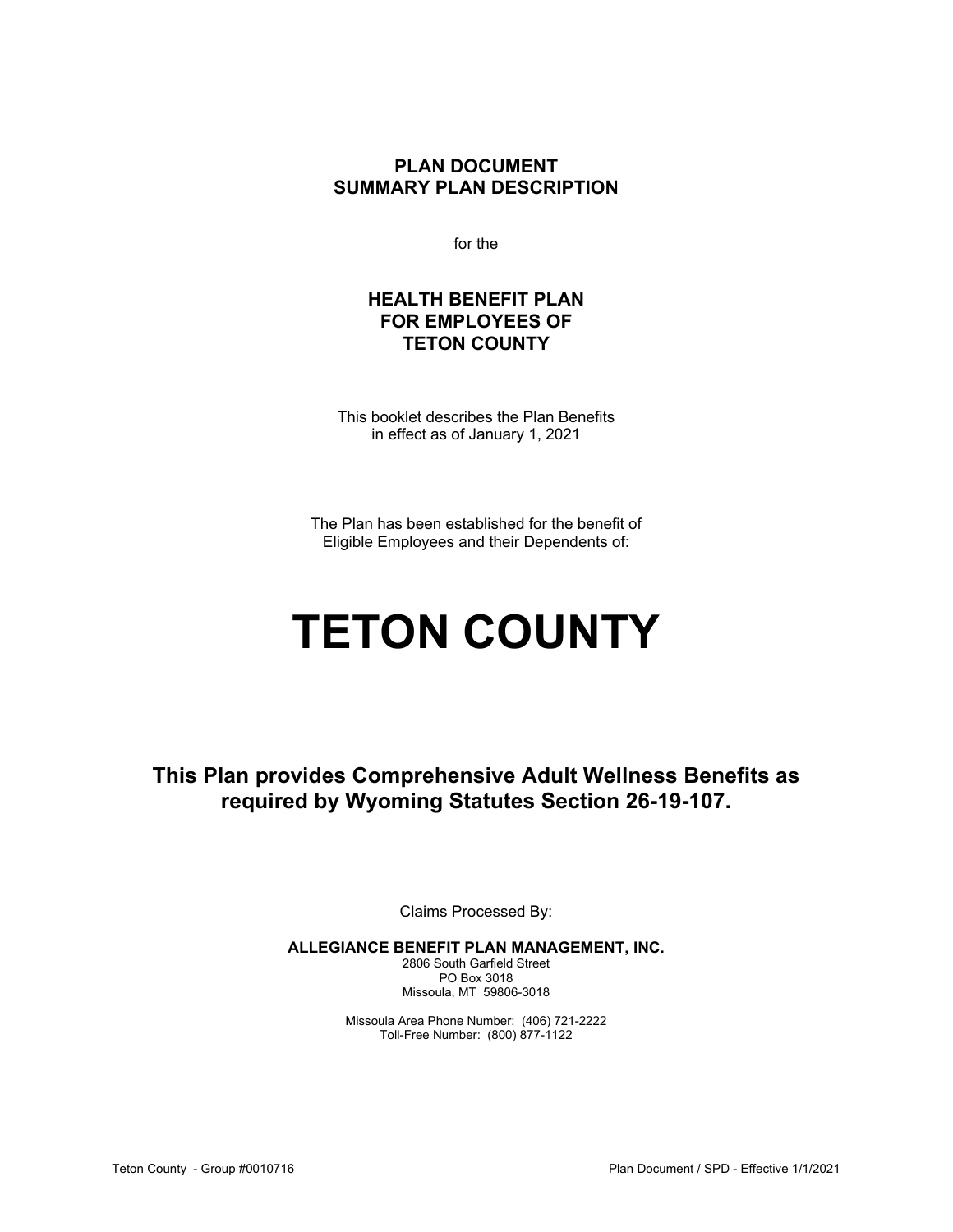**PLAN DOCUMENT SUMMARY PLAN DESCRIPTION**

for the

## **HEALTH BENEFIT PLAN FOR EMPLOYEES OF TETON COUNTY**

This booklet describes the Plan Benefits in effect as of January 1, 2021

The Plan has been established for the benefit of Eligible Employees and their Dependents of:

# **TETON COUNTY**

**This Plan provides Comprehensive Adult Wellness Benefits as required by Wyoming Statutes Section 26-19-107.**

Claims Processed By:

**ALLEGIANCE BENEFIT PLAN MANAGEMENT, INC.**

2806 South Garfield Street PO Box 3018 Missoula, MT 59806-3018

Missoula Area Phone Number: (406) 721-2222 Toll-Free Number: (800) 877-1122

Teton County - Group #0010716 Plan Document / SPD - Effective 1/1/2021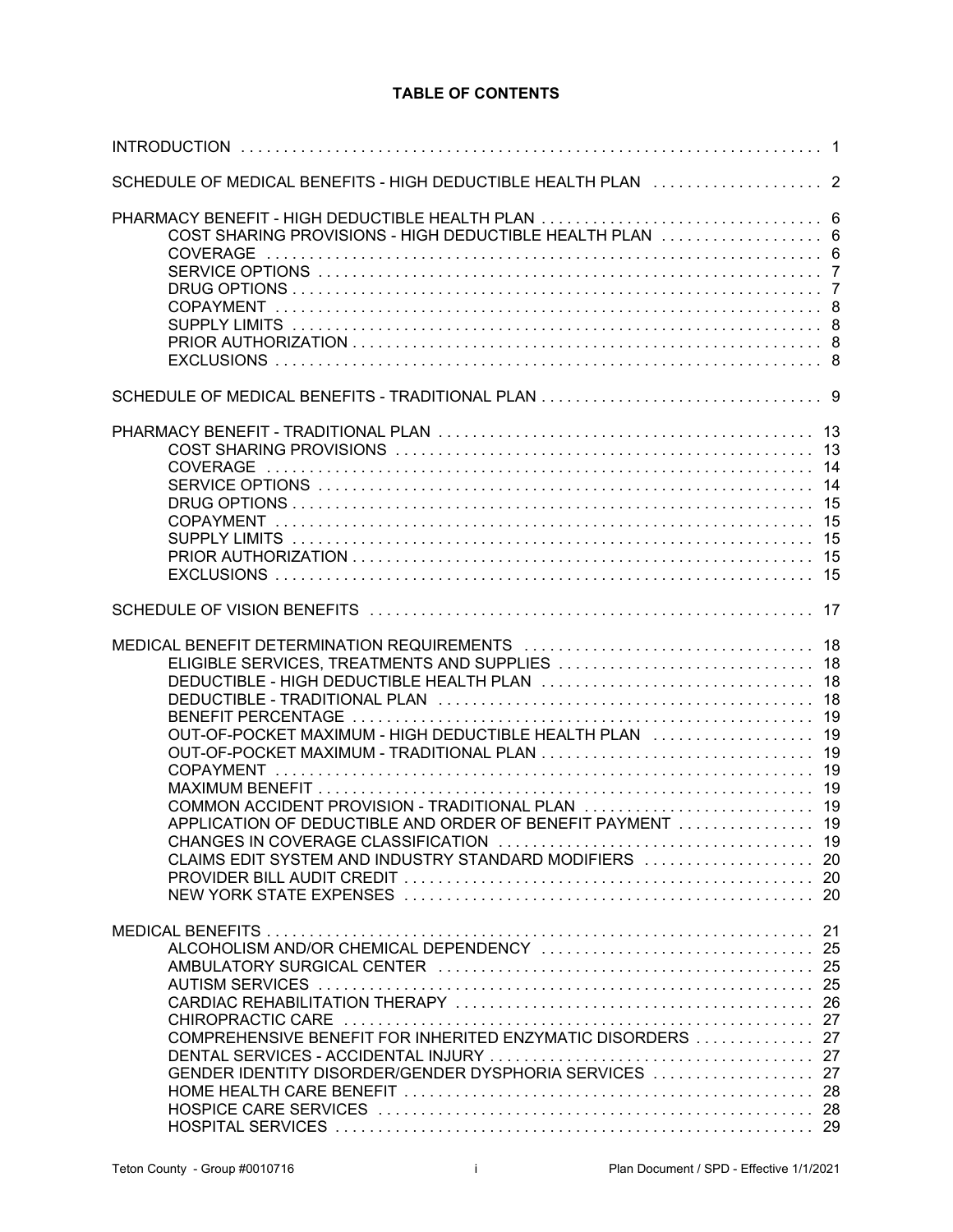## **TABLE OF CONTENTS**

| SCHEDULE OF MEDICAL BENEFITS - HIGH DEDUCTIBLE HEALTH PLAN  2                                                                                                                                             |                                        |
|-----------------------------------------------------------------------------------------------------------------------------------------------------------------------------------------------------------|----------------------------------------|
| COST SHARING PROVISIONS - HIGH DEDUCTIBLE HEALTH PLAN  6                                                                                                                                                  |                                        |
|                                                                                                                                                                                                           |                                        |
| <b>COVERAGE</b><br>14                                                                                                                                                                                     | 14<br>15<br>15<br>15<br>15             |
|                                                                                                                                                                                                           |                                        |
| DEDUCTIBLE - HIGH DEDUCTIBLE HEALTH PLAN<br>OUT-OF-POCKET MAXIMUM - HIGH DEDUCTIBLE HEALTH PLAN<br>OUT-OF-POCKET MAXIMUM - TRADITIONAL PLAN<br>APPLICATION OF DEDUCTIBLE AND ORDER OF BENEFIT PAYMENT  19 | 18<br>18<br>19<br>19<br>19<br>19<br>19 |
| COMPREHENSIVE BENEFIT FOR INHERITED ENZYMATIC DISORDERS  27<br>GENDER IDENTITY DISORDER/GENDER DYSPHORIA SERVICES  27                                                                                     |                                        |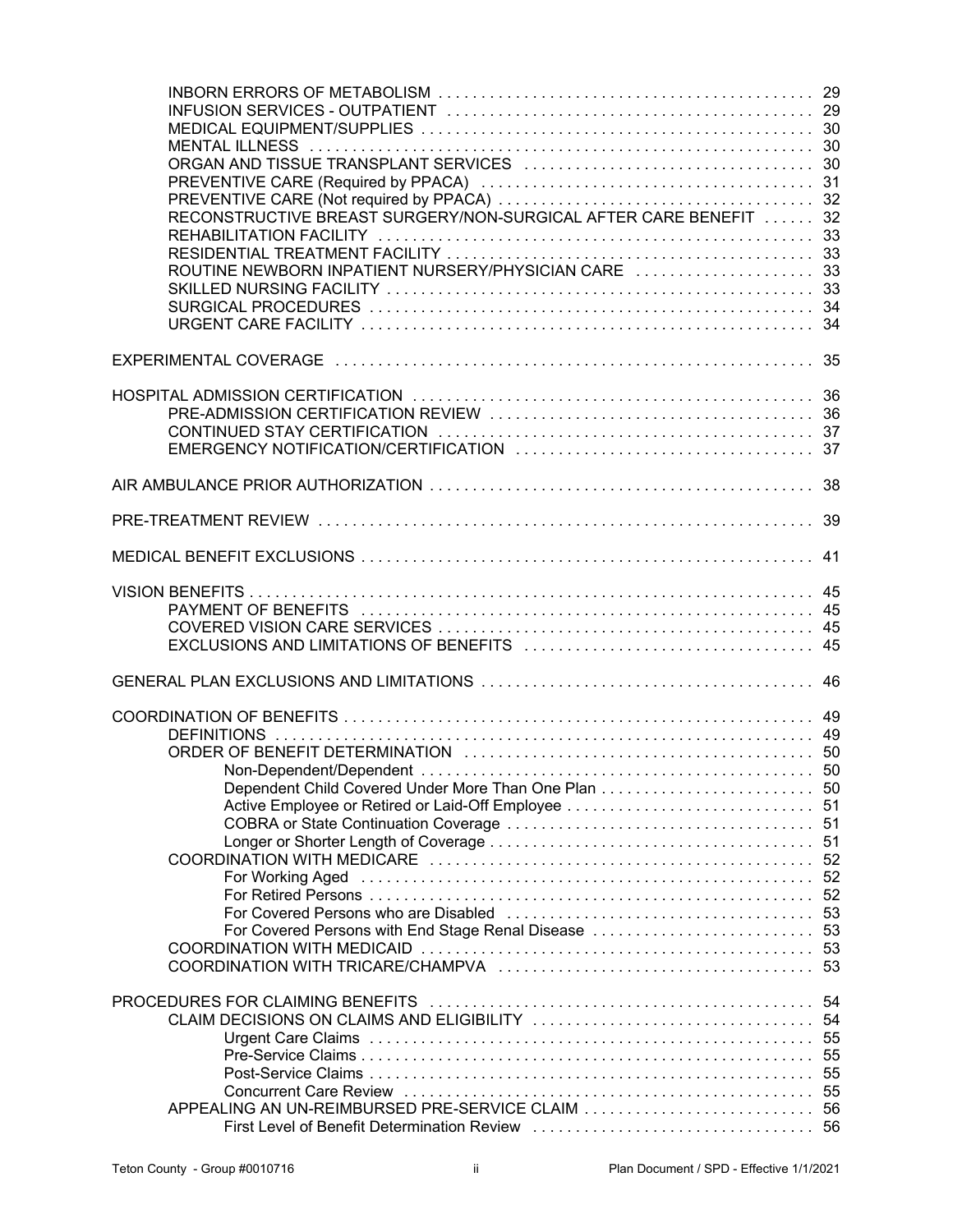| MENTAL ILLNESS (and according to the control of the control of the control of the control of the control of the control of the control of the control of the control of the control of the control of the control of the contr |          |
|--------------------------------------------------------------------------------------------------------------------------------------------------------------------------------------------------------------------------------|----------|
|                                                                                                                                                                                                                                |          |
|                                                                                                                                                                                                                                |          |
| RECONSTRUCTIVE BREAST SURGERY/NON-SURGICAL AFTER CARE BENEFIT  32                                                                                                                                                              |          |
|                                                                                                                                                                                                                                |          |
|                                                                                                                                                                                                                                |          |
| ROUTINE NEWBORN INPATIENT NURSERY/PHYSICIAN CARE  33                                                                                                                                                                           |          |
|                                                                                                                                                                                                                                |          |
|                                                                                                                                                                                                                                |          |
|                                                                                                                                                                                                                                |          |
|                                                                                                                                                                                                                                |          |
|                                                                                                                                                                                                                                |          |
|                                                                                                                                                                                                                                |          |
|                                                                                                                                                                                                                                |          |
|                                                                                                                                                                                                                                |          |
|                                                                                                                                                                                                                                |          |
|                                                                                                                                                                                                                                |          |
|                                                                                                                                                                                                                                |          |
|                                                                                                                                                                                                                                |          |
|                                                                                                                                                                                                                                |          |
|                                                                                                                                                                                                                                |          |
|                                                                                                                                                                                                                                |          |
|                                                                                                                                                                                                                                |          |
|                                                                                                                                                                                                                                |          |
|                                                                                                                                                                                                                                |          |
|                                                                                                                                                                                                                                |          |
|                                                                                                                                                                                                                                |          |
|                                                                                                                                                                                                                                |          |
|                                                                                                                                                                                                                                |          |
|                                                                                                                                                                                                                                |          |
|                                                                                                                                                                                                                                | 51<br>52 |
|                                                                                                                                                                                                                                | 52       |
|                                                                                                                                                                                                                                | 52       |
|                                                                                                                                                                                                                                | 53       |
| For Covered Persons with End Stage Renal Disease                                                                                                                                                                               | 53       |
|                                                                                                                                                                                                                                |          |
|                                                                                                                                                                                                                                |          |
|                                                                                                                                                                                                                                | 54       |
|                                                                                                                                                                                                                                | 54       |
|                                                                                                                                                                                                                                | 55       |
|                                                                                                                                                                                                                                | 55       |
|                                                                                                                                                                                                                                | 55       |
|                                                                                                                                                                                                                                |          |
|                                                                                                                                                                                                                                |          |
|                                                                                                                                                                                                                                |          |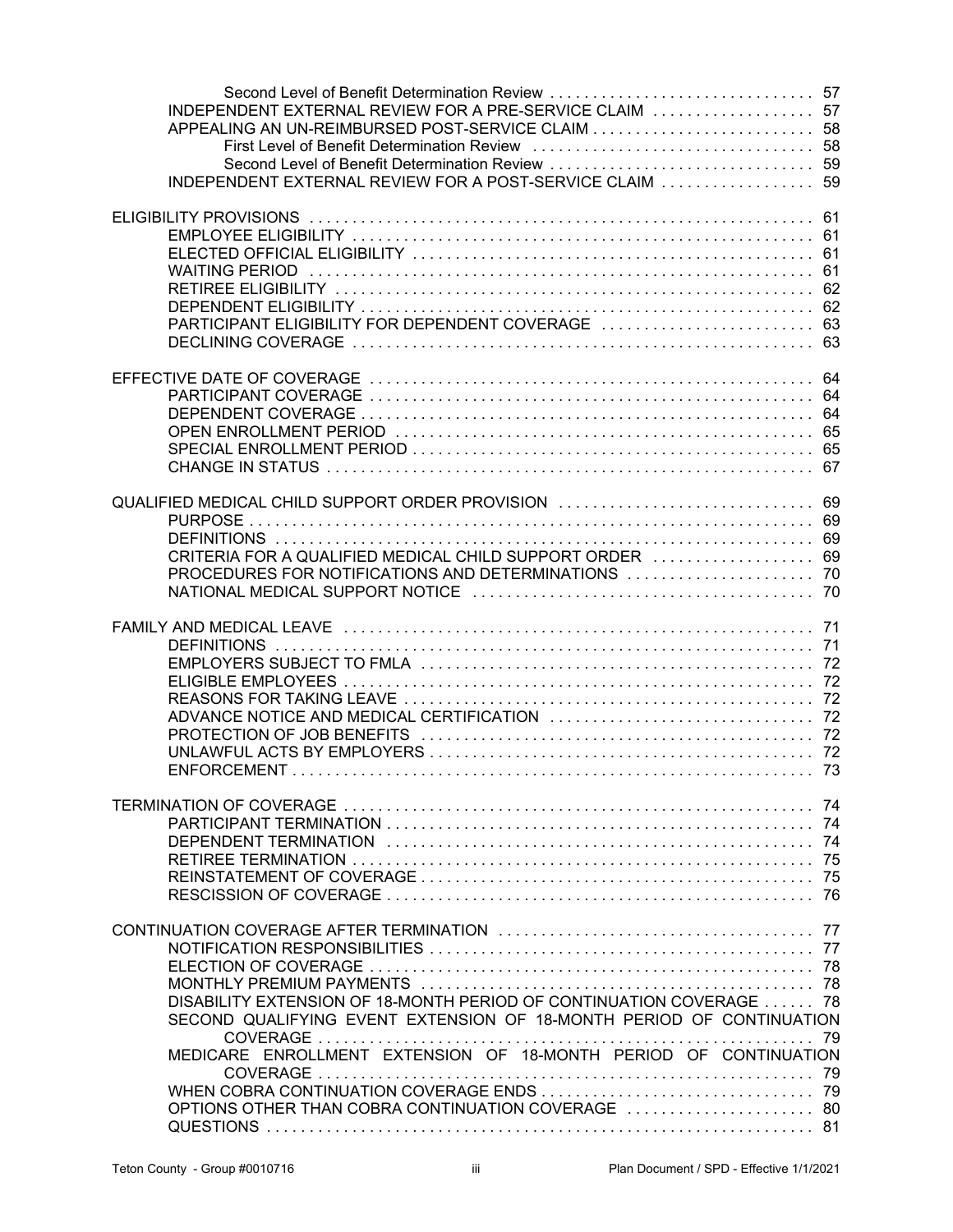| INDEPENDENT EXTERNAL REVIEW FOR A PRE-SERVICE CLAIM  57              |     |
|----------------------------------------------------------------------|-----|
|                                                                      |     |
| INDEPENDENT EXTERNAL REVIEW FOR A POST-SERVICE CLAIM  59             |     |
|                                                                      |     |
|                                                                      |     |
|                                                                      | 61  |
|                                                                      | 62  |
|                                                                      |     |
|                                                                      |     |
|                                                                      |     |
|                                                                      |     |
|                                                                      |     |
|                                                                      |     |
|                                                                      |     |
|                                                                      |     |
|                                                                      |     |
| CRITERIA FOR A QUALIFIED MEDICAL CHILD SUPPORT ORDER  69             |     |
|                                                                      |     |
|                                                                      |     |
|                                                                      |     |
|                                                                      |     |
|                                                                      |     |
|                                                                      |     |
|                                                                      |     |
|                                                                      |     |
|                                                                      |     |
|                                                                      | -74 |
|                                                                      |     |
|                                                                      |     |
|                                                                      |     |
|                                                                      |     |
|                                                                      |     |
|                                                                      |     |
| DISABILITY EXTENSION OF 18-MONTH PERIOD OF CONTINUATION COVERAGE  78 |     |
| SECOND QUALIFYING EVENT EXTENSION OF 18-MONTH PERIOD OF CONTINUATION |     |
| MEDICARE ENROLLMENT EXTENSION OF 18-MONTH PERIOD OF CONTINUATION     | 79  |
|                                                                      |     |
|                                                                      |     |
|                                                                      |     |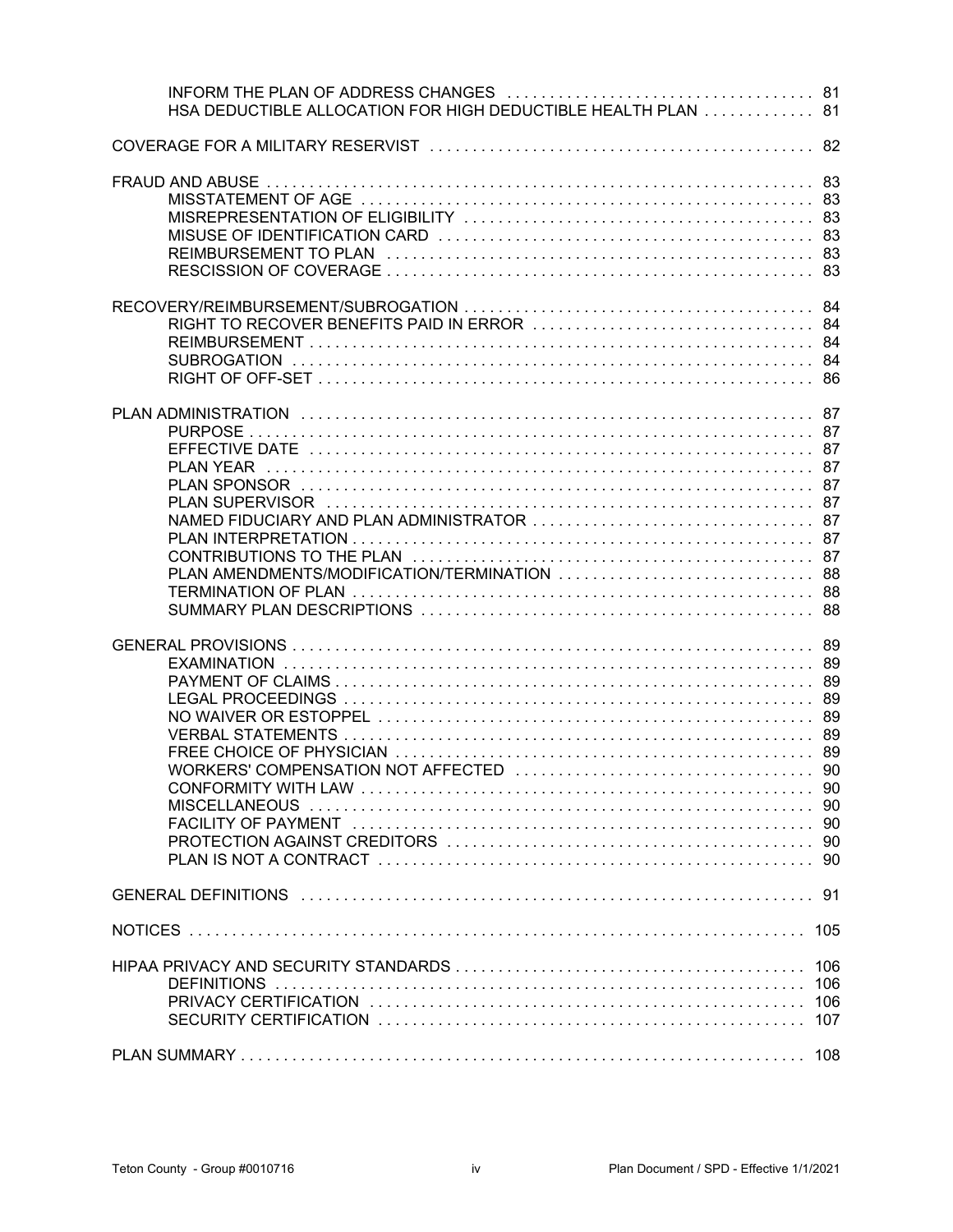| HSA DEDUCTIBLE ALLOCATION FOR HIGH DEDUCTIBLE HEALTH PLAN  81 |
|---------------------------------------------------------------|
|                                                               |
|                                                               |
|                                                               |
| 87<br>87<br>87                                                |
| 89                                                            |
|                                                               |
|                                                               |
| 106<br>106                                                    |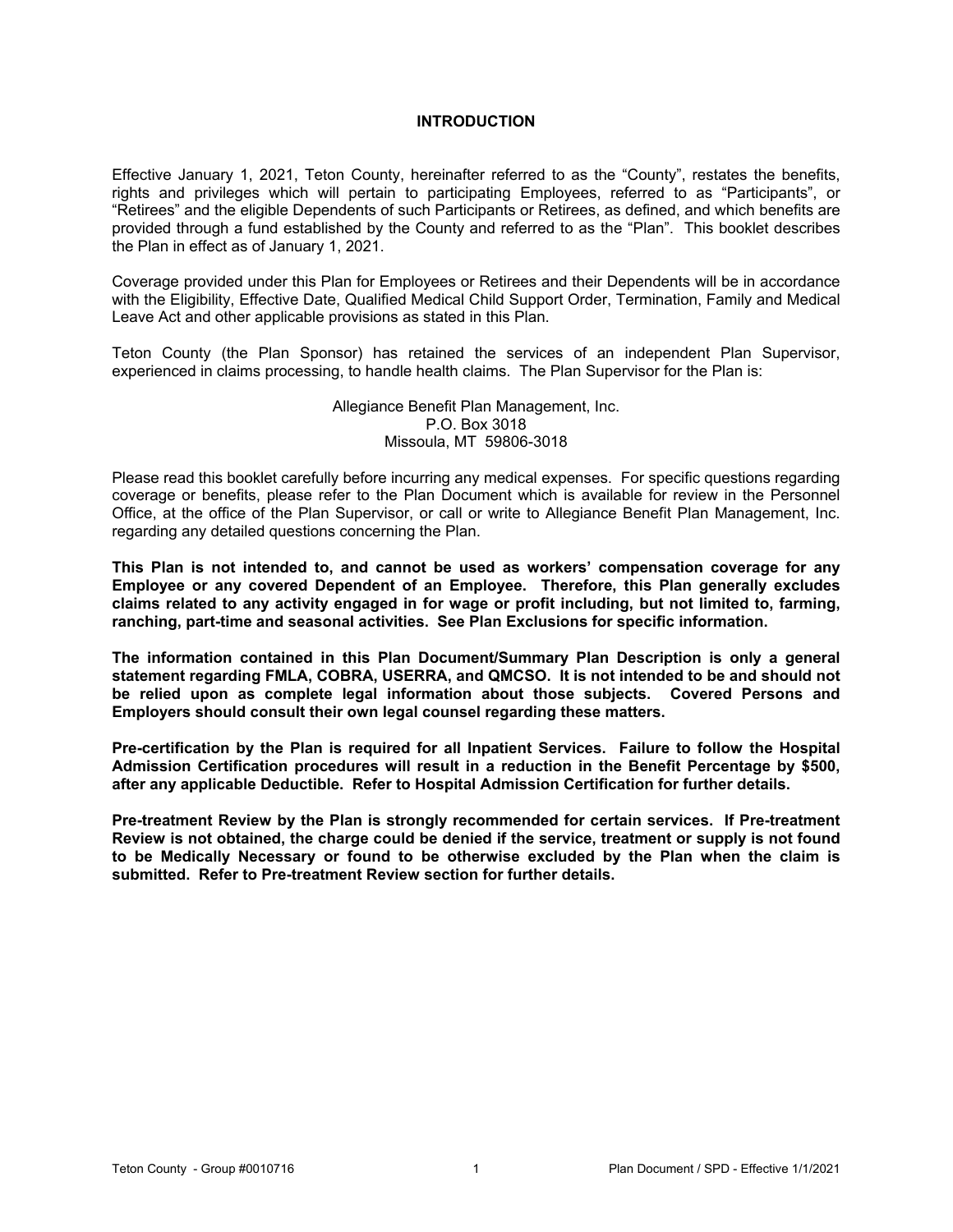#### **INTRODUCTION**

<span id="page-5-0"></span>Effective January 1, 2021, Teton County, hereinafter referred to as the "County", restates the benefits, rights and privileges which will pertain to participating Employees, referred to as "Participants", or "Retirees" and the eligible Dependents of such Participants or Retirees, as defined, and which benefits are provided through a fund established by the County and referred to as the "Plan". This booklet describes the Plan in effect as of January 1, 2021.

Coverage provided under this Plan for Employees or Retirees and their Dependents will be in accordance with the Eligibility, Effective Date, Qualified Medical Child Support Order, Termination, Family and Medical Leave Act and other applicable provisions as stated in this Plan.

Teton County (the Plan Sponsor) has retained the services of an independent Plan Supervisor, experienced in claims processing, to handle health claims. The Plan Supervisor for the Plan is:

> Allegiance Benefit Plan Management, Inc. P.O. Box 3018 Missoula, MT 59806-3018

Please read this booklet carefully before incurring any medical expenses. For specific questions regarding coverage or benefits, please refer to the Plan Document which is available for review in the Personnel Office, at the office of the Plan Supervisor, or call or write to Allegiance Benefit Plan Management, Inc. regarding any detailed questions concerning the Plan.

**This Plan is not intended to, and cannot be used as workers' compensation coverage for any Employee or any covered Dependent of an Employee. Therefore, this Plan generally excludes claims related to any activity engaged in for wage or profit including, but not limited to, farming, ranching, part-time and seasonal activities. See Plan Exclusions for specific information.**

**The information contained in this Plan Document/Summary Plan Description is only a general statement regarding FMLA, COBRA, USERRA, and QMCSO. It is not intended to be and should not be relied upon as complete legal information about those subjects. Covered Persons and Employers should consult their own legal counsel regarding these matters.** 

**Pre-certification by the Plan is required for all Inpatient Services. Failure to follow the Hospital Admission Certification procedures will result in a reduction in the Benefit Percentage by \$500, after any applicable Deductible. Refer to Hospital Admission Certification for further details.**

**Pre-treatment Review by the Plan is strongly recommended for certain services. If Pre-treatment Review is not obtained, the charge could be denied if the service, treatment or supply is not found to be Medically Necessary or found to be otherwise excluded by the Plan when the claim is submitted. Refer to Pre-treatment Review section for further details.**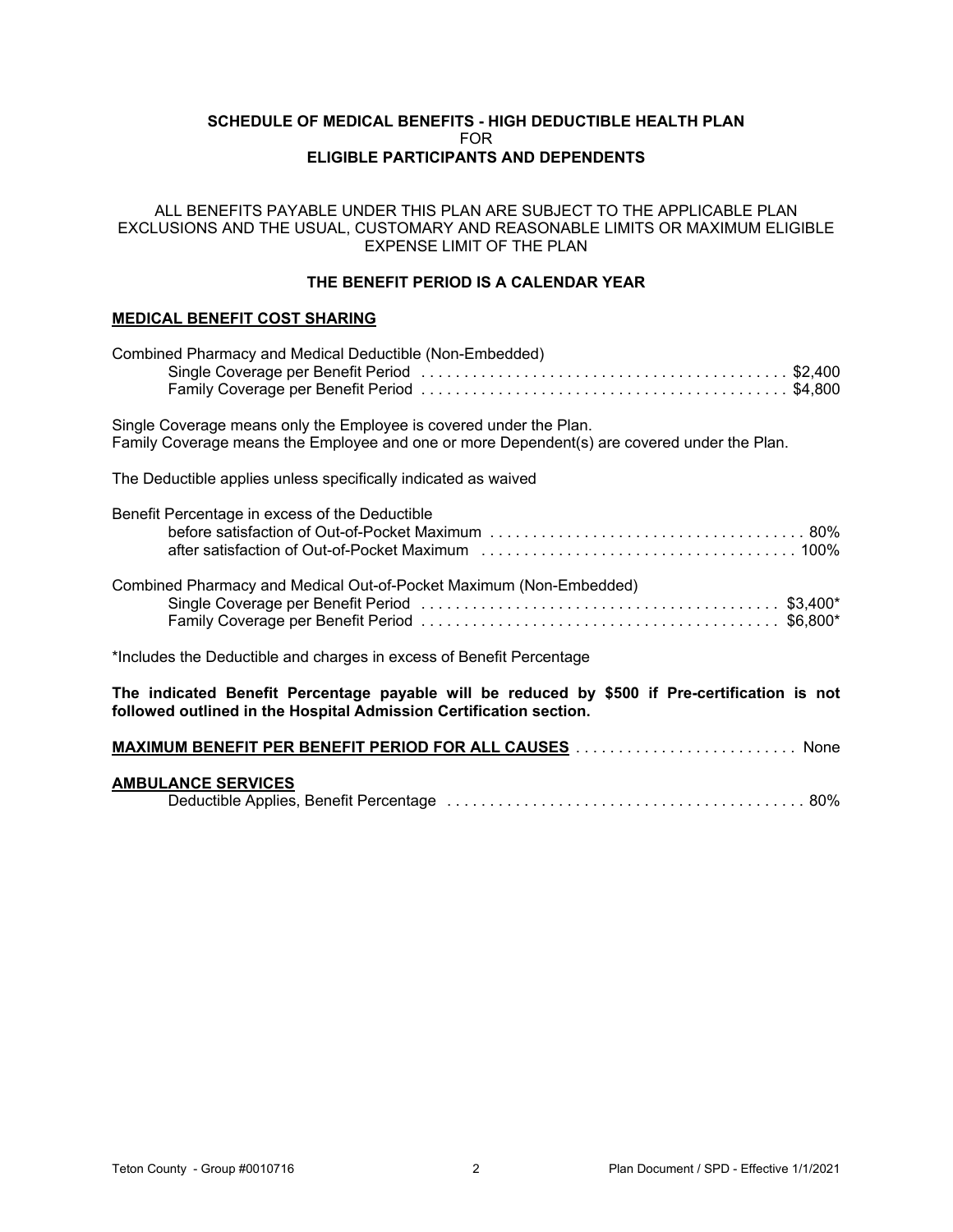#### **SCHEDULE OF MEDICAL BENEFITS - HIGH DEDUCTIBLE HEALTH PLAN** FOR **ELIGIBLE PARTICIPANTS AND DEPENDENTS**

#### <span id="page-6-0"></span>ALL BENEFITS PAYABLE UNDER THIS PLAN ARE SUBJECT TO THE APPLICABLE PLAN EXCLUSIONS AND THE USUAL, CUSTOMARY AND REASONABLE LIMITS OR MAXIMUM ELIGIBLE EXPENSE LIMIT OF THE PLAN

## **THE BENEFIT PERIOD IS A CALENDAR YEAR**

#### **MEDICAL BENEFIT COST SHARING**

| Combined Pharmacy and Medical Deductible (Non-Embedded)                                                                                                             |  |  |  |
|---------------------------------------------------------------------------------------------------------------------------------------------------------------------|--|--|--|
| Single Coverage means only the Employee is covered under the Plan.<br>Family Coverage means the Employee and one or more Dependent(s) are covered under the Plan.   |  |  |  |
| The Deductible applies unless specifically indicated as waived                                                                                                      |  |  |  |
| Benefit Percentage in excess of the Deductible                                                                                                                      |  |  |  |
| Combined Pharmacy and Medical Out-of-Pocket Maximum (Non-Embedded)                                                                                                  |  |  |  |
| *Includes the Deductible and charges in excess of Benefit Percentage                                                                                                |  |  |  |
| The indicated Benefit Percentage payable will be reduced by \$500 if Pre-certification is not<br>followed outlined in the Hospital Admission Certification section. |  |  |  |
| <b>MAXIMUM BENEFIT PER BENEFIT PERIOD FOR ALL CAUSES  None</b>                                                                                                      |  |  |  |

## **AMBULANCE SERVICES**

|--|--|--|--|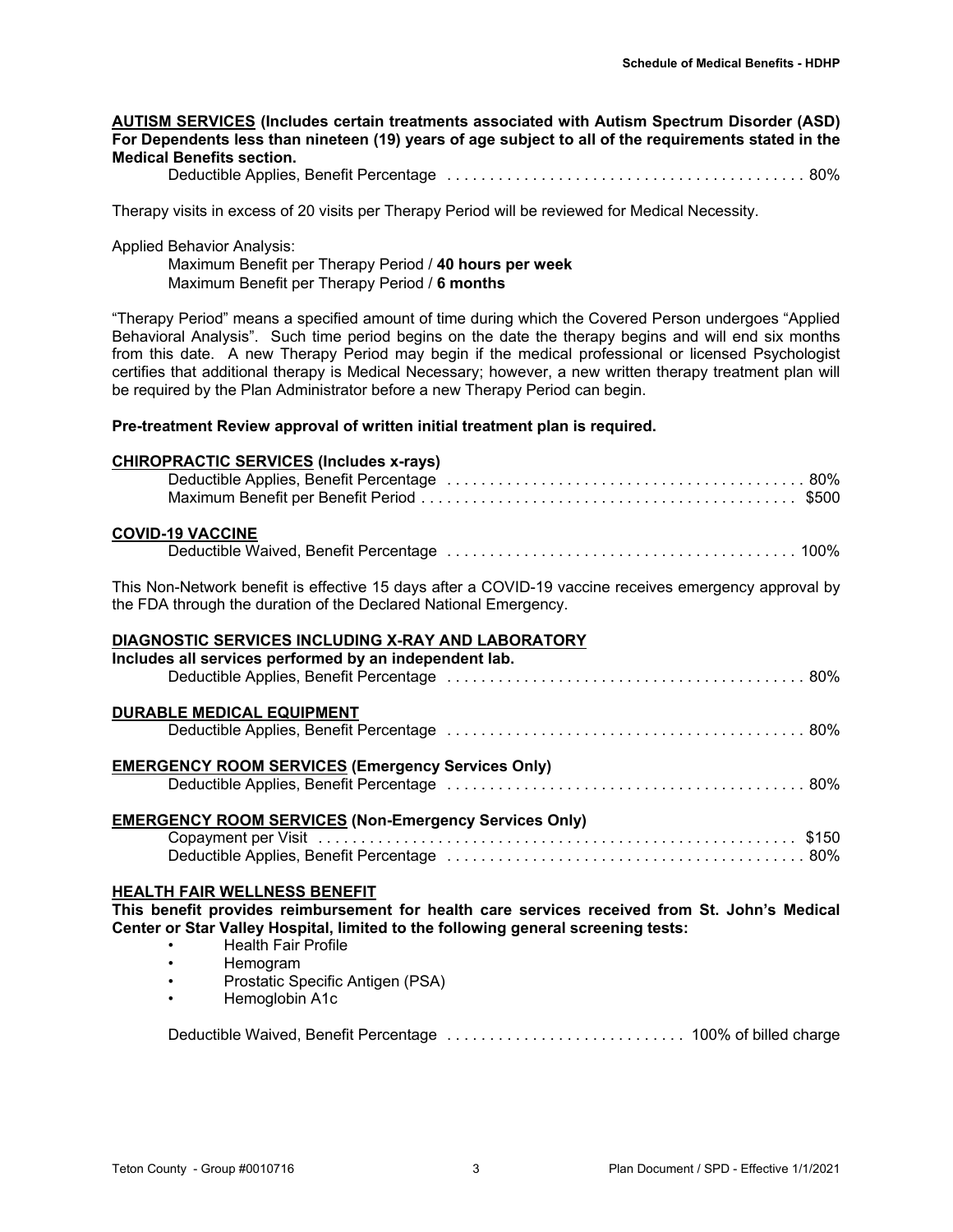## **AUTISM SERVICES (Includes certain treatments associated with Autism Spectrum Disorder (ASD) For Dependents less than nineteen (19) years of age subject to all of the requirements stated in the Medical Benefits section.**

Deductible Applies, Benefit Percentage . . . . . . . . . . . . . . . . . . . . . . . . . . . . . . . . . . . . . . . . . . 80%

Therapy visits in excess of 20 visits per Therapy Period will be reviewed for Medical Necessity.

#### Applied Behavior Analysis:

Maximum Benefit per Therapy Period / **40 hours per week** Maximum Benefit per Therapy Period / **6 months**

"Therapy Period" means a specified amount of time during which the Covered Person undergoes "Applied Behavioral Analysis". Such time period begins on the date the therapy begins and will end six months from this date. A new Therapy Period may begin if the medical professional or licensed Psychologist certifies that additional therapy is Medical Necessary; however, a new written therapy treatment plan will be required by the Plan Administrator before a new Therapy Period can begin.

#### **Pre-treatment Review approval of written initial treatment plan is required.**

| <b>CHIROPRACTIC SERVICES (Includes x-rays)</b>                                                        |
|-------------------------------------------------------------------------------------------------------|
|                                                                                                       |
| <b>COVID-19 VACCINE</b>                                                                               |
|                                                                                                       |
| This Non-Network benefit is effective 15 days after a COVID-19 vaccine receives emergency approval by |
| the FDA through the duration of the Declared National Emergency.                                      |
| DIAGNOSTIC SERVICES INCLUDING X-RAY AND LABORATORY                                                    |
| Includes all services performed by an independent lab.                                                |
|                                                                                                       |
| <b>DURABLE MEDICAL EQUIPMENT</b>                                                                      |
|                                                                                                       |
| <b>EMERGENCY ROOM SERVICES (Emergency Services Only)</b>                                              |
|                                                                                                       |
| <b>EMERGENCY ROOM SERVICES (Non-Emergency Services Only)</b>                                          |
|                                                                                                       |
|                                                                                                       |
| <b>HEALTH FAIR WELLNESS BENEFIT</b>                                                                   |
| This benefit provides reimbursement for health care services received from St. John's Medical         |
| Center or Star Valley Hospital, limited to the following general screening tests:                     |
| <b>Health Fair Profile</b><br>Hemogram                                                                |
| Prostatic Specific Antigen (PSA)                                                                      |
| Hemoglobin A1c                                                                                        |
|                                                                                                       |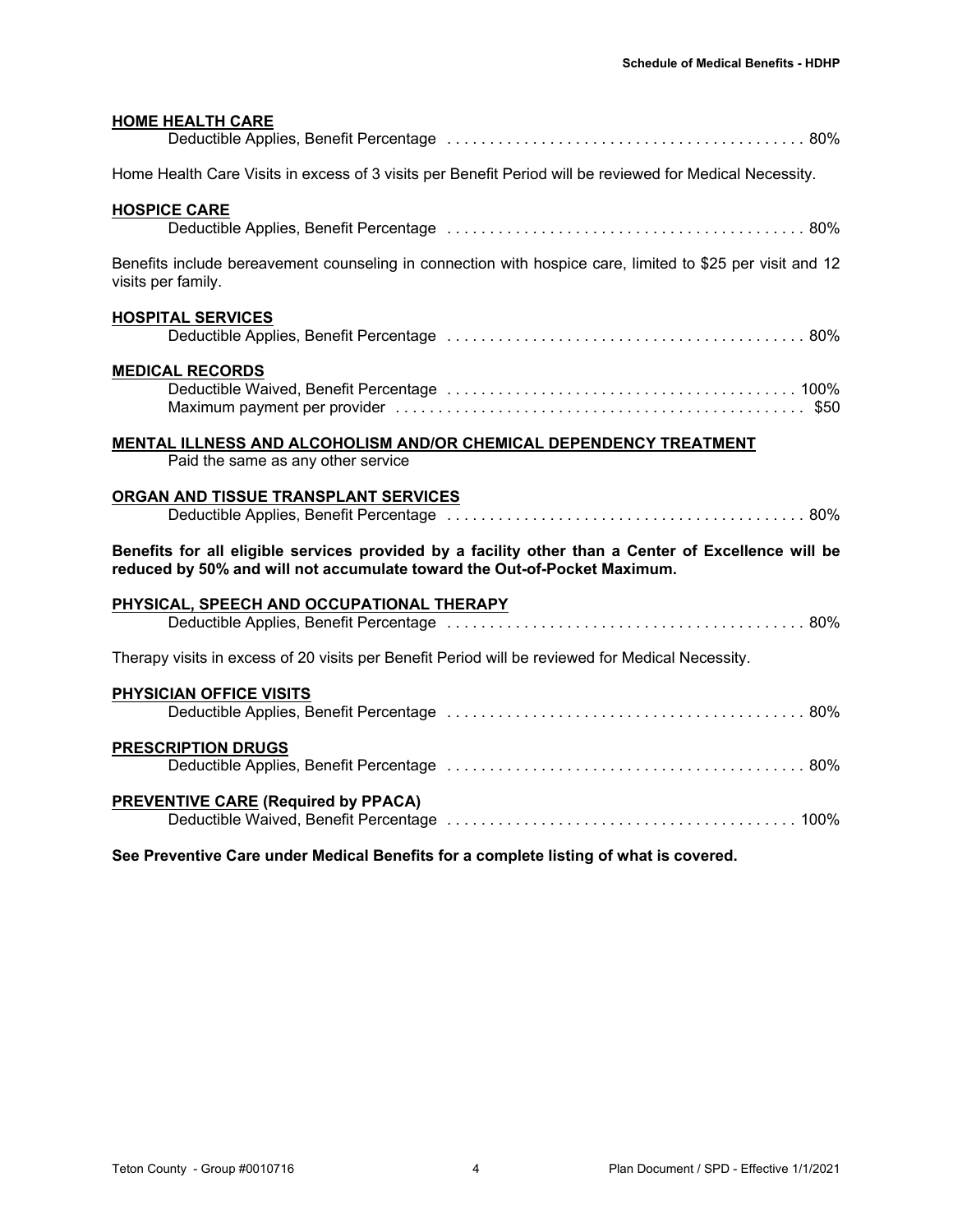## **HOME HEALTH CARE**

| Home Health Care Visits in excess of 3 visits per Benefit Period will be reviewed for Medical Necessity.                                                                        |
|---------------------------------------------------------------------------------------------------------------------------------------------------------------------------------|
| <b>HOSPICE CARE</b>                                                                                                                                                             |
|                                                                                                                                                                                 |
| Benefits include bereavement counseling in connection with hospice care, limited to \$25 per visit and 12<br>visits per family.                                                 |
| <b>HOSPITAL SERVICES</b>                                                                                                                                                        |
|                                                                                                                                                                                 |
| <b>MEDICAL RECORDS</b>                                                                                                                                                          |
|                                                                                                                                                                                 |
|                                                                                                                                                                                 |
| MENTAL ILLNESS AND ALCOHOLISM AND/OR CHEMICAL DEPENDENCY TREATMENT                                                                                                              |
| Paid the same as any other service                                                                                                                                              |
| ORGAN AND TISSUE TRANSPLANT SERVICES                                                                                                                                            |
|                                                                                                                                                                                 |
| Benefits for all eligible services provided by a facility other than a Center of Excellence will be<br>reduced by 50% and will not accumulate toward the Out-of-Pocket Maximum. |
| PHYSICAL, SPEECH AND OCCUPATIONAL THERAPY                                                                                                                                       |
|                                                                                                                                                                                 |
| Therapy visits in excess of 20 visits per Benefit Period will be reviewed for Medical Necessity.                                                                                |
| PHYSICIAN OFFICE VISITS                                                                                                                                                         |
|                                                                                                                                                                                 |
| <b>PRESCRIPTION DRUGS</b>                                                                                                                                                       |
|                                                                                                                                                                                 |
| <b>PREVENTIVE CARE (Required by PPACA)</b>                                                                                                                                      |
|                                                                                                                                                                                 |

**See Preventive Care under Medical Benefits for a complete listing of what is covered.**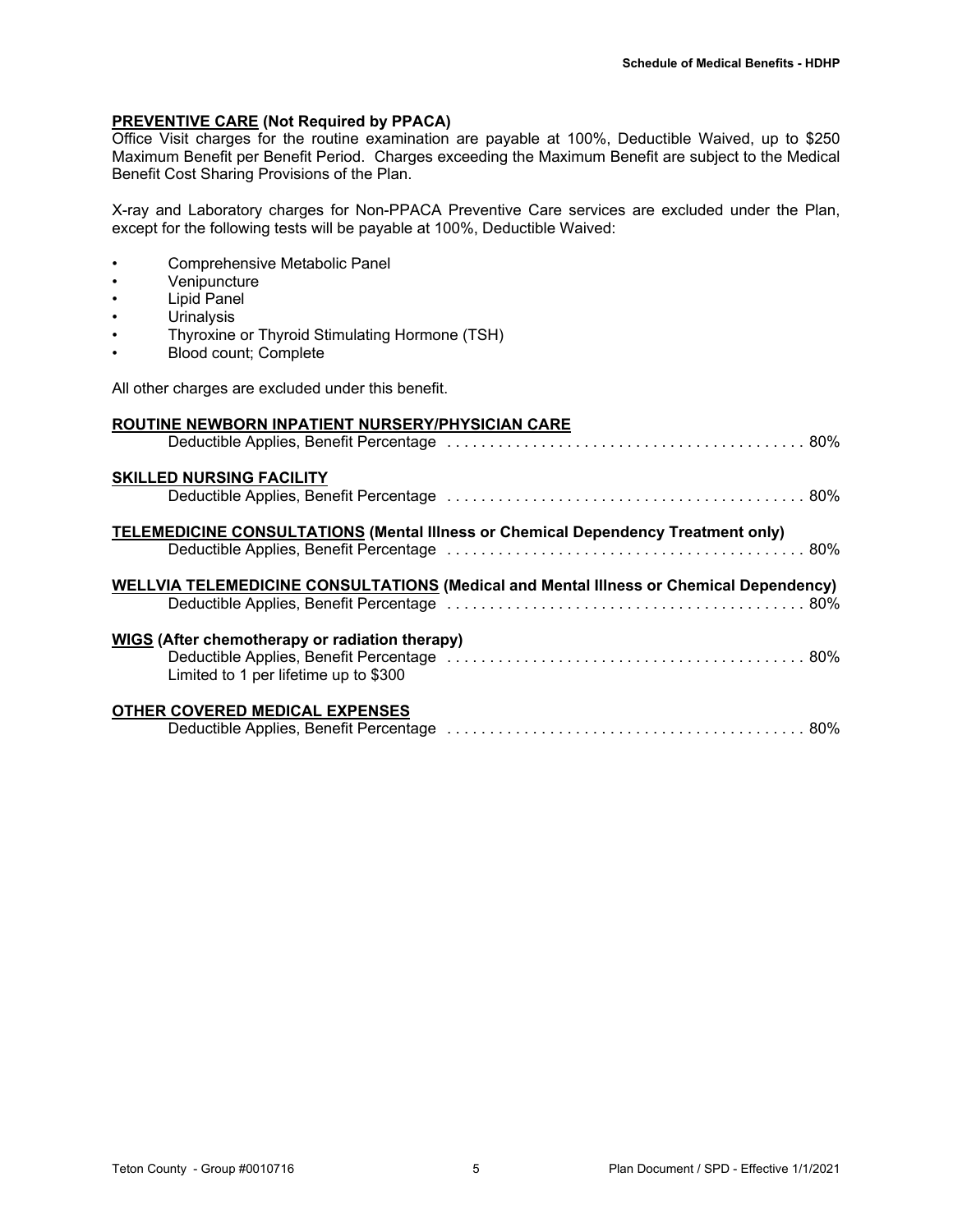## **PREVENTIVE CARE (Not Required by PPACA)**

• Comprehensive Metabolic Panel

**Venipuncture** 

Office Visit charges for the routine examination are payable at 100%, Deductible Waived, up to \$250 Maximum Benefit per Benefit Period. Charges exceeding the Maximum Benefit are subject to the Medical Benefit Cost Sharing Provisions of the Plan.

X-ray and Laboratory charges for Non-PPACA Preventive Care services are excluded under the Plan, except for the following tests will be payable at 100%, Deductible Waived:

| Lipid Panel<br><b>Urinalysis</b><br>Thyroxine or Thyroid Stimulating Hormone (TSH)<br>$\bullet$<br>Blood count; Complete |
|--------------------------------------------------------------------------------------------------------------------------|
| All other charges are excluded under this benefit.                                                                       |
| ROUTINE NEWBORN INPATIENT NURSERY/PHYSICIAN CARE                                                                         |
| <b>SKILLED NURSING FACILITY</b>                                                                                          |
| TELEMEDICINE CONSULTATIONS (Mental Illness or Chemical Dependency Treatment only)                                        |
| <b>WELLVIA TELEMEDICINE CONSULTATIONS (Medical and Mental Illness or Chemical Dependency)</b>                            |
| <b>WIGS</b> (After chemotherapy or radiation therapy)<br>Limited to 1 per lifetime up to \$300                           |
| <b>OTHER COVERED MEDICAL EXPENSES</b>                                                                                    |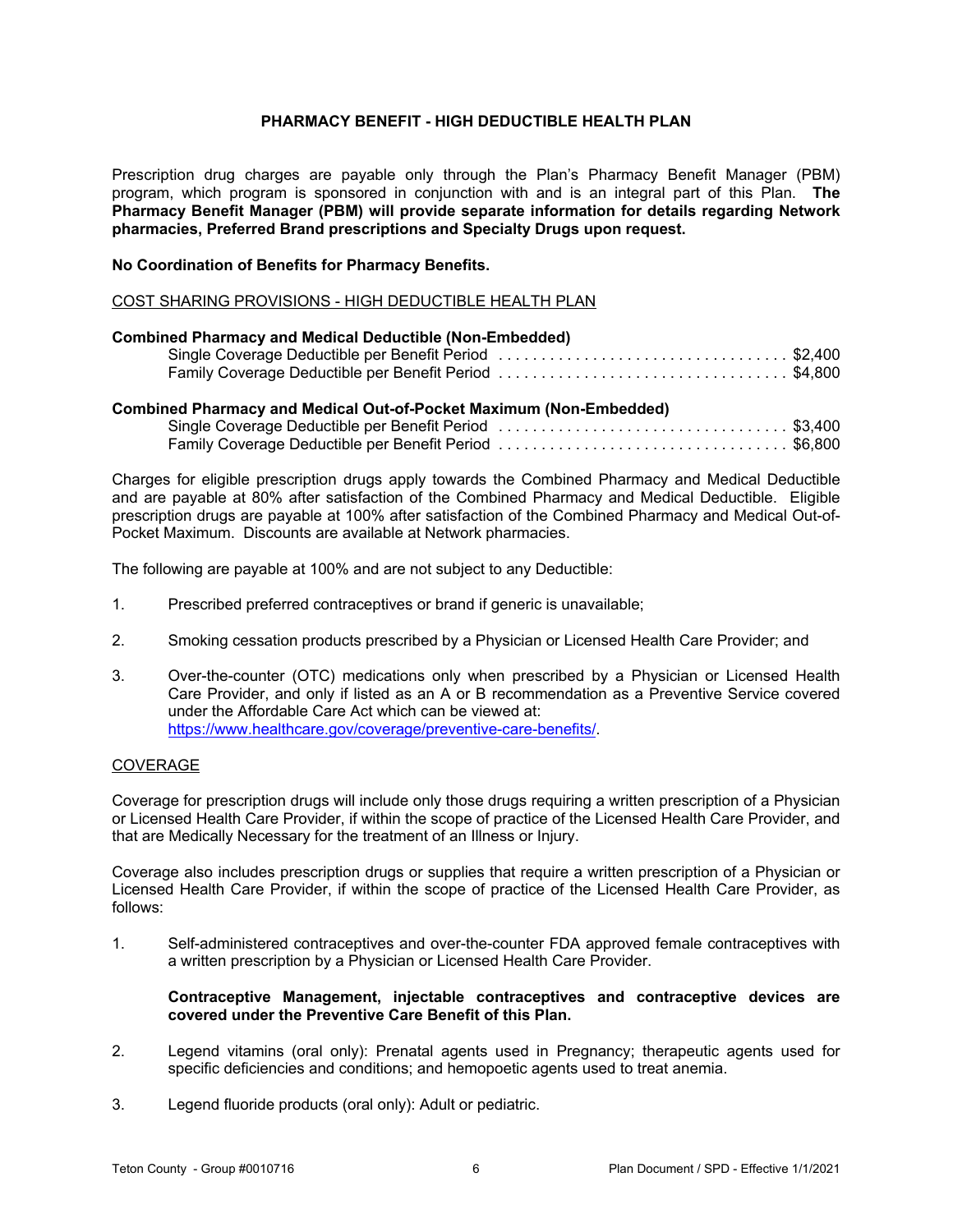#### **PHARMACY BENEFIT - HIGH DEDUCTIBLE HEALTH PLAN**

<span id="page-10-0"></span>Prescription drug charges are payable only through the Plan's Pharmacy Benefit Manager (PBM) program, which program is sponsored in conjunction with and is an integral part of this Plan. **The Pharmacy Benefit Manager (PBM) will provide separate information for details regarding Network pharmacies, Preferred Brand prescriptions and Specialty Drugs upon request.**

#### **No Coordination of Benefits for Pharmacy Benefits.**

#### COST SHARING PROVISIONS - HIGH DEDUCTIBLE HEALTH PLAN

| <b>Combined Pharmacy and Medical Deductible (Non-Embedded)</b>            |  |
|---------------------------------------------------------------------------|--|
| <b>Combined Pharmacy and Medical Out-of-Pocket Maximum (Non-Embedded)</b> |  |
|                                                                           |  |
|                                                                           |  |

Charges for eligible prescription drugs apply towards the Combined Pharmacy and Medical Deductible and are payable at 80% after satisfaction of the Combined Pharmacy and Medical Deductible. Eligible prescription drugs are payable at 100% after satisfaction of the Combined Pharmacy and Medical Out-of-Pocket Maximum. Discounts are available at Network pharmacies.

The following are payable at 100% and are not subject to any Deductible:

- 1. Prescribed preferred contraceptives or brand if generic is unavailable;
- 2. Smoking cessation products prescribed by a Physician or Licensed Health Care Provider; and
- 3. Over-the-counter (OTC) medications only when prescribed by a Physician or Licensed Health Care Provider, and only if listed as an A or B recommendation as a Preventive Service covered under the Affordable Care Act which can be viewed at: https://www.healthcare.gov/coverage/preventive-care-benefits/.

#### COVERAGE

Coverage for prescription drugs will include only those drugs requiring a written prescription of a Physician or Licensed Health Care Provider, if within the scope of practice of the Licensed Health Care Provider, and that are Medically Necessary for the treatment of an Illness or Injury.

Coverage also includes prescription drugs or supplies that require a written prescription of a Physician or Licensed Health Care Provider, if within the scope of practice of the Licensed Health Care Provider, as follows:

1. Self-administered contraceptives and over-the-counter FDA approved female contraceptives with a written prescription by a Physician or Licensed Health Care Provider.

#### **Contraceptive Management, injectable contraceptives and contraceptive devices are covered under the Preventive Care Benefit of this Plan.**

- 2. Legend vitamins (oral only): Prenatal agents used in Pregnancy; therapeutic agents used for specific deficiencies and conditions; and hemopoetic agents used to treat anemia.
- 3. Legend fluoride products (oral only): Adult or pediatric.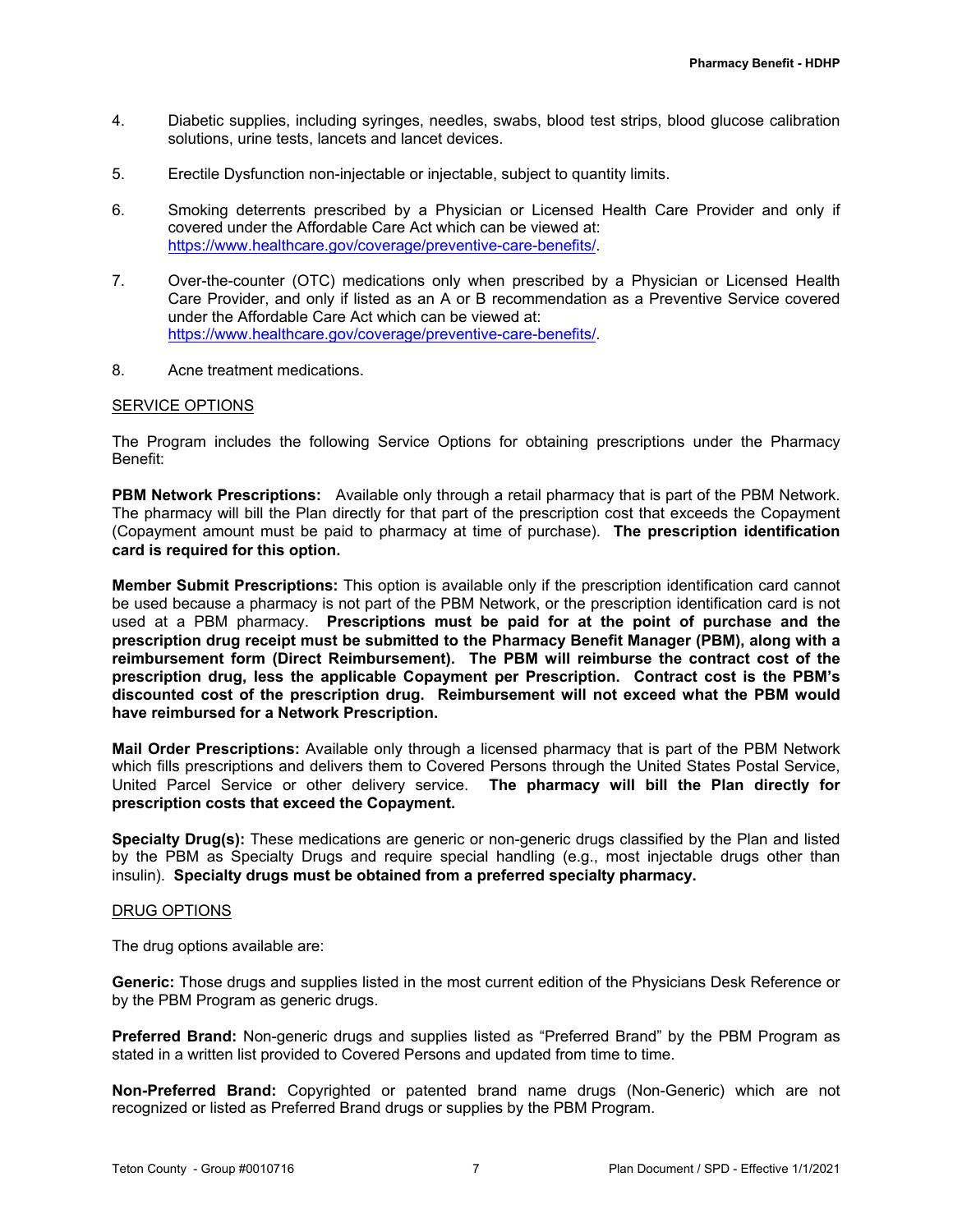- <span id="page-11-0"></span>4. Diabetic supplies, including syringes, needles, swabs, blood test strips, blood glucose calibration solutions, urine tests, lancets and lancet devices.
- 5. Erectile Dysfunction non-injectable or injectable, subject to quantity limits.
- 6. Smoking deterrents prescribed by a Physician or Licensed Health Care Provider and only if covered under the Affordable Care Act which can be viewed at: https://www.healthcare.gov/coverage/preventive-care-benefits/.
- 7. Over-the-counter (OTC) medications only when prescribed by a Physician or Licensed Health Care Provider, and only if listed as an A or B recommendation as a Preventive Service covered under the Affordable Care Act which can be viewed at: https://www.healthcare.gov/coverage/preventive-care-benefits/.
- 8. Acne treatment medications.

## SERVICE OPTIONS

The Program includes the following Service Options for obtaining prescriptions under the Pharmacy Benefit:

**PBM Network Prescriptions:** Available only through a retail pharmacy that is part of the PBM Network. The pharmacy will bill the Plan directly for that part of the prescription cost that exceeds the Copayment (Copayment amount must be paid to pharmacy at time of purchase). **The prescription identification card is required for this option.** 

**Member Submit Prescriptions:** This option is available only if the prescription identification card cannot be used because a pharmacy is not part of the PBM Network, or the prescription identification card is not used at a PBM pharmacy. **Prescriptions must be paid for at the point of purchase and the prescription drug receipt must be submitted to the Pharmacy Benefit Manager (PBM), along with a reimbursement form (Direct Reimbursement). The PBM will reimburse the contract cost of the prescription drug, less the applicable Copayment per Prescription. Contract cost is the PBM's discounted cost of the prescription drug. Reimbursement will not exceed what the PBM would have reimbursed for a Network Prescription.**

**Mail Order Prescriptions:** Available only through a licensed pharmacy that is part of the PBM Network which fills prescriptions and delivers them to Covered Persons through the United States Postal Service, United Parcel Service or other delivery service. **The pharmacy will bill the Plan directly for prescription costs that exceed the Copayment.**

**Specialty Drug(s):** These medications are generic or non-generic drugs classified by the Plan and listed by the PBM as Specialty Drugs and require special handling (e.g., most injectable drugs other than insulin). **Specialty drugs must be obtained from a preferred specialty pharmacy.** 

#### DRUG OPTIONS

The drug options available are:

**Generic:** Those drugs and supplies listed in the most current edition of the Physicians Desk Reference or by the PBM Program as generic drugs.

**Preferred Brand:** Non-generic drugs and supplies listed as "Preferred Brand" by the PBM Program as stated in a written list provided to Covered Persons and updated from time to time.

**Non-Preferred Brand:** Copyrighted or patented brand name drugs (Non-Generic) which are not recognized or listed as Preferred Brand drugs or supplies by the PBM Program.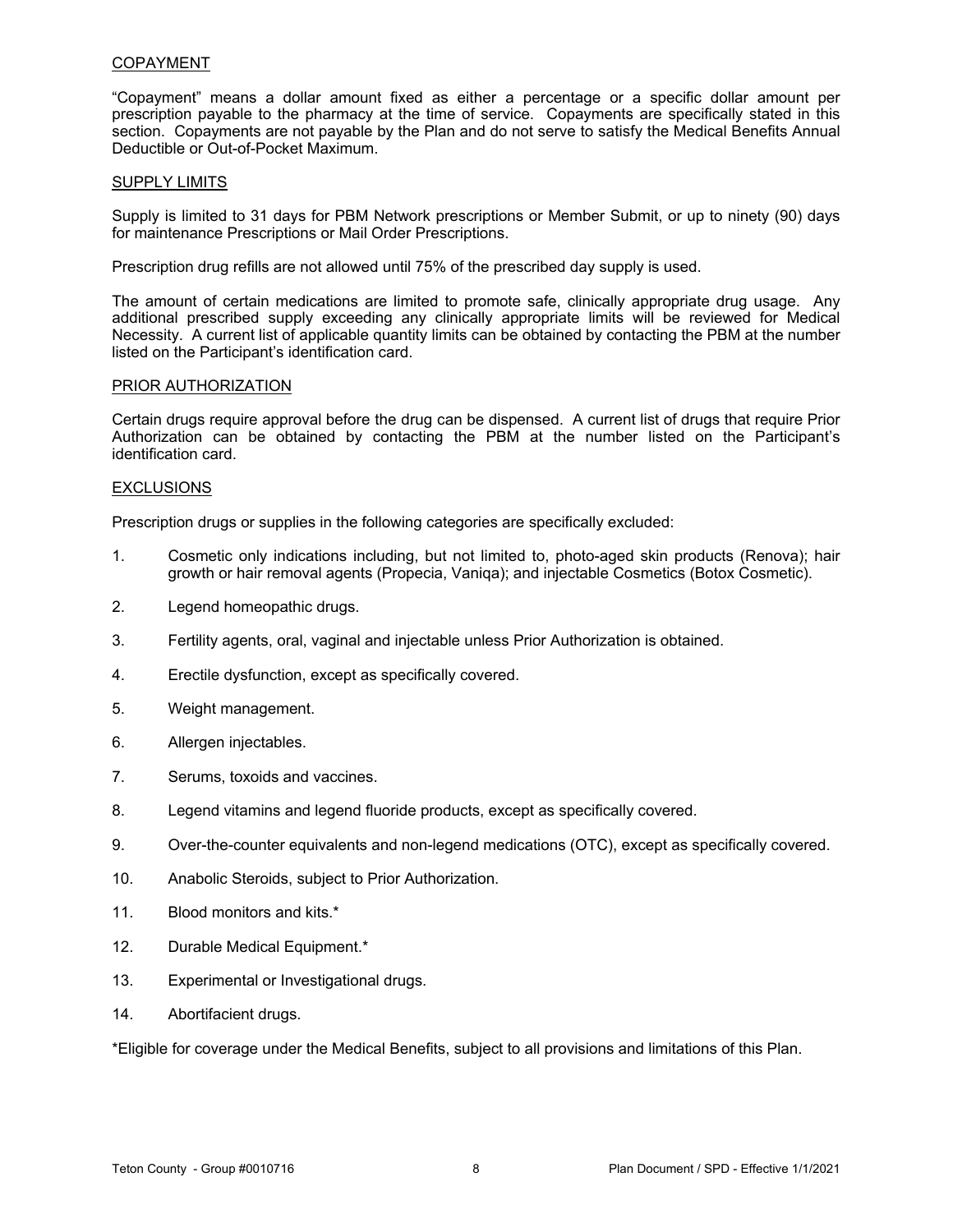#### <span id="page-12-0"></span>COPAYMENT

"Copayment" means a dollar amount fixed as either a percentage or a specific dollar amount per prescription payable to the pharmacy at the time of service. Copayments are specifically stated in this section. Copayments are not payable by the Plan and do not serve to satisfy the Medical Benefits Annual Deductible or Out-of-Pocket Maximum.

#### SUPPLY LIMITS

Supply is limited to 31 days for PBM Network prescriptions or Member Submit, or up to ninety (90) days for maintenance Prescriptions or Mail Order Prescriptions.

Prescription drug refills are not allowed until 75% of the prescribed day supply is used.

The amount of certain medications are limited to promote safe, clinically appropriate drug usage. Any additional prescribed supply exceeding any clinically appropriate limits will be reviewed for Medical Necessity. A current list of applicable quantity limits can be obtained by contacting the PBM at the number listed on the Participant's identification card.

#### PRIOR AUTHORIZATION

Certain drugs require approval before the drug can be dispensed. A current list of drugs that require Prior Authorization can be obtained by contacting the PBM at the number listed on the Participant's identification card.

#### EXCLUSIONS

Prescription drugs or supplies in the following categories are specifically excluded:

- 1. Cosmetic only indications including, but not limited to, photo-aged skin products (Renova); hair growth or hair removal agents (Propecia, Vaniqa); and injectable Cosmetics (Botox Cosmetic).
- 2. Legend homeopathic drugs.
- 3. Fertility agents, oral, vaginal and injectable unless Prior Authorization is obtained.
- 4. Erectile dysfunction, except as specifically covered.
- 5. Weight management.
- 6. Allergen injectables.
- 7. Serums, toxoids and vaccines.
- 8. Legend vitamins and legend fluoride products, except as specifically covered.
- 9. Over-the-counter equivalents and non-legend medications (OTC), except as specifically covered.
- 10. Anabolic Steroids, subject to Prior Authorization.
- 11. Blood monitors and kits.\*
- 12. Durable Medical Equipment.\*
- 13. Experimental or Investigational drugs.
- 14. Abortifacient drugs.

\*Eligible for coverage under the Medical Benefits, subject to all provisions and limitations of this Plan.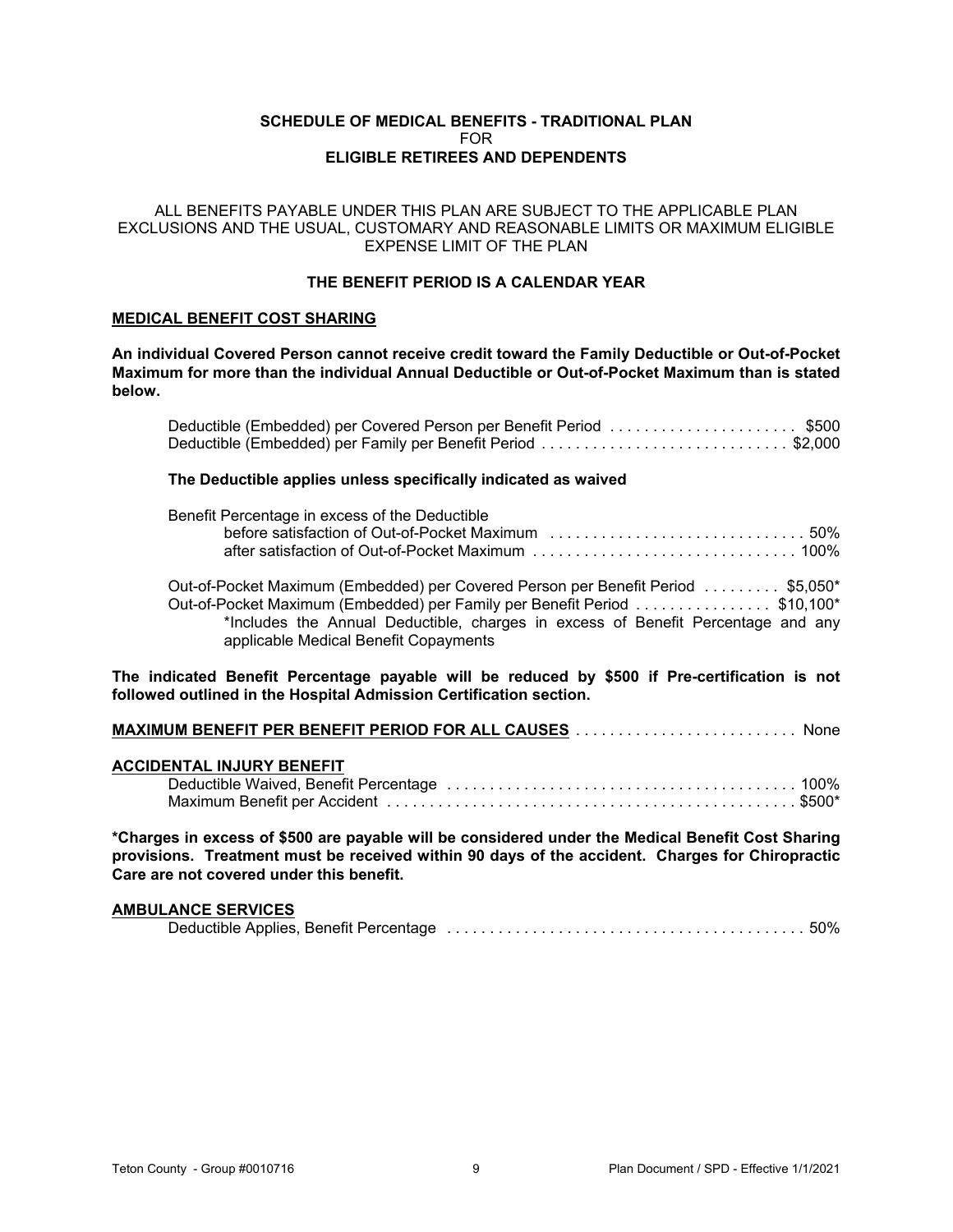#### **SCHEDULE OF MEDICAL BENEFITS - TRADITIONAL PLAN** FOR **ELIGIBLE RETIREES AND DEPENDENTS**

#### <span id="page-13-0"></span>ALL BENEFITS PAYABLE UNDER THIS PLAN ARE SUBJECT TO THE APPLICABLE PLAN EXCLUSIONS AND THE USUAL, CUSTOMARY AND REASONABLE LIMITS OR MAXIMUM ELIGIBLE EXPENSE LIMIT OF THE PLAN

#### **THE BENEFIT PERIOD IS A CALENDAR YEAR**

#### **MEDICAL BENEFIT COST SHARING**

**An individual Covered Person cannot receive credit toward the Family Deductible or Out-of-Pocket Maximum for more than the individual Annual Deductible or Out-of-Pocket Maximum than is stated below.** 

| Deductible (Embedded) per Covered Person per Benefit Period \$500 |  |  |  |  |
|-------------------------------------------------------------------|--|--|--|--|
| Deductible (Embedded) per Family per Benefit Period \$2,000       |  |  |  |  |

#### **The Deductible applies unless specifically indicated as waived**

| Benefit Percentage in excess of the Deductible |  |
|------------------------------------------------|--|
|                                                |  |
|                                                |  |
|                                                |  |

Out-of-Pocket Maximum (Embedded) per Covered Person per Benefit Period . . . . . . . . . \$5,050\* Out-of-Pocket Maximum (Embedded) per Family per Benefit Period . ............... \$10,100\* \*Includes the Annual Deductible, charges in excess of Benefit Percentage and any applicable Medical Benefit Copayments

**The indicated Benefit Percentage payable will be reduced by \$500 if Pre-certification is not followed outlined in the Hospital Admission Certification section.**

| <b>None</b> |  |
|-------------|--|
|-------------|--|

#### **ACCIDENTAL INJURY BENEFIT**

**\*Charges in excess of \$500 are payable will be considered under the Medical Benefit Cost Sharing provisions. Treatment must be received within 90 days of the accident. Charges for Chiropractic Care are not covered under this benefit.**

#### **AMBULANCE SERVICES**

|--|--|--|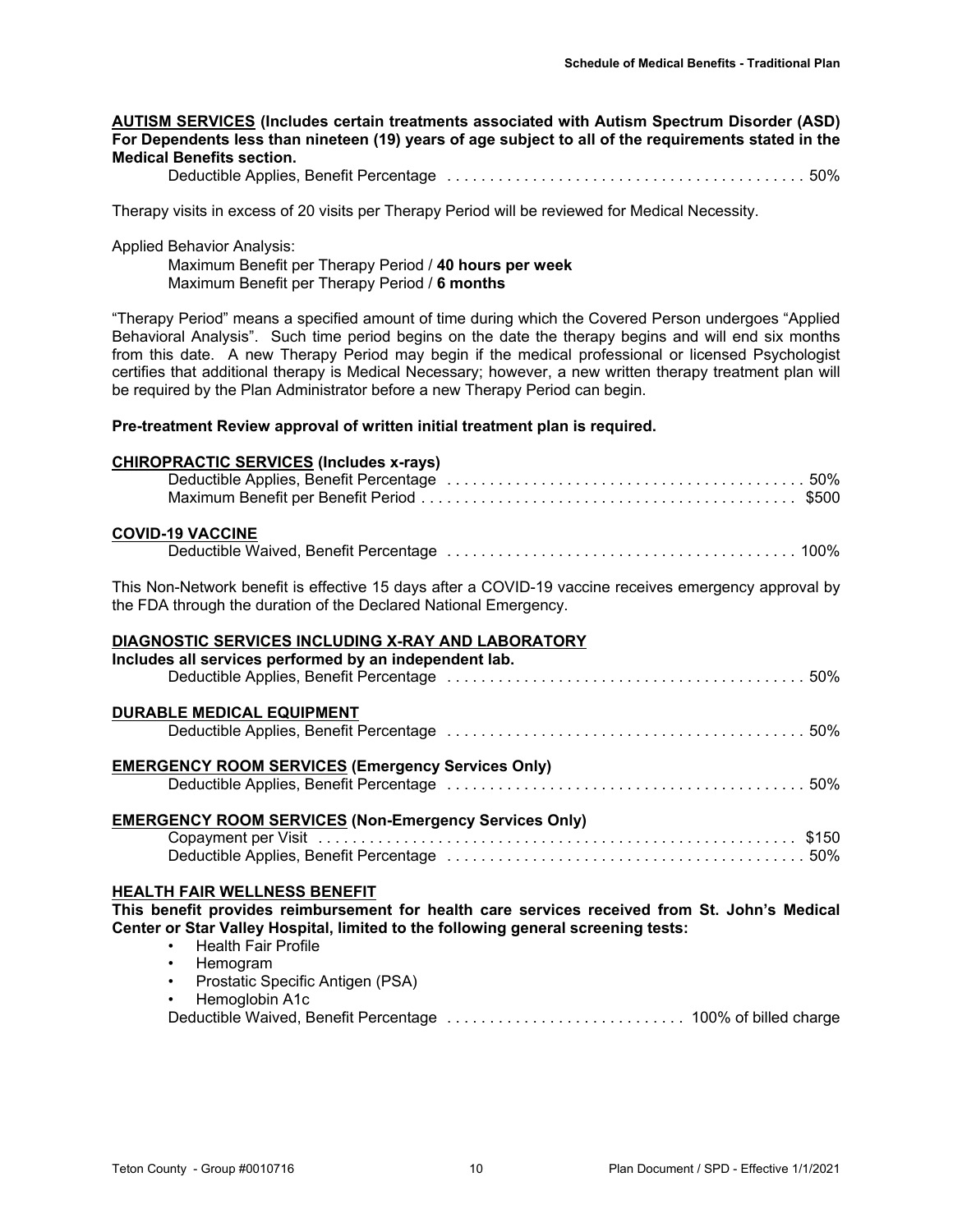## **AUTISM SERVICES (Includes certain treatments associated with Autism Spectrum Disorder (ASD) For Dependents less than nineteen (19) years of age subject to all of the requirements stated in the Medical Benefits section.**

Deductible Applies, Benefit Percentage . . . . . . . . . . . . . . . . . . . . . . . . . . . . . . . . . . . . . . . . . . 50%

Therapy visits in excess of 20 visits per Therapy Period will be reviewed for Medical Necessity.

#### Applied Behavior Analysis:

Maximum Benefit per Therapy Period / **40 hours per week** Maximum Benefit per Therapy Period / **6 months**

"Therapy Period" means a specified amount of time during which the Covered Person undergoes "Applied Behavioral Analysis". Such time period begins on the date the therapy begins and will end six months from this date. A new Therapy Period may begin if the medical professional or licensed Psychologist certifies that additional therapy is Medical Necessary; however, a new written therapy treatment plan will be required by the Plan Administrator before a new Therapy Period can begin.

#### **Pre-treatment Review approval of written initial treatment plan is required.**

| <b>CHIROPRACTIC SERVICES (Includes x-rays)</b>                                                                                                                            |
|---------------------------------------------------------------------------------------------------------------------------------------------------------------------------|
|                                                                                                                                                                           |
| <b>COVID-19 VACCINE</b>                                                                                                                                                   |
|                                                                                                                                                                           |
| This Non-Network benefit is effective 15 days after a COVID-19 vaccine receives emergency approval by<br>the FDA through the duration of the Declared National Emergency. |
| <b>DIAGNOSTIC SERVICES INCLUDING X-RAY AND LABORATORY</b>                                                                                                                 |
| Includes all services performed by an independent lab.                                                                                                                    |
|                                                                                                                                                                           |
| <b>DURABLE MEDICAL EQUIPMENT</b>                                                                                                                                          |
|                                                                                                                                                                           |
| <b>EMERGENCY ROOM SERVICES (Emergency Services Only)</b>                                                                                                                  |
|                                                                                                                                                                           |
| <b>EMERGENCY ROOM SERVICES (Non-Emergency Services Only)</b>                                                                                                              |
|                                                                                                                                                                           |
| <b>HEALTH FAIR WELLNESS BENEFIT</b>                                                                                                                                       |
| This benefit provides reimbursement for health care services received from St. John's Medical                                                                             |
| Center or Star Valley Hospital, limited to the following general screening tests:                                                                                         |
| <b>Health Fair Profile</b>                                                                                                                                                |
| Hemogram<br>$\bullet$                                                                                                                                                     |
| Prostatic Specific Antigen (PSA)<br>$\bullet$<br>Hemoglobin A1c<br>$\bullet$                                                                                              |
|                                                                                                                                                                           |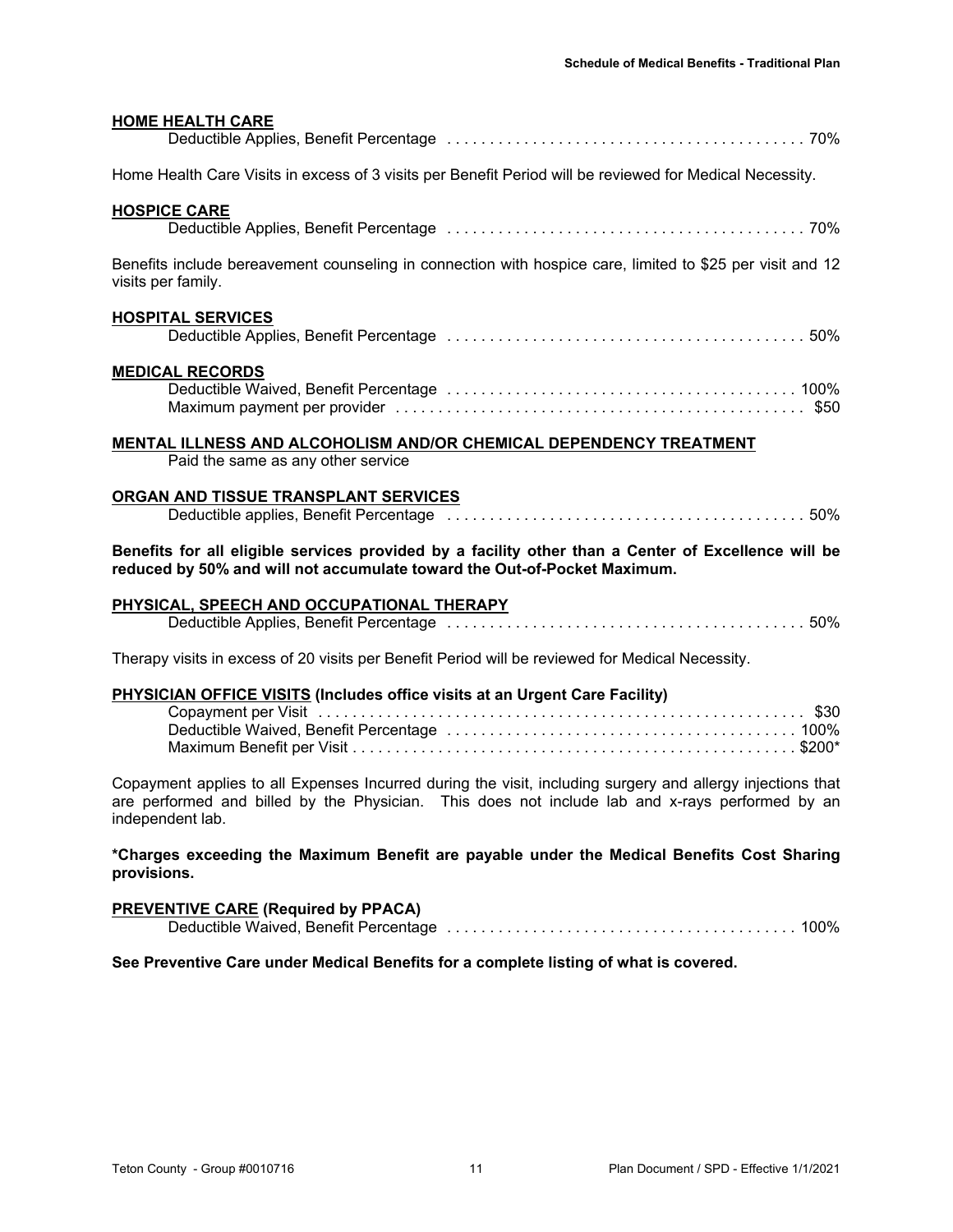# **HOME HEALTH CARE**

| <b>HUME HEAL IH CARE</b>                                                                                                                                                        |
|---------------------------------------------------------------------------------------------------------------------------------------------------------------------------------|
| Home Health Care Visits in excess of 3 visits per Benefit Period will be reviewed for Medical Necessity.                                                                        |
| <b>HOSPICE CARE</b>                                                                                                                                                             |
| Benefits include bereavement counseling in connection with hospice care, limited to \$25 per visit and 12<br>visits per family.                                                 |
| <b>HOSPITAL SERVICES</b>                                                                                                                                                        |
| <b>MEDICAL RECORDS</b>                                                                                                                                                          |
| MENTAL ILLNESS AND ALCOHOLISM AND/OR CHEMICAL DEPENDENCY TREATMENT<br>Paid the same as any other service                                                                        |
| ORGAN AND TISSUE TRANSPLANT SERVICES                                                                                                                                            |
| Benefits for all eligible services provided by a facility other than a Center of Excellence will be<br>reduced by 50% and will not accumulate toward the Out-of-Pocket Maximum. |
| PHYSICAL, SPEECH AND OCCUPATIONAL THERAPY                                                                                                                                       |
| Therapy visits in excess of 20 visits per Benefit Period will be reviewed for Medical Necessity.                                                                                |
| PHYSICIAN OFFICE VISITS (Includes office visits at an Urgent Care Facility)                                                                                                     |

Copayment applies to all Expenses Incurred during the visit, including surgery and allergy injections that are performed and billed by the Physician. This does not include lab and x-rays performed by an independent lab.

**\*Charges exceeding the Maximum Benefit are payable under the Medical Benefits Cost Sharing provisions.** 

#### **PREVENTIVE CARE (Required by PPACA)**

|  | 100% Deductible Waived, Benefit Percentage educational contracts of the contract of the Deduction of the DeMond |  |
|--|-----------------------------------------------------------------------------------------------------------------|--|

**See Preventive Care under Medical Benefits for a complete listing of what is covered.**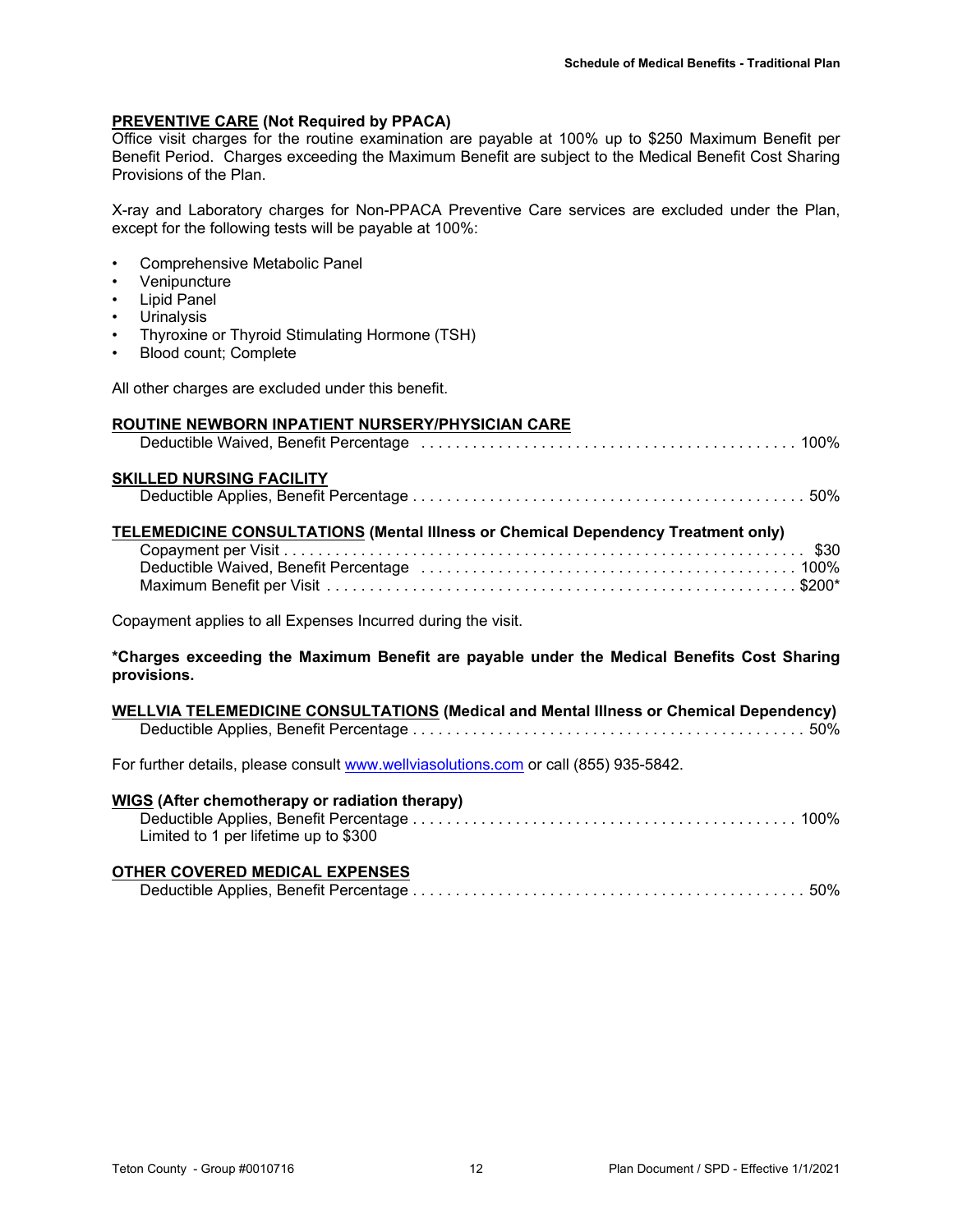## **PREVENTIVE CARE (Not Required by PPACA)**

Office visit charges for the routine examination are payable at 100% up to \$250 Maximum Benefit per Benefit Period. Charges exceeding the Maximum Benefit are subject to the Medical Benefit Cost Sharing Provisions of the Plan.

X-ray and Laboratory charges for Non-PPACA Preventive Care services are excluded under the Plan, except for the following tests will be payable at 100%:

- Comprehensive Metabolic Panel
- Venipuncture
- Lipid Panel
- **Urinalysis**
- Thyroxine or Thyroid Stimulating Hormone (TSH)
- Blood count; Complete

All other charges are excluded under this benefit.

#### **ROUTINE NEWBORN INPATIENT NURSERY/PHYSICIAN CARE**

| Deductible Waived, Benefit Percentage (and all and all and all and all and all and all and all and all and all a |  |
|------------------------------------------------------------------------------------------------------------------|--|
| <b>SKILLED NURSING FACILITY</b>                                                                                  |  |
|                                                                                                                  |  |
| <b>TELEMEDICINE CONSULTATIONS (Mental Illness or Chemical Dependency Treatment only)</b>                         |  |
|                                                                                                                  |  |
| Deductible Waived, Benefit Percentage (and all and all and all and all and all and all and all and all and all a |  |
|                                                                                                                  |  |

Copayment applies to all Expenses Incurred during the visit.

**\*Charges exceeding the Maximum Benefit are payable under the Medical Benefits Cost Sharing provisions.** 

| <b>WELLVIA TELEMEDICINE CONSULTATIONS (Medical and Mental Illness or Chemical Dependency)</b> |  |
|-----------------------------------------------------------------------------------------------|--|
|                                                                                               |  |

For further details, please consult www.wellviasolutions.com or call (855) 935-5842.

| WIGS (After chemotherapy or radiation therapy) |  |
|------------------------------------------------|--|
|                                                |  |
| Limited to 1 per lifetime up to \$300          |  |
|                                                |  |

# **OTHER COVERED MEDICAL EXPENSES**

|--|--|--|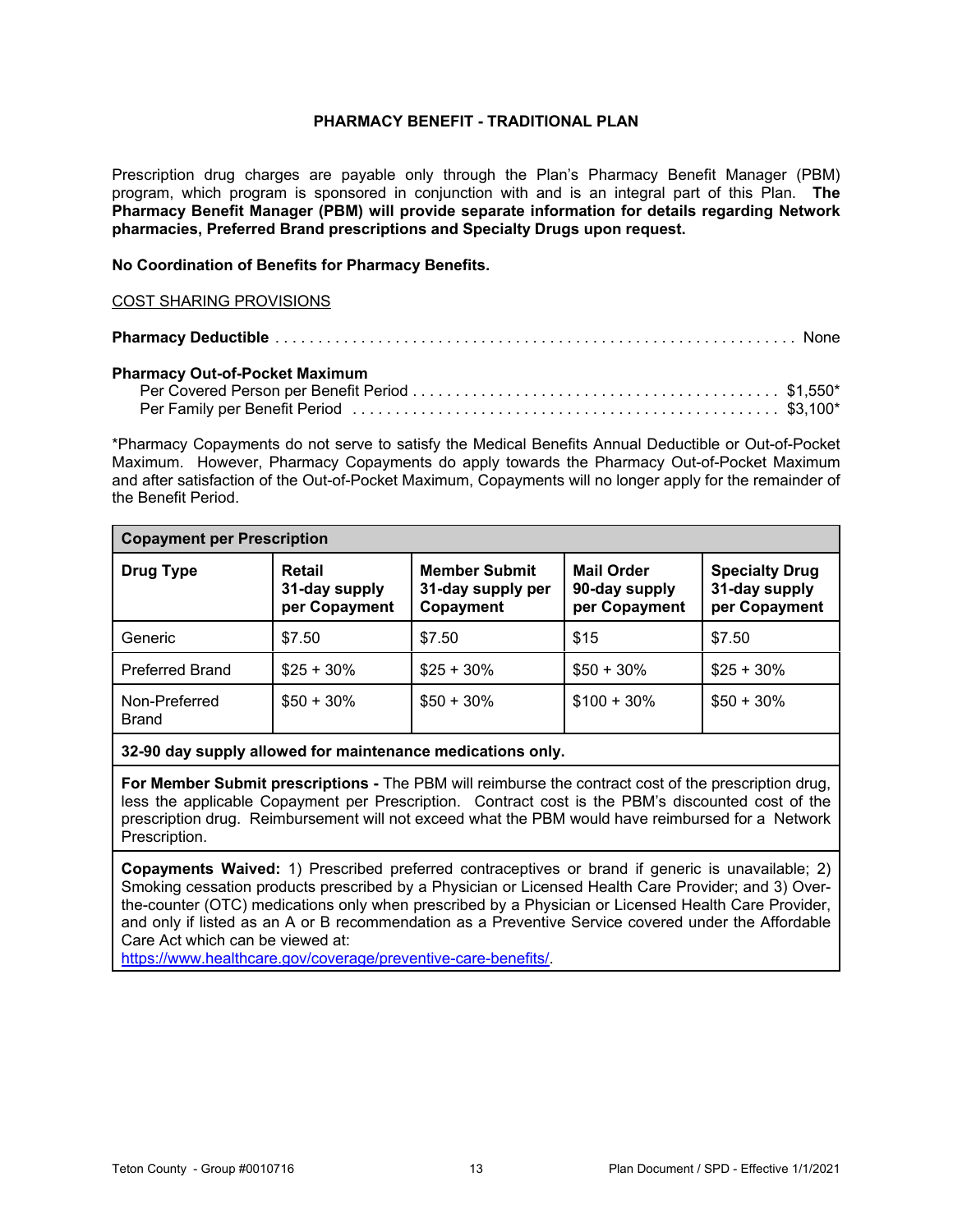#### **PHARMACY BENEFIT - TRADITIONAL PLAN**

<span id="page-17-0"></span>Prescription drug charges are payable only through the Plan's Pharmacy Benefit Manager (PBM) program, which program is sponsored in conjunction with and is an integral part of this Plan. **The Pharmacy Benefit Manager (PBM) will provide separate information for details regarding Network pharmacies, Preferred Brand prescriptions and Specialty Drugs upon request.**

#### **No Coordination of Benefits for Pharmacy Benefits.**

#### COST SHARING PROVISIONS

| <b>Pharmacy Out-of-Pocket Maximum</b> |  |
|---------------------------------------|--|
|                                       |  |
|                                       |  |

\*Pharmacy Copayments do not serve to satisfy the Medical Benefits Annual Deductible or Out-of-Pocket Maximum. However, Pharmacy Copayments do apply towards the Pharmacy Out-of-Pocket Maximum and after satisfaction of the Out-of-Pocket Maximum, Copayments will no longer apply for the remainder of the Benefit Period.

| <b>Copayment per Prescription</b> |                                          |                                                        |                                                     |                                                         |
|-----------------------------------|------------------------------------------|--------------------------------------------------------|-----------------------------------------------------|---------------------------------------------------------|
| <b>Drug Type</b>                  | Retail<br>31-day supply<br>per Copayment | <b>Member Submit</b><br>31-day supply per<br>Copayment | <b>Mail Order</b><br>90-day supply<br>per Copayment | <b>Specialty Drug</b><br>31-day supply<br>per Copayment |
| Generic                           | \$7.50                                   | \$7.50                                                 | \$15                                                | \$7.50                                                  |
| <b>Preferred Brand</b>            | $$25 + 30\%$                             | $$25 + 30\%$                                           | $$50 + 30\%$                                        | $$25 + 30\%$                                            |
| Non-Preferred<br><b>Brand</b>     | $$50 + 30\%$                             | $$50 + 30\%$                                           | $$100 + 30\%$                                       | $$50 + 30\%$                                            |

**32-90 day supply allowed for maintenance medications only.**

**For Member Submit prescriptions -** The PBM will reimburse the contract cost of the prescription drug, less the applicable Copayment per Prescription. Contract cost is the PBM's discounted cost of the prescription drug. Reimbursement will not exceed what the PBM would have reimbursed for a Network Prescription.

**Copayments Waived:** 1) Prescribed preferred contraceptives or brand if generic is unavailable; 2) Smoking cessation products prescribed by a Physician or Licensed Health Care Provider; and 3) Overthe-counter (OTC) medications only when prescribed by a Physician or Licensed Health Care Provider, and only if listed as an A or B recommendation as a Preventive Service covered under the Affordable Care Act which can be viewed at:

https://www.healthcare.gov/coverage/preventive-care-benefits/.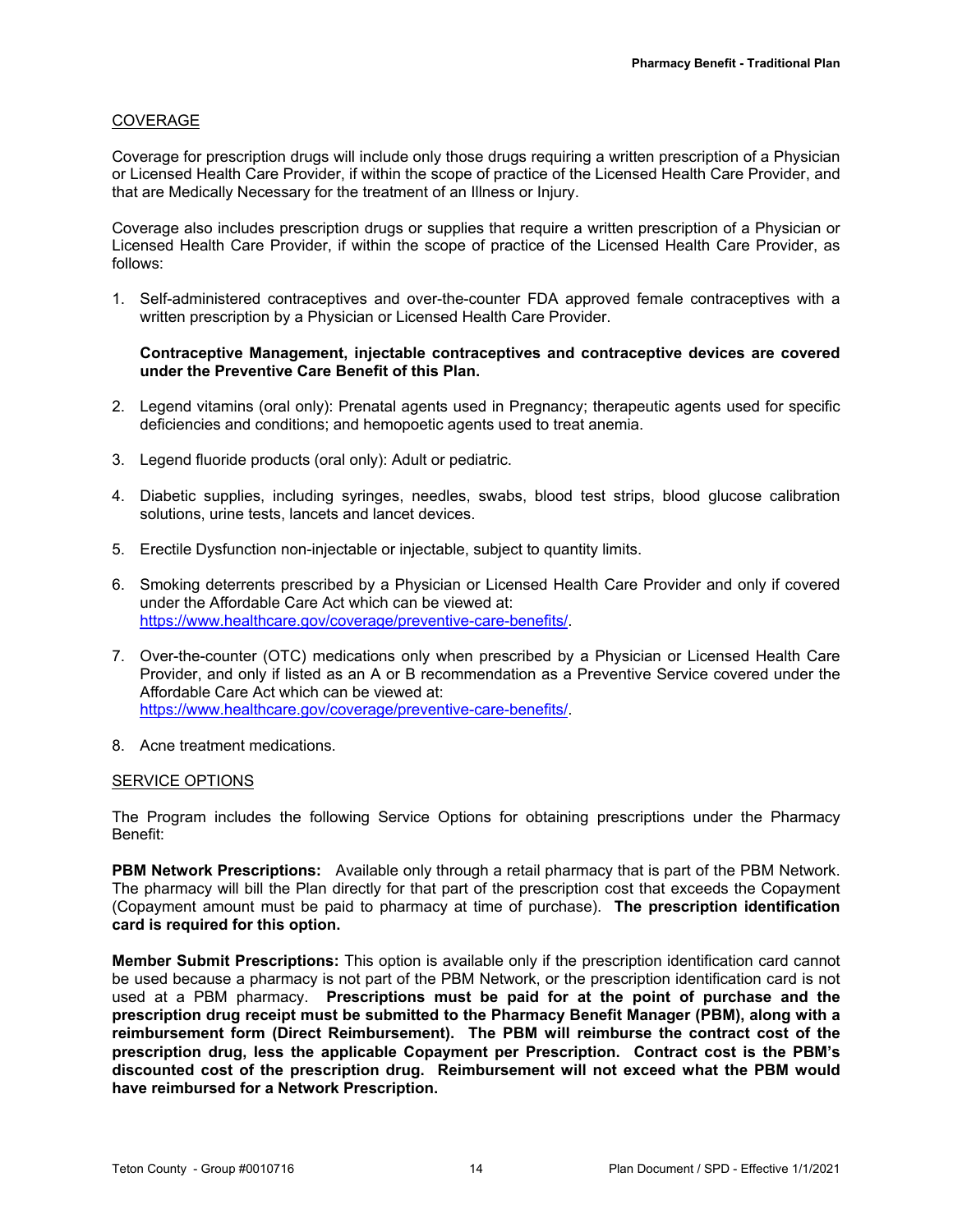## <span id="page-18-0"></span>COVERAGE

Coverage for prescription drugs will include only those drugs requiring a written prescription of a Physician or Licensed Health Care Provider, if within the scope of practice of the Licensed Health Care Provider, and that are Medically Necessary for the treatment of an Illness or Injury.

Coverage also includes prescription drugs or supplies that require a written prescription of a Physician or Licensed Health Care Provider, if within the scope of practice of the Licensed Health Care Provider, as follows:

1. Self-administered contraceptives and over-the-counter FDA approved female contraceptives with a written prescription by a Physician or Licensed Health Care Provider.

#### **Contraceptive Management, injectable contraceptives and contraceptive devices are covered under the Preventive Care Benefit of this Plan.**

- 2. Legend vitamins (oral only): Prenatal agents used in Pregnancy; therapeutic agents used for specific deficiencies and conditions; and hemopoetic agents used to treat anemia.
- 3. Legend fluoride products (oral only): Adult or pediatric.
- 4. Diabetic supplies, including syringes, needles, swabs, blood test strips, blood glucose calibration solutions, urine tests, lancets and lancet devices.
- 5. Erectile Dysfunction non-injectable or injectable, subject to quantity limits.
- 6. Smoking deterrents prescribed by a Physician or Licensed Health Care Provider and only if covered under the Affordable Care Act which can be viewed at: https://www.healthcare.gov/coverage/preventive-care-benefits/.
- 7. Over-the-counter (OTC) medications only when prescribed by a Physician or Licensed Health Care Provider, and only if listed as an A or B recommendation as a Preventive Service covered under the Affordable Care Act which can be viewed at: https://www.healthcare.gov/coverage/preventive-care-benefits/.
- 8. Acne treatment medications.

#### SERVICE OPTIONS

The Program includes the following Service Options for obtaining prescriptions under the Pharmacy Benefit:

**PBM Network Prescriptions:** Available only through a retail pharmacy that is part of the PBM Network. The pharmacy will bill the Plan directly for that part of the prescription cost that exceeds the Copayment (Copayment amount must be paid to pharmacy at time of purchase). **The prescription identification card is required for this option.** 

**Member Submit Prescriptions:** This option is available only if the prescription identification card cannot be used because a pharmacy is not part of the PBM Network, or the prescription identification card is not used at a PBM pharmacy. **Prescriptions must be paid for at the point of purchase and the prescription drug receipt must be submitted to the Pharmacy Benefit Manager (PBM), along with a reimbursement form (Direct Reimbursement). The PBM will reimburse the contract cost of the prescription drug, less the applicable Copayment per Prescription. Contract cost is the PBM's discounted cost of the prescription drug. Reimbursement will not exceed what the PBM would have reimbursed for a Network Prescription.**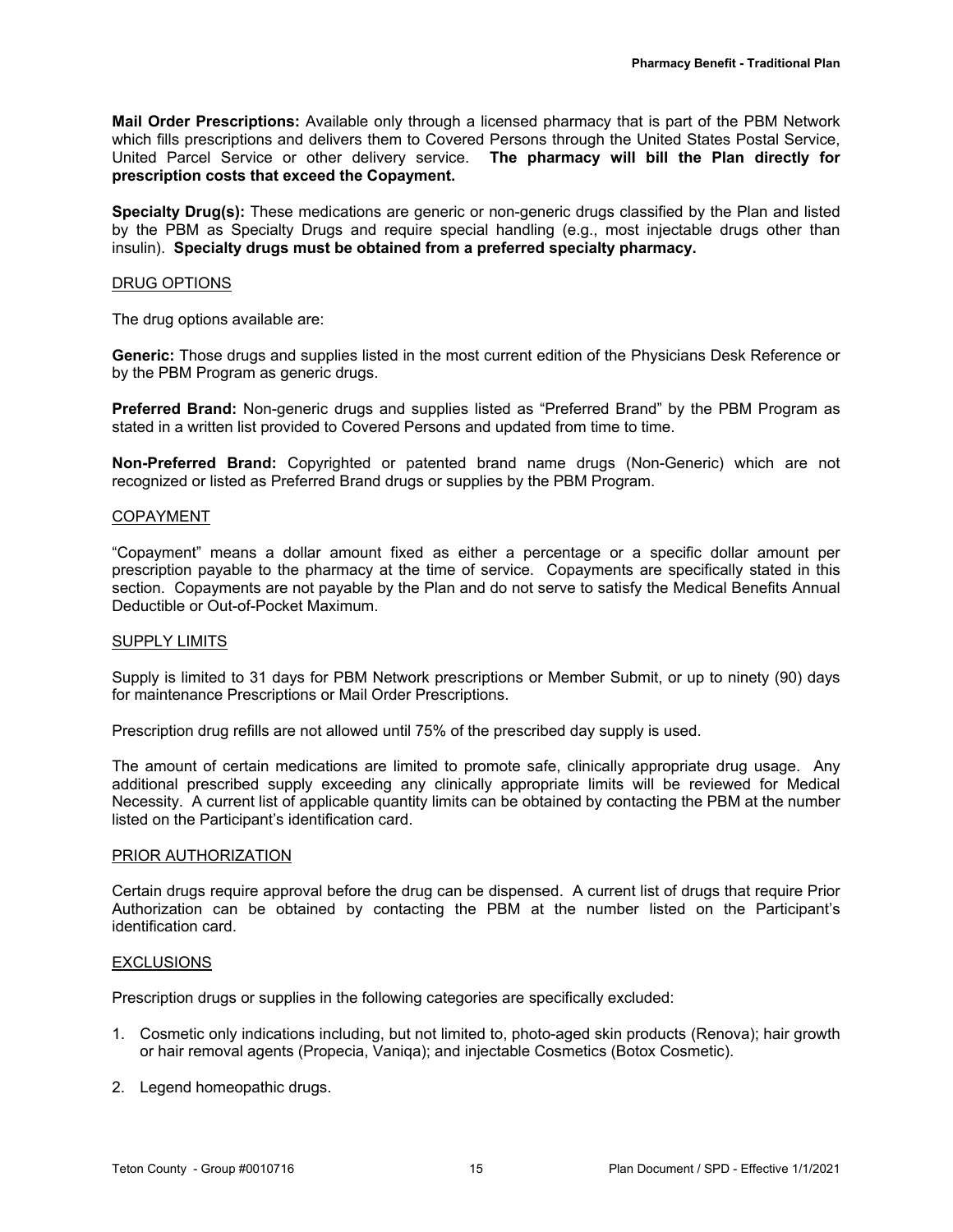<span id="page-19-0"></span>**Mail Order Prescriptions:** Available only through a licensed pharmacy that is part of the PBM Network which fills prescriptions and delivers them to Covered Persons through the United States Postal Service, United Parcel Service or other delivery service. **The pharmacy will bill the Plan directly for prescription costs that exceed the Copayment.**

**Specialty Drug(s):** These medications are generic or non-generic drugs classified by the Plan and listed by the PBM as Specialty Drugs and require special handling (e.g., most injectable drugs other than insulin). **Specialty drugs must be obtained from a preferred specialty pharmacy.** 

#### DRUG OPTIONS

The drug options available are:

**Generic:** Those drugs and supplies listed in the most current edition of the Physicians Desk Reference or by the PBM Program as generic drugs.

**Preferred Brand:** Non-generic drugs and supplies listed as "Preferred Brand" by the PBM Program as stated in a written list provided to Covered Persons and updated from time to time.

**Non-Preferred Brand:** Copyrighted or patented brand name drugs (Non-Generic) which are not recognized or listed as Preferred Brand drugs or supplies by the PBM Program.

#### COPAYMENT

"Copayment" means a dollar amount fixed as either a percentage or a specific dollar amount per prescription payable to the pharmacy at the time of service. Copayments are specifically stated in this section. Copayments are not payable by the Plan and do not serve to satisfy the Medical Benefits Annual Deductible or Out-of-Pocket Maximum.

#### SUPPLY LIMITS

Supply is limited to 31 days for PBM Network prescriptions or Member Submit, or up to ninety (90) days for maintenance Prescriptions or Mail Order Prescriptions.

Prescription drug refills are not allowed until 75% of the prescribed day supply is used.

The amount of certain medications are limited to promote safe, clinically appropriate drug usage. Any additional prescribed supply exceeding any clinically appropriate limits will be reviewed for Medical Necessity. A current list of applicable quantity limits can be obtained by contacting the PBM at the number listed on the Participant's identification card.

#### PRIOR AUTHORIZATION

Certain drugs require approval before the drug can be dispensed. A current list of drugs that require Prior Authorization can be obtained by contacting the PBM at the number listed on the Participant's identification card.

#### **EXCLUSIONS**

Prescription drugs or supplies in the following categories are specifically excluded:

- 1. Cosmetic only indications including, but not limited to, photo-aged skin products (Renova); hair growth or hair removal agents (Propecia, Vaniqa); and injectable Cosmetics (Botox Cosmetic).
- 2. Legend homeopathic drugs.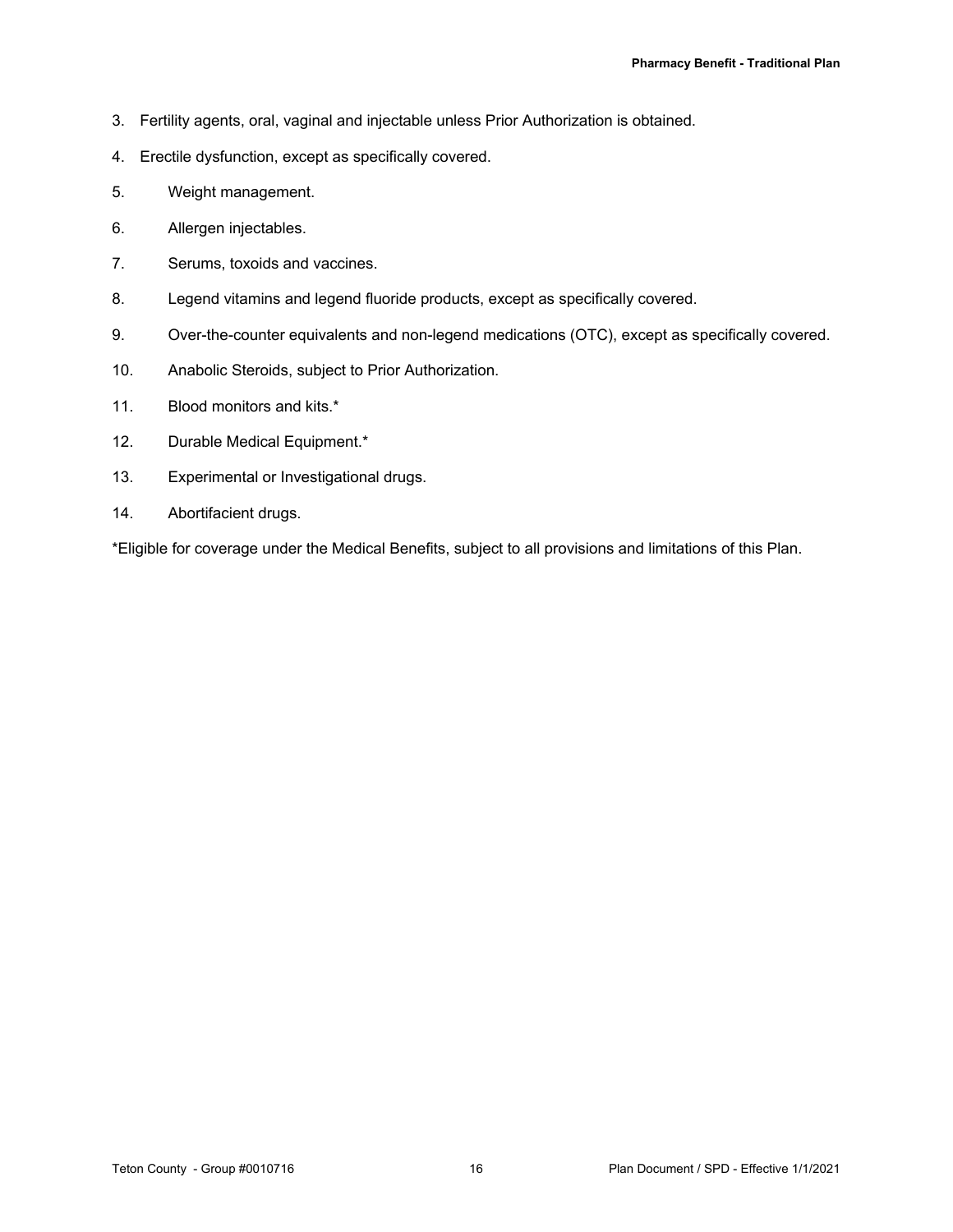- 3. Fertility agents, oral, vaginal and injectable unless Prior Authorization is obtained.
- 4. Erectile dysfunction, except as specifically covered.
- 5. Weight management.
- 6. Allergen injectables.
- 7. Serums, toxoids and vaccines.
- 8. Legend vitamins and legend fluoride products, except as specifically covered.
- 9. Over-the-counter equivalents and non-legend medications (OTC), except as specifically covered.
- 10. Anabolic Steroids, subject to Prior Authorization.
- 11. Blood monitors and kits.\*
- 12. Durable Medical Equipment.\*
- 13. Experimental or Investigational drugs.
- 14. Abortifacient drugs.

\*Eligible for coverage under the Medical Benefits, subject to all provisions and limitations of this Plan.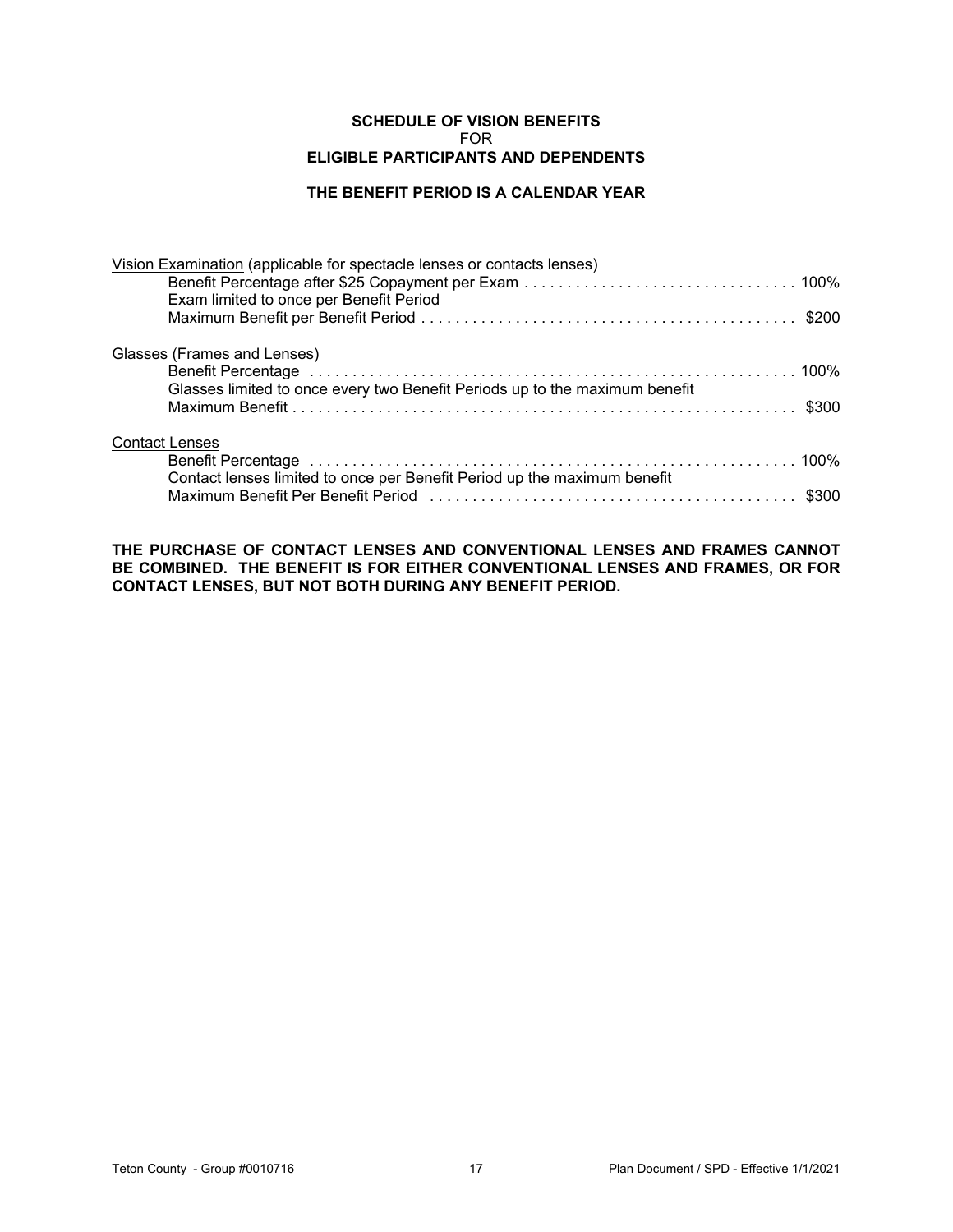#### **SCHEDULE OF VISION BENEFITS** FOR **ELIGIBLE PARTICIPANTS AND DEPENDENTS**

#### **THE BENEFIT PERIOD IS A CALENDAR YEAR**

<span id="page-21-0"></span>

| Vision Examination (applicable for spectacle lenses or contacts lenses)<br>Exam limited to once per Benefit Period                                                                    |  |
|---------------------------------------------------------------------------------------------------------------------------------------------------------------------------------------|--|
| Glasses (Frames and Lenses)<br>Glasses limited to once every two Benefit Periods up to the maximum benefit                                                                            |  |
| <b>Contact Lenses</b><br>Contact lenses limited to once per Benefit Period up the maximum benefit<br>Maximum Benefit Per Benefit Period (and the content of the content of the \$300) |  |

**THE PURCHASE OF CONTACT LENSES AND CONVENTIONAL LENSES AND FRAMES CANNOT BE COMBINED. THE BENEFIT IS FOR EITHER CONVENTIONAL LENSES AND FRAMES, OR FOR CONTACT LENSES, BUT NOT BOTH DURING ANY BENEFIT PERIOD.**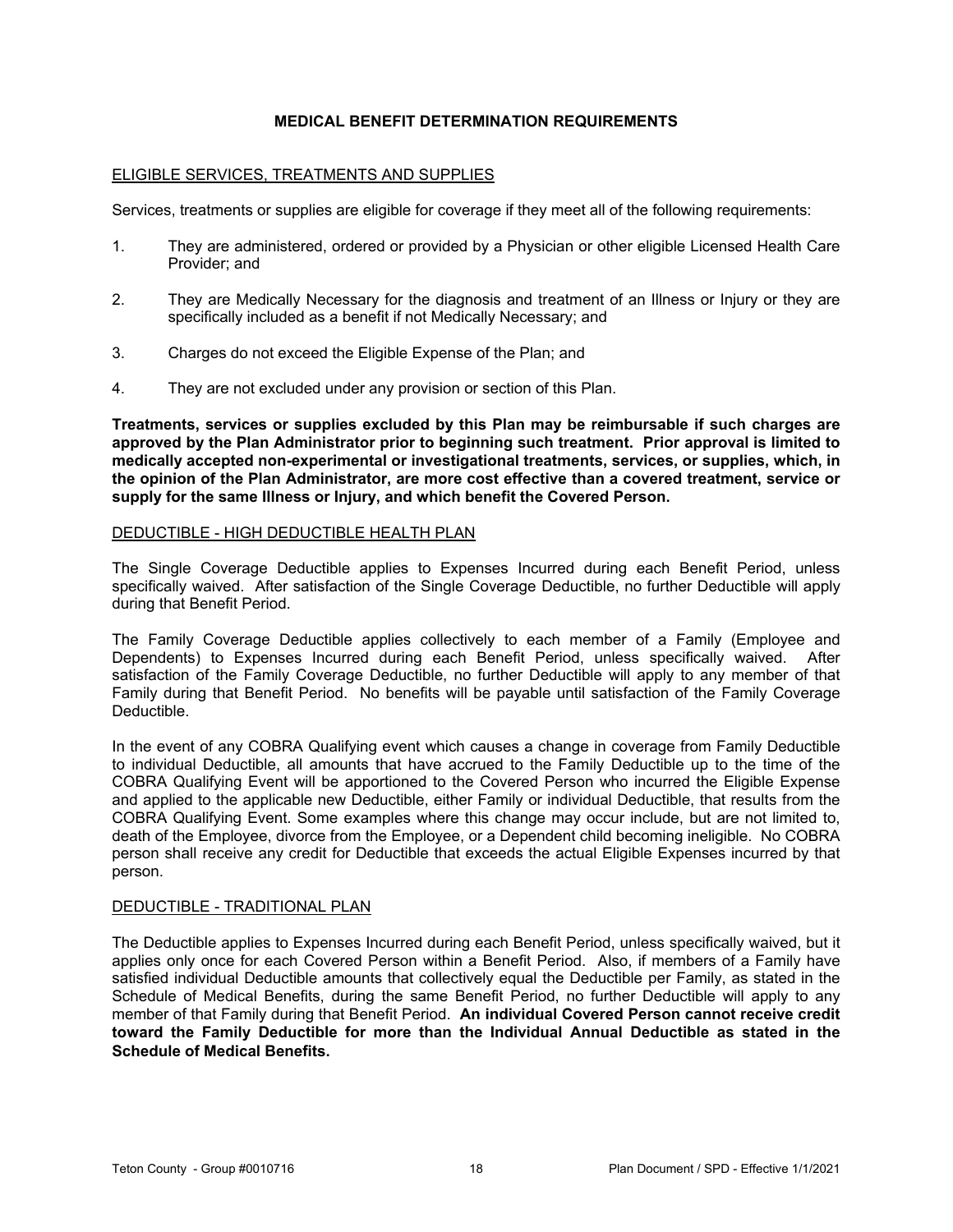#### **MEDICAL BENEFIT DETERMINATION REQUIREMENTS**

#### <span id="page-22-0"></span>ELIGIBLE SERVICES, TREATMENTS AND SUPPLIES

Services, treatments or supplies are eligible for coverage if they meet all of the following requirements:

- 1. They are administered, ordered or provided by a Physician or other eligible Licensed Health Care Provider; and
- 2. They are Medically Necessary for the diagnosis and treatment of an Illness or Injury or they are specifically included as a benefit if not Medically Necessary; and
- 3. Charges do not exceed the Eligible Expense of the Plan; and
- 4. They are not excluded under any provision or section of this Plan.

**Treatments, services or supplies excluded by this Plan may be reimbursable if such charges are approved by the Plan Administrator prior to beginning such treatment. Prior approval is limited to medically accepted non-experimental or investigational treatments, services, or supplies, which, in the opinion of the Plan Administrator, are more cost effective than a covered treatment, service or supply for the same Illness or Injury, and which benefit the Covered Person.**

#### DEDUCTIBLE - HIGH DEDUCTIBLE HEALTH PLAN

The Single Coverage Deductible applies to Expenses Incurred during each Benefit Period, unless specifically waived. After satisfaction of the Single Coverage Deductible, no further Deductible will apply during that Benefit Period.

The Family Coverage Deductible applies collectively to each member of a Family (Employee and Dependents) to Expenses Incurred during each Benefit Period, unless specifically waived. After satisfaction of the Family Coverage Deductible, no further Deductible will apply to any member of that Family during that Benefit Period. No benefits will be payable until satisfaction of the Family Coverage Deductible.

In the event of any COBRA Qualifying event which causes a change in coverage from Family Deductible to individual Deductible, all amounts that have accrued to the Family Deductible up to the time of the COBRA Qualifying Event will be apportioned to the Covered Person who incurred the Eligible Expense and applied to the applicable new Deductible, either Family or individual Deductible, that results from the COBRA Qualifying Event. Some examples where this change may occur include, but are not limited to, death of the Employee, divorce from the Employee, or a Dependent child becoming ineligible. No COBRA person shall receive any credit for Deductible that exceeds the actual Eligible Expenses incurred by that person.

#### DEDUCTIBLE - TRADITIONAL PLAN

The Deductible applies to Expenses Incurred during each Benefit Period, unless specifically waived, but it applies only once for each Covered Person within a Benefit Period. Also, if members of a Family have satisfied individual Deductible amounts that collectively equal the Deductible per Family, as stated in the Schedule of Medical Benefits, during the same Benefit Period, no further Deductible will apply to any member of that Family during that Benefit Period. **An individual Covered Person cannot receive credit toward the Family Deductible for more than the Individual Annual Deductible as stated in the Schedule of Medical Benefits.**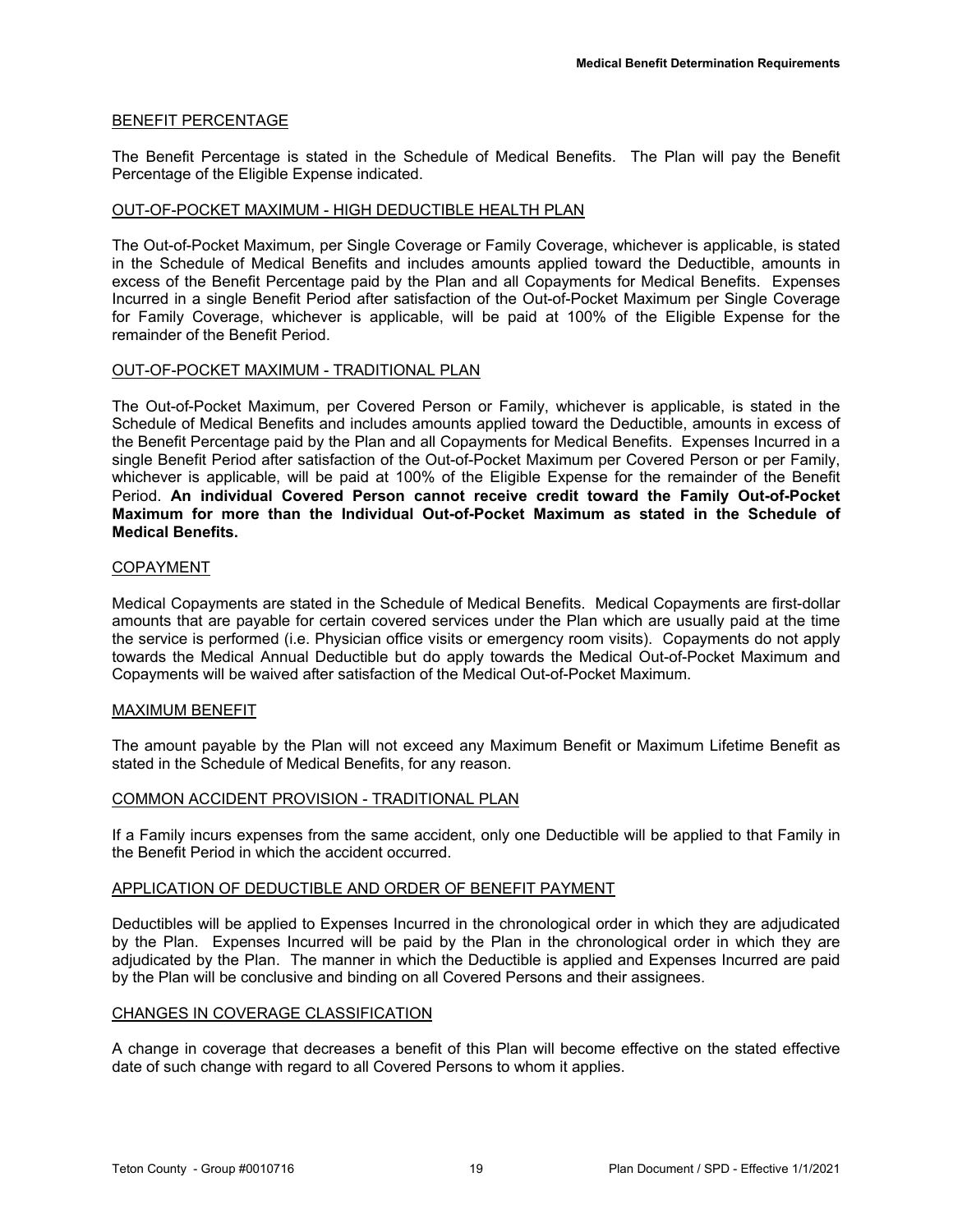#### <span id="page-23-0"></span>BENEFIT PERCENTAGE

The Benefit Percentage is stated in the Schedule of Medical Benefits. The Plan will pay the Benefit Percentage of the Eligible Expense indicated.

#### OUT-OF-POCKET MAXIMUM - HIGH DEDUCTIBLE HEALTH PLAN

The Out-of-Pocket Maximum, per Single Coverage or Family Coverage, whichever is applicable, is stated in the Schedule of Medical Benefits and includes amounts applied toward the Deductible, amounts in excess of the Benefit Percentage paid by the Plan and all Copayments for Medical Benefits. Expenses Incurred in a single Benefit Period after satisfaction of the Out-of-Pocket Maximum per Single Coverage for Family Coverage, whichever is applicable, will be paid at 100% of the Eligible Expense for the remainder of the Benefit Period.

#### OUT-OF-POCKET MAXIMUM - TRADITIONAL PLAN

The Out-of-Pocket Maximum, per Covered Person or Family, whichever is applicable, is stated in the Schedule of Medical Benefits and includes amounts applied toward the Deductible, amounts in excess of the Benefit Percentage paid by the Plan and all Copayments for Medical Benefits. Expenses Incurred in a single Benefit Period after satisfaction of the Out-of-Pocket Maximum per Covered Person or per Family, whichever is applicable, will be paid at 100% of the Eligible Expense for the remainder of the Benefit Period. **An individual Covered Person cannot receive credit toward the Family Out-of-Pocket Maximum for more than the Individual Out-of-Pocket Maximum as stated in the Schedule of Medical Benefits.**

#### COPAYMENT

Medical Copayments are stated in the Schedule of Medical Benefits. Medical Copayments are first-dollar amounts that are payable for certain covered services under the Plan which are usually paid at the time the service is performed (i.e. Physician office visits or emergency room visits). Copayments do not apply towards the Medical Annual Deductible but do apply towards the Medical Out-of-Pocket Maximum and Copayments will be waived after satisfaction of the Medical Out-of-Pocket Maximum.

#### MAXIMUM BENEFIT

The amount payable by the Plan will not exceed any Maximum Benefit or Maximum Lifetime Benefit as stated in the Schedule of Medical Benefits, for any reason.

#### COMMON ACCIDENT PROVISION - TRADITIONAL PLAN

If a Family incurs expenses from the same accident, only one Deductible will be applied to that Family in the Benefit Period in which the accident occurred.

#### APPLICATION OF DEDUCTIBLE AND ORDER OF BENEFIT PAYMENT

Deductibles will be applied to Expenses Incurred in the chronological order in which they are adjudicated by the Plan. Expenses Incurred will be paid by the Plan in the chronological order in which they are adjudicated by the Plan. The manner in which the Deductible is applied and Expenses Incurred are paid by the Plan will be conclusive and binding on all Covered Persons and their assignees.

#### CHANGES IN COVERAGE CLASSIFICATION

A change in coverage that decreases a benefit of this Plan will become effective on the stated effective date of such change with regard to all Covered Persons to whom it applies.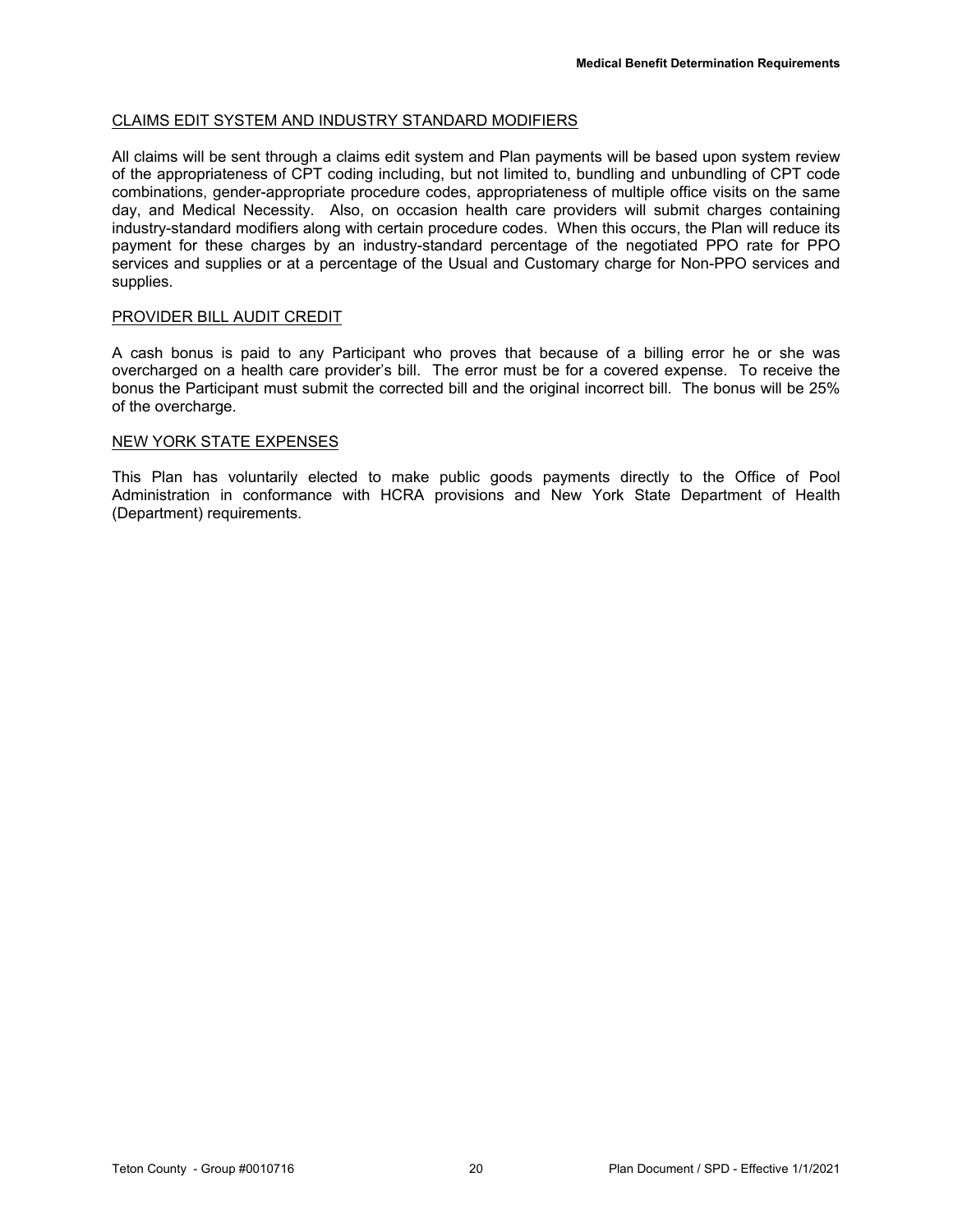## <span id="page-24-0"></span>CLAIMS EDIT SYSTEM AND INDUSTRY STANDARD MODIFIERS

All claims will be sent through a claims edit system and Plan payments will be based upon system review of the appropriateness of CPT coding including, but not limited to, bundling and unbundling of CPT code combinations, gender-appropriate procedure codes, appropriateness of multiple office visits on the same day, and Medical Necessity. Also, on occasion health care providers will submit charges containing industry-standard modifiers along with certain procedure codes. When this occurs, the Plan will reduce its payment for these charges by an industry-standard percentage of the negotiated PPO rate for PPO services and supplies or at a percentage of the Usual and Customary charge for Non-PPO services and supplies.

#### PROVIDER BILL AUDIT CREDIT

A cash bonus is paid to any Participant who proves that because of a billing error he or she was overcharged on a health care provider's bill. The error must be for a covered expense. To receive the bonus the Participant must submit the corrected bill and the original incorrect bill. The bonus will be 25% of the overcharge.

#### NEW YORK STATE EXPENSES

This Plan has voluntarily elected to make public goods payments directly to the Office of Pool Administration in conformance with HCRA provisions and New York State Department of Health (Department) requirements.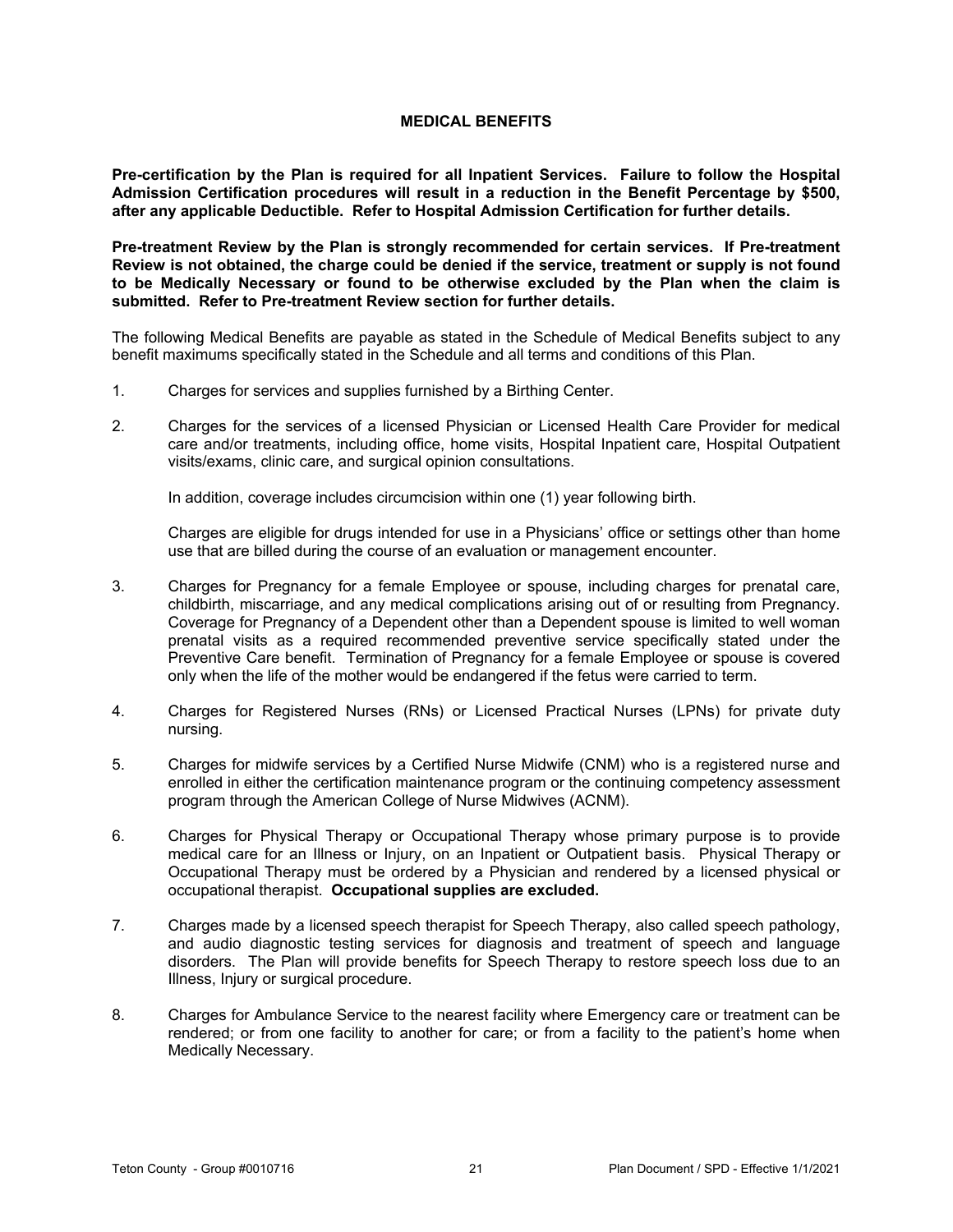#### **MEDICAL BENEFITS**

<span id="page-25-0"></span>**Pre-certification by the Plan is required for all Inpatient Services. Failure to follow the Hospital Admission Certification procedures will result in a reduction in the Benefit Percentage by \$500, after any applicable Deductible. Refer to Hospital Admission Certification for further details.**

**Pre-treatment Review by the Plan is strongly recommended for certain services. If Pre-treatment Review is not obtained, the charge could be denied if the service, treatment or supply is not found to be Medically Necessary or found to be otherwise excluded by the Plan when the claim is submitted. Refer to Pre-treatment Review section for further details.**

The following Medical Benefits are payable as stated in the Schedule of Medical Benefits subject to any benefit maximums specifically stated in the Schedule and all terms and conditions of this Plan.

- 1. Charges for services and supplies furnished by a Birthing Center.
- 2. Charges for the services of a licensed Physician or Licensed Health Care Provider for medical care and/or treatments, including office, home visits, Hospital Inpatient care, Hospital Outpatient visits/exams, clinic care, and surgical opinion consultations.

In addition, coverage includes circumcision within one (1) year following birth.

Charges are eligible for drugs intended for use in a Physicians' office or settings other than home use that are billed during the course of an evaluation or management encounter.

- 3. Charges for Pregnancy for a female Employee or spouse, including charges for prenatal care, childbirth, miscarriage, and any medical complications arising out of or resulting from Pregnancy. Coverage for Pregnancy of a Dependent other than a Dependent spouse is limited to well woman prenatal visits as a required recommended preventive service specifically stated under the Preventive Care benefit. Termination of Pregnancy for a female Employee or spouse is covered only when the life of the mother would be endangered if the fetus were carried to term.
- 4. Charges for Registered Nurses (RNs) or Licensed Practical Nurses (LPNs) for private duty nursing.
- 5. Charges for midwife services by a Certified Nurse Midwife (CNM) who is a registered nurse and enrolled in either the certification maintenance program or the continuing competency assessment program through the American College of Nurse Midwives (ACNM).
- 6. Charges for Physical Therapy or Occupational Therapy whose primary purpose is to provide medical care for an Illness or Injury, on an Inpatient or Outpatient basis. Physical Therapy or Occupational Therapy must be ordered by a Physician and rendered by a licensed physical or occupational therapist. **Occupational supplies are excluded.**
- 7. Charges made by a licensed speech therapist for Speech Therapy, also called speech pathology, and audio diagnostic testing services for diagnosis and treatment of speech and language disorders. The Plan will provide benefits for Speech Therapy to restore speech loss due to an Illness, Injury or surgical procedure.
- 8. Charges for Ambulance Service to the nearest facility where Emergency care or treatment can be rendered; or from one facility to another for care; or from a facility to the patient's home when Medically Necessary.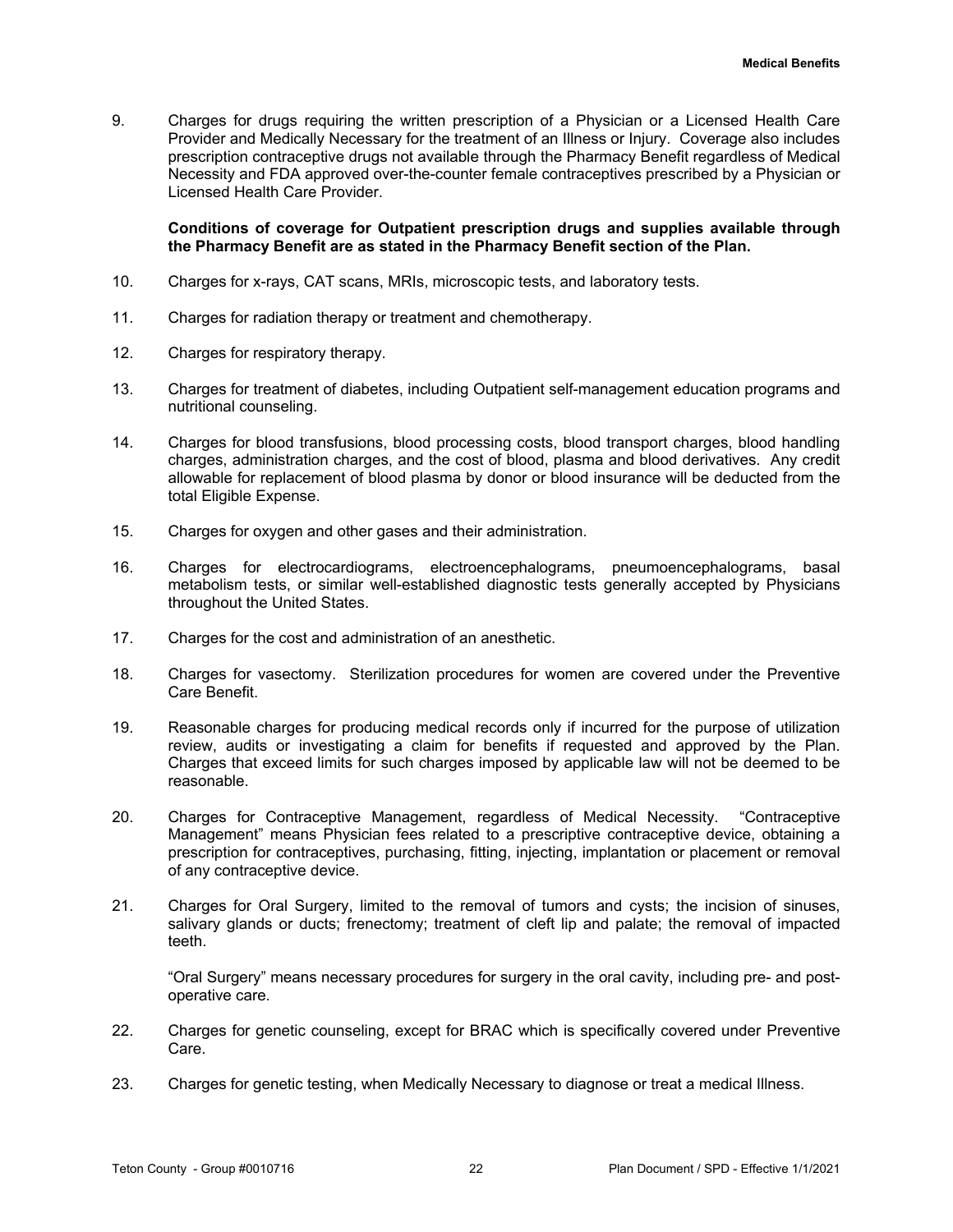9. Charges for drugs requiring the written prescription of a Physician or a Licensed Health Care Provider and Medically Necessary for the treatment of an Illness or Injury. Coverage also includes prescription contraceptive drugs not available through the Pharmacy Benefit regardless of Medical Necessity and FDA approved over-the-counter female contraceptives prescribed by a Physician or Licensed Health Care Provider.

**Conditions of coverage for Outpatient prescription drugs and supplies available through the Pharmacy Benefit are as stated in the Pharmacy Benefit section of the Plan.**

- 10. Charges for x-rays, CAT scans, MRIs, microscopic tests, and laboratory tests.
- 11. Charges for radiation therapy or treatment and chemotherapy.
- 12. Charges for respiratory therapy.
- 13. Charges for treatment of diabetes, including Outpatient self-management education programs and nutritional counseling.
- 14. Charges for blood transfusions, blood processing costs, blood transport charges, blood handling charges, administration charges, and the cost of blood, plasma and blood derivatives. Any credit allowable for replacement of blood plasma by donor or blood insurance will be deducted from the total Eligible Expense.
- 15. Charges for oxygen and other gases and their administration.
- 16. Charges for electrocardiograms, electroencephalograms, pneumoencephalograms, basal metabolism tests, or similar well-established diagnostic tests generally accepted by Physicians throughout the United States.
- 17. Charges for the cost and administration of an anesthetic.
- 18. Charges for vasectomy. Sterilization procedures for women are covered under the Preventive Care Benefit.
- 19. Reasonable charges for producing medical records only if incurred for the purpose of utilization review, audits or investigating a claim for benefits if requested and approved by the Plan. Charges that exceed limits for such charges imposed by applicable law will not be deemed to be reasonable.
- 20. Charges for Contraceptive Management, regardless of Medical Necessity. "Contraceptive Management" means Physician fees related to a prescriptive contraceptive device, obtaining a prescription for contraceptives, purchasing, fitting, injecting, implantation or placement or removal of any contraceptive device.
- 21. Charges for Oral Surgery, limited to the removal of tumors and cysts; the incision of sinuses, salivary glands or ducts; frenectomy; treatment of cleft lip and palate; the removal of impacted teeth.

"Oral Surgery" means necessary procedures for surgery in the oral cavity, including pre- and postoperative care.

- 22. Charges for genetic counseling, except for BRAC which is specifically covered under Preventive Care.
- 23. Charges for genetic testing, when Medically Necessary to diagnose or treat a medical Illness.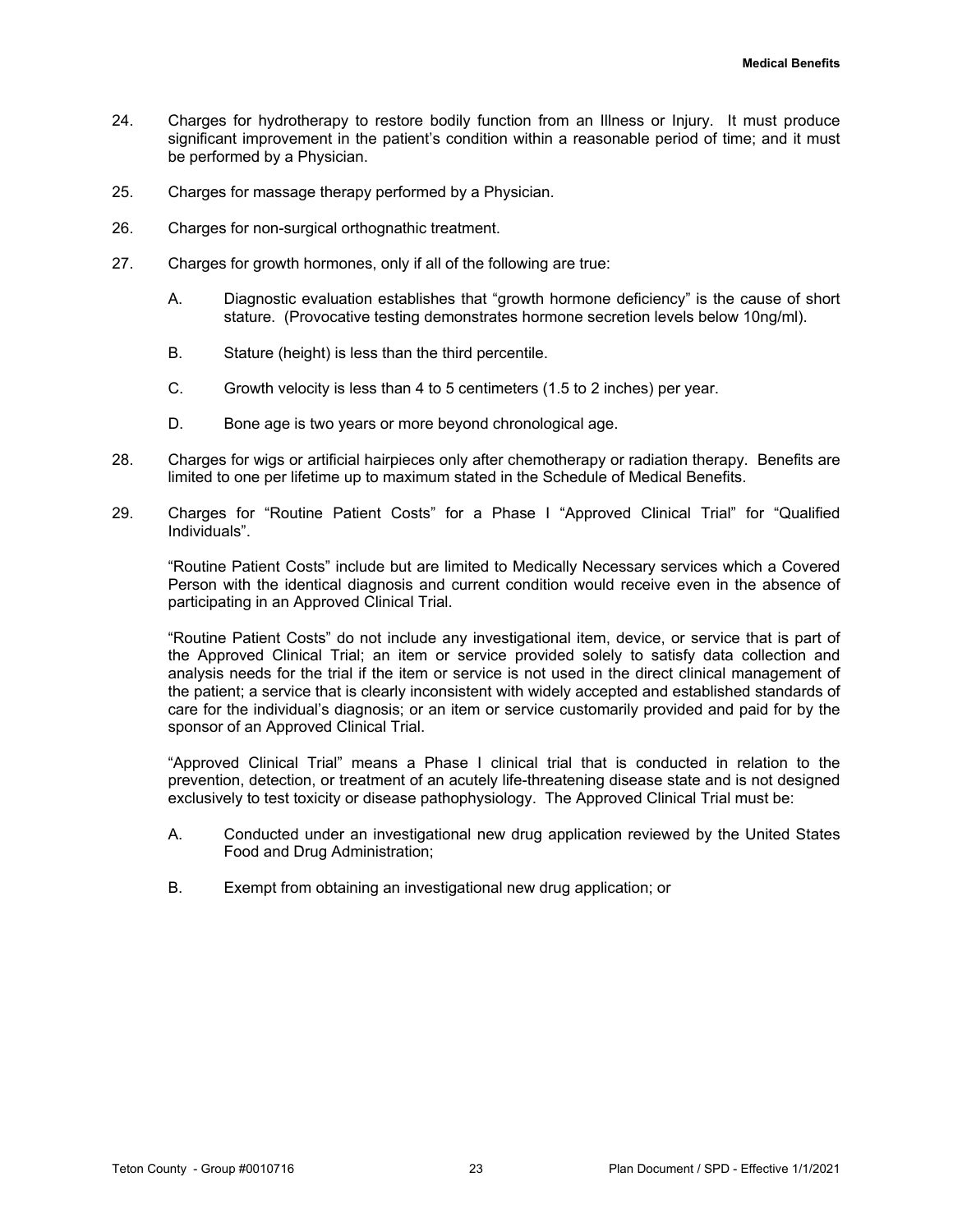- 24. Charges for hydrotherapy to restore bodily function from an Illness or Injury. It must produce significant improvement in the patient's condition within a reasonable period of time; and it must be performed by a Physician.
- 25. Charges for massage therapy performed by a Physician.
- 26. Charges for non-surgical orthognathic treatment.
- 27. Charges for growth hormones, only if all of the following are true:
	- A. Diagnostic evaluation establishes that "growth hormone deficiency" is the cause of short stature. (Provocative testing demonstrates hormone secretion levels below 10ng/ml).
	- B. Stature (height) is less than the third percentile.
	- C. Growth velocity is less than 4 to 5 centimeters (1.5 to 2 inches) per year.
	- D. Bone age is two years or more beyond chronological age.
- 28. Charges for wigs or artificial hairpieces only after chemotherapy or radiation therapy. Benefits are limited to one per lifetime up to maximum stated in the Schedule of Medical Benefits.
- 29. Charges for "Routine Patient Costs" for a Phase I "Approved Clinical Trial" for "Qualified Individuals".

"Routine Patient Costs" include but are limited to Medically Necessary services which a Covered Person with the identical diagnosis and current condition would receive even in the absence of participating in an Approved Clinical Trial.

"Routine Patient Costs" do not include any investigational item, device, or service that is part of the Approved Clinical Trial; an item or service provided solely to satisfy data collection and analysis needs for the trial if the item or service is not used in the direct clinical management of the patient; a service that is clearly inconsistent with widely accepted and established standards of care for the individual's diagnosis; or an item or service customarily provided and paid for by the sponsor of an Approved Clinical Trial.

"Approved Clinical Trial" means a Phase I clinical trial that is conducted in relation to the prevention, detection, or treatment of an acutely life-threatening disease state and is not designed exclusively to test toxicity or disease pathophysiology. The Approved Clinical Trial must be:

- A. Conducted under an investigational new drug application reviewed by the United States Food and Drug Administration;
- B. Exempt from obtaining an investigational new drug application; or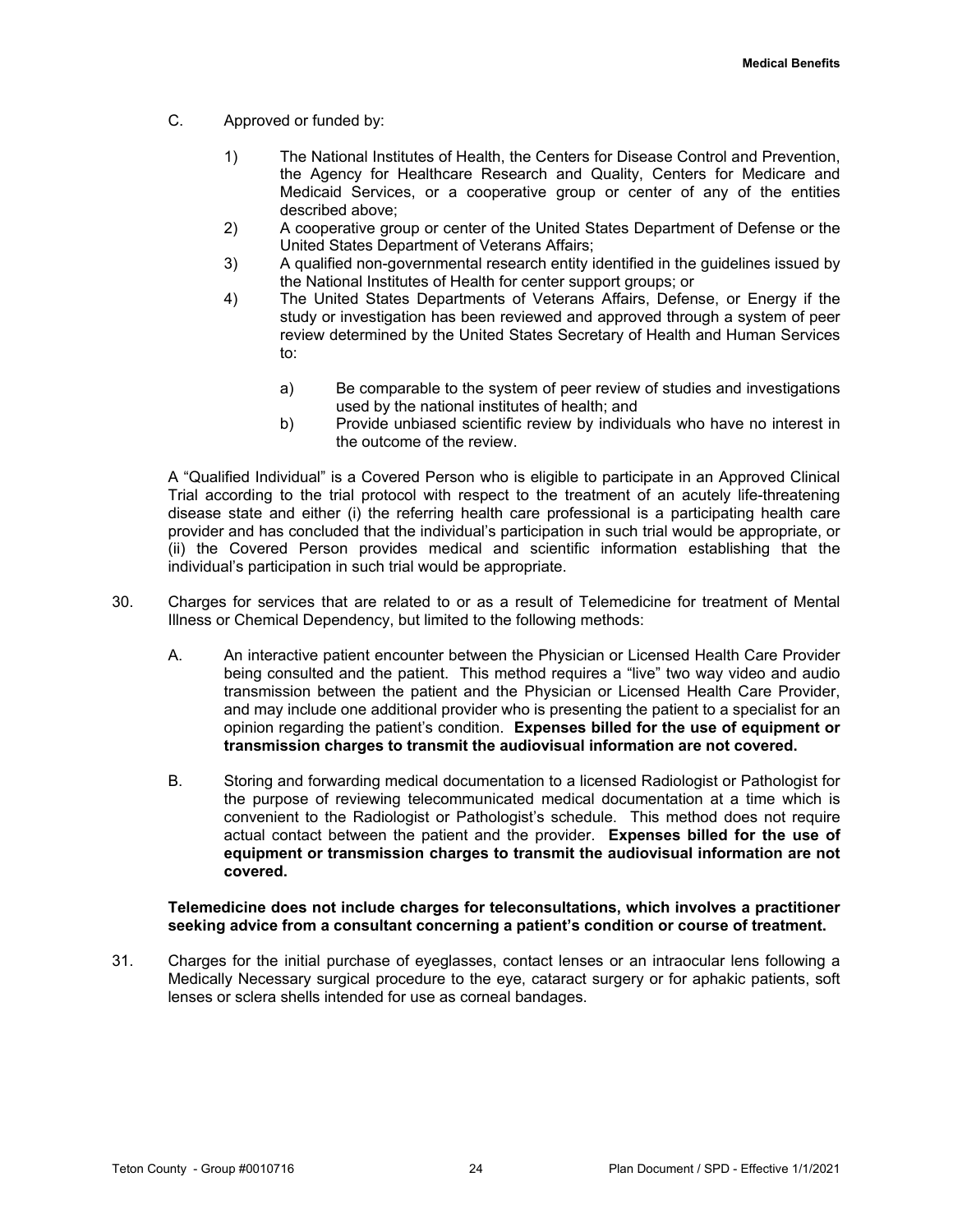- C. Approved or funded by:
	- 1) The National Institutes of Health, the Centers for Disease Control and Prevention, the Agency for Healthcare Research and Quality, Centers for Medicare and Medicaid Services, or a cooperative group or center of any of the entities described above;
	- 2) A cooperative group or center of the United States Department of Defense or the United States Department of Veterans Affairs;
	- 3) A qualified non-governmental research entity identified in the guidelines issued by the National Institutes of Health for center support groups; or
	- 4) The United States Departments of Veterans Affairs, Defense, or Energy if the study or investigation has been reviewed and approved through a system of peer review determined by the United States Secretary of Health and Human Services to:
		- a) Be comparable to the system of peer review of studies and investigations used by the national institutes of health; and
		- b) Provide unbiased scientific review by individuals who have no interest in the outcome of the review.

A "Qualified Individual" is a Covered Person who is eligible to participate in an Approved Clinical Trial according to the trial protocol with respect to the treatment of an acutely life-threatening disease state and either (i) the referring health care professional is a participating health care provider and has concluded that the individual's participation in such trial would be appropriate, or (ii) the Covered Person provides medical and scientific information establishing that the individual's participation in such trial would be appropriate.

- 30. Charges for services that are related to or as a result of Telemedicine for treatment of Mental Illness or Chemical Dependency, but limited to the following methods:
	- A. An interactive patient encounter between the Physician or Licensed Health Care Provider being consulted and the patient. This method requires a "live" two way video and audio transmission between the patient and the Physician or Licensed Health Care Provider, and may include one additional provider who is presenting the patient to a specialist for an opinion regarding the patient's condition. **Expenses billed for the use of equipment or transmission charges to transmit the audiovisual information are not covered.**
	- B. Storing and forwarding medical documentation to a licensed Radiologist or Pathologist for the purpose of reviewing telecommunicated medical documentation at a time which is convenient to the Radiologist or Pathologist's schedule. This method does not require actual contact between the patient and the provider. **Expenses billed for the use of equipment or transmission charges to transmit the audiovisual information are not covered.**

#### **Telemedicine does not include charges for teleconsultations, which involves a practitioner seeking advice from a consultant concerning a patient's condition or course of treatment.**

31. Charges for the initial purchase of eyeglasses, contact lenses or an intraocular lens following a Medically Necessary surgical procedure to the eye, cataract surgery or for aphakic patients, soft lenses or sclera shells intended for use as corneal bandages.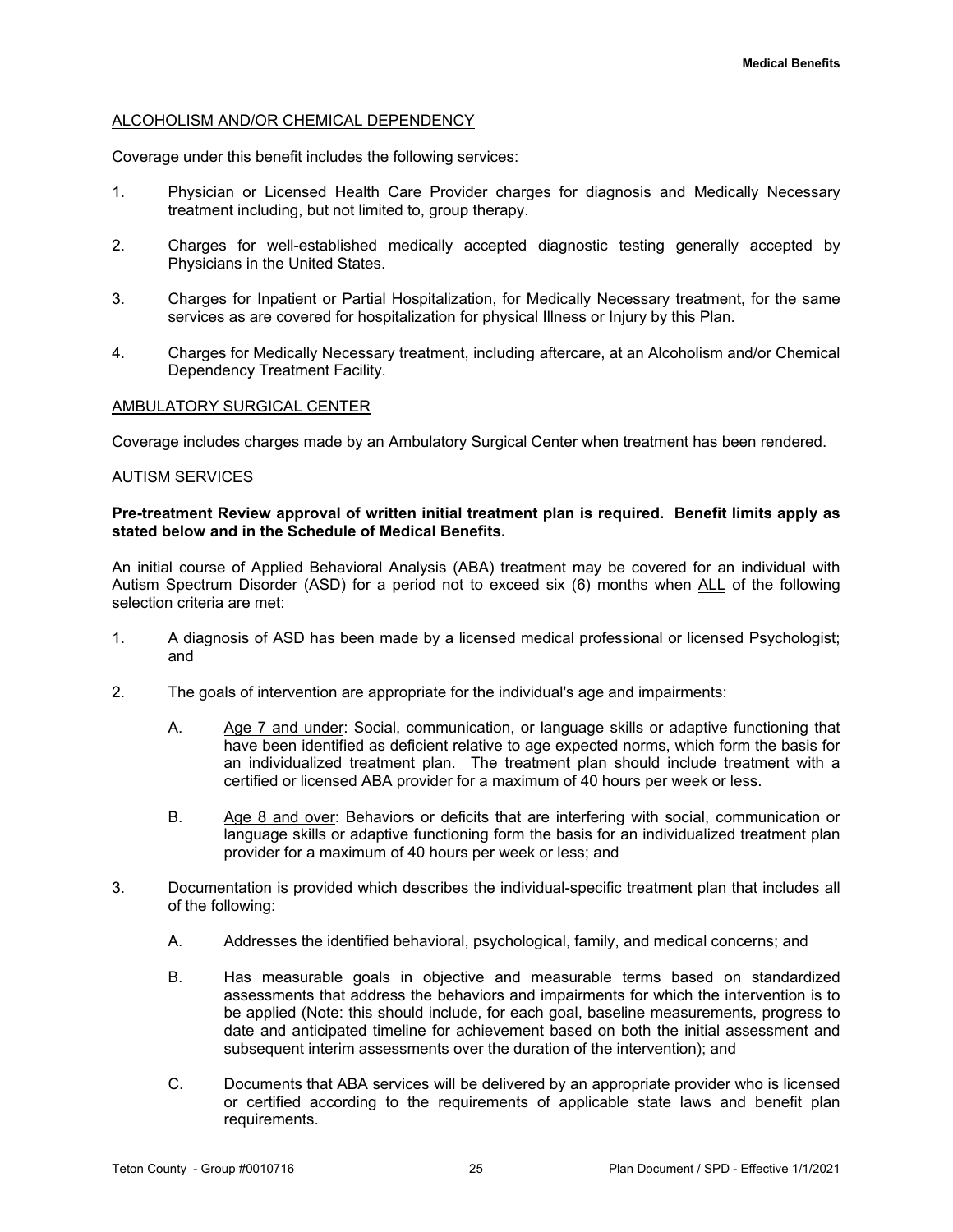#### <span id="page-29-0"></span>ALCOHOLISM AND/OR CHEMICAL DEPENDENCY

Coverage under this benefit includes the following services:

- 1. Physician or Licensed Health Care Provider charges for diagnosis and Medically Necessary treatment including, but not limited to, group therapy.
- 2. Charges for well-established medically accepted diagnostic testing generally accepted by Physicians in the United States.
- 3. Charges for Inpatient or Partial Hospitalization, for Medically Necessary treatment, for the same services as are covered for hospitalization for physical Illness or Injury by this Plan.
- 4. Charges for Medically Necessary treatment, including aftercare, at an Alcoholism and/or Chemical Dependency Treatment Facility.

#### AMBULATORY SURGICAL CENTER

Coverage includes charges made by an Ambulatory Surgical Center when treatment has been rendered.

#### AUTISM SERVICES

#### **Pre-treatment Review approval of written initial treatment plan is required. Benefit limits apply as stated below and in the Schedule of Medical Benefits.**

An initial course of Applied Behavioral Analysis (ABA) treatment may be covered for an individual with Autism Spectrum Disorder (ASD) for a period not to exceed six (6) months when ALL of the following selection criteria are met:

- 1. A diagnosis of ASD has been made by a licensed medical professional or licensed Psychologist; and
- 2. The goals of intervention are appropriate for the individual's age and impairments:
	- A. Age 7 and under: Social, communication, or language skills or adaptive functioning that have been identified as deficient relative to age expected norms, which form the basis for an individualized treatment plan. The treatment plan should include treatment with a certified or licensed ABA provider for a maximum of 40 hours per week or less.
	- B. Age 8 and over: Behaviors or deficits that are interfering with social, communication or language skills or adaptive functioning form the basis for an individualized treatment plan provider for a maximum of 40 hours per week or less; and
- 3. Documentation is provided which describes the individual-specific treatment plan that includes all of the following:
	- A. Addresses the identified behavioral, psychological, family, and medical concerns; and
	- B. Has measurable goals in objective and measurable terms based on standardized assessments that address the behaviors and impairments for which the intervention is to be applied (Note: this should include, for each goal, baseline measurements, progress to date and anticipated timeline for achievement based on both the initial assessment and subsequent interim assessments over the duration of the intervention); and
	- C. Documents that ABA services will be delivered by an appropriate provider who is licensed or certified according to the requirements of applicable state laws and benefit plan requirements.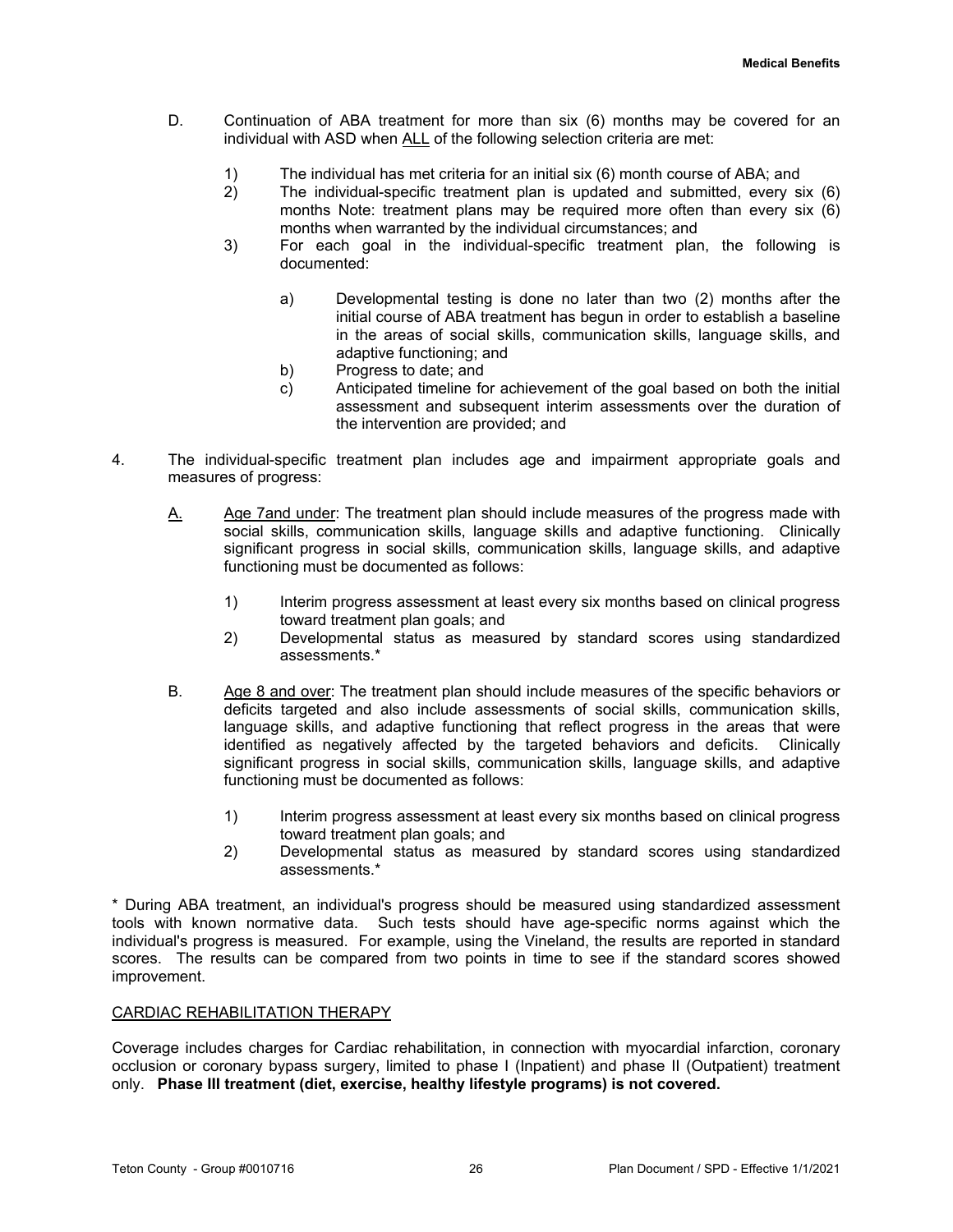- <span id="page-30-0"></span>D. Continuation of ABA treatment for more than six (6) months may be covered for an individual with ASD when ALL of the following selection criteria are met:
	- 1) The individual has met criteria for an initial six (6) month course of ABA; and<br>2) The individual-specific treatment plan is updated and submitted, every si
	- The individual-specific treatment plan is updated and submitted, every six (6) months Note: treatment plans may be required more often than every six (6) months when warranted by the individual circumstances; and
	- 3) For each goal in the individual-specific treatment plan, the following is documented:
		- a) Developmental testing is done no later than two (2) months after the initial course of ABA treatment has begun in order to establish a baseline in the areas of social skills, communication skills, language skills, and adaptive functioning; and
		- b) Progress to date; and
		- c) Anticipated timeline for achievement of the goal based on both the initial assessment and subsequent interim assessments over the duration of the intervention are provided; and
- 4. The individual-specific treatment plan includes age and impairment appropriate goals and measures of progress:
	- A. Age 7and under: The treatment plan should include measures of the progress made with social skills, communication skills, language skills and adaptive functioning. Clinically significant progress in social skills, communication skills, language skills, and adaptive functioning must be documented as follows:
		- 1) Interim progress assessment at least every six months based on clinical progress toward treatment plan goals; and
		- 2) Developmental status as measured by standard scores using standardized assessments.\*
	- B. Age 8 and over: The treatment plan should include measures of the specific behaviors or deficits targeted and also include assessments of social skills, communication skills, language skills, and adaptive functioning that reflect progress in the areas that were identified as negatively affected by the targeted behaviors and deficits. Clinically significant progress in social skills, communication skills, language skills, and adaptive functioning must be documented as follows:
		- 1) Interim progress assessment at least every six months based on clinical progress toward treatment plan goals; and
		- 2) Developmental status as measured by standard scores using standardized assessments.\*

\* During ABA treatment, an individual's progress should be measured using standardized assessment tools with known normative data. Such tests should have age-specific norms against which the individual's progress is measured. For example, using the Vineland, the results are reported in standard scores. The results can be compared from two points in time to see if the standard scores showed improvement.

## CARDIAC REHABILITATION THERAPY

Coverage includes charges for Cardiac rehabilitation, in connection with myocardial infarction, coronary occlusion or coronary bypass surgery, limited to phase I (Inpatient) and phase II (Outpatient) treatment only. **Phase III treatment (diet, exercise, healthy lifestyle programs) is not covered.**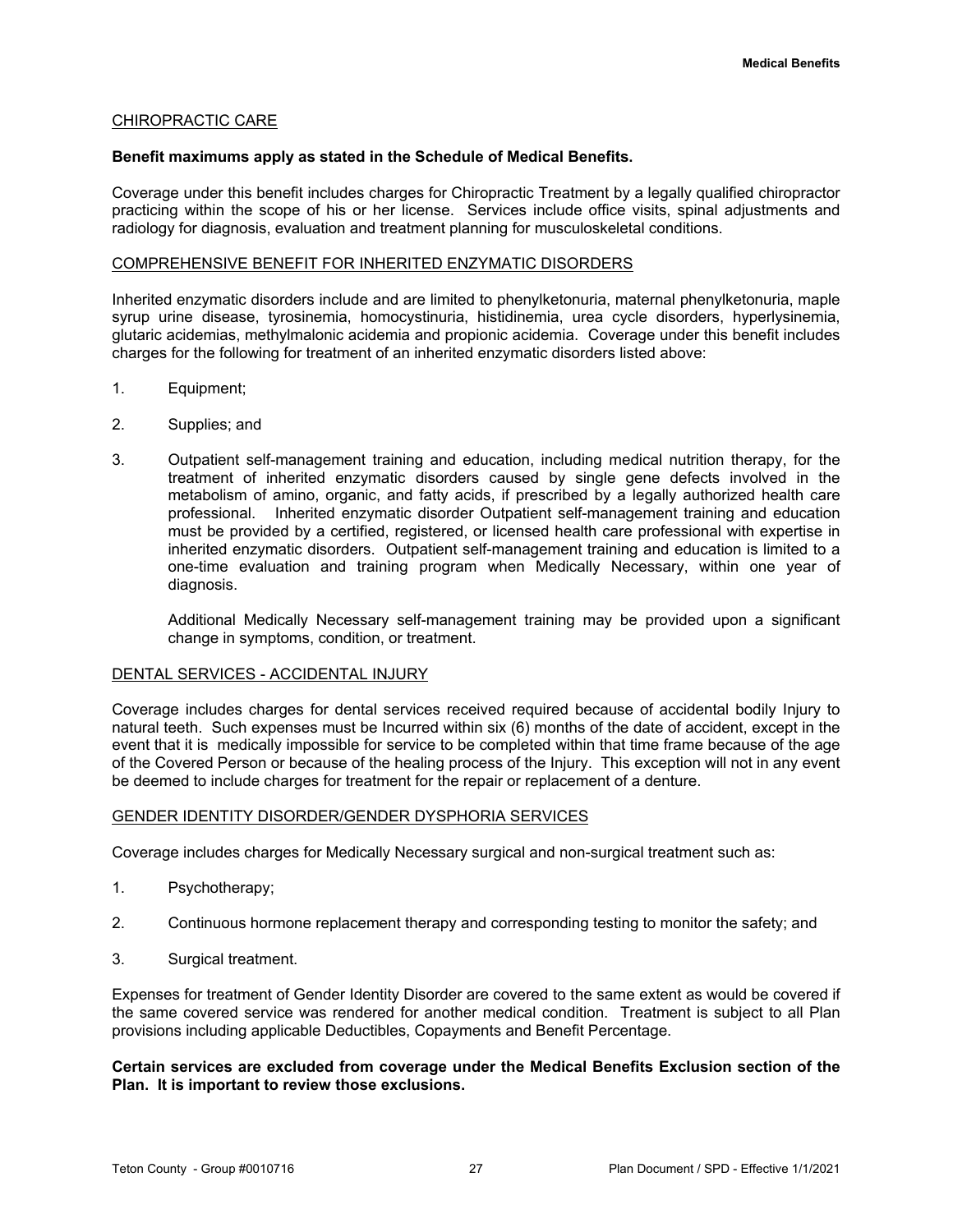#### <span id="page-31-0"></span>CHIROPRACTIC CARE

#### **Benefit maximums apply as stated in the Schedule of Medical Benefits.**

Coverage under this benefit includes charges for Chiropractic Treatment by a legally qualified chiropractor practicing within the scope of his or her license. Services include office visits, spinal adjustments and radiology for diagnosis, evaluation and treatment planning for musculoskeletal conditions.

#### COMPREHENSIVE BENEFIT FOR INHERITED ENZYMATIC DISORDERS

Inherited enzymatic disorders include and are limited to phenylketonuria, maternal phenylketonuria, maple syrup urine disease, tyrosinemia, homocystinuria, histidinemia, urea cycle disorders, hyperlysinemia, glutaric acidemias, methylmalonic acidemia and propionic acidemia. Coverage under this benefit includes charges for the following for treatment of an inherited enzymatic disorders listed above:

- 1. Equipment;
- 2. Supplies; and
- 3. Outpatient self-management training and education, including medical nutrition therapy, for the treatment of inherited enzymatic disorders caused by single gene defects involved in the metabolism of amino, organic, and fatty acids, if prescribed by a legally authorized health care professional. Inherited enzymatic disorder Outpatient self-management training and education must be provided by a certified, registered, or licensed health care professional with expertise in inherited enzymatic disorders. Outpatient self-management training and education is limited to a one-time evaluation and training program when Medically Necessary, within one year of diagnosis.

Additional Medically Necessary self-management training may be provided upon a significant change in symptoms, condition, or treatment.

#### DENTAL SERVICES - ACCIDENTAL INJURY

Coverage includes charges for dental services received required because of accidental bodily Injury to natural teeth. Such expenses must be Incurred within six (6) months of the date of accident, except in the event that it is medically impossible for service to be completed within that time frame because of the age of the Covered Person or because of the healing process of the Injury. This exception will not in any event be deemed to include charges for treatment for the repair or replacement of a denture.

#### GENDER IDENTITY DISORDER/GENDER DYSPHORIA SERVICES

Coverage includes charges for Medically Necessary surgical and non-surgical treatment such as:

- 1. Psychotherapy;
- 2. Continuous hormone replacement therapy and corresponding testing to monitor the safety; and
- 3. Surgical treatment.

Expenses for treatment of Gender Identity Disorder are covered to the same extent as would be covered if the same covered service was rendered for another medical condition. Treatment is subject to all Plan provisions including applicable Deductibles, Copayments and Benefit Percentage.

#### **Certain services are excluded from coverage under the Medical Benefits Exclusion section of the Plan. It is important to review those exclusions.**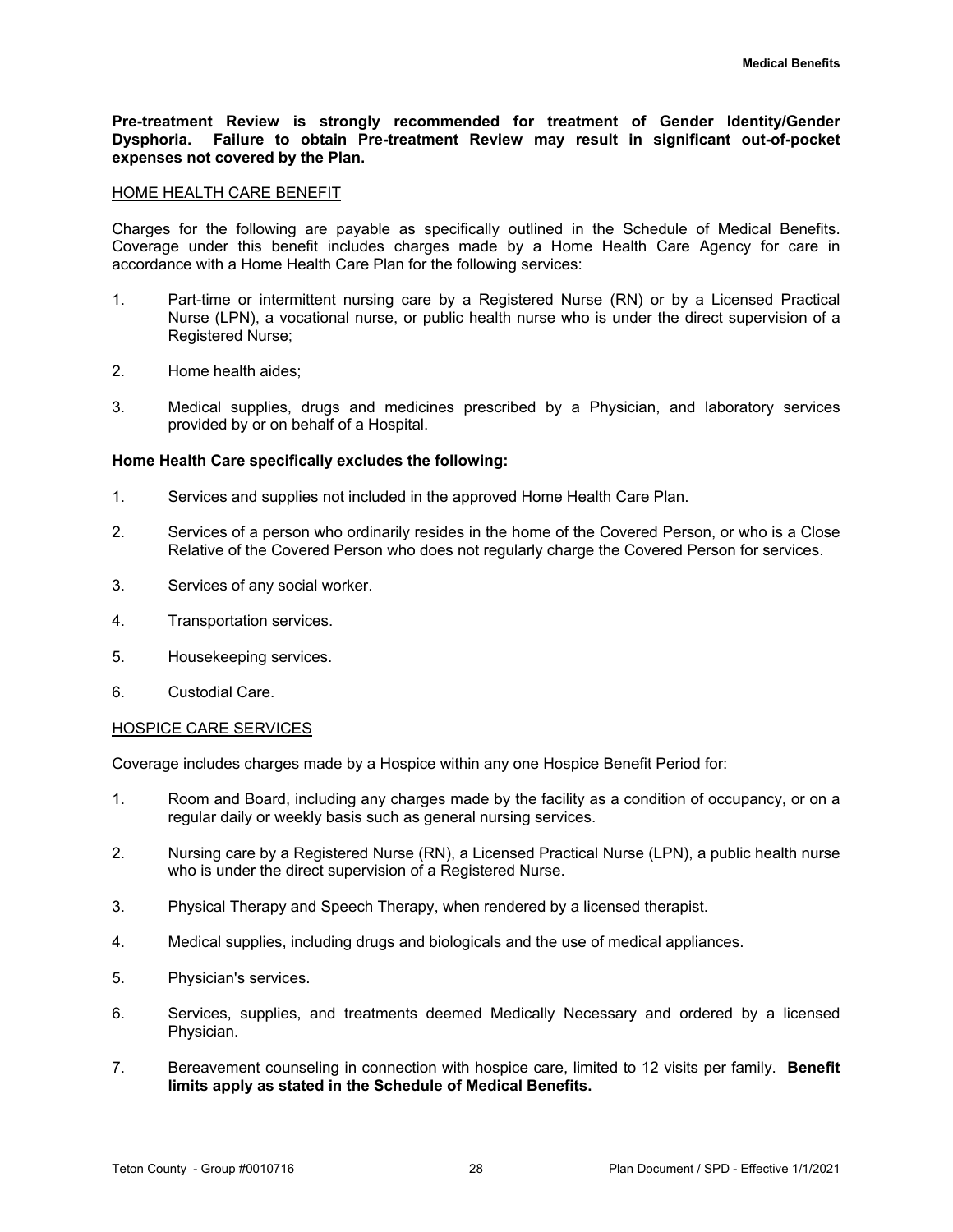<span id="page-32-0"></span>**Pre-treatment Review is strongly recommended for treatment of Gender Identity/Gender Dysphoria. Failure to obtain Pre-treatment Review may result in significant out-of-pocket expenses not covered by the Plan.**

#### HOME HEALTH CARE BENEFIT

Charges for the following are payable as specifically outlined in the Schedule of Medical Benefits. Coverage under this benefit includes charges made by a Home Health Care Agency for care in accordance with a Home Health Care Plan for the following services:

- 1. Part-time or intermittent nursing care by a Registered Nurse (RN) or by a Licensed Practical Nurse (LPN), a vocational nurse, or public health nurse who is under the direct supervision of a Registered Nurse;
- 2. Home health aides;
- 3. Medical supplies, drugs and medicines prescribed by a Physician, and laboratory services provided by or on behalf of a Hospital.

#### **Home Health Care specifically excludes the following:**

- 1. Services and supplies not included in the approved Home Health Care Plan.
- 2. Services of a person who ordinarily resides in the home of the Covered Person, or who is a Close Relative of the Covered Person who does not regularly charge the Covered Person for services.
- 3. Services of any social worker.
- 4. Transportation services.
- 5. Housekeeping services.
- 6. Custodial Care.

#### HOSPICE CARE SERVICES

Coverage includes charges made by a Hospice within any one Hospice Benefit Period for:

- 1. Room and Board, including any charges made by the facility as a condition of occupancy, or on a regular daily or weekly basis such as general nursing services.
- 2. Nursing care by a Registered Nurse (RN), a Licensed Practical Nurse (LPN), a public health nurse who is under the direct supervision of a Registered Nurse.
- 3. Physical Therapy and Speech Therapy, when rendered by a licensed therapist.
- 4. Medical supplies, including drugs and biologicals and the use of medical appliances.
- 5. Physician's services.
- 6. Services, supplies, and treatments deemed Medically Necessary and ordered by a licensed Physician.
- 7. Bereavement counseling in connection with hospice care, limited to 12 visits per family. **Benefit limits apply as stated in the Schedule of Medical Benefits.**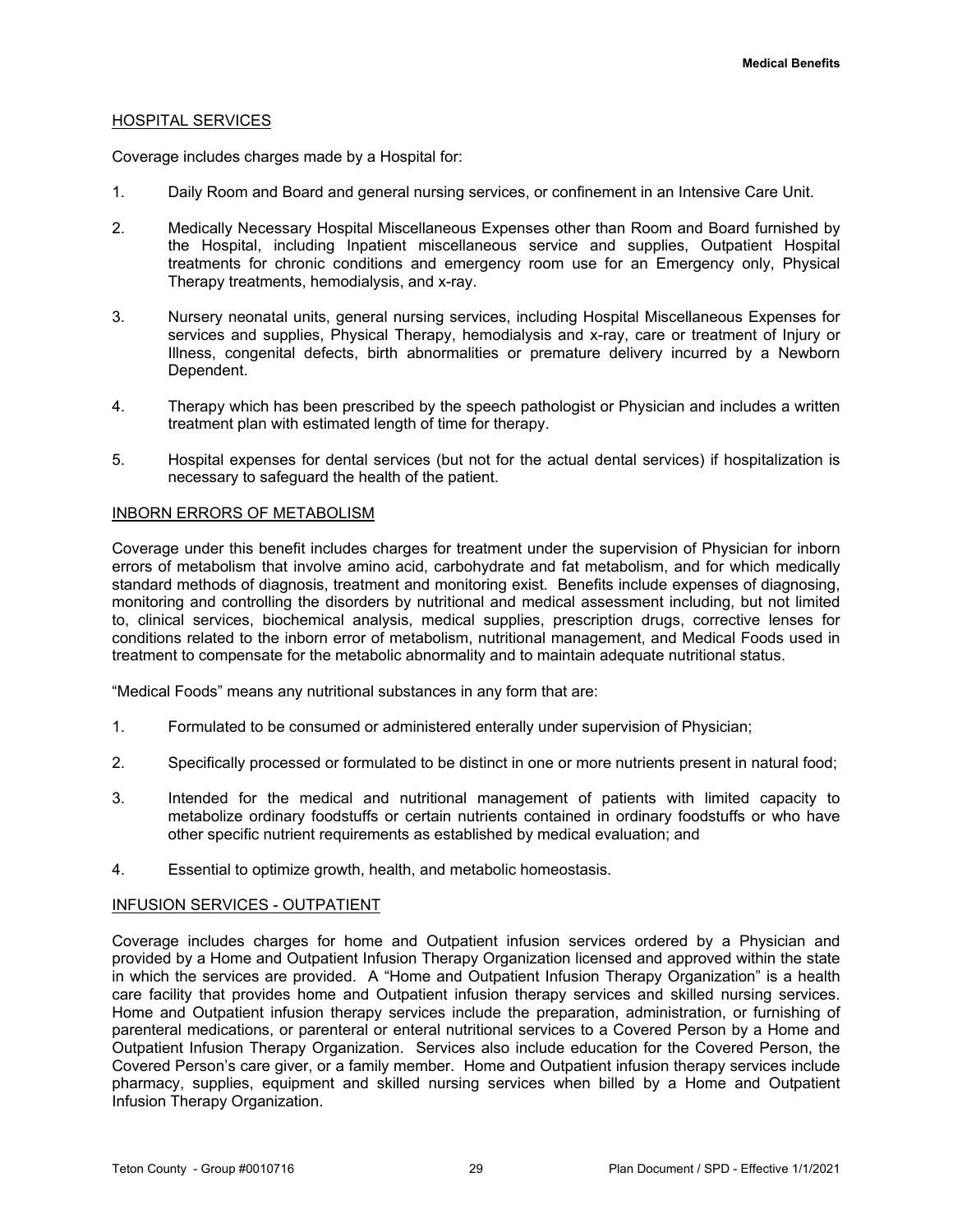#### <span id="page-33-0"></span>HOSPITAL SERVICES

Coverage includes charges made by a Hospital for:

- 1. Daily Room and Board and general nursing services, or confinement in an Intensive Care Unit.
- 2. Medically Necessary Hospital Miscellaneous Expenses other than Room and Board furnished by the Hospital, including Inpatient miscellaneous service and supplies, Outpatient Hospital treatments for chronic conditions and emergency room use for an Emergency only, Physical Therapy treatments, hemodialysis, and x-ray.
- 3. Nursery neonatal units, general nursing services, including Hospital Miscellaneous Expenses for services and supplies, Physical Therapy, hemodialysis and x-ray, care or treatment of Injury or Illness, congenital defects, birth abnormalities or premature delivery incurred by a Newborn Dependent.
- 4. Therapy which has been prescribed by the speech pathologist or Physician and includes a written treatment plan with estimated length of time for therapy.
- 5. Hospital expenses for dental services (but not for the actual dental services) if hospitalization is necessary to safeguard the health of the patient.

#### INBORN ERRORS OF METABOLISM

Coverage under this benefit includes charges for treatment under the supervision of Physician for inborn errors of metabolism that involve amino acid, carbohydrate and fat metabolism, and for which medically standard methods of diagnosis, treatment and monitoring exist. Benefits include expenses of diagnosing, monitoring and controlling the disorders by nutritional and medical assessment including, but not limited to, clinical services, biochemical analysis, medical supplies, prescription drugs, corrective lenses for conditions related to the inborn error of metabolism, nutritional management, and Medical Foods used in treatment to compensate for the metabolic abnormality and to maintain adequate nutritional status.

"Medical Foods" means any nutritional substances in any form that are:

- 1. Formulated to be consumed or administered enterally under supervision of Physician;
- 2. Specifically processed or formulated to be distinct in one or more nutrients present in natural food;
- 3. Intended for the medical and nutritional management of patients with limited capacity to metabolize ordinary foodstuffs or certain nutrients contained in ordinary foodstuffs or who have other specific nutrient requirements as established by medical evaluation; and
- 4. Essential to optimize growth, health, and metabolic homeostasis.

#### INFUSION SERVICES - OUTPATIENT

Coverage includes charges for home and Outpatient infusion services ordered by a Physician and provided by a Home and Outpatient Infusion Therapy Organization licensed and approved within the state in which the services are provided. A "Home and Outpatient Infusion Therapy Organization" is a health care facility that provides home and Outpatient infusion therapy services and skilled nursing services. Home and Outpatient infusion therapy services include the preparation, administration, or furnishing of parenteral medications, or parenteral or enteral nutritional services to a Covered Person by a Home and Outpatient Infusion Therapy Organization. Services also include education for the Covered Person, the Covered Person's care giver, or a family member. Home and Outpatient infusion therapy services include pharmacy, supplies, equipment and skilled nursing services when billed by a Home and Outpatient Infusion Therapy Organization.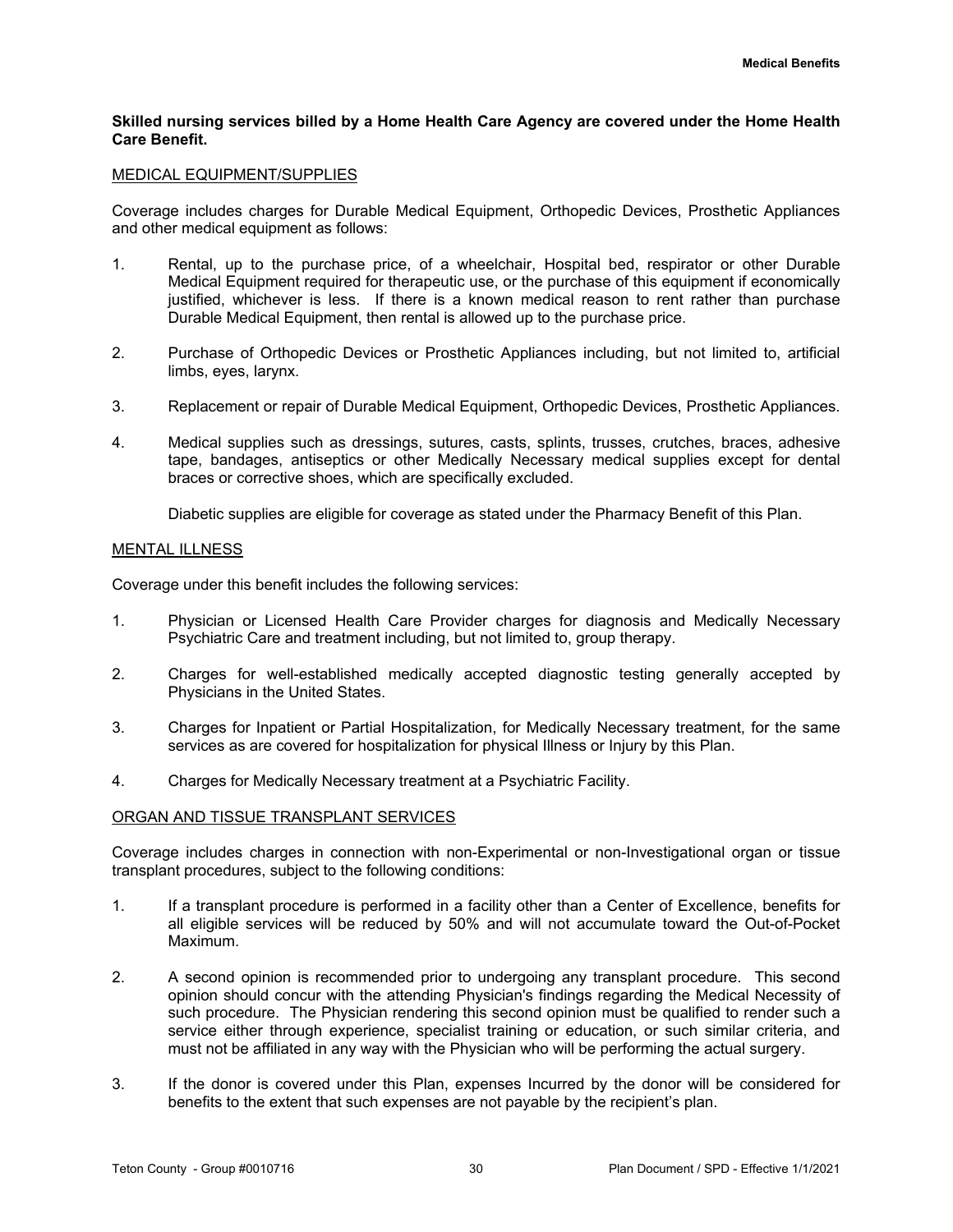#### <span id="page-34-0"></span>**Skilled nursing services billed by a Home Health Care Agency are covered under the Home Health Care Benefit.**

#### MEDICAL EQUIPMENT/SUPPLIES

Coverage includes charges for Durable Medical Equipment, Orthopedic Devices, Prosthetic Appliances and other medical equipment as follows:

- 1. Rental, up to the purchase price, of a wheelchair, Hospital bed, respirator or other Durable Medical Equipment required for therapeutic use, or the purchase of this equipment if economically justified, whichever is less. If there is a known medical reason to rent rather than purchase Durable Medical Equipment, then rental is allowed up to the purchase price.
- 2. Purchase of Orthopedic Devices or Prosthetic Appliances including, but not limited to, artificial limbs, eyes, larynx.
- 3. Replacement or repair of Durable Medical Equipment, Orthopedic Devices, Prosthetic Appliances.
- 4. Medical supplies such as dressings, sutures, casts, splints, trusses, crutches, braces, adhesive tape, bandages, antiseptics or other Medically Necessary medical supplies except for dental braces or corrective shoes, which are specifically excluded.

Diabetic supplies are eligible for coverage as stated under the Pharmacy Benefit of this Plan.

#### MENTAL ILLNESS

Coverage under this benefit includes the following services:

- 1. Physician or Licensed Health Care Provider charges for diagnosis and Medically Necessary Psychiatric Care and treatment including, but not limited to, group therapy.
- 2. Charges for well-established medically accepted diagnostic testing generally accepted by Physicians in the United States.
- 3. Charges for Inpatient or Partial Hospitalization, for Medically Necessary treatment, for the same services as are covered for hospitalization for physical Illness or Injury by this Plan.
- 4. Charges for Medically Necessary treatment at a Psychiatric Facility.

#### ORGAN AND TISSUE TRANSPLANT SERVICES

Coverage includes charges in connection with non-Experimental or non-Investigational organ or tissue transplant procedures, subject to the following conditions:

- 1. If a transplant procedure is performed in a facility other than a Center of Excellence, benefits for all eligible services will be reduced by 50% and will not accumulate toward the Out-of-Pocket Maximum.
- 2. A second opinion is recommended prior to undergoing any transplant procedure. This second opinion should concur with the attending Physician's findings regarding the Medical Necessity of such procedure. The Physician rendering this second opinion must be qualified to render such a service either through experience, specialist training or education, or such similar criteria, and must not be affiliated in any way with the Physician who will be performing the actual surgery.
- 3. If the donor is covered under this Plan, expenses Incurred by the donor will be considered for benefits to the extent that such expenses are not payable by the recipient's plan.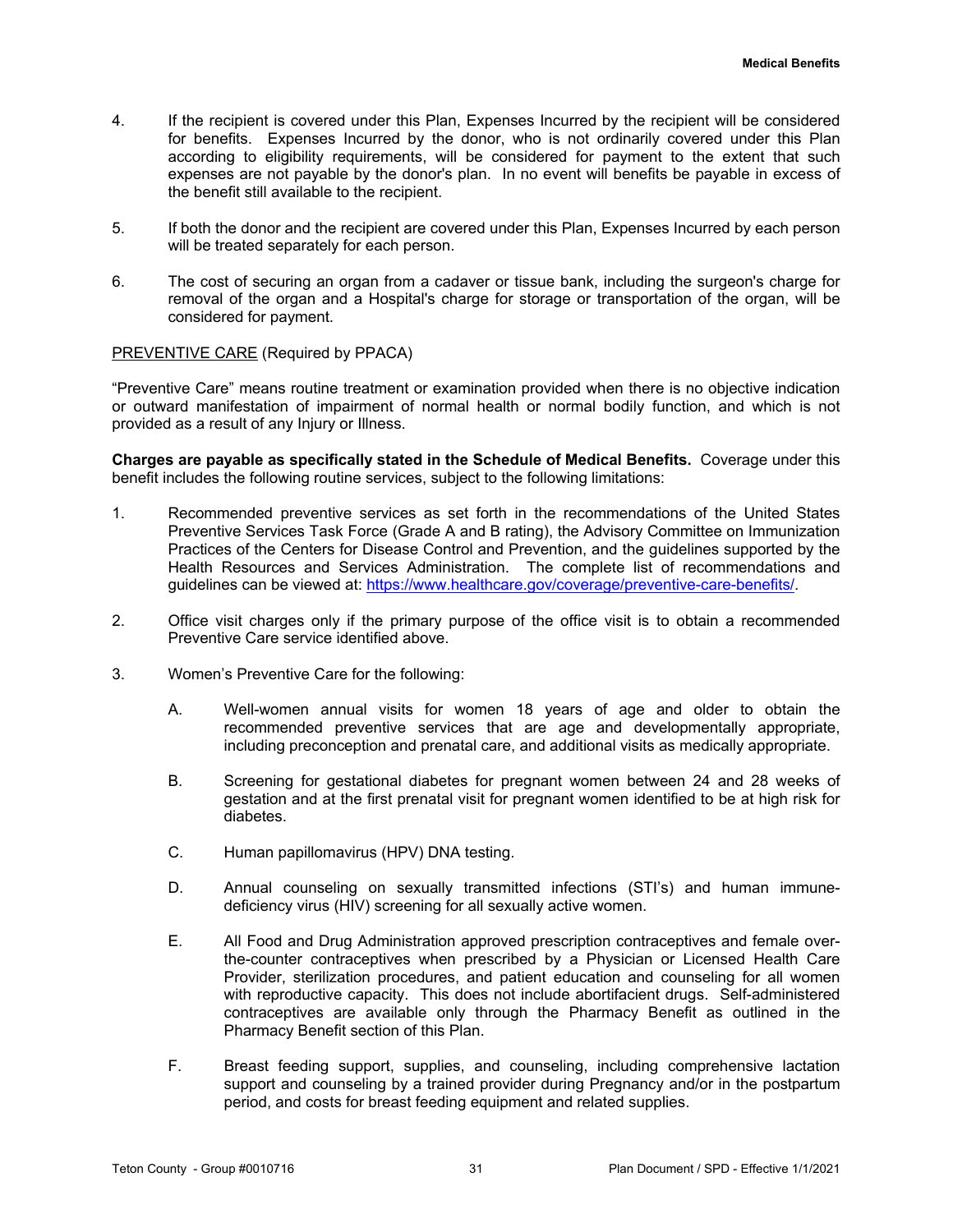- <span id="page-35-0"></span>4. If the recipient is covered under this Plan, Expenses Incurred by the recipient will be considered for benefits. Expenses Incurred by the donor, who is not ordinarily covered under this Plan according to eligibility requirements, will be considered for payment to the extent that such expenses are not payable by the donor's plan. In no event will benefits be payable in excess of the benefit still available to the recipient.
- 5. If both the donor and the recipient are covered under this Plan, Expenses Incurred by each person will be treated separately for each person.
- 6. The cost of securing an organ from a cadaver or tissue bank, including the surgeon's charge for removal of the organ and a Hospital's charge for storage or transportation of the organ, will be considered for payment.

#### PREVENTIVE CARE (Required by PPACA)

"Preventive Care" means routine treatment or examination provided when there is no objective indication or outward manifestation of impairment of normal health or normal bodily function, and which is not provided as a result of any Injury or Illness.

**Charges are payable as specifically stated in the Schedule of Medical Benefits.** Coverage under this benefit includes the following routine services, subject to the following limitations:

- 1. Recommended preventive services as set forth in the recommendations of the United States Preventive Services Task Force (Grade A and B rating), the Advisory Committee on Immunization Practices of the Centers for Disease Control and Prevention, and the guidelines supported by the Health Resources and Services Administration. The complete list of recommendations and guidelines can be viewed at: https://www.healthcare.gov/coverage/preventive-care-benefits/.
- 2. Office visit charges only if the primary purpose of the office visit is to obtain a recommended Preventive Care service identified above.
- 3. Women's Preventive Care for the following:
	- A. Well-women annual visits for women 18 years of age and older to obtain the recommended preventive services that are age and developmentally appropriate, including preconception and prenatal care, and additional visits as medically appropriate.
	- B. Screening for gestational diabetes for pregnant women between 24 and 28 weeks of gestation and at the first prenatal visit for pregnant women identified to be at high risk for diabetes.
	- C. Human papillomavirus (HPV) DNA testing.
	- D. Annual counseling on sexually transmitted infections (STI's) and human immunedeficiency virus (HIV) screening for all sexually active women.
	- E. All Food and Drug Administration approved prescription contraceptives and female overthe-counter contraceptives when prescribed by a Physician or Licensed Health Care Provider, sterilization procedures, and patient education and counseling for all women with reproductive capacity. This does not include abortifacient drugs. Self-administered contraceptives are available only through the Pharmacy Benefit as outlined in the Pharmacy Benefit section of this Plan.
	- F. Breast feeding support, supplies, and counseling, including comprehensive lactation support and counseling by a trained provider during Pregnancy and/or in the postpartum period, and costs for breast feeding equipment and related supplies.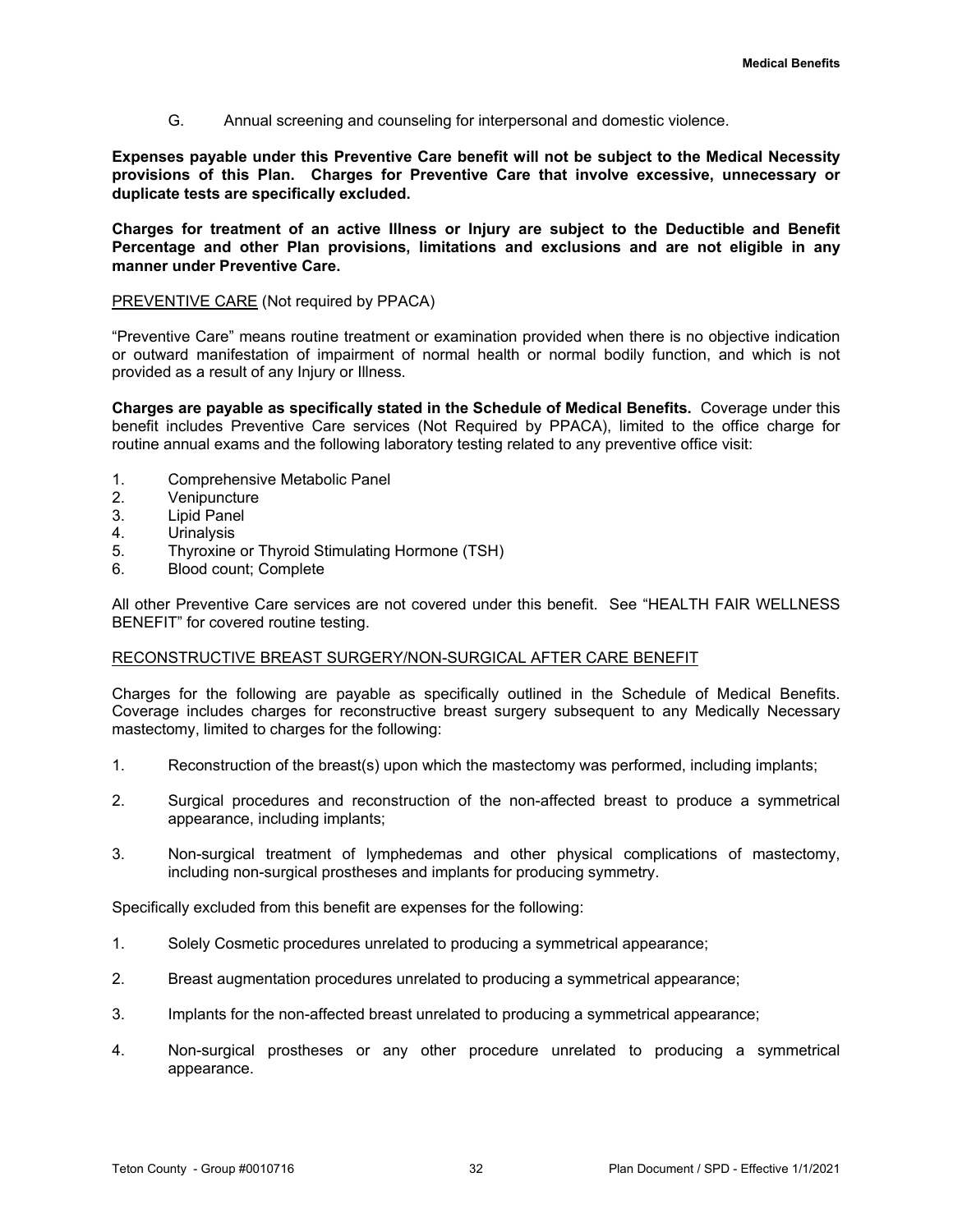G. Annual screening and counseling for interpersonal and domestic violence.

**Expenses payable under this Preventive Care benefit will not be subject to the Medical Necessity provisions of this Plan. Charges for Preventive Care that involve excessive, unnecessary or duplicate tests are specifically excluded.**

**Charges for treatment of an active Illness or Injury are subject to the Deductible and Benefit Percentage and other Plan provisions, limitations and exclusions and are not eligible in any manner under Preventive Care.**

### PREVENTIVE CARE (Not required by PPACA)

"Preventive Care" means routine treatment or examination provided when there is no objective indication or outward manifestation of impairment of normal health or normal bodily function, and which is not provided as a result of any Injury or Illness.

**Charges are payable as specifically stated in the Schedule of Medical Benefits.** Coverage under this benefit includes Preventive Care services (Not Required by PPACA), limited to the office charge for routine annual exams and the following laboratory testing related to any preventive office visit:

- 1. Comprehensive Metabolic Panel
- 2. Venipuncture
- 3. Lipid Panel
- 4. Urinalysis
- 5. Thyroxine or Thyroid Stimulating Hormone (TSH)
- 6. Blood count; Complete

All other Preventive Care services are not covered under this benefit. See "HEALTH FAIR WELLNESS BENEFIT" for covered routine testing.

# RECONSTRUCTIVE BREAST SURGERY/NON-SURGICAL AFTER CARE BENEFIT

Charges for the following are payable as specifically outlined in the Schedule of Medical Benefits. Coverage includes charges for reconstructive breast surgery subsequent to any Medically Necessary mastectomy, limited to charges for the following:

- 1. Reconstruction of the breast(s) upon which the mastectomy was performed, including implants;
- 2. Surgical procedures and reconstruction of the non-affected breast to produce a symmetrical appearance, including implants;
- 3. Non-surgical treatment of lymphedemas and other physical complications of mastectomy, including non-surgical prostheses and implants for producing symmetry.

Specifically excluded from this benefit are expenses for the following:

- 1. Solely Cosmetic procedures unrelated to producing a symmetrical appearance;
- 2. Breast augmentation procedures unrelated to producing a symmetrical appearance;
- 3. Implants for the non-affected breast unrelated to producing a symmetrical appearance;
- 4. Non-surgical prostheses or any other procedure unrelated to producing a symmetrical appearance.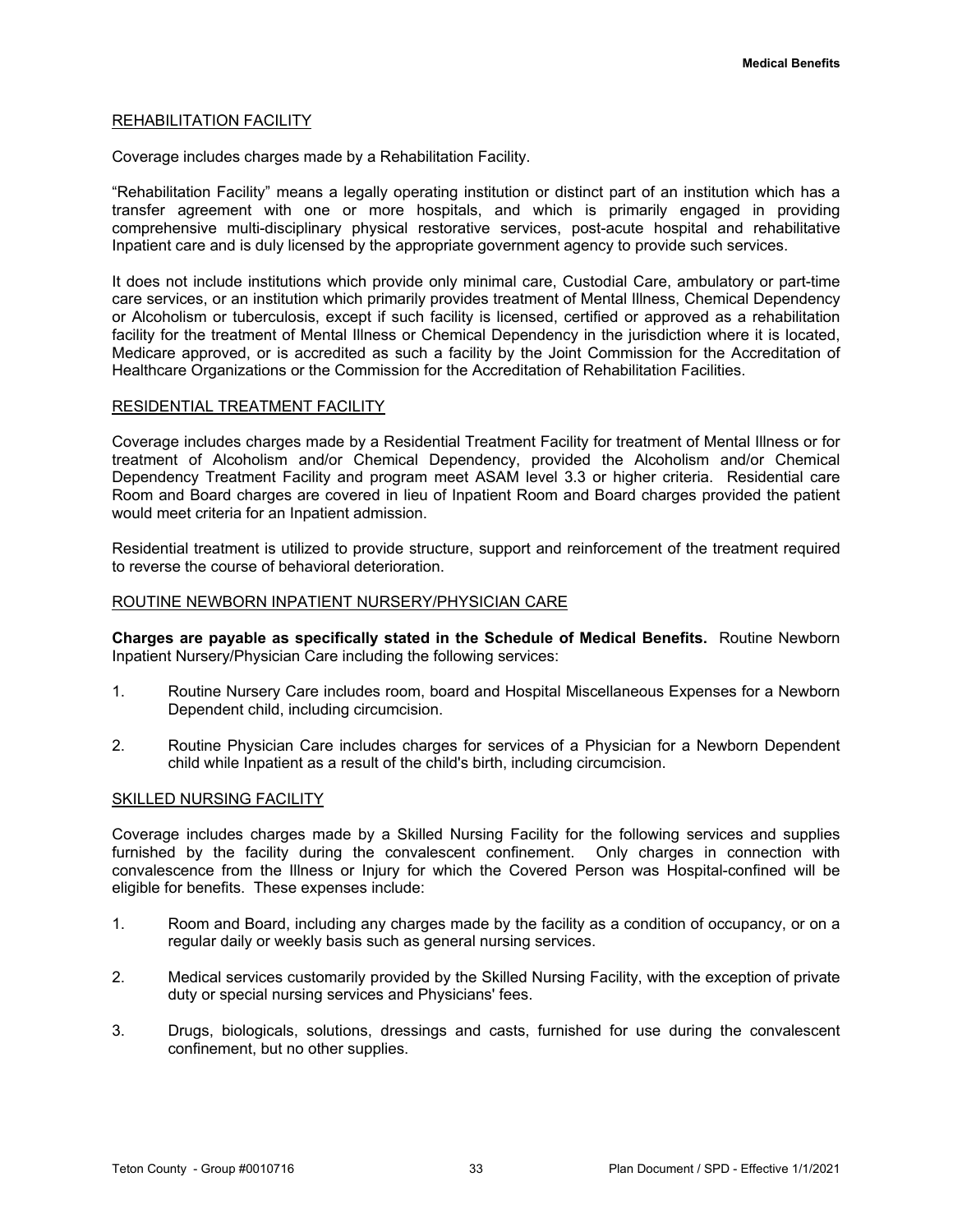# REHABILITATION FACILITY

Coverage includes charges made by a Rehabilitation Facility.

"Rehabilitation Facility" means a legally operating institution or distinct part of an institution which has a transfer agreement with one or more hospitals, and which is primarily engaged in providing comprehensive multi-disciplinary physical restorative services, post-acute hospital and rehabilitative Inpatient care and is duly licensed by the appropriate government agency to provide such services.

It does not include institutions which provide only minimal care, Custodial Care, ambulatory or part-time care services, or an institution which primarily provides treatment of Mental Illness, Chemical Dependency or Alcoholism or tuberculosis, except if such facility is licensed, certified or approved as a rehabilitation facility for the treatment of Mental Illness or Chemical Dependency in the jurisdiction where it is located, Medicare approved, or is accredited as such a facility by the Joint Commission for the Accreditation of Healthcare Organizations or the Commission for the Accreditation of Rehabilitation Facilities.

### RESIDENTIAL TREATMENT FACILITY

Coverage includes charges made by a Residential Treatment Facility for treatment of Mental Illness or for treatment of Alcoholism and/or Chemical Dependency, provided the Alcoholism and/or Chemical Dependency Treatment Facility and program meet ASAM level 3.3 or higher criteria. Residential care Room and Board charges are covered in lieu of Inpatient Room and Board charges provided the patient would meet criteria for an Inpatient admission.

Residential treatment is utilized to provide structure, support and reinforcement of the treatment required to reverse the course of behavioral deterioration.

### ROUTINE NEWBORN INPATIENT NURSERY/PHYSICIAN CARE

**Charges are payable as specifically stated in the Schedule of Medical Benefits.** Routine Newborn Inpatient Nursery/Physician Care including the following services:

- 1. Routine Nursery Care includes room, board and Hospital Miscellaneous Expenses for a Newborn Dependent child, including circumcision.
- 2. Routine Physician Care includes charges for services of a Physician for a Newborn Dependent child while Inpatient as a result of the child's birth, including circumcision.

#### SKILLED NURSING FACILITY

Coverage includes charges made by a Skilled Nursing Facility for the following services and supplies furnished by the facility during the convalescent confinement. Only charges in connection with convalescence from the Illness or Injury for which the Covered Person was Hospital-confined will be eligible for benefits. These expenses include:

- 1. Room and Board, including any charges made by the facility as a condition of occupancy, or on a regular daily or weekly basis such as general nursing services.
- 2. Medical services customarily provided by the Skilled Nursing Facility, with the exception of private duty or special nursing services and Physicians' fees.
- 3. Drugs, biologicals, solutions, dressings and casts, furnished for use during the convalescent confinement, but no other supplies.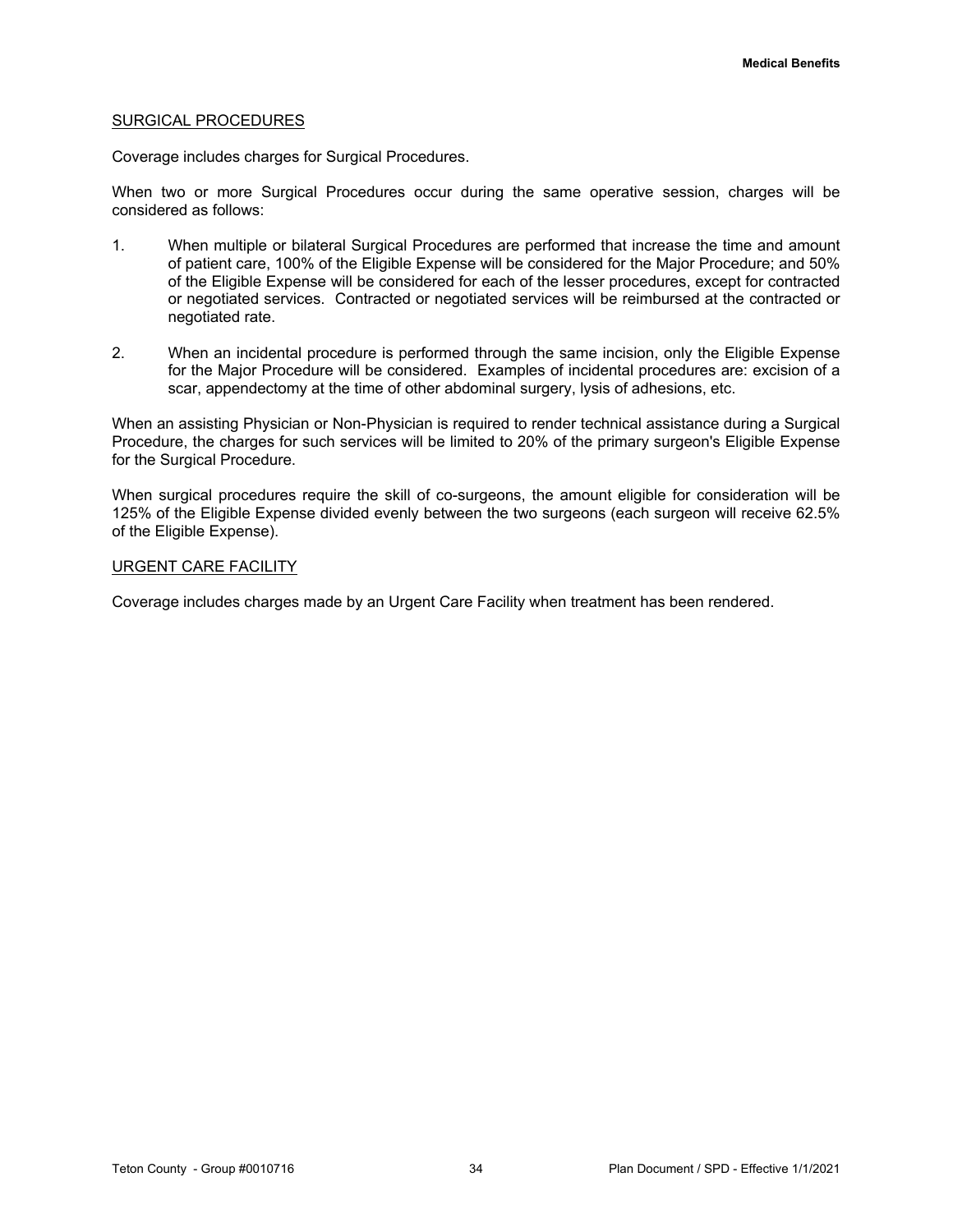### SURGICAL PROCEDURES

Coverage includes charges for Surgical Procedures.

When two or more Surgical Procedures occur during the same operative session, charges will be considered as follows:

- 1. When multiple or bilateral Surgical Procedures are performed that increase the time and amount of patient care, 100% of the Eligible Expense will be considered for the Major Procedure; and 50% of the Eligible Expense will be considered for each of the lesser procedures, except for contracted or negotiated services. Contracted or negotiated services will be reimbursed at the contracted or negotiated rate.
- 2. When an incidental procedure is performed through the same incision, only the Eligible Expense for the Major Procedure will be considered. Examples of incidental procedures are: excision of a scar, appendectomy at the time of other abdominal surgery, lysis of adhesions, etc.

When an assisting Physician or Non-Physician is required to render technical assistance during a Surgical Procedure, the charges for such services will be limited to 20% of the primary surgeon's Eligible Expense for the Surgical Procedure.

When surgical procedures require the skill of co-surgeons, the amount eligible for consideration will be 125% of the Eligible Expense divided evenly between the two surgeons (each surgeon will receive 62.5% of the Eligible Expense).

#### URGENT CARE FACILITY

Coverage includes charges made by an Urgent Care Facility when treatment has been rendered.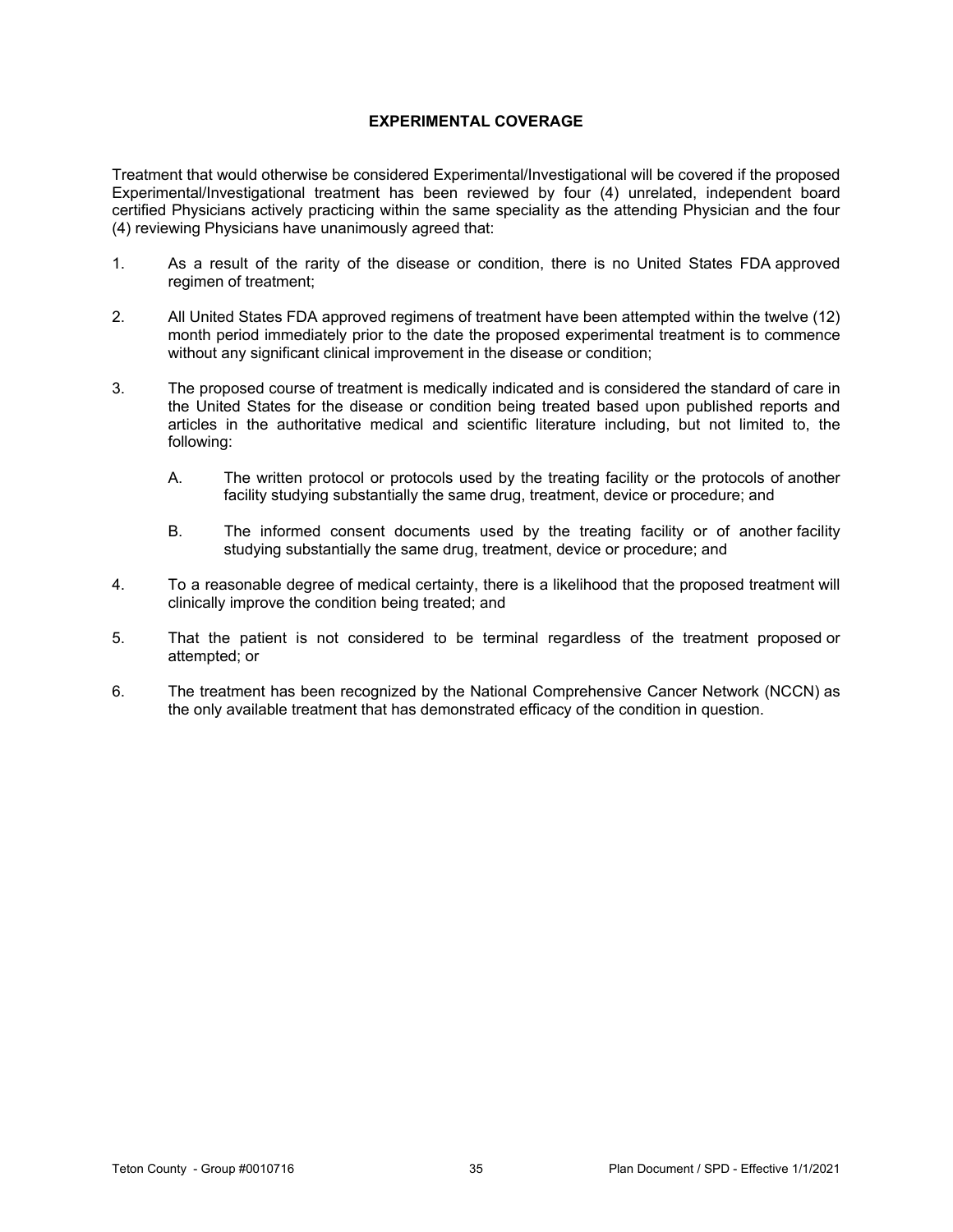# **EXPERIMENTAL COVERAGE**

Treatment that would otherwise be considered Experimental/Investigational will be covered if the proposed Experimental/Investigational treatment has been reviewed by four (4) unrelated, independent board certified Physicians actively practicing within the same speciality as the attending Physician and the four (4) reviewing Physicians have unanimously agreed that:

- 1. As a result of the rarity of the disease or condition, there is no United States FDA approved regimen of treatment;
- 2. All United States FDA approved regimens of treatment have been attempted within the twelve (12) month period immediately prior to the date the proposed experimental treatment is to commence without any significant clinical improvement in the disease or condition;
- 3. The proposed course of treatment is medically indicated and is considered the standard of care in the United States for the disease or condition being treated based upon published reports and articles in the authoritative medical and scientific literature including, but not limited to, the following:
	- A. The written protocol or protocols used by the treating facility or the protocols of another facility studying substantially the same drug, treatment, device or procedure; and
	- B. The informed consent documents used by the treating facility or of another facility studying substantially the same drug, treatment, device or procedure; and
- 4. To a reasonable degree of medical certainty, there is a likelihood that the proposed treatment will clinically improve the condition being treated; and
- 5. That the patient is not considered to be terminal regardless of the treatment proposed or attempted; or
- 6. The treatment has been recognized by the National Comprehensive Cancer Network (NCCN) as the only available treatment that has demonstrated efficacy of the condition in question.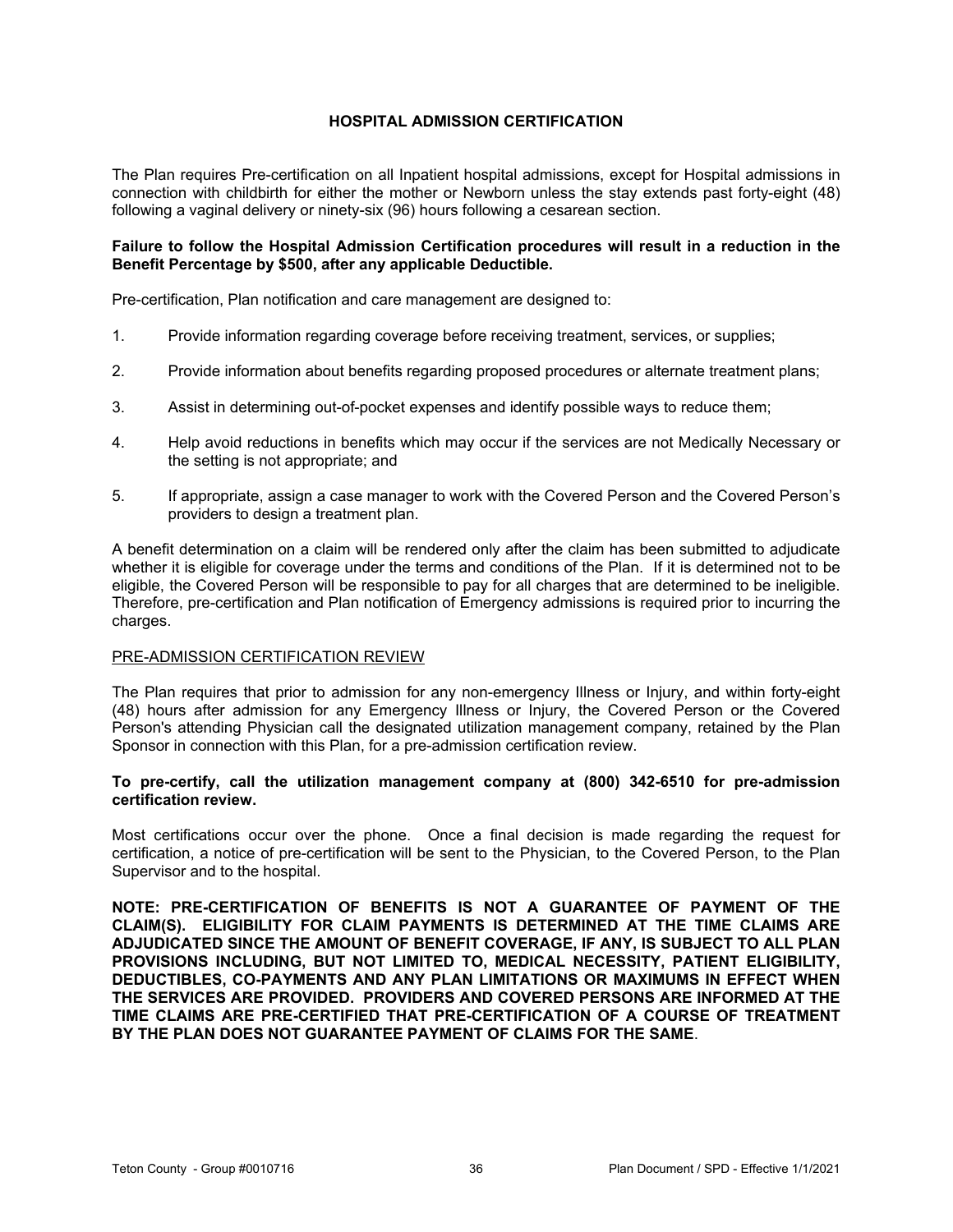# **HOSPITAL ADMISSION CERTIFICATION**

The Plan requires Pre-certification on all Inpatient hospital admissions, except for Hospital admissions in connection with childbirth for either the mother or Newborn unless the stay extends past forty-eight (48) following a vaginal delivery or ninety-six (96) hours following a cesarean section.

# **Failure to follow the Hospital Admission Certification procedures will result in a reduction in the Benefit Percentage by \$500, after any applicable Deductible.**

Pre-certification, Plan notification and care management are designed to:

- 1. Provide information regarding coverage before receiving treatment, services, or supplies;
- 2. Provide information about benefits regarding proposed procedures or alternate treatment plans;
- 3. Assist in determining out-of-pocket expenses and identify possible ways to reduce them;
- 4. Help avoid reductions in benefits which may occur if the services are not Medically Necessary or the setting is not appropriate; and
- 5. If appropriate, assign a case manager to work with the Covered Person and the Covered Person's providers to design a treatment plan.

A benefit determination on a claim will be rendered only after the claim has been submitted to adjudicate whether it is eligible for coverage under the terms and conditions of the Plan. If it is determined not to be eligible, the Covered Person will be responsible to pay for all charges that are determined to be ineligible. Therefore, pre-certification and Plan notification of Emergency admissions is required prior to incurring the charges.

# PRE-ADMISSION CERTIFICATION REVIEW

The Plan requires that prior to admission for any non-emergency Illness or Injury, and within forty-eight (48) hours after admission for any Emergency Illness or Injury, the Covered Person or the Covered Person's attending Physician call the designated utilization management company, retained by the Plan Sponsor in connection with this Plan, for a pre-admission certification review.

### **To pre-certify, call the utilization management company at (800) 342-6510 for pre-admission certification review.**

Most certifications occur over the phone. Once a final decision is made regarding the request for certification, a notice of pre-certification will be sent to the Physician, to the Covered Person, to the Plan Supervisor and to the hospital.

**NOTE: PRE-CERTIFICATION OF BENEFITS IS NOT A GUARANTEE OF PAYMENT OF THE CLAIM(S). ELIGIBILITY FOR CLAIM PAYMENTS IS DETERMINED AT THE TIME CLAIMS ARE ADJUDICATED SINCE THE AMOUNT OF BENEFIT COVERAGE, IF ANY, IS SUBJECT TO ALL PLAN PROVISIONS INCLUDING, BUT NOT LIMITED TO, MEDICAL NECESSITY, PATIENT ELIGIBILITY, DEDUCTIBLES, CO-PAYMENTS AND ANY PLAN LIMITATIONS OR MAXIMUMS IN EFFECT WHEN THE SERVICES ARE PROVIDED. PROVIDERS AND COVERED PERSONS ARE INFORMED AT THE TIME CLAIMS ARE PRE-CERTIFIED THAT PRE-CERTIFICATION OF A COURSE OF TREATMENT BY THE PLAN DOES NOT GUARANTEE PAYMENT OF CLAIMS FOR THE SAME**.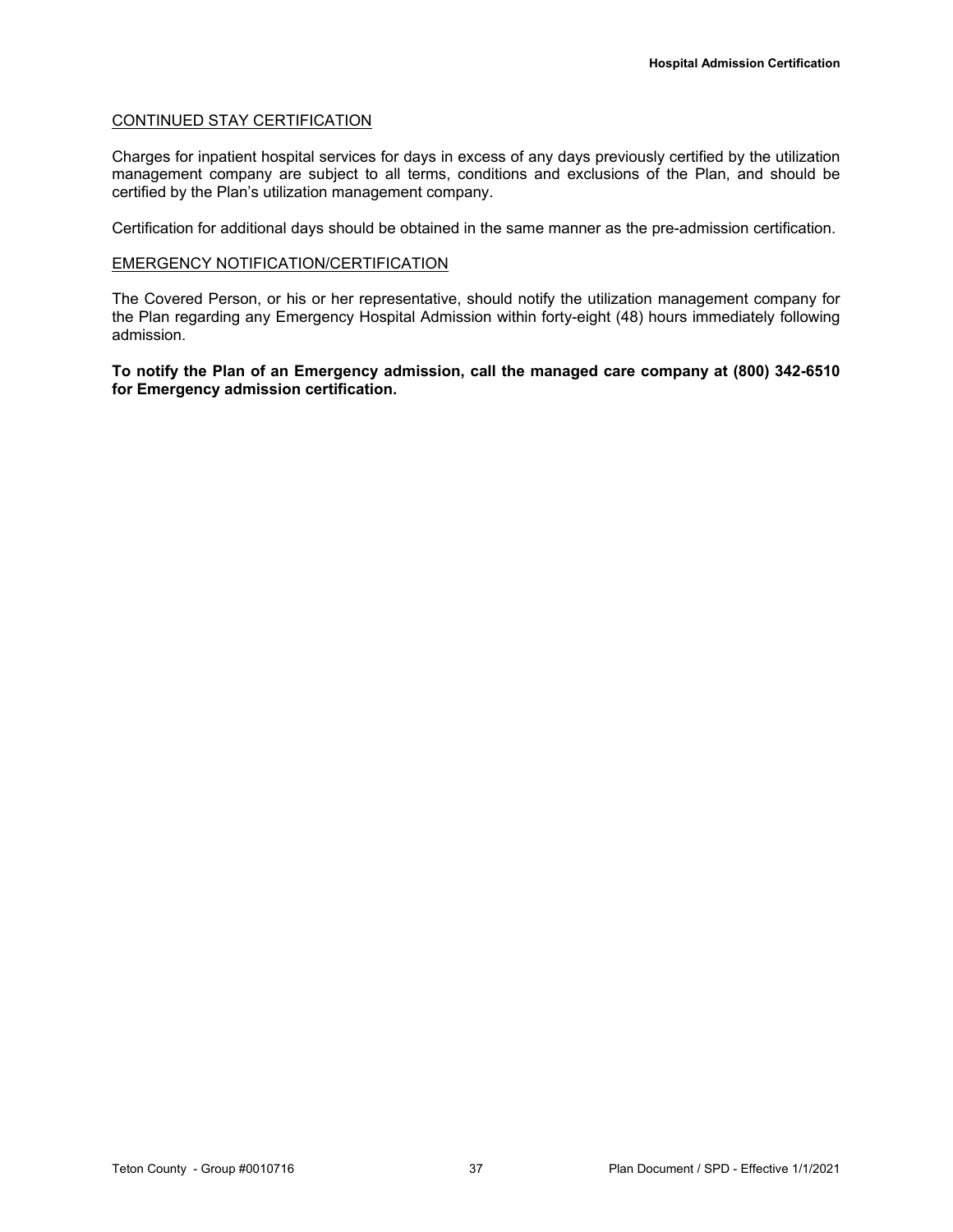# CONTINUED STAY CERTIFICATION

Charges for inpatient hospital services for days in excess of any days previously certified by the utilization management company are subject to all terms, conditions and exclusions of the Plan, and should be certified by the Plan's utilization management company.

Certification for additional days should be obtained in the same manner as the pre-admission certification.

### EMERGENCY NOTIFICATION/CERTIFICATION

The Covered Person, or his or her representative, should notify the utilization management company for the Plan regarding any Emergency Hospital Admission within forty-eight (48) hours immediately following admission.

**To notify the Plan of an Emergency admission, call the managed care company at (800) 342-6510 for Emergency admission certification.**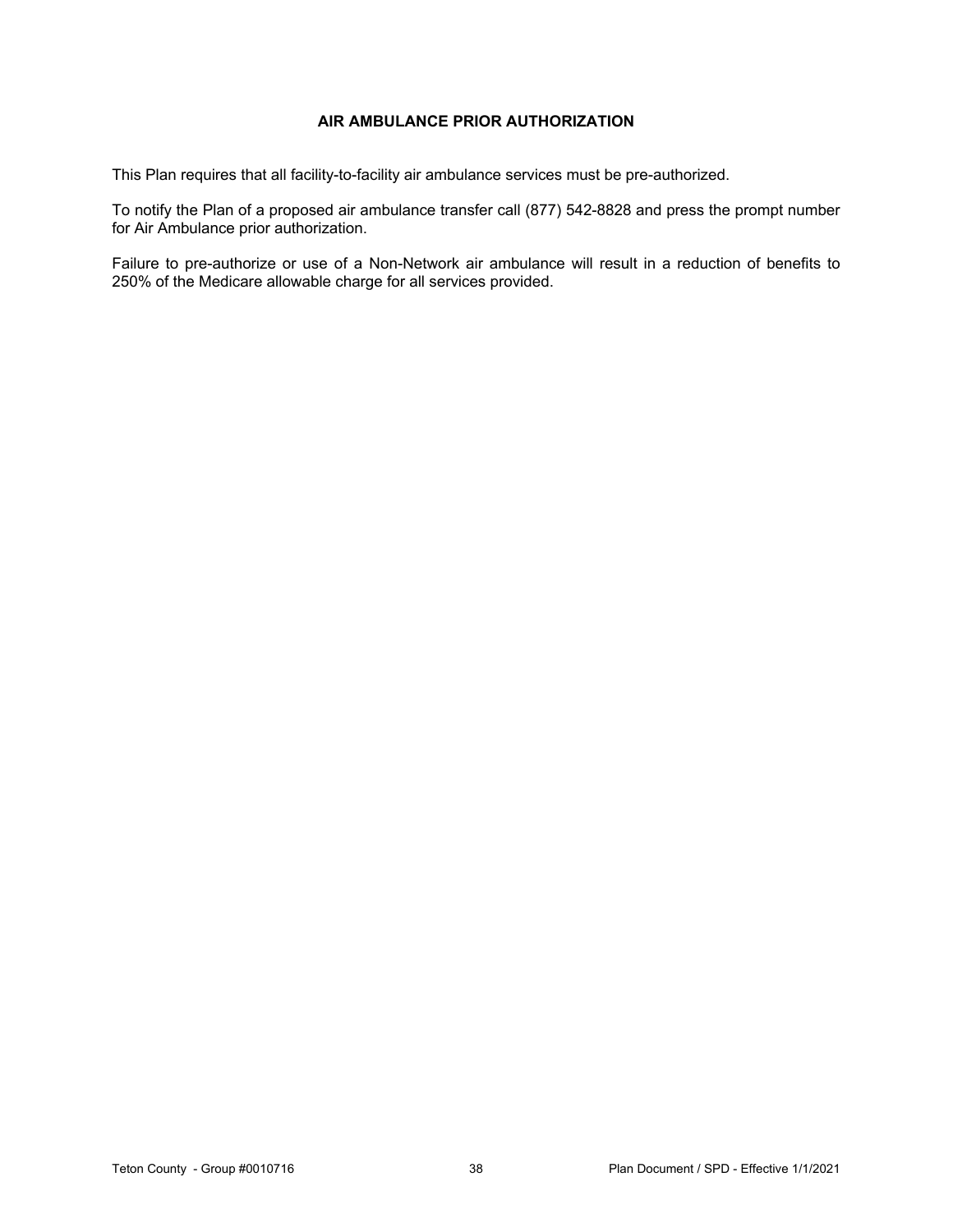# **AIR AMBULANCE PRIOR AUTHORIZATION**

This Plan requires that all facility-to-facility air ambulance services must be pre-authorized.

To notify the Plan of a proposed air ambulance transfer call (877) 542-8828 and press the prompt number for Air Ambulance prior authorization.

Failure to pre-authorize or use of a Non-Network air ambulance will result in a reduction of benefits to 250% of the Medicare allowable charge for all services provided.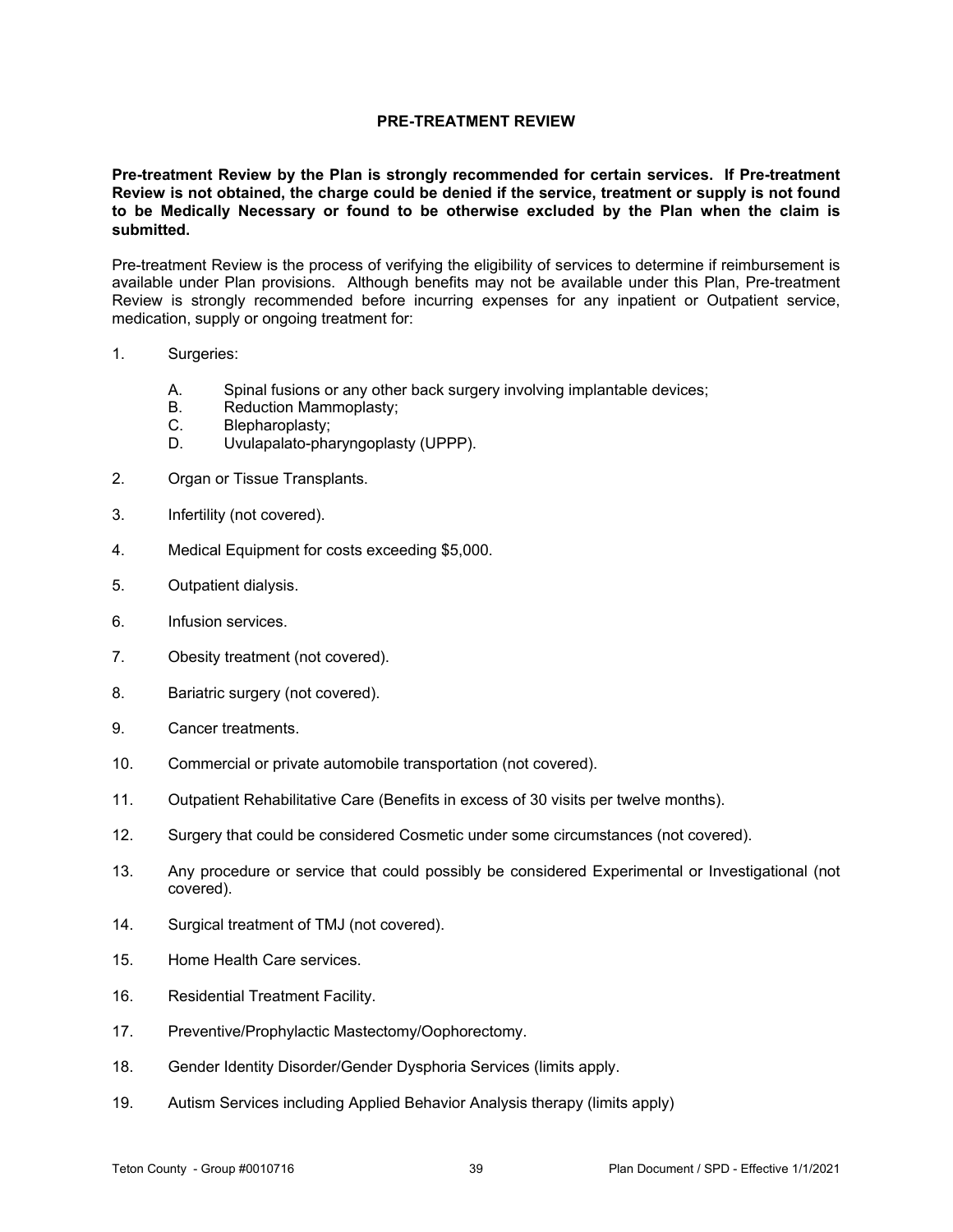# **PRE-TREATMENT REVIEW**

**Pre-treatment Review by the Plan is strongly recommended for certain services. If Pre-treatment Review is not obtained, the charge could be denied if the service, treatment or supply is not found to be Medically Necessary or found to be otherwise excluded by the Plan when the claim is submitted.**

Pre-treatment Review is the process of verifying the eligibility of services to determine if reimbursement is available under Plan provisions. Although benefits may not be available under this Plan, Pre-treatment Review is strongly recommended before incurring expenses for any inpatient or Outpatient service, medication, supply or ongoing treatment for:

- 1. Surgeries:
	- A. Spinal fusions or any other back surgery involving implantable devices;
	- B. Reduction Mammoplasty;
	- C. Blepharoplasty;
	- D. Uvulapalato-pharyngoplasty (UPPP).
- 2. Organ or Tissue Transplants.
- 3. Infertility (not covered).
- 4. Medical Equipment for costs exceeding \$5,000.
- 5. Outpatient dialysis.
- 6. Infusion services.
- 7. Obesity treatment (not covered).
- 8. Bariatric surgery (not covered).
- 9. Cancer treatments.
- 10. Commercial or private automobile transportation (not covered).
- 11. Outpatient Rehabilitative Care (Benefits in excess of 30 visits per twelve months).
- 12. Surgery that could be considered Cosmetic under some circumstances (not covered).
- 13. Any procedure or service that could possibly be considered Experimental or Investigational (not covered).
- 14. Surgical treatment of TMJ (not covered).
- 15. Home Health Care services.
- 16. Residential Treatment Facility.
- 17. Preventive/Prophylactic Mastectomy/Oophorectomy.
- 18. Gender Identity Disorder/Gender Dysphoria Services (limits apply.
- 19. Autism Services including Applied Behavior Analysis therapy (limits apply)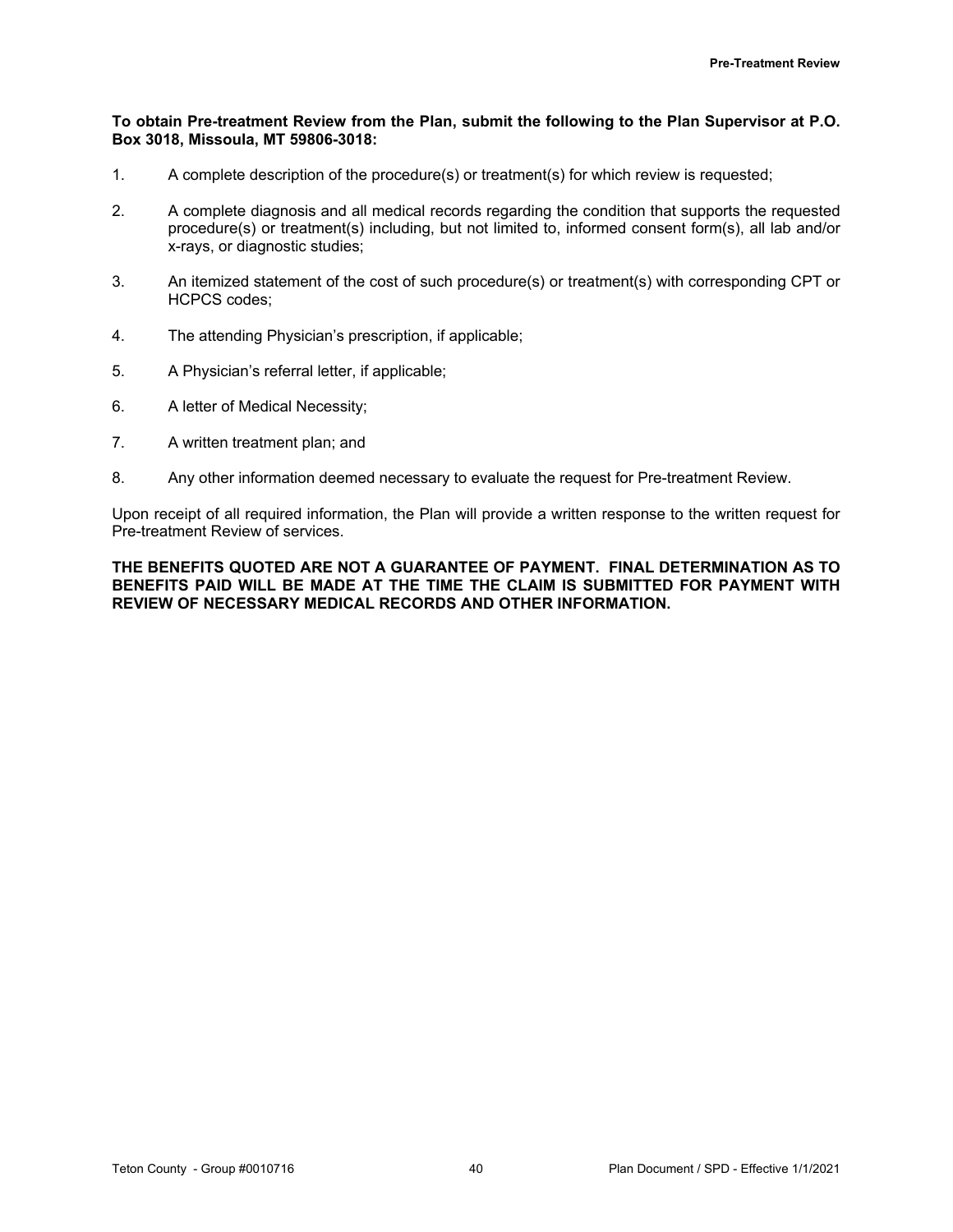# **To obtain Pre-treatment Review from the Plan, submit the following to the Plan Supervisor at P.O. Box 3018, Missoula, MT 59806-3018:**

- 1. A complete description of the procedure(s) or treatment(s) for which review is requested;
- 2. A complete diagnosis and all medical records regarding the condition that supports the requested procedure(s) or treatment(s) including, but not limited to, informed consent form(s), all lab and/or x-rays, or diagnostic studies;
- 3. An itemized statement of the cost of such procedure(s) or treatment(s) with corresponding CPT or HCPCS codes;
- 4. The attending Physician's prescription, if applicable;
- 5. A Physician's referral letter, if applicable;
- 6. A letter of Medical Necessity;
- 7. A written treatment plan; and
- 8. Any other information deemed necessary to evaluate the request for Pre-treatment Review.

Upon receipt of all required information, the Plan will provide a written response to the written request for Pre-treatment Review of services.

**THE BENEFITS QUOTED ARE NOT A GUARANTEE OF PAYMENT. FINAL DETERMINATION AS TO BENEFITS PAID WILL BE MADE AT THE TIME THE CLAIM IS SUBMITTED FOR PAYMENT WITH REVIEW OF NECESSARY MEDICAL RECORDS AND OTHER INFORMATION.**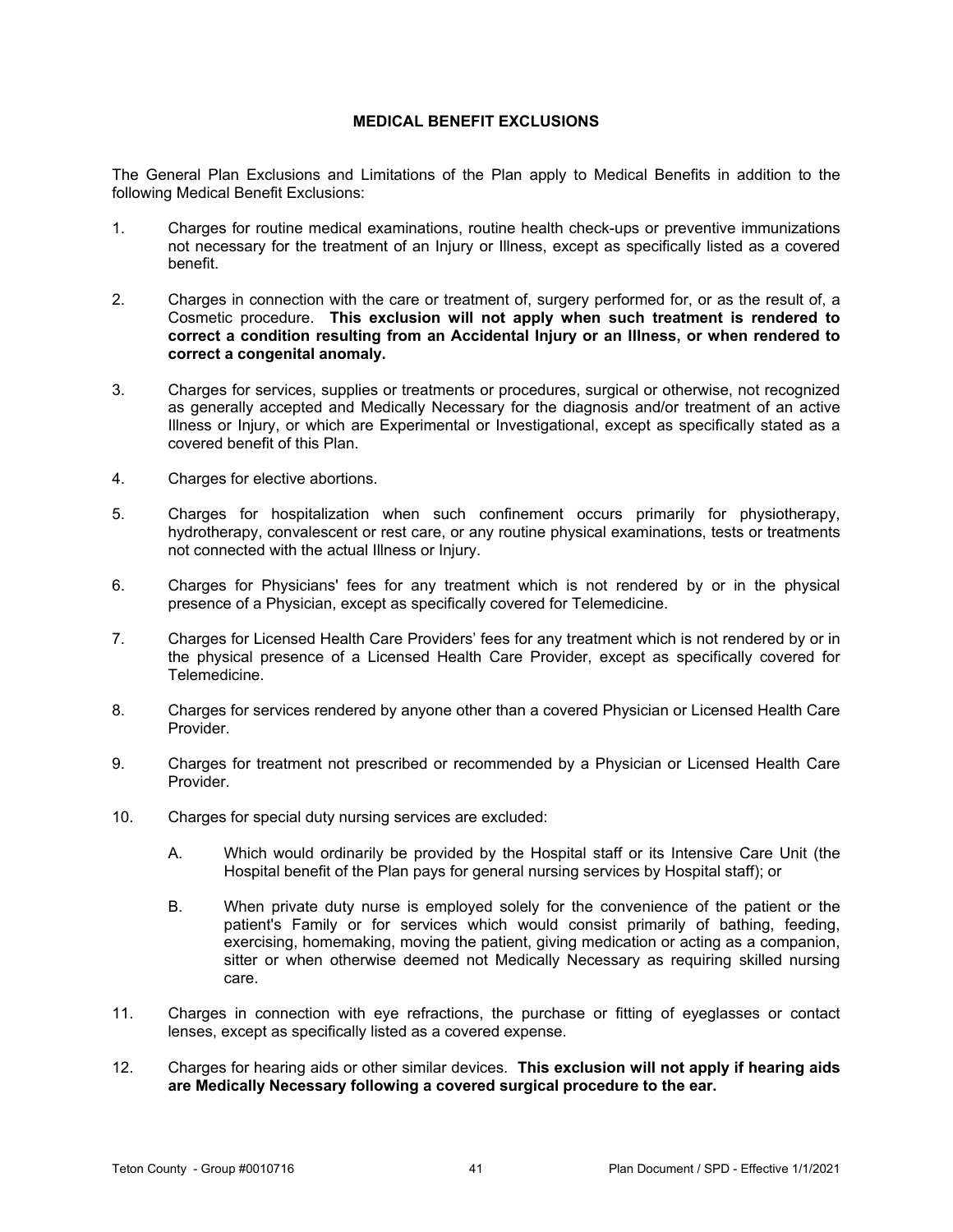# **MEDICAL BENEFIT EXCLUSIONS**

The General Plan Exclusions and Limitations of the Plan apply to Medical Benefits in addition to the following Medical Benefit Exclusions:

- 1. Charges for routine medical examinations, routine health check-ups or preventive immunizations not necessary for the treatment of an Injury or Illness, except as specifically listed as a covered benefit.
- 2. Charges in connection with the care or treatment of, surgery performed for, or as the result of, a Cosmetic procedure. **This exclusion will not apply when such treatment is rendered to correct a condition resulting from an Accidental Injury or an Illness, or when rendered to correct a congenital anomaly.**
- 3. Charges for services, supplies or treatments or procedures, surgical or otherwise, not recognized as generally accepted and Medically Necessary for the diagnosis and/or treatment of an active Illness or Injury, or which are Experimental or Investigational, except as specifically stated as a covered benefit of this Plan.
- 4. Charges for elective abortions.
- 5. Charges for hospitalization when such confinement occurs primarily for physiotherapy, hydrotherapy, convalescent or rest care, or any routine physical examinations, tests or treatments not connected with the actual Illness or Injury.
- 6. Charges for Physicians' fees for any treatment which is not rendered by or in the physical presence of a Physician, except as specifically covered for Telemedicine.
- 7. Charges for Licensed Health Care Providers' fees for any treatment which is not rendered by or in the physical presence of a Licensed Health Care Provider, except as specifically covered for Telemedicine.
- 8. Charges for services rendered by anyone other than a covered Physician or Licensed Health Care Provider.
- 9. Charges for treatment not prescribed or recommended by a Physician or Licensed Health Care Provider.
- 10. Charges for special duty nursing services are excluded:
	- A. Which would ordinarily be provided by the Hospital staff or its Intensive Care Unit (the Hospital benefit of the Plan pays for general nursing services by Hospital staff); or
	- B. When private duty nurse is employed solely for the convenience of the patient or the patient's Family or for services which would consist primarily of bathing, feeding, exercising, homemaking, moving the patient, giving medication or acting as a companion, sitter or when otherwise deemed not Medically Necessary as requiring skilled nursing care.
- 11. Charges in connection with eye refractions, the purchase or fitting of eyeglasses or contact lenses, except as specifically listed as a covered expense.
- 12. Charges for hearing aids or other similar devices. **This exclusion will not apply if hearing aids are Medically Necessary following a covered surgical procedure to the ear.**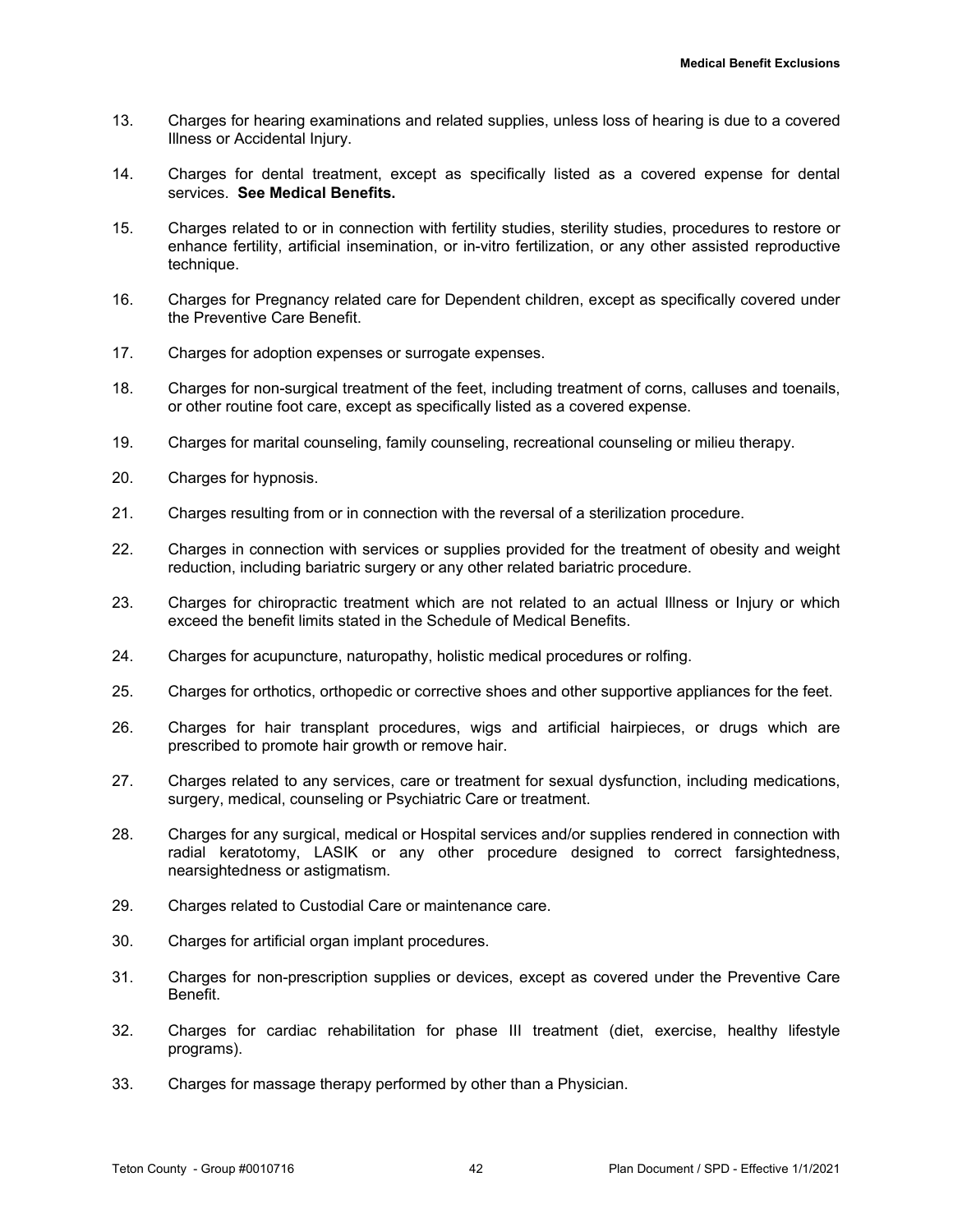- 13. Charges for hearing examinations and related supplies, unless loss of hearing is due to a covered Illness or Accidental Injury.
- 14. Charges for dental treatment, except as specifically listed as a covered expense for dental services. **See Medical Benefits.**
- 15. Charges related to or in connection with fertility studies, sterility studies, procedures to restore or enhance fertility, artificial insemination, or in-vitro fertilization, or any other assisted reproductive technique.
- 16. Charges for Pregnancy related care for Dependent children, except as specifically covered under the Preventive Care Benefit.
- 17. Charges for adoption expenses or surrogate expenses.
- 18. Charges for non-surgical treatment of the feet, including treatment of corns, calluses and toenails, or other routine foot care, except as specifically listed as a covered expense.
- 19. Charges for marital counseling, family counseling, recreational counseling or milieu therapy.
- 20. Charges for hypnosis.
- 21. Charges resulting from or in connection with the reversal of a sterilization procedure.
- 22. Charges in connection with services or supplies provided for the treatment of obesity and weight reduction, including bariatric surgery or any other related bariatric procedure.
- 23. Charges for chiropractic treatment which are not related to an actual Illness or Injury or which exceed the benefit limits stated in the Schedule of Medical Benefits.
- 24. Charges for acupuncture, naturopathy, holistic medical procedures or rolfing.
- 25. Charges for orthotics, orthopedic or corrective shoes and other supportive appliances for the feet.
- 26. Charges for hair transplant procedures, wigs and artificial hairpieces, or drugs which are prescribed to promote hair growth or remove hair.
- 27. Charges related to any services, care or treatment for sexual dysfunction, including medications, surgery, medical, counseling or Psychiatric Care or treatment.
- 28. Charges for any surgical, medical or Hospital services and/or supplies rendered in connection with radial keratotomy, LASIK or any other procedure designed to correct farsightedness, nearsightedness or astigmatism.
- 29. Charges related to Custodial Care or maintenance care.
- 30. Charges for artificial organ implant procedures.
- 31. Charges for non-prescription supplies or devices, except as covered under the Preventive Care Benefit.
- 32. Charges for cardiac rehabilitation for phase III treatment (diet, exercise, healthy lifestyle programs).
- 33. Charges for massage therapy performed by other than a Physician.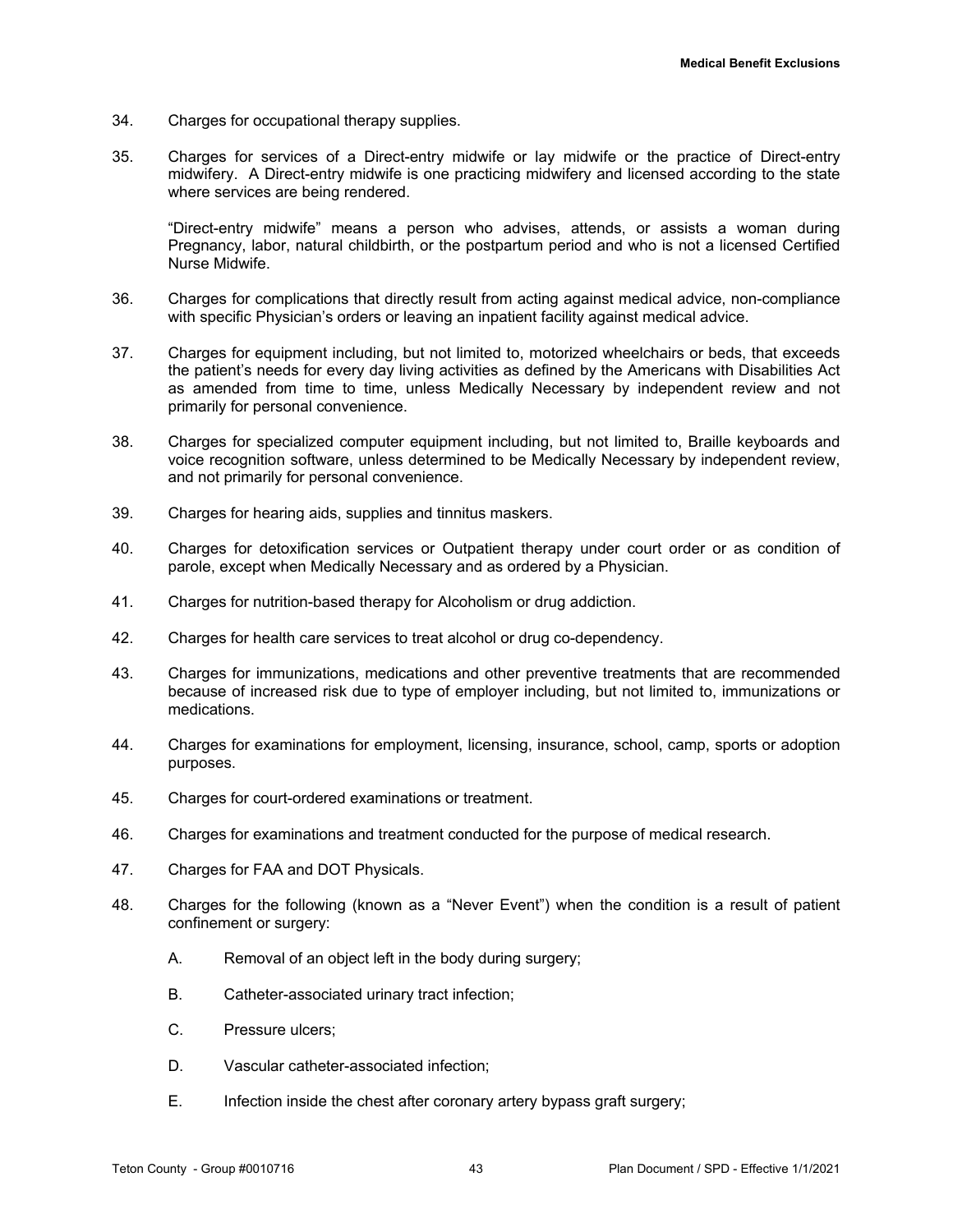- 34. Charges for occupational therapy supplies.
- 35. Charges for services of a Direct-entry midwife or lay midwife or the practice of Direct-entry midwifery. A Direct-entry midwife is one practicing midwifery and licensed according to the state where services are being rendered.

"Direct-entry midwife" means a person who advises, attends, or assists a woman during Pregnancy, labor, natural childbirth, or the postpartum period and who is not a licensed Certified Nurse Midwife.

- 36. Charges for complications that directly result from acting against medical advice, non-compliance with specific Physician's orders or leaving an inpatient facility against medical advice.
- 37. Charges for equipment including, but not limited to, motorized wheelchairs or beds, that exceeds the patient's needs for every day living activities as defined by the Americans with Disabilities Act as amended from time to time, unless Medically Necessary by independent review and not primarily for personal convenience.
- 38. Charges for specialized computer equipment including, but not limited to, Braille keyboards and voice recognition software, unless determined to be Medically Necessary by independent review, and not primarily for personal convenience.
- 39. Charges for hearing aids, supplies and tinnitus maskers.
- 40. Charges for detoxification services or Outpatient therapy under court order or as condition of parole, except when Medically Necessary and as ordered by a Physician.
- 41. Charges for nutrition-based therapy for Alcoholism or drug addiction.
- 42. Charges for health care services to treat alcohol or drug co-dependency.
- 43. Charges for immunizations, medications and other preventive treatments that are recommended because of increased risk due to type of employer including, but not limited to, immunizations or medications.
- 44. Charges for examinations for employment, licensing, insurance, school, camp, sports or adoption purposes.
- 45. Charges for court-ordered examinations or treatment.
- 46. Charges for examinations and treatment conducted for the purpose of medical research.
- 47. Charges for FAA and DOT Physicals.
- 48. Charges for the following (known as a "Never Event") when the condition is a result of patient confinement or surgery:
	- A. Removal of an object left in the body during surgery;
	- B. Catheter-associated urinary tract infection;
	- C. Pressure ulcers;
	- D. Vascular catheter-associated infection;
	- E. Infection inside the chest after coronary artery bypass graft surgery;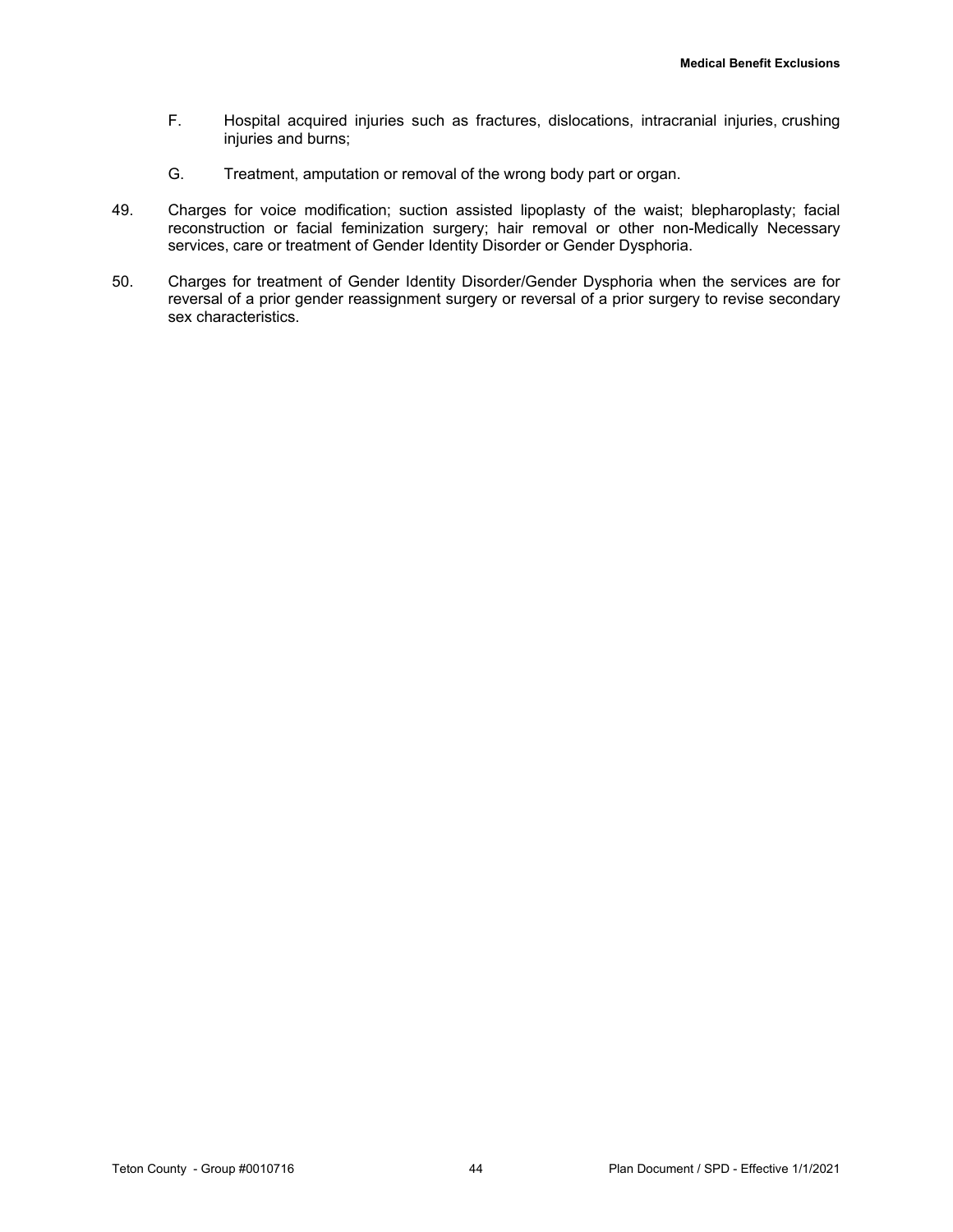- F. Hospital acquired injuries such as fractures, dislocations, intracranial injuries, crushing injuries and burns;
- G. Treatment, amputation or removal of the wrong body part or organ.
- 49. Charges for voice modification; suction assisted lipoplasty of the waist; blepharoplasty; facial reconstruction or facial feminization surgery; hair removal or other non-Medically Necessary services, care or treatment of Gender Identity Disorder or Gender Dysphoria.
- 50. Charges for treatment of Gender Identity Disorder/Gender Dysphoria when the services are for reversal of a prior gender reassignment surgery or reversal of a prior surgery to revise secondary sex characteristics.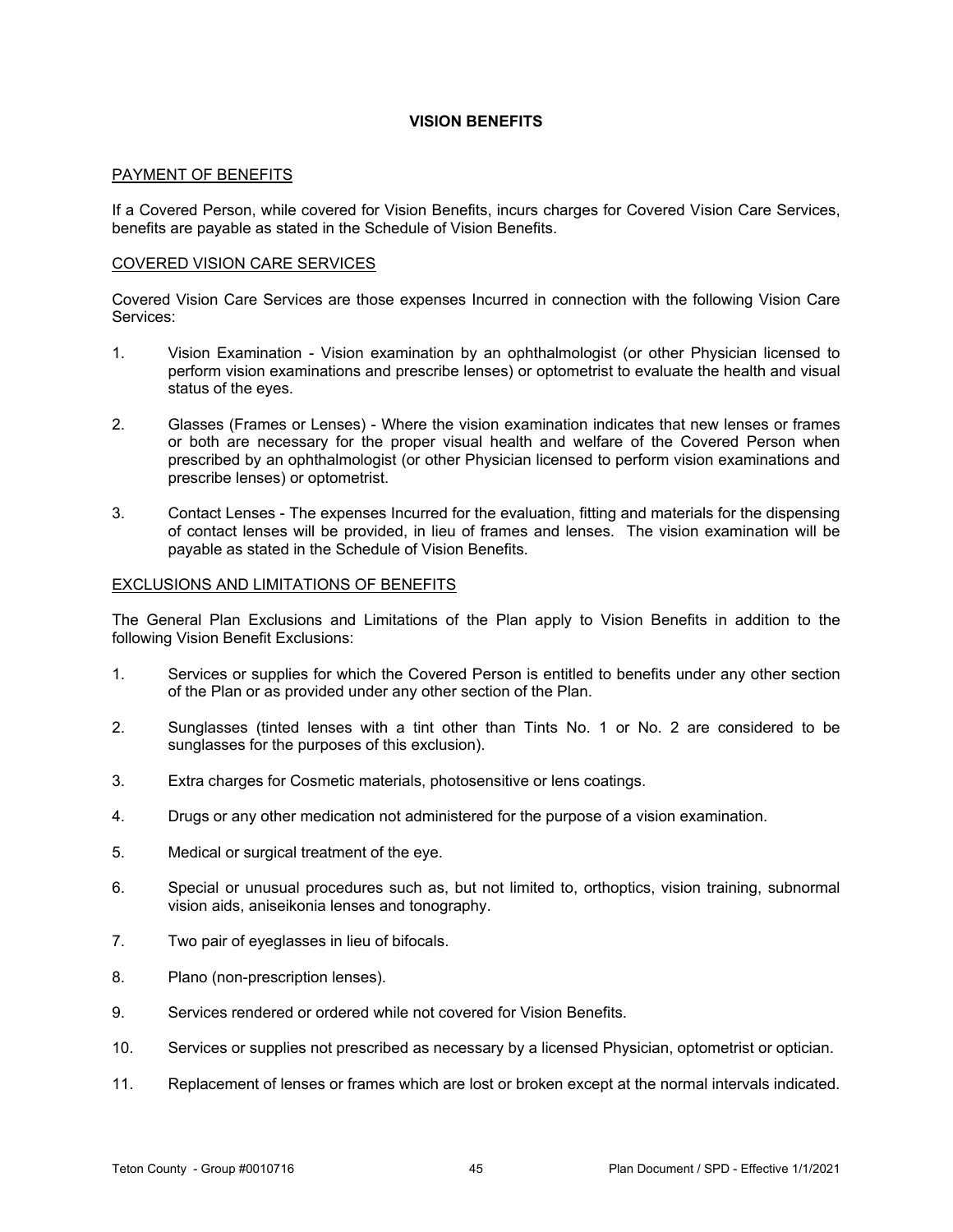# **VISION BENEFITS**

# PAYMENT OF BENEFITS

If a Covered Person, while covered for Vision Benefits, incurs charges for Covered Vision Care Services, benefits are payable as stated in the Schedule of Vision Benefits.

# COVERED VISION CARE SERVICES

Covered Vision Care Services are those expenses Incurred in connection with the following Vision Care Services:

- 1. Vision Examination Vision examination by an ophthalmologist (or other Physician licensed to perform vision examinations and prescribe lenses) or optometrist to evaluate the health and visual status of the eyes.
- 2. Glasses (Frames or Lenses) Where the vision examination indicates that new lenses or frames or both are necessary for the proper visual health and welfare of the Covered Person when prescribed by an ophthalmologist (or other Physician licensed to perform vision examinations and prescribe lenses) or optometrist.
- 3. Contact Lenses The expenses Incurred for the evaluation, fitting and materials for the dispensing of contact lenses will be provided, in lieu of frames and lenses. The vision examination will be payable as stated in the Schedule of Vision Benefits.

# EXCLUSIONS AND LIMITATIONS OF BENEFITS

The General Plan Exclusions and Limitations of the Plan apply to Vision Benefits in addition to the following Vision Benefit Exclusions:

- 1. Services or supplies for which the Covered Person is entitled to benefits under any other section of the Plan or as provided under any other section of the Plan.
- 2. Sunglasses (tinted lenses with a tint other than Tints No. 1 or No. 2 are considered to be sunglasses for the purposes of this exclusion).
- 3. Extra charges for Cosmetic materials, photosensitive or lens coatings.
- 4. Drugs or any other medication not administered for the purpose of a vision examination.
- 5. Medical or surgical treatment of the eye.
- 6. Special or unusual procedures such as, but not limited to, orthoptics, vision training, subnormal vision aids, aniseikonia lenses and tonography.
- 7. Two pair of eyeglasses in lieu of bifocals.
- 8. Plano (non-prescription lenses).
- 9. Services rendered or ordered while not covered for Vision Benefits.
- 10. Services or supplies not prescribed as necessary by a licensed Physician, optometrist or optician.
- 11. Replacement of lenses or frames which are lost or broken except at the normal intervals indicated.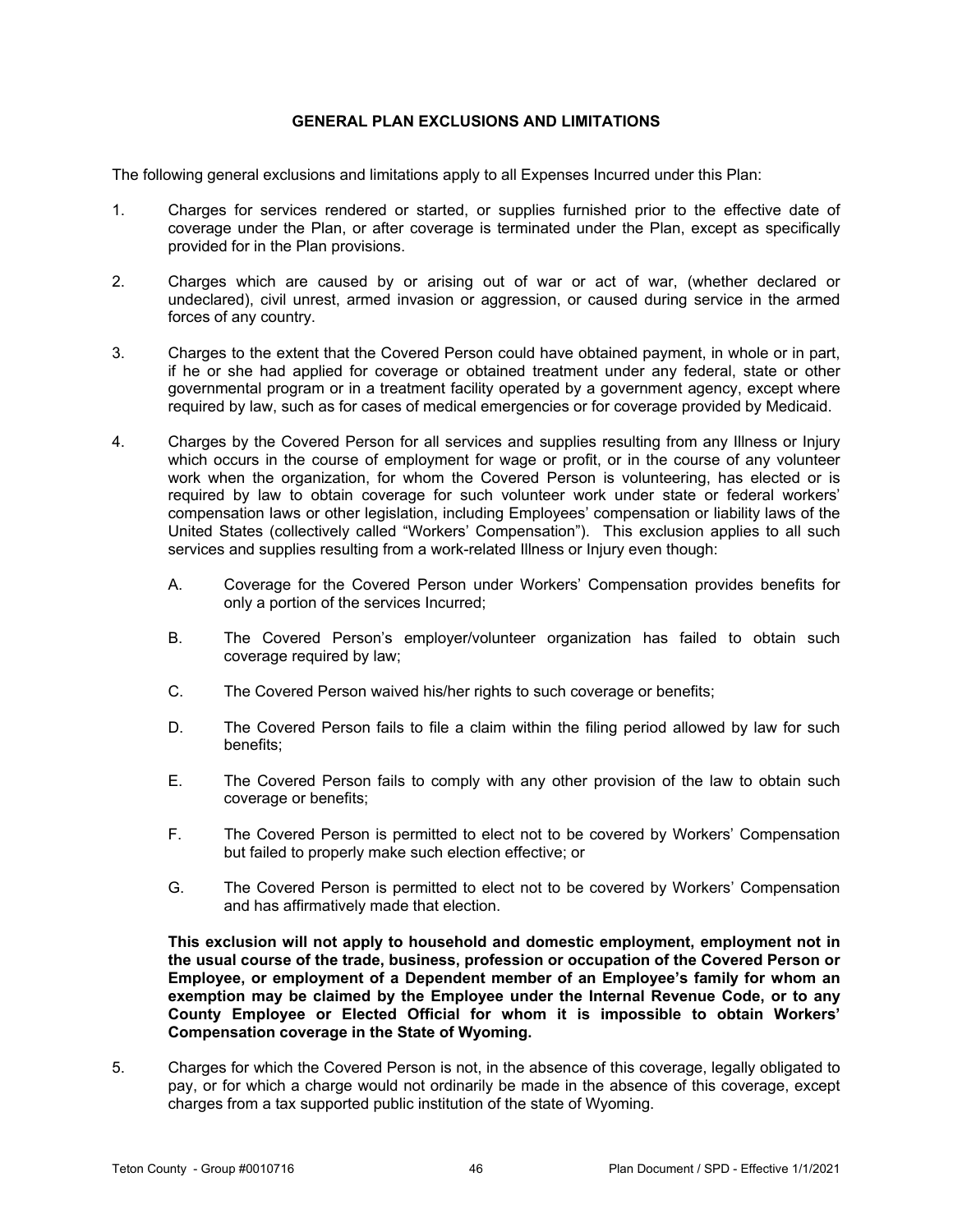# **GENERAL PLAN EXCLUSIONS AND LIMITATIONS**

The following general exclusions and limitations apply to all Expenses Incurred under this Plan:

- 1. Charges for services rendered or started, or supplies furnished prior to the effective date of coverage under the Plan, or after coverage is terminated under the Plan, except as specifically provided for in the Plan provisions.
- 2. Charges which are caused by or arising out of war or act of war, (whether declared or undeclared), civil unrest, armed invasion or aggression, or caused during service in the armed forces of any country.
- 3. Charges to the extent that the Covered Person could have obtained payment, in whole or in part, if he or she had applied for coverage or obtained treatment under any federal, state or other governmental program or in a treatment facility operated by a government agency, except where required by law, such as for cases of medical emergencies or for coverage provided by Medicaid.
- 4. Charges by the Covered Person for all services and supplies resulting from any Illness or Injury which occurs in the course of employment for wage or profit, or in the course of any volunteer work when the organization, for whom the Covered Person is volunteering, has elected or is required by law to obtain coverage for such volunteer work under state or federal workers' compensation laws or other legislation, including Employees' compensation or liability laws of the United States (collectively called "Workers' Compensation"). This exclusion applies to all such services and supplies resulting from a work-related Illness or Injury even though:
	- A. Coverage for the Covered Person under Workers' Compensation provides benefits for only a portion of the services Incurred;
	- B. The Covered Person's employer/volunteer organization has failed to obtain such coverage required by law;
	- C. The Covered Person waived his/her rights to such coverage or benefits;
	- D. The Covered Person fails to file a claim within the filing period allowed by law for such benefits;
	- E. The Covered Person fails to comply with any other provision of the law to obtain such coverage or benefits;
	- F. The Covered Person is permitted to elect not to be covered by Workers' Compensation but failed to properly make such election effective; or
	- G. The Covered Person is permitted to elect not to be covered by Workers' Compensation and has affirmatively made that election.

**This exclusion will not apply to household and domestic employment, employment not in the usual course of the trade, business, profession or occupation of the Covered Person or Employee, or employment of a Dependent member of an Employee's family for whom an exemption may be claimed by the Employee under the Internal Revenue Code, or to any County Employee or Elected Official for whom it is impossible to obtain Workers' Compensation coverage in the State of Wyoming.**

5. Charges for which the Covered Person is not, in the absence of this coverage, legally obligated to pay, or for which a charge would not ordinarily be made in the absence of this coverage, except charges from a tax supported public institution of the state of Wyoming.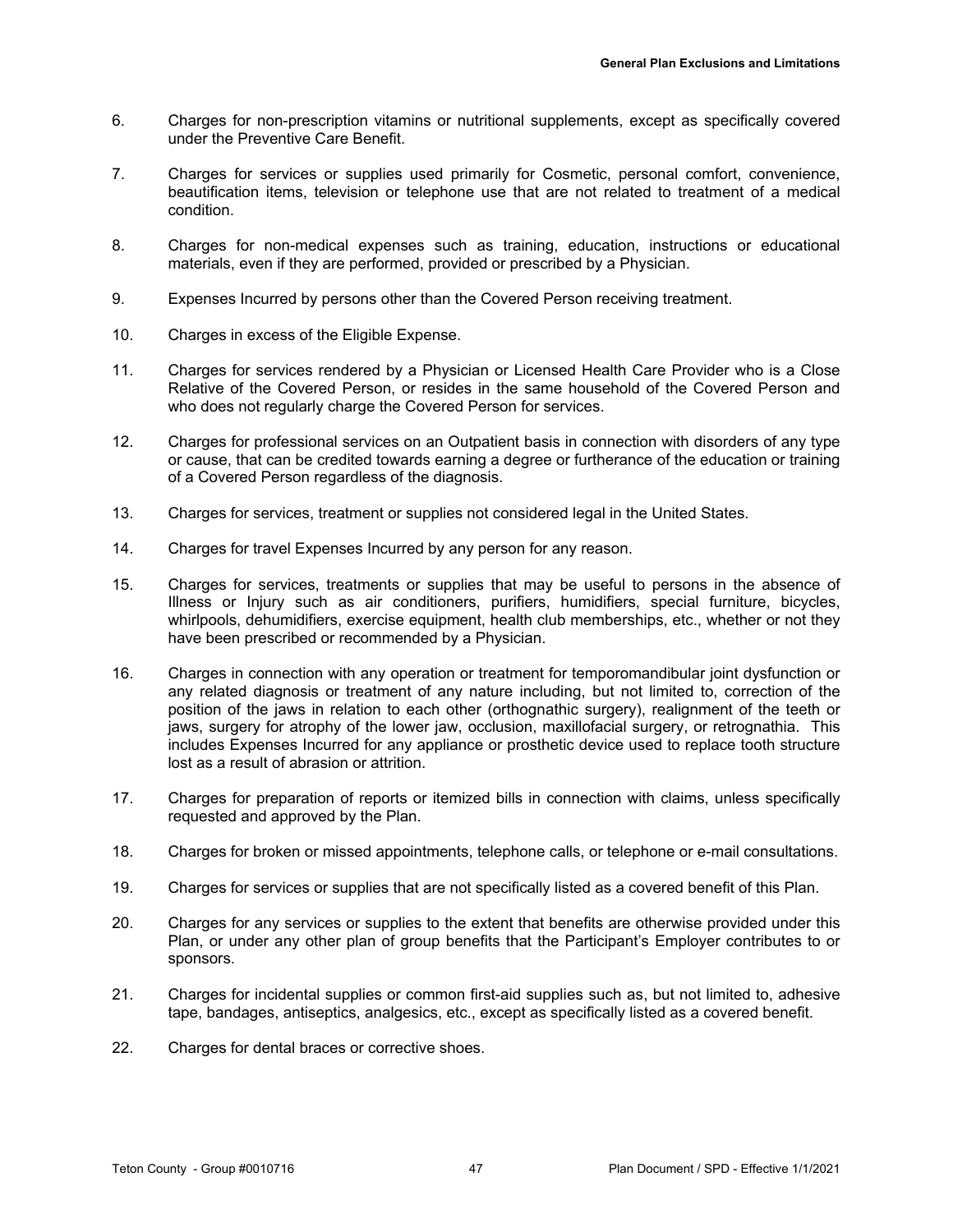- 6. Charges for non-prescription vitamins or nutritional supplements, except as specifically covered under the Preventive Care Benefit.
- 7. Charges for services or supplies used primarily for Cosmetic, personal comfort, convenience, beautification items, television or telephone use that are not related to treatment of a medical condition.
- 8. Charges for non-medical expenses such as training, education, instructions or educational materials, even if they are performed, provided or prescribed by a Physician.
- 9. Expenses Incurred by persons other than the Covered Person receiving treatment.
- 10. Charges in excess of the Eligible Expense.
- 11. Charges for services rendered by a Physician or Licensed Health Care Provider who is a Close Relative of the Covered Person, or resides in the same household of the Covered Person and who does not regularly charge the Covered Person for services.
- 12. Charges for professional services on an Outpatient basis in connection with disorders of any type or cause, that can be credited towards earning a degree or furtherance of the education or training of a Covered Person regardless of the diagnosis.
- 13. Charges for services, treatment or supplies not considered legal in the United States.
- 14. Charges for travel Expenses Incurred by any person for any reason.
- 15. Charges for services, treatments or supplies that may be useful to persons in the absence of Illness or Injury such as air conditioners, purifiers, humidifiers, special furniture, bicycles, whirlpools, dehumidifiers, exercise equipment, health club memberships, etc., whether or not they have been prescribed or recommended by a Physician.
- 16. Charges in connection with any operation or treatment for temporomandibular joint dysfunction or any related diagnosis or treatment of any nature including, but not limited to, correction of the position of the jaws in relation to each other (orthognathic surgery), realignment of the teeth or jaws, surgery for atrophy of the lower jaw, occlusion, maxillofacial surgery, or retrognathia. This includes Expenses Incurred for any appliance or prosthetic device used to replace tooth structure lost as a result of abrasion or attrition.
- 17. Charges for preparation of reports or itemized bills in connection with claims, unless specifically requested and approved by the Plan.
- 18. Charges for broken or missed appointments, telephone calls, or telephone or e-mail consultations.
- 19. Charges for services or supplies that are not specifically listed as a covered benefit of this Plan.
- 20. Charges for any services or supplies to the extent that benefits are otherwise provided under this Plan, or under any other plan of group benefits that the Participant's Employer contributes to or sponsors.
- 21. Charges for incidental supplies or common first-aid supplies such as, but not limited to, adhesive tape, bandages, antiseptics, analgesics, etc., except as specifically listed as a covered benefit.
- 22. Charges for dental braces or corrective shoes.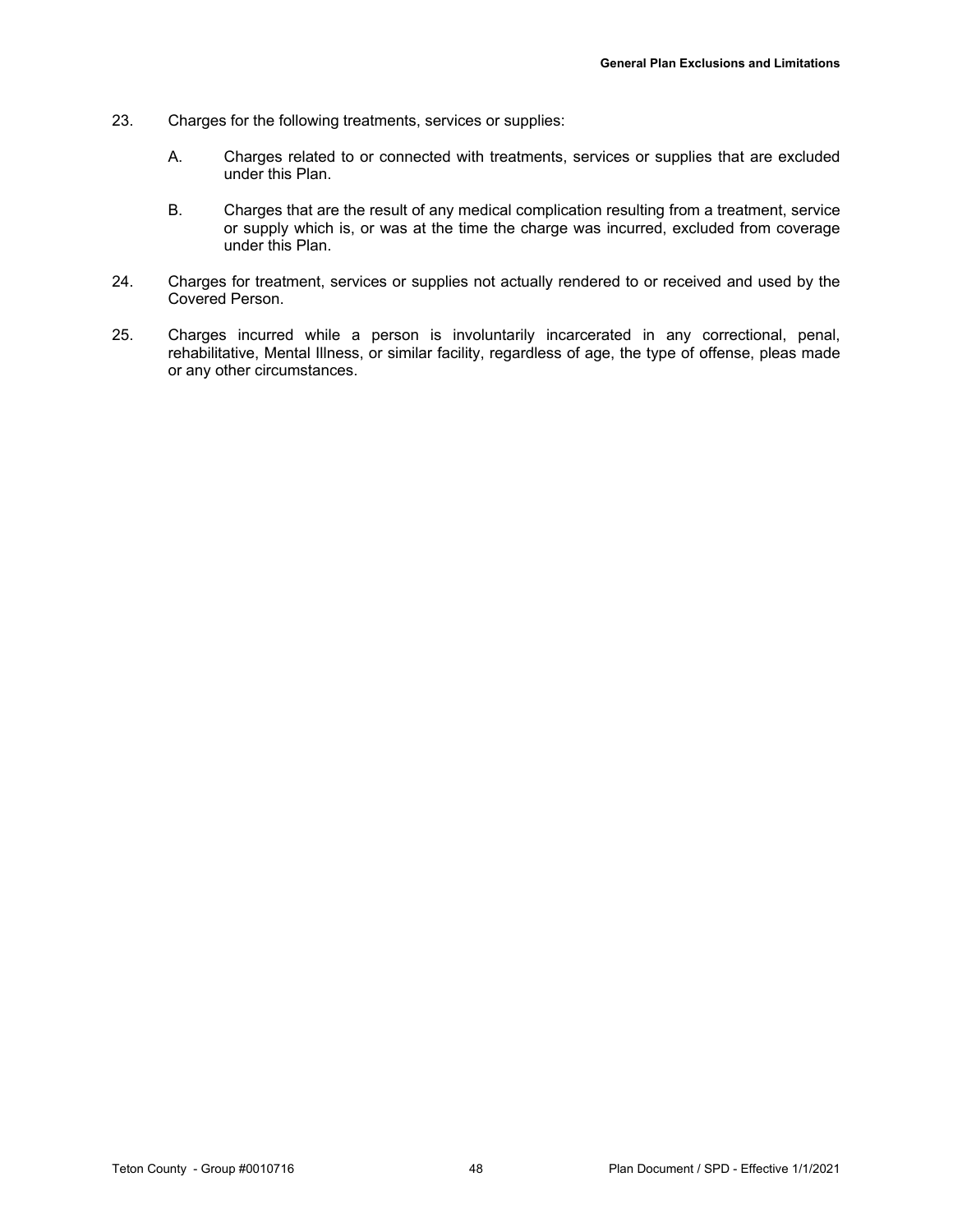- 23. Charges for the following treatments, services or supplies:
	- A. Charges related to or connected with treatments, services or supplies that are excluded under this Plan.
	- B. Charges that are the result of any medical complication resulting from a treatment, service or supply which is, or was at the time the charge was incurred, excluded from coverage under this Plan.
- 24. Charges for treatment, services or supplies not actually rendered to or received and used by the Covered Person.
- 25. Charges incurred while a person is involuntarily incarcerated in any correctional, penal, rehabilitative, Mental Illness, or similar facility, regardless of age, the type of offense, pleas made or any other circumstances.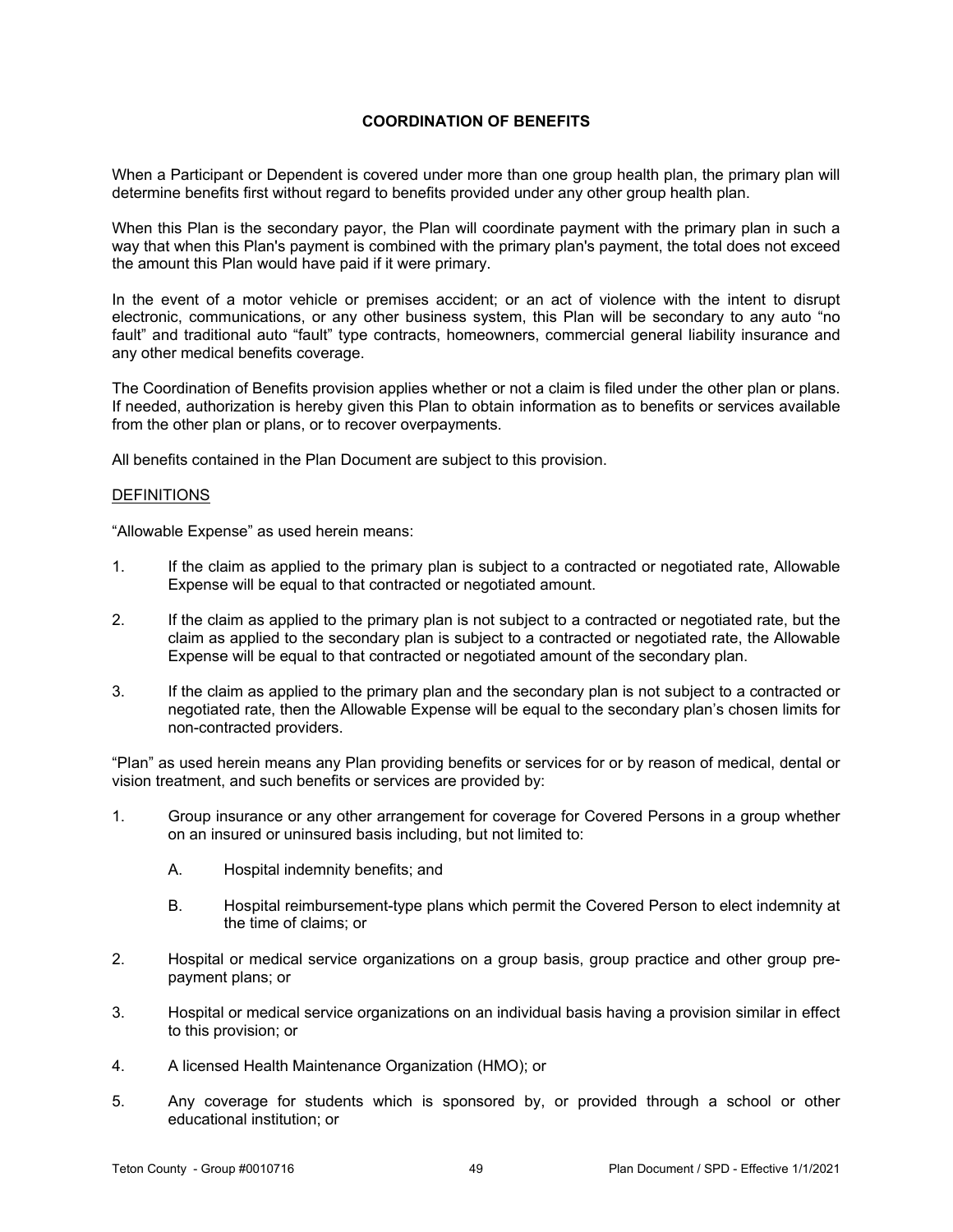# **COORDINATION OF BENEFITS**

When a Participant or Dependent is covered under more than one group health plan, the primary plan will determine benefits first without regard to benefits provided under any other group health plan.

When this Plan is the secondary payor, the Plan will coordinate payment with the primary plan in such a way that when this Plan's payment is combined with the primary plan's payment, the total does not exceed the amount this Plan would have paid if it were primary.

In the event of a motor vehicle or premises accident; or an act of violence with the intent to disrupt electronic, communications, or any other business system, this Plan will be secondary to any auto "no fault" and traditional auto "fault" type contracts, homeowners, commercial general liability insurance and any other medical benefits coverage.

The Coordination of Benefits provision applies whether or not a claim is filed under the other plan or plans. If needed, authorization is hereby given this Plan to obtain information as to benefits or services available from the other plan or plans, or to recover overpayments.

All benefits contained in the Plan Document are subject to this provision.

### **DEFINITIONS**

"Allowable Expense" as used herein means:

- 1. If the claim as applied to the primary plan is subject to a contracted or negotiated rate, Allowable Expense will be equal to that contracted or negotiated amount.
- 2. If the claim as applied to the primary plan is not subject to a contracted or negotiated rate, but the claim as applied to the secondary plan is subject to a contracted or negotiated rate, the Allowable Expense will be equal to that contracted or negotiated amount of the secondary plan.
- 3. If the claim as applied to the primary plan and the secondary plan is not subject to a contracted or negotiated rate, then the Allowable Expense will be equal to the secondary plan's chosen limits for non-contracted providers.

"Plan" as used herein means any Plan providing benefits or services for or by reason of medical, dental or vision treatment, and such benefits or services are provided by:

- 1. Group insurance or any other arrangement for coverage for Covered Persons in a group whether on an insured or uninsured basis including, but not limited to:
	- A. Hospital indemnity benefits; and
	- B. Hospital reimbursement-type plans which permit the Covered Person to elect indemnity at the time of claims; or
- 2. Hospital or medical service organizations on a group basis, group practice and other group prepayment plans; or
- 3. Hospital or medical service organizations on an individual basis having a provision similar in effect to this provision; or
- 4. A licensed Health Maintenance Organization (HMO); or
- 5. Any coverage for students which is sponsored by, or provided through a school or other educational institution; or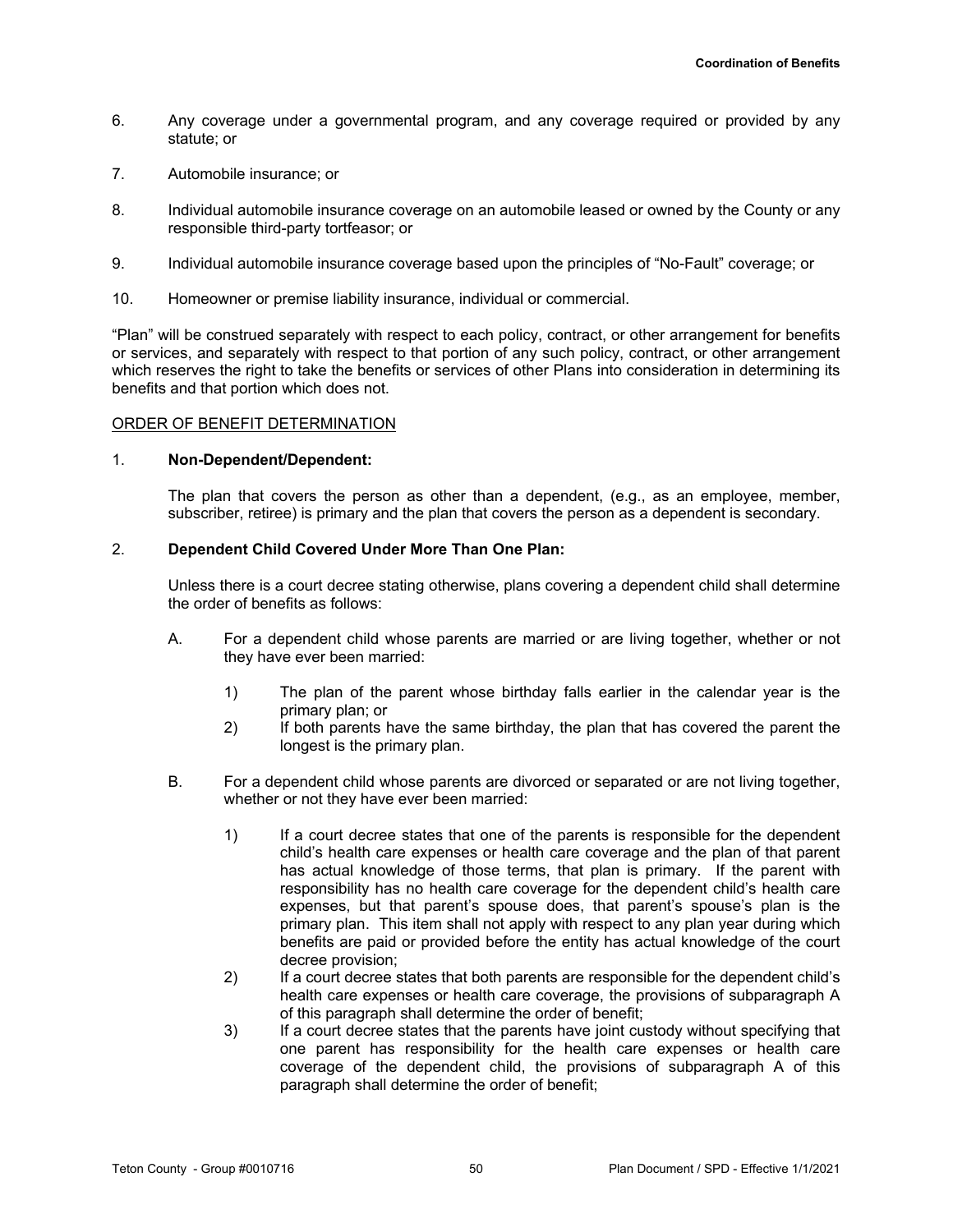- 6. Any coverage under a governmental program, and any coverage required or provided by any statute; or
- 7. Automobile insurance; or
- 8. Individual automobile insurance coverage on an automobile leased or owned by the County or any responsible third-party tortfeasor; or
- 9. Individual automobile insurance coverage based upon the principles of "No-Fault" coverage; or
- 10. Homeowner or premise liability insurance, individual or commercial.

"Plan" will be construed separately with respect to each policy, contract, or other arrangement for benefits or services, and separately with respect to that portion of any such policy, contract, or other arrangement which reserves the right to take the benefits or services of other Plans into consideration in determining its benefits and that portion which does not.

### ORDER OF BENEFIT DETERMINATION

#### 1. **Non-Dependent/Dependent:**

The plan that covers the person as other than a dependent, (e.g., as an employee, member, subscriber, retiree) is primary and the plan that covers the person as a dependent is secondary.

# 2. **Dependent Child Covered Under More Than One Plan:**

Unless there is a court decree stating otherwise, plans covering a dependent child shall determine the order of benefits as follows:

- A. For a dependent child whose parents are married or are living together, whether or not they have ever been married:
	- 1) The plan of the parent whose birthday falls earlier in the calendar year is the primary plan; or
	- 2) If both parents have the same birthday, the plan that has covered the parent the longest is the primary plan.
- B. For a dependent child whose parents are divorced or separated or are not living together, whether or not they have ever been married:
	- 1) If a court decree states that one of the parents is responsible for the dependent child's health care expenses or health care coverage and the plan of that parent has actual knowledge of those terms, that plan is primary. If the parent with responsibility has no health care coverage for the dependent child's health care expenses, but that parent's spouse does, that parent's spouse's plan is the primary plan. This item shall not apply with respect to any plan year during which benefits are paid or provided before the entity has actual knowledge of the court decree provision;
	- 2) If a court decree states that both parents are responsible for the dependent child's health care expenses or health care coverage, the provisions of subparagraph A of this paragraph shall determine the order of benefit;
	- 3) If a court decree states that the parents have joint custody without specifying that one parent has responsibility for the health care expenses or health care coverage of the dependent child, the provisions of subparagraph A of this paragraph shall determine the order of benefit;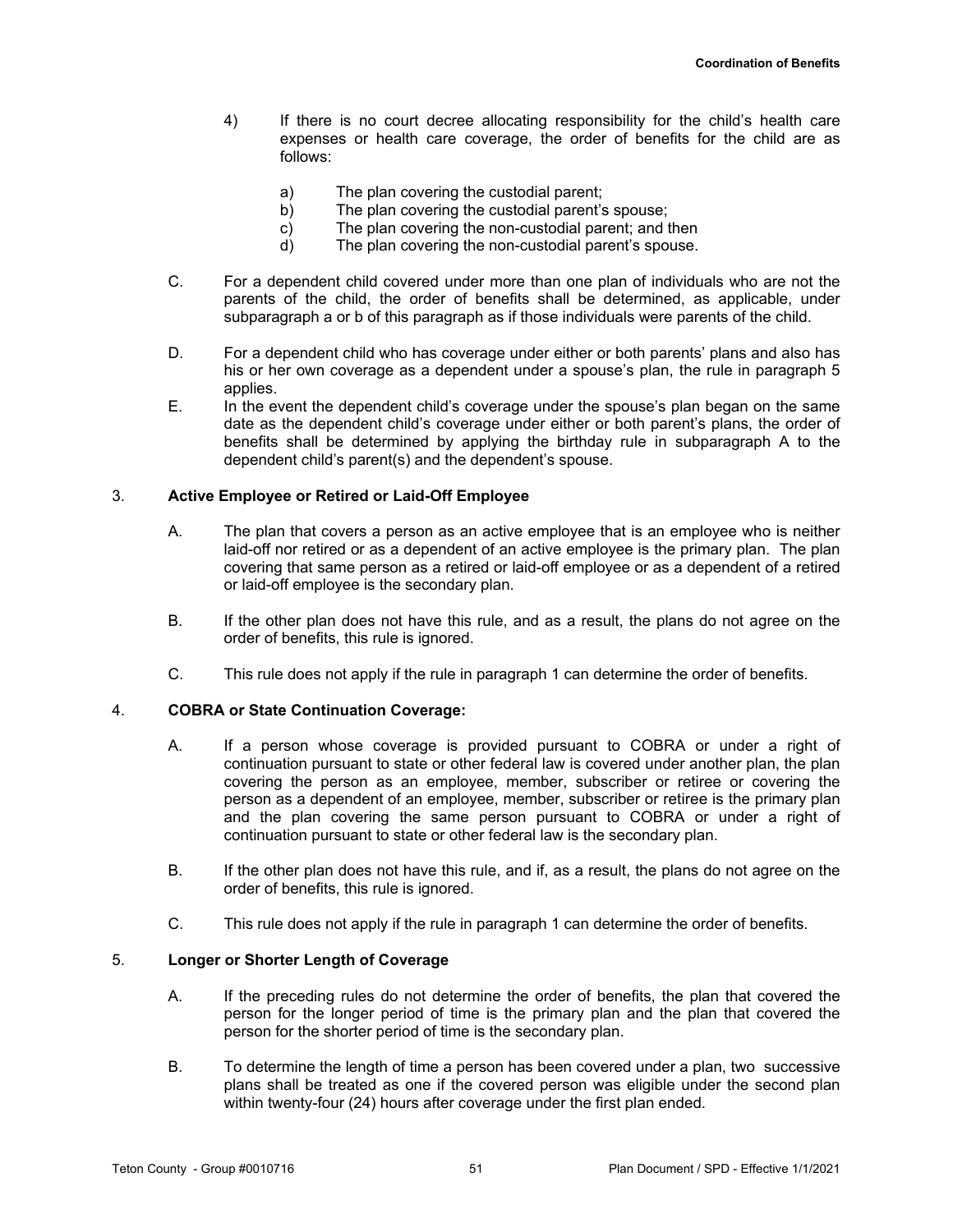- 4) If there is no court decree allocating responsibility for the child's health care expenses or health care coverage, the order of benefits for the child are as follows:
	- a) The plan covering the custodial parent;
	- b) The plan covering the custodial parent's spouse;
	- c) The plan covering the non-custodial parent; and then
	- d) The plan covering the non-custodial parent's spouse.
- C. For a dependent child covered under more than one plan of individuals who are not the parents of the child, the order of benefits shall be determined, as applicable, under subparagraph a or b of this paragraph as if those individuals were parents of the child.
- D. For a dependent child who has coverage under either or both parents' plans and also has his or her own coverage as a dependent under a spouse's plan, the rule in paragraph 5 applies.
- E. In the event the dependent child's coverage under the spouse's plan began on the same date as the dependent child's coverage under either or both parent's plans, the order of benefits shall be determined by applying the birthday rule in subparagraph A to the dependent child's parent(s) and the dependent's spouse.

# 3. **Active Employee or Retired or Laid-Off Employee**

- A. The plan that covers a person as an active employee that is an employee who is neither laid-off nor retired or as a dependent of an active employee is the primary plan. The plan covering that same person as a retired or laid-off employee or as a dependent of a retired or laid-off employee is the secondary plan.
- B. If the other plan does not have this rule, and as a result, the plans do not agree on the order of benefits, this rule is ignored.
- C. This rule does not apply if the rule in paragraph 1 can determine the order of benefits.

# 4. **COBRA or State Continuation Coverage:**

- A. If a person whose coverage is provided pursuant to COBRA or under a right of continuation pursuant to state or other federal law is covered under another plan, the plan covering the person as an employee, member, subscriber or retiree or covering the person as a dependent of an employee, member, subscriber or retiree is the primary plan and the plan covering the same person pursuant to COBRA or under a right of continuation pursuant to state or other federal law is the secondary plan.
- B. If the other plan does not have this rule, and if, as a result, the plans do not agree on the order of benefits, this rule is ignored.
- C. This rule does not apply if the rule in paragraph 1 can determine the order of benefits.

# 5. **Longer or Shorter Length of Coverage**

- A. If the preceding rules do not determine the order of benefits, the plan that covered the person for the longer period of time is the primary plan and the plan that covered the person for the shorter period of time is the secondary plan.
- B. To determine the length of time a person has been covered under a plan, two successive plans shall be treated as one if the covered person was eligible under the second plan within twenty-four (24) hours after coverage under the first plan ended.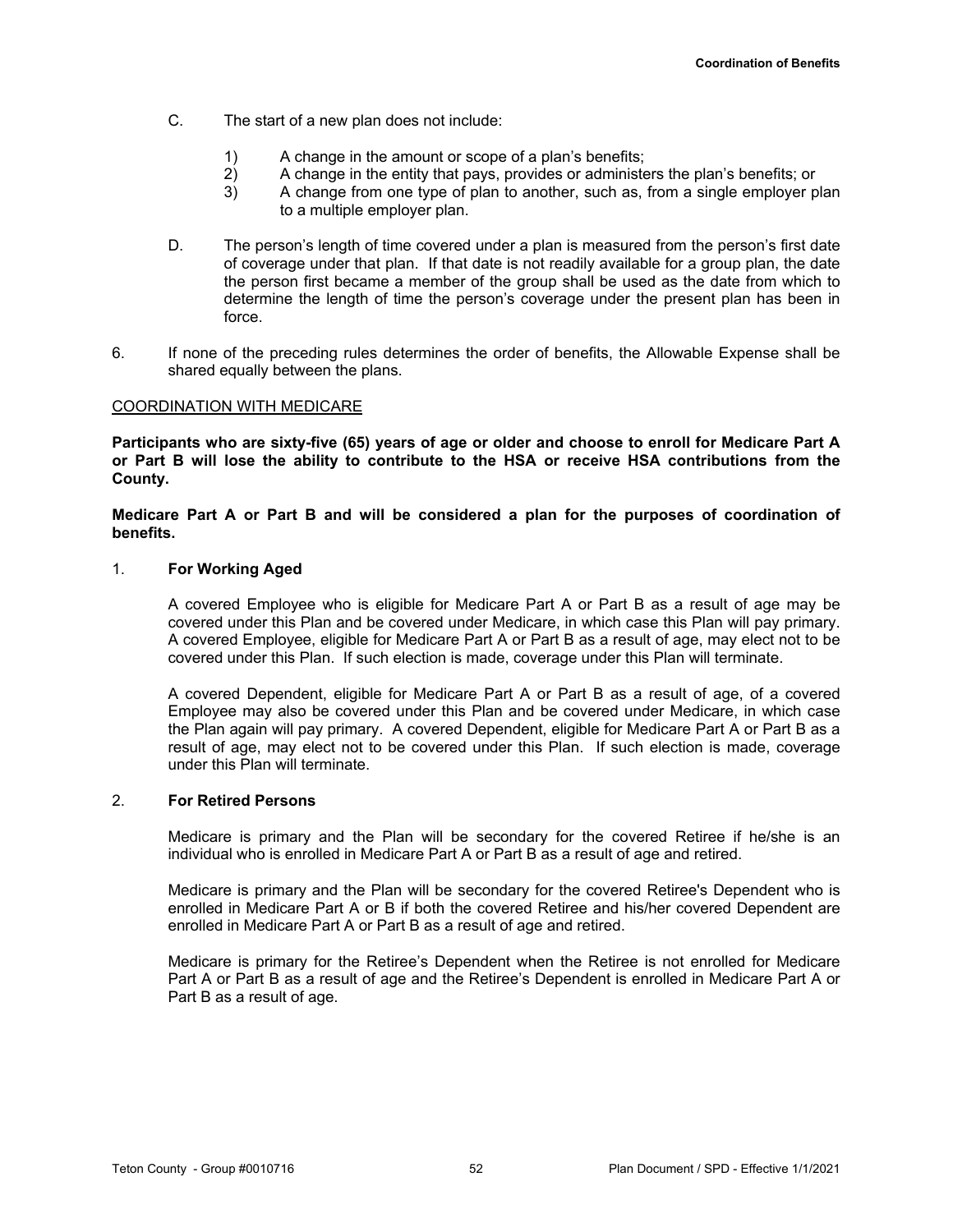- C. The start of a new plan does not include:
	- 1) A change in the amount or scope of a plan's benefits;
	- 2) A change in the entity that pays, provides or administers the plan's benefits; or
	- 3) A change from one type of plan to another, such as, from a single employer plan to a multiple employer plan.
- D. The person's length of time covered under a plan is measured from the person's first date of coverage under that plan. If that date is not readily available for a group plan, the date the person first became a member of the group shall be used as the date from which to determine the length of time the person's coverage under the present plan has been in force.
- 6. If none of the preceding rules determines the order of benefits, the Allowable Expense shall be shared equally between the plans.

# COORDINATION WITH MEDICARE

**Participants who are sixty-five (65) years of age or older and choose to enroll for Medicare Part A or Part B will lose the ability to contribute to the HSA or receive HSA contributions from the County.**

**Medicare Part A or Part B and will be considered a plan for the purposes of coordination of benefits.** 

### 1. **For Working Aged**

A covered Employee who is eligible for Medicare Part A or Part B as a result of age may be covered under this Plan and be covered under Medicare, in which case this Plan will pay primary. A covered Employee, eligible for Medicare Part A or Part B as a result of age, may elect not to be covered under this Plan. If such election is made, coverage under this Plan will terminate.

A covered Dependent, eligible for Medicare Part A or Part B as a result of age, of a covered Employee may also be covered under this Plan and be covered under Medicare, in which case the Plan again will pay primary. A covered Dependent, eligible for Medicare Part A or Part B as a result of age, may elect not to be covered under this Plan. If such election is made, coverage under this Plan will terminate.

# 2. **For Retired Persons**

Medicare is primary and the Plan will be secondary for the covered Retiree if he/she is an individual who is enrolled in Medicare Part A or Part B as a result of age and retired.

Medicare is primary and the Plan will be secondary for the covered Retiree's Dependent who is enrolled in Medicare Part A or B if both the covered Retiree and his/her covered Dependent are enrolled in Medicare Part A or Part B as a result of age and retired.

Medicare is primary for the Retiree's Dependent when the Retiree is not enrolled for Medicare Part A or Part B as a result of age and the Retiree's Dependent is enrolled in Medicare Part A or Part B as a result of age.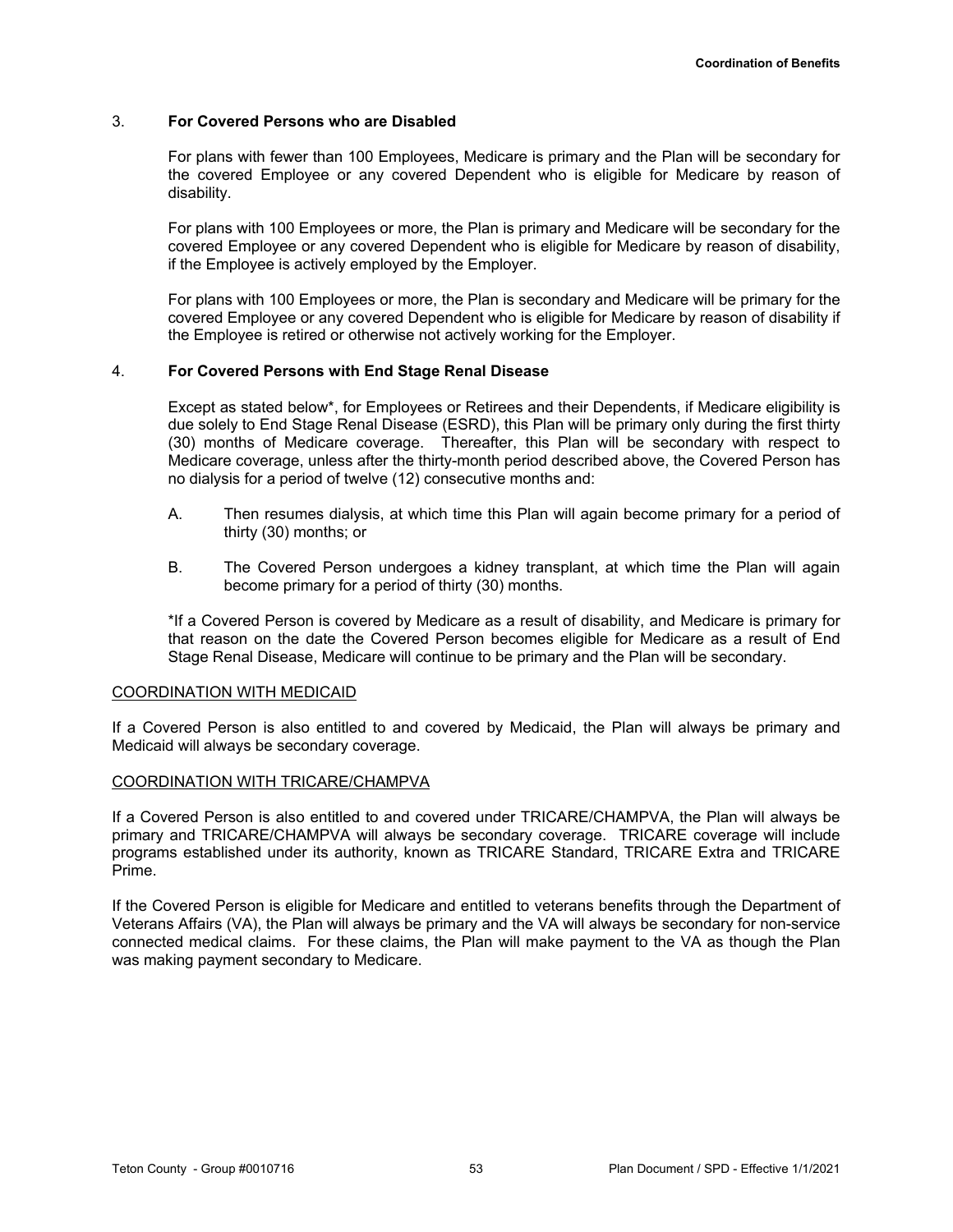# 3. **For Covered Persons who are Disabled**

For plans with fewer than 100 Employees, Medicare is primary and the Plan will be secondary for the covered Employee or any covered Dependent who is eligible for Medicare by reason of disability.

For plans with 100 Employees or more, the Plan is primary and Medicare will be secondary for the covered Employee or any covered Dependent who is eligible for Medicare by reason of disability, if the Employee is actively employed by the Employer.

For plans with 100 Employees or more, the Plan is secondary and Medicare will be primary for the covered Employee or any covered Dependent who is eligible for Medicare by reason of disability if the Employee is retired or otherwise not actively working for the Employer.

### 4. **For Covered Persons with End Stage Renal Disease**

Except as stated below\*, for Employees or Retirees and their Dependents, if Medicare eligibility is due solely to End Stage Renal Disease (ESRD), this Plan will be primary only during the first thirty (30) months of Medicare coverage. Thereafter, this Plan will be secondary with respect to Medicare coverage, unless after the thirty-month period described above, the Covered Person has no dialysis for a period of twelve (12) consecutive months and:

- A. Then resumes dialysis, at which time this Plan will again become primary for a period of thirty (30) months; or
- B. The Covered Person undergoes a kidney transplant, at which time the Plan will again become primary for a period of thirty (30) months.

\*If a Covered Person is covered by Medicare as a result of disability, and Medicare is primary for that reason on the date the Covered Person becomes eligible for Medicare as a result of End Stage Renal Disease, Medicare will continue to be primary and the Plan will be secondary.

## COORDINATION WITH MEDICAID

If a Covered Person is also entitled to and covered by Medicaid, the Plan will always be primary and Medicaid will always be secondary coverage.

#### COORDINATION WITH TRICARE/CHAMPVA

If a Covered Person is also entitled to and covered under TRICARE/CHAMPVA, the Plan will always be primary and TRICARE/CHAMPVA will always be secondary coverage. TRICARE coverage will include programs established under its authority, known as TRICARE Standard, TRICARE Extra and TRICARE Prime.

If the Covered Person is eligible for Medicare and entitled to veterans benefits through the Department of Veterans Affairs (VA), the Plan will always be primary and the VA will always be secondary for non-service connected medical claims. For these claims, the Plan will make payment to the VA as though the Plan was making payment secondary to Medicare.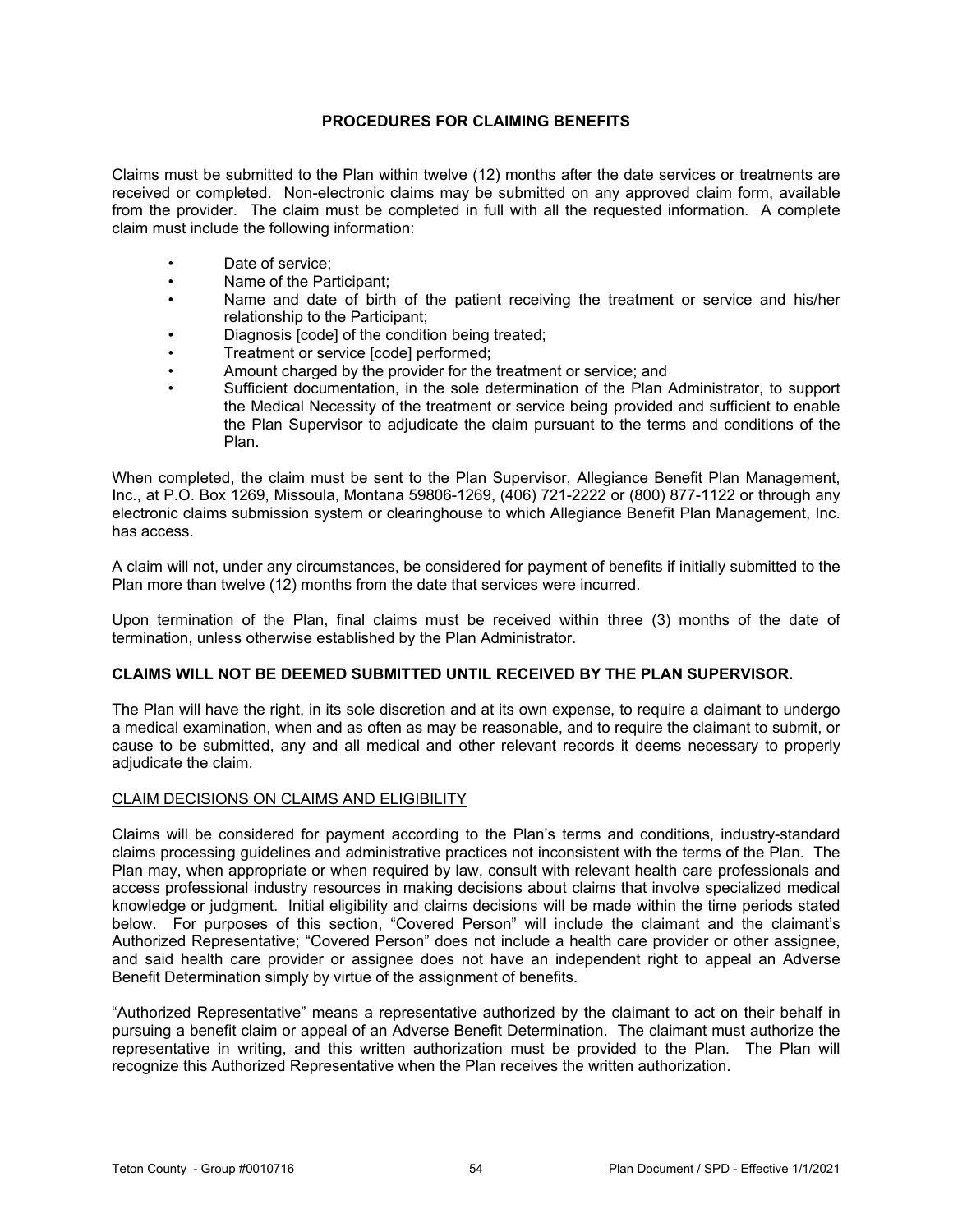# **PROCEDURES FOR CLAIMING BENEFITS**

Claims must be submitted to the Plan within twelve (12) months after the date services or treatments are received or completed. Non-electronic claims may be submitted on any approved claim form, available from the provider. The claim must be completed in full with all the requested information. A complete claim must include the following information:

- Date of service;
- Name of the Participant;
- Name and date of birth of the patient receiving the treatment or service and his/her relationship to the Participant;
- Diagnosis [code] of the condition being treated;
- Treatment or service [code] performed;
- Amount charged by the provider for the treatment or service; and
- Sufficient documentation, in the sole determination of the Plan Administrator, to support the Medical Necessity of the treatment or service being provided and sufficient to enable the Plan Supervisor to adjudicate the claim pursuant to the terms and conditions of the Plan.

When completed, the claim must be sent to the Plan Supervisor, Allegiance Benefit Plan Management, Inc., at P.O. Box 1269, Missoula, Montana 59806-1269, (406) 721-2222 or (800) 877-1122 or through any electronic claims submission system or clearinghouse to which Allegiance Benefit Plan Management, Inc. has access.

A claim will not, under any circumstances, be considered for payment of benefits if initially submitted to the Plan more than twelve (12) months from the date that services were incurred.

Upon termination of the Plan, final claims must be received within three (3) months of the date of termination, unless otherwise established by the Plan Administrator.

# **CLAIMS WILL NOT BE DEEMED SUBMITTED UNTIL RECEIVED BY THE PLAN SUPERVISOR.**

The Plan will have the right, in its sole discretion and at its own expense, to require a claimant to undergo a medical examination, when and as often as may be reasonable, and to require the claimant to submit, or cause to be submitted, any and all medical and other relevant records it deems necessary to properly adjudicate the claim.

# CLAIM DECISIONS ON CLAIMS AND ELIGIBILITY

Claims will be considered for payment according to the Plan's terms and conditions, industry-standard claims processing guidelines and administrative practices not inconsistent with the terms of the Plan. The Plan may, when appropriate or when required by law, consult with relevant health care professionals and access professional industry resources in making decisions about claims that involve specialized medical knowledge or judgment. Initial eligibility and claims decisions will be made within the time periods stated below. For purposes of this section, "Covered Person" will include the claimant and the claimant's Authorized Representative; "Covered Person" does not include a health care provider or other assignee, and said health care provider or assignee does not have an independent right to appeal an Adverse Benefit Determination simply by virtue of the assignment of benefits.

"Authorized Representative" means a representative authorized by the claimant to act on their behalf in pursuing a benefit claim or appeal of an Adverse Benefit Determination. The claimant must authorize the representative in writing, and this written authorization must be provided to the Plan. The Plan will recognize this Authorized Representative when the Plan receives the written authorization.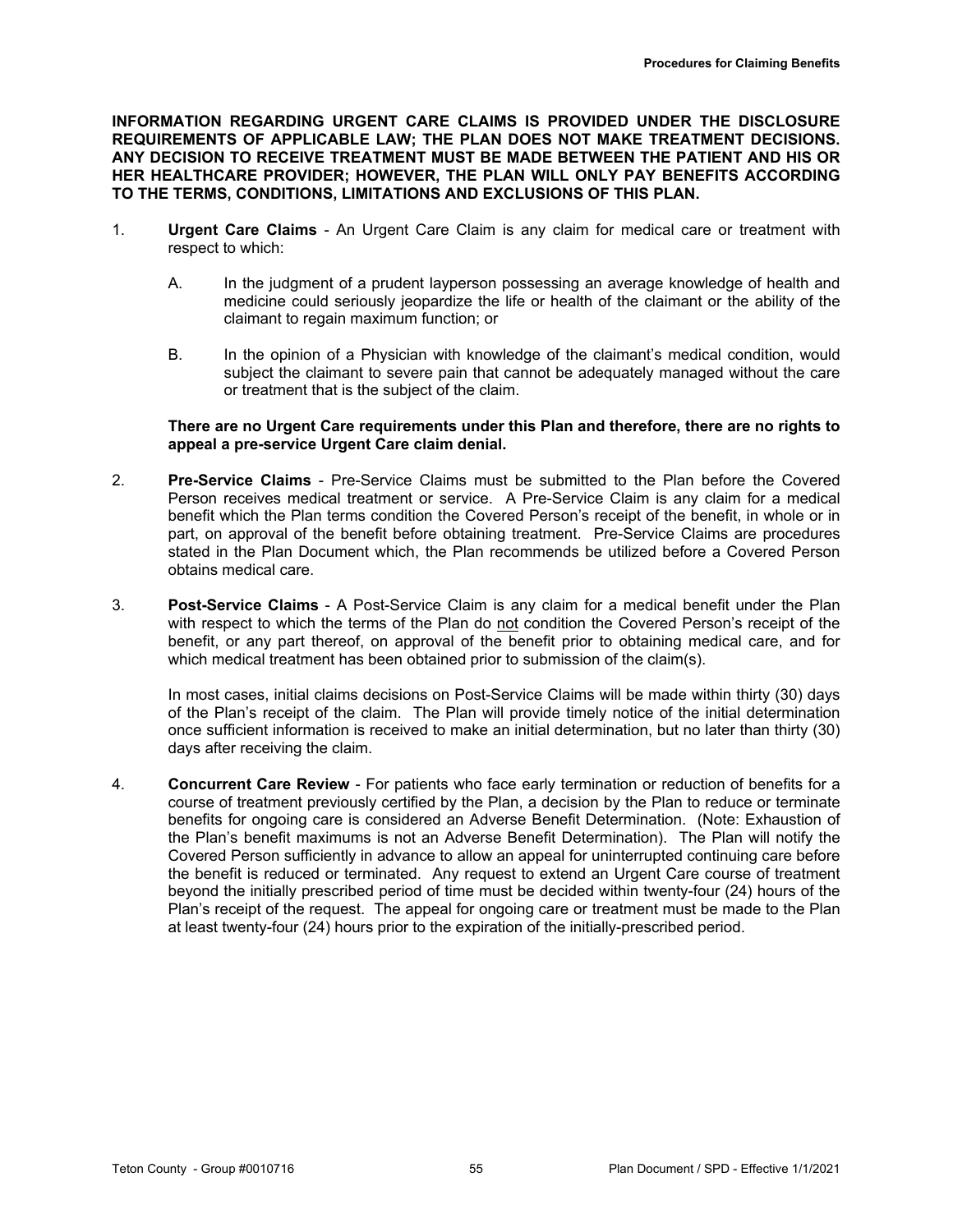**INFORMATION REGARDING URGENT CARE CLAIMS IS PROVIDED UNDER THE DISCLOSURE REQUIREMENTS OF APPLICABLE LAW; THE PLAN DOES NOT MAKE TREATMENT DECISIONS. ANY DECISION TO RECEIVE TREATMENT MUST BE MADE BETWEEN THE PATIENT AND HIS OR HER HEALTHCARE PROVIDER; HOWEVER, THE PLAN WILL ONLY PAY BENEFITS ACCORDING TO THE TERMS, CONDITIONS, LIMITATIONS AND EXCLUSIONS OF THIS PLAN.**

- 1. **Urgent Care Claims** An Urgent Care Claim is any claim for medical care or treatment with respect to which:
	- A. In the judgment of a prudent layperson possessing an average knowledge of health and medicine could seriously jeopardize the life or health of the claimant or the ability of the claimant to regain maximum function; or
	- B. In the opinion of a Physician with knowledge of the claimant's medical condition, would subject the claimant to severe pain that cannot be adequately managed without the care or treatment that is the subject of the claim.

## **There are no Urgent Care requirements under this Plan and therefore, there are no rights to appeal a pre-service Urgent Care claim denial.**

- 2. **Pre-Service Claims** Pre-Service Claims must be submitted to the Plan before the Covered Person receives medical treatment or service. A Pre-Service Claim is any claim for a medical benefit which the Plan terms condition the Covered Person's receipt of the benefit, in whole or in part, on approval of the benefit before obtaining treatment. Pre-Service Claims are procedures stated in the Plan Document which, the Plan recommends be utilized before a Covered Person obtains medical care.
- 3. **Post-Service Claims** A Post-Service Claim is any claim for a medical benefit under the Plan with respect to which the terms of the Plan do not condition the Covered Person's receipt of the benefit, or any part thereof, on approval of the benefit prior to obtaining medical care, and for which medical treatment has been obtained prior to submission of the claim(s).

In most cases, initial claims decisions on Post-Service Claims will be made within thirty (30) days of the Plan's receipt of the claim. The Plan will provide timely notice of the initial determination once sufficient information is received to make an initial determination, but no later than thirty (30) days after receiving the claim.

4. **Concurrent Care Review** - For patients who face early termination or reduction of benefits for a course of treatment previously certified by the Plan, a decision by the Plan to reduce or terminate benefits for ongoing care is considered an Adverse Benefit Determination. (Note: Exhaustion of the Plan's benefit maximums is not an Adverse Benefit Determination). The Plan will notify the Covered Person sufficiently in advance to allow an appeal for uninterrupted continuing care before the benefit is reduced or terminated. Any request to extend an Urgent Care course of treatment beyond the initially prescribed period of time must be decided within twenty-four (24) hours of the Plan's receipt of the request. The appeal for ongoing care or treatment must be made to the Plan at least twenty-four (24) hours prior to the expiration of the initially-prescribed period.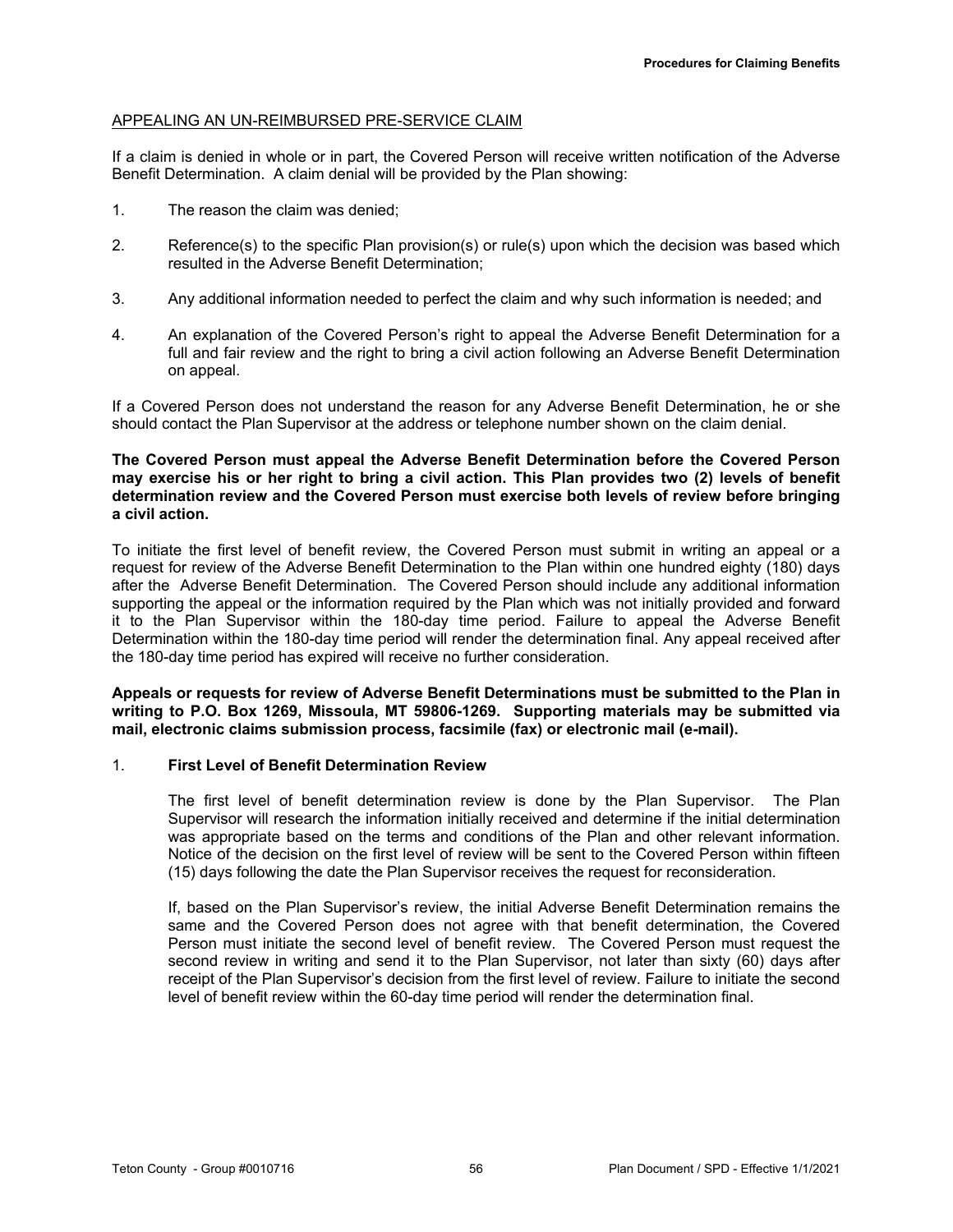# APPEALING AN UN-REIMBURSED PRE-SERVICE CLAIM

If a claim is denied in whole or in part, the Covered Person will receive written notification of the Adverse Benefit Determination. A claim denial will be provided by the Plan showing:

- 1. The reason the claim was denied;
- 2. Reference(s) to the specific Plan provision(s) or rule(s) upon which the decision was based which resulted in the Adverse Benefit Determination;
- 3. Any additional information needed to perfect the claim and why such information is needed; and
- 4. An explanation of the Covered Person's right to appeal the Adverse Benefit Determination for a full and fair review and the right to bring a civil action following an Adverse Benefit Determination on appeal.

If a Covered Person does not understand the reason for any Adverse Benefit Determination, he or she should contact the Plan Supervisor at the address or telephone number shown on the claim denial.

# **The Covered Person must appeal the Adverse Benefit Determination before the Covered Person may exercise his or her right to bring a civil action. This Plan provides two (2) levels of benefit determination review and the Covered Person must exercise both levels of review before bringing a civil action.**

To initiate the first level of benefit review, the Covered Person must submit in writing an appeal or a request for review of the Adverse Benefit Determination to the Plan within one hundred eighty (180) days after the Adverse Benefit Determination. The Covered Person should include any additional information supporting the appeal or the information required by the Plan which was not initially provided and forward it to the Plan Supervisor within the 180-day time period. Failure to appeal the Adverse Benefit Determination within the 180-day time period will render the determination final. Any appeal received after the 180-day time period has expired will receive no further consideration.

**Appeals or requests for review of Adverse Benefit Determinations must be submitted to the Plan in writing to P.O. Box 1269, Missoula, MT 59806-1269. Supporting materials may be submitted via mail, electronic claims submission process, facsimile (fax) or electronic mail (e-mail).**

# 1. **First Level of Benefit Determination Review**

The first level of benefit determination review is done by the Plan Supervisor. The Plan Supervisor will research the information initially received and determine if the initial determination was appropriate based on the terms and conditions of the Plan and other relevant information. Notice of the decision on the first level of review will be sent to the Covered Person within fifteen (15) days following the date the Plan Supervisor receives the request for reconsideration.

If, based on the Plan Supervisor's review, the initial Adverse Benefit Determination remains the same and the Covered Person does not agree with that benefit determination, the Covered Person must initiate the second level of benefit review. The Covered Person must request the second review in writing and send it to the Plan Supervisor, not later than sixty (60) days after receipt of the Plan Supervisor's decision from the first level of review. Failure to initiate the second level of benefit review within the 60-day time period will render the determination final.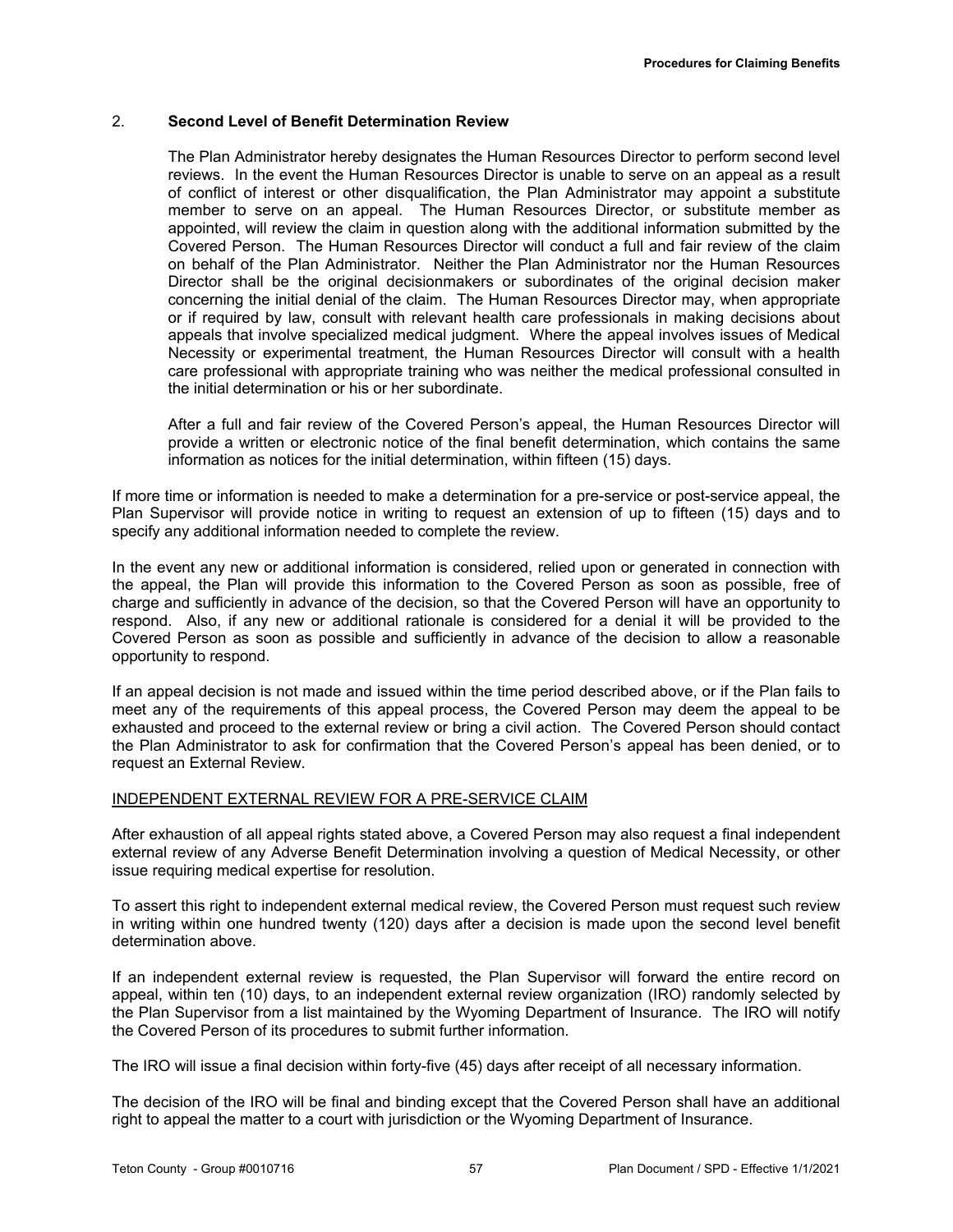# 2. **Second Level of Benefit Determination Review**

The Plan Administrator hereby designates the Human Resources Director to perform second level reviews. In the event the Human Resources Director is unable to serve on an appeal as a result of conflict of interest or other disqualification, the Plan Administrator may appoint a substitute member to serve on an appeal. The Human Resources Director, or substitute member as appointed, will review the claim in question along with the additional information submitted by the Covered Person. The Human Resources Director will conduct a full and fair review of the claim on behalf of the Plan Administrator. Neither the Plan Administrator nor the Human Resources Director shall be the original decisionmakers or subordinates of the original decision maker concerning the initial denial of the claim. The Human Resources Director may, when appropriate or if required by law, consult with relevant health care professionals in making decisions about appeals that involve specialized medical judgment. Where the appeal involves issues of Medical Necessity or experimental treatment, the Human Resources Director will consult with a health care professional with appropriate training who was neither the medical professional consulted in the initial determination or his or her subordinate.

After a full and fair review of the Covered Person's appeal, the Human Resources Director will provide a written or electronic notice of the final benefit determination, which contains the same information as notices for the initial determination, within fifteen (15) days.

If more time or information is needed to make a determination for a pre-service or post-service appeal, the Plan Supervisor will provide notice in writing to request an extension of up to fifteen (15) days and to specify any additional information needed to complete the review.

In the event any new or additional information is considered, relied upon or generated in connection with the appeal, the Plan will provide this information to the Covered Person as soon as possible, free of charge and sufficiently in advance of the decision, so that the Covered Person will have an opportunity to respond. Also, if any new or additional rationale is considered for a denial it will be provided to the Covered Person as soon as possible and sufficiently in advance of the decision to allow a reasonable opportunity to respond.

If an appeal decision is not made and issued within the time period described above, or if the Plan fails to meet any of the requirements of this appeal process, the Covered Person may deem the appeal to be exhausted and proceed to the external review or bring a civil action. The Covered Person should contact the Plan Administrator to ask for confirmation that the Covered Person's appeal has been denied, or to request an External Review.

# INDEPENDENT EXTERNAL REVIEW FOR A PRE-SERVICE CLAIM

After exhaustion of all appeal rights stated above, a Covered Person may also request a final independent external review of any Adverse Benefit Determination involving a question of Medical Necessity, or other issue requiring medical expertise for resolution.

To assert this right to independent external medical review, the Covered Person must request such review in writing within one hundred twenty (120) days after a decision is made upon the second level benefit determination above.

If an independent external review is requested, the Plan Supervisor will forward the entire record on appeal, within ten (10) days, to an independent external review organization (IRO) randomly selected by the Plan Supervisor from a list maintained by the Wyoming Department of Insurance. The IRO will notify the Covered Person of its procedures to submit further information.

The IRO will issue a final decision within forty-five (45) days after receipt of all necessary information.

The decision of the IRO will be final and binding except that the Covered Person shall have an additional right to appeal the matter to a court with jurisdiction or the Wyoming Department of Insurance.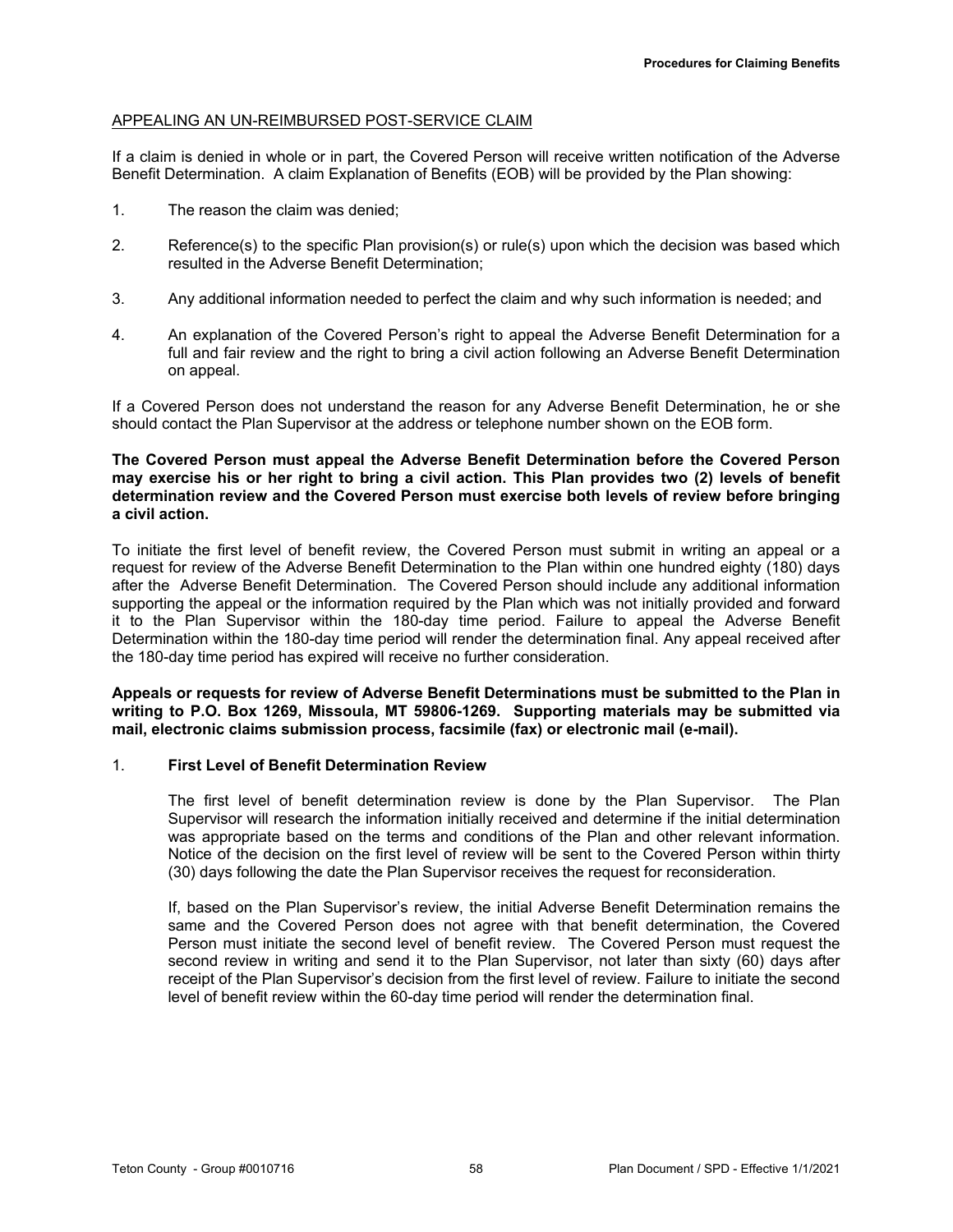# APPEALING AN UN-REIMBURSED POST-SERVICE CLAIM

If a claim is denied in whole or in part, the Covered Person will receive written notification of the Adverse Benefit Determination. A claim Explanation of Benefits (EOB) will be provided by the Plan showing:

- 1. The reason the claim was denied;
- 2. Reference(s) to the specific Plan provision(s) or rule(s) upon which the decision was based which resulted in the Adverse Benefit Determination;
- 3. Any additional information needed to perfect the claim and why such information is needed; and
- 4. An explanation of the Covered Person's right to appeal the Adverse Benefit Determination for a full and fair review and the right to bring a civil action following an Adverse Benefit Determination on appeal.

If a Covered Person does not understand the reason for any Adverse Benefit Determination, he or she should contact the Plan Supervisor at the address or telephone number shown on the EOB form.

# **The Covered Person must appeal the Adverse Benefit Determination before the Covered Person may exercise his or her right to bring a civil action. This Plan provides two (2) levels of benefit determination review and the Covered Person must exercise both levels of review before bringing a civil action.**

To initiate the first level of benefit review, the Covered Person must submit in writing an appeal or a request for review of the Adverse Benefit Determination to the Plan within one hundred eighty (180) days after the Adverse Benefit Determination. The Covered Person should include any additional information supporting the appeal or the information required by the Plan which was not initially provided and forward it to the Plan Supervisor within the 180-day time period. Failure to appeal the Adverse Benefit Determination within the 180-day time period will render the determination final. Any appeal received after the 180-day time period has expired will receive no further consideration.

**Appeals or requests for review of Adverse Benefit Determinations must be submitted to the Plan in writing to P.O. Box 1269, Missoula, MT 59806-1269. Supporting materials may be submitted via mail, electronic claims submission process, facsimile (fax) or electronic mail (e-mail).**

# 1. **First Level of Benefit Determination Review**

The first level of benefit determination review is done by the Plan Supervisor. The Plan Supervisor will research the information initially received and determine if the initial determination was appropriate based on the terms and conditions of the Plan and other relevant information. Notice of the decision on the first level of review will be sent to the Covered Person within thirty (30) days following the date the Plan Supervisor receives the request for reconsideration.

If, based on the Plan Supervisor's review, the initial Adverse Benefit Determination remains the same and the Covered Person does not agree with that benefit determination, the Covered Person must initiate the second level of benefit review. The Covered Person must request the second review in writing and send it to the Plan Supervisor, not later than sixty (60) days after receipt of the Plan Supervisor's decision from the first level of review. Failure to initiate the second level of benefit review within the 60-day time period will render the determination final.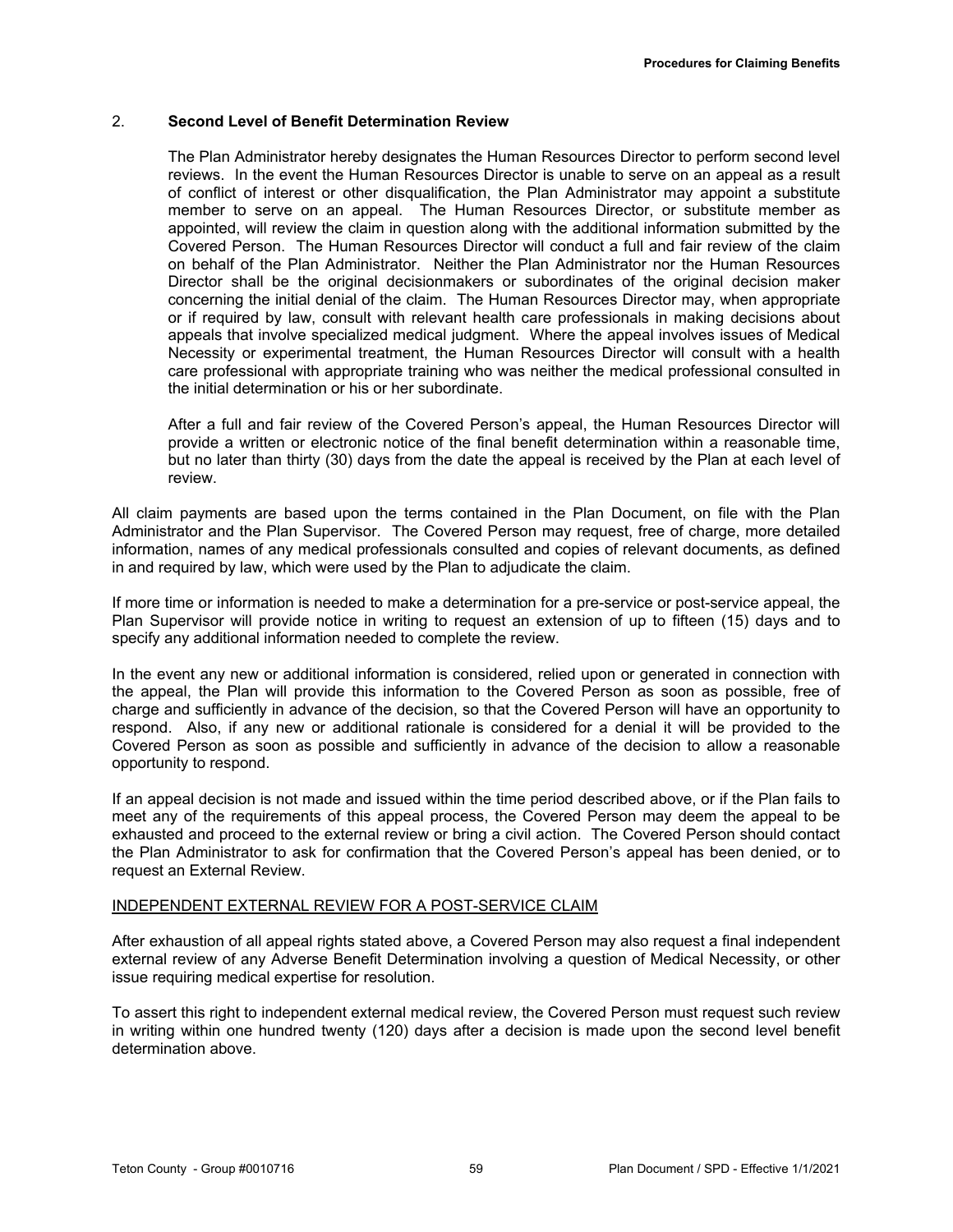# 2. **Second Level of Benefit Determination Review**

The Plan Administrator hereby designates the Human Resources Director to perform second level reviews. In the event the Human Resources Director is unable to serve on an appeal as a result of conflict of interest or other disqualification, the Plan Administrator may appoint a substitute member to serve on an appeal. The Human Resources Director, or substitute member as appointed, will review the claim in question along with the additional information submitted by the Covered Person. The Human Resources Director will conduct a full and fair review of the claim on behalf of the Plan Administrator. Neither the Plan Administrator nor the Human Resources Director shall be the original decisionmakers or subordinates of the original decision maker concerning the initial denial of the claim. The Human Resources Director may, when appropriate or if required by law, consult with relevant health care professionals in making decisions about appeals that involve specialized medical judgment. Where the appeal involves issues of Medical Necessity or experimental treatment, the Human Resources Director will consult with a health care professional with appropriate training who was neither the medical professional consulted in the initial determination or his or her subordinate.

After a full and fair review of the Covered Person's appeal, the Human Resources Director will provide a written or electronic notice of the final benefit determination within a reasonable time, but no later than thirty (30) days from the date the appeal is received by the Plan at each level of review.

All claim payments are based upon the terms contained in the Plan Document, on file with the Plan Administrator and the Plan Supervisor. The Covered Person may request, free of charge, more detailed information, names of any medical professionals consulted and copies of relevant documents, as defined in and required by law, which were used by the Plan to adjudicate the claim.

If more time or information is needed to make a determination for a pre-service or post-service appeal, the Plan Supervisor will provide notice in writing to request an extension of up to fifteen (15) days and to specify any additional information needed to complete the review.

In the event any new or additional information is considered, relied upon or generated in connection with the appeal, the Plan will provide this information to the Covered Person as soon as possible, free of charge and sufficiently in advance of the decision, so that the Covered Person will have an opportunity to respond. Also, if any new or additional rationale is considered for a denial it will be provided to the Covered Person as soon as possible and sufficiently in advance of the decision to allow a reasonable opportunity to respond.

If an appeal decision is not made and issued within the time period described above, or if the Plan fails to meet any of the requirements of this appeal process, the Covered Person may deem the appeal to be exhausted and proceed to the external review or bring a civil action. The Covered Person should contact the Plan Administrator to ask for confirmation that the Covered Person's appeal has been denied, or to request an External Review.

# INDEPENDENT EXTERNAL REVIEW FOR A POST-SERVICE CLAIM

After exhaustion of all appeal rights stated above, a Covered Person may also request a final independent external review of any Adverse Benefit Determination involving a question of Medical Necessity, or other issue requiring medical expertise for resolution.

To assert this right to independent external medical review, the Covered Person must request such review in writing within one hundred twenty (120) days after a decision is made upon the second level benefit determination above.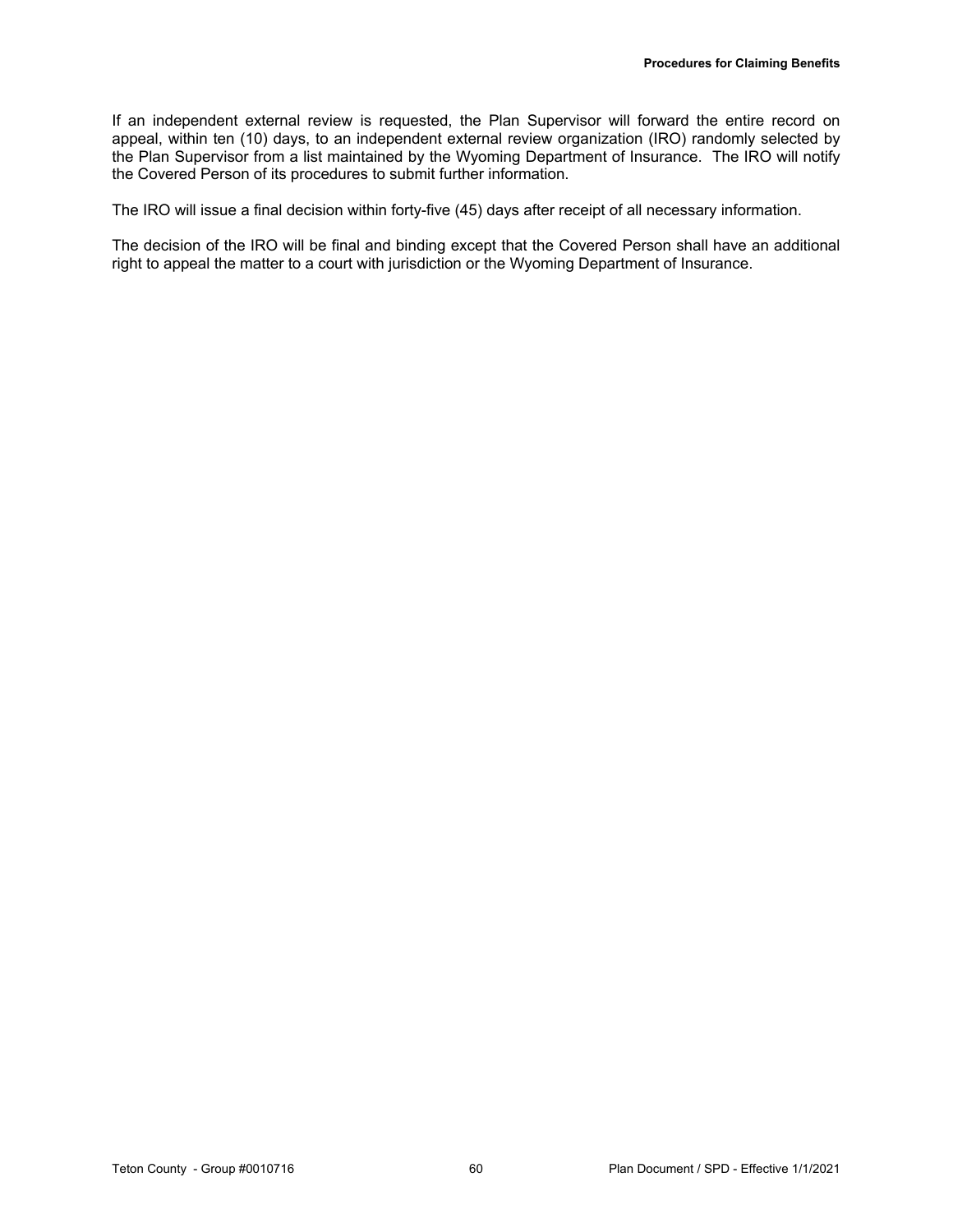If an independent external review is requested, the Plan Supervisor will forward the entire record on appeal, within ten (10) days, to an independent external review organization (IRO) randomly selected by the Plan Supervisor from a list maintained by the Wyoming Department of Insurance. The IRO will notify the Covered Person of its procedures to submit further information.

The IRO will issue a final decision within forty-five (45) days after receipt of all necessary information.

The decision of the IRO will be final and binding except that the Covered Person shall have an additional right to appeal the matter to a court with jurisdiction or the Wyoming Department of Insurance.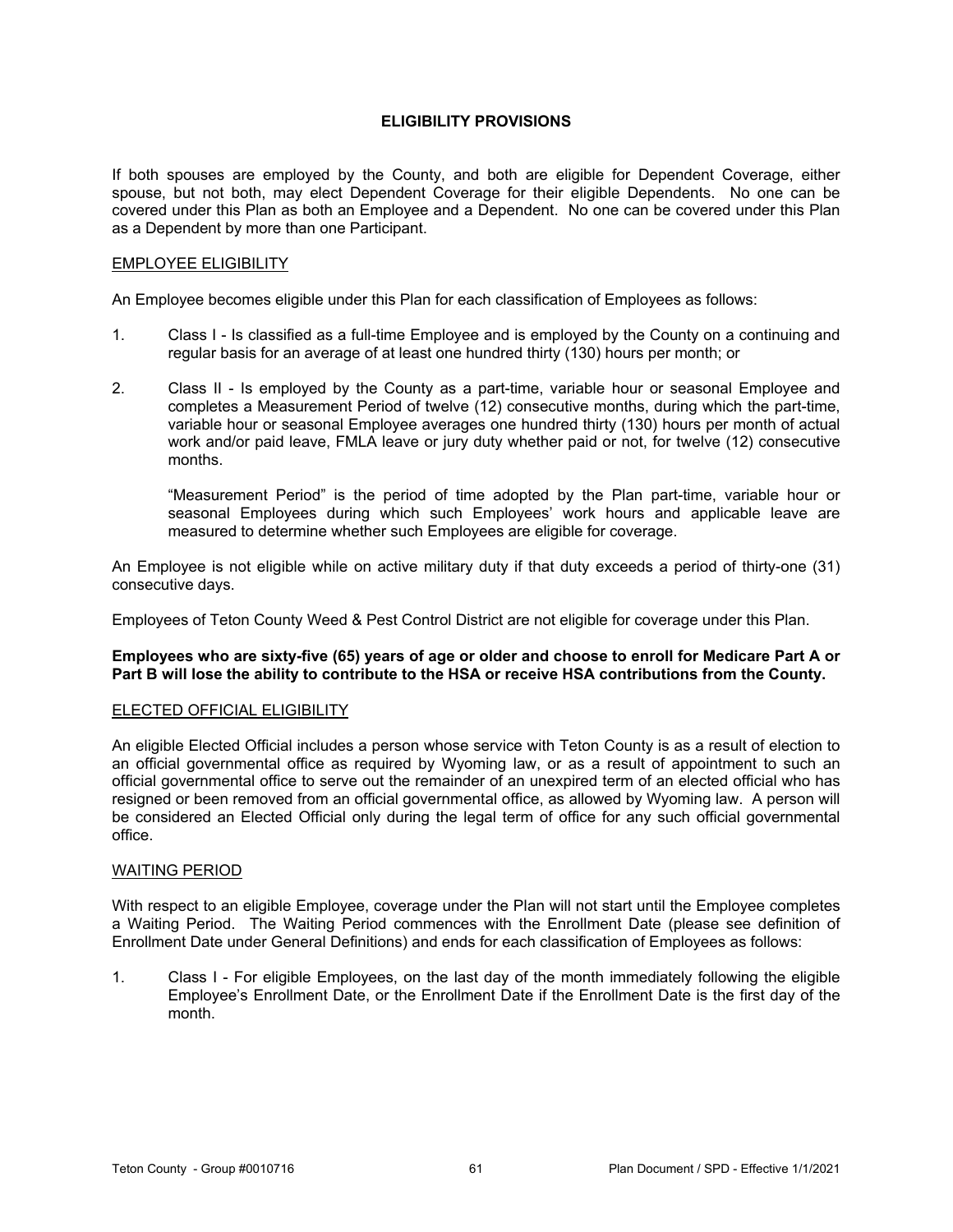# **ELIGIBILITY PROVISIONS**

If both spouses are employed by the County, and both are eligible for Dependent Coverage, either spouse, but not both, may elect Dependent Coverage for their eligible Dependents. No one can be covered under this Plan as both an Employee and a Dependent. No one can be covered under this Plan as a Dependent by more than one Participant.

## EMPLOYEE ELIGIBILITY

An Employee becomes eligible under this Plan for each classification of Employees as follows:

- 1. Class I Is classified as a full-time Employee and is employed by the County on a continuing and regular basis for an average of at least one hundred thirty (130) hours per month; or
- 2. Class II Is employed by the County as a part-time, variable hour or seasonal Employee and completes a Measurement Period of twelve (12) consecutive months, during which the part-time, variable hour or seasonal Employee averages one hundred thirty (130) hours per month of actual work and/or paid leave, FMLA leave or jury duty whether paid or not, for twelve (12) consecutive months.

"Measurement Period" is the period of time adopted by the Plan part-time, variable hour or seasonal Employees during which such Employees' work hours and applicable leave are measured to determine whether such Employees are eligible for coverage.

An Employee is not eligible while on active military duty if that duty exceeds a period of thirty-one (31) consecutive days.

Employees of Teton County Weed & Pest Control District are not eligible for coverage under this Plan.

# **Employees who are sixty-five (65) years of age or older and choose to enroll for Medicare Part A or Part B will lose the ability to contribute to the HSA or receive HSA contributions from the County.**

# ELECTED OFFICIAL ELIGIBILITY

An eligible Elected Official includes a person whose service with Teton County is as a result of election to an official governmental office as required by Wyoming law, or as a result of appointment to such an official governmental office to serve out the remainder of an unexpired term of an elected official who has resigned or been removed from an official governmental office, as allowed by Wyoming law. A person will be considered an Elected Official only during the legal term of office for any such official governmental office.

#### WAITING PERIOD

With respect to an eligible Employee, coverage under the Plan will not start until the Employee completes a Waiting Period. The Waiting Period commences with the Enrollment Date (please see definition of Enrollment Date under General Definitions) and ends for each classification of Employees as follows:

1. Class I - For eligible Employees, on the last day of the month immediately following the eligible Employee's Enrollment Date, or the Enrollment Date if the Enrollment Date is the first day of the month.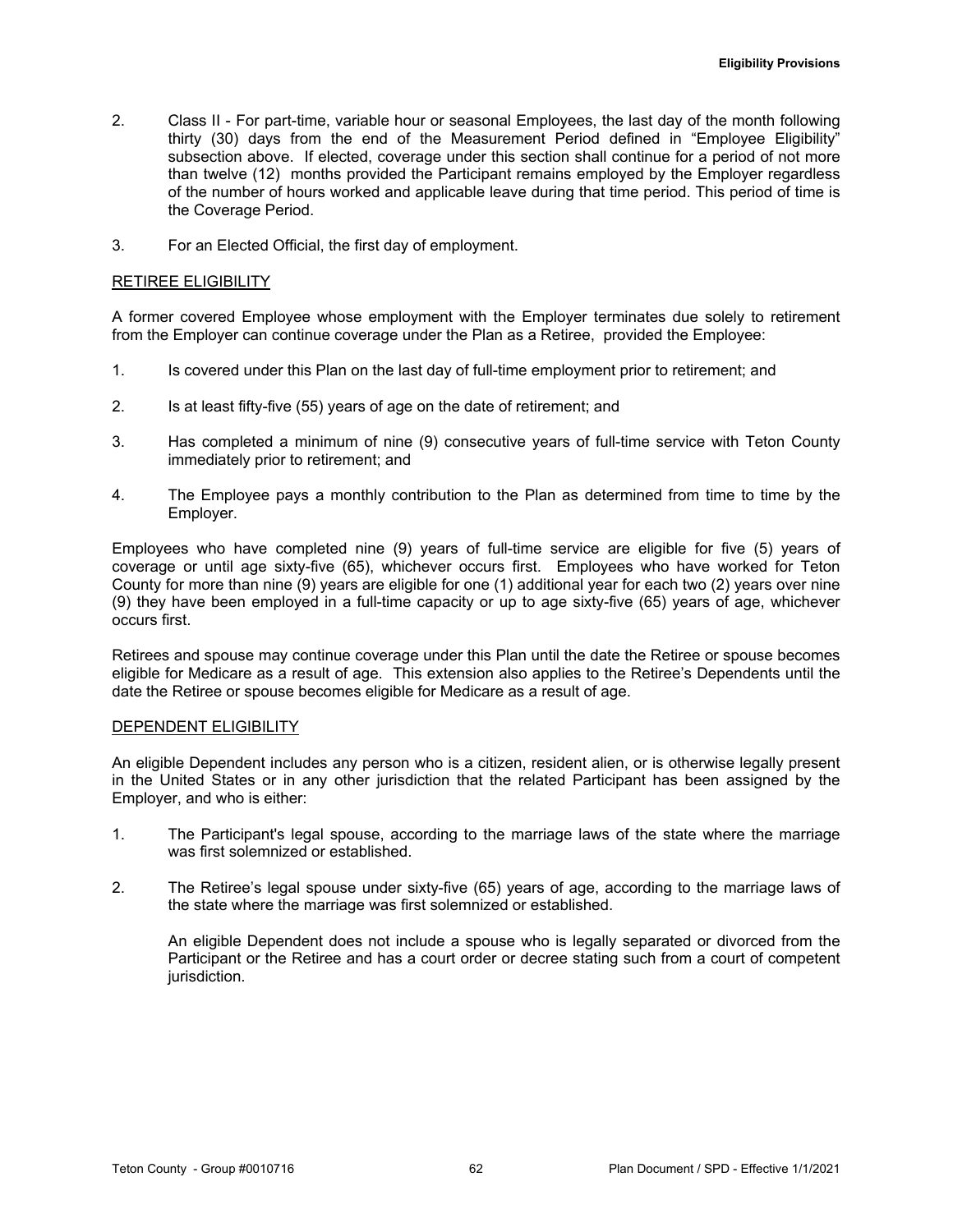- 2. Class II For part-time, variable hour or seasonal Employees, the last day of the month following thirty (30) days from the end of the Measurement Period defined in "Employee Eligibility" subsection above. If elected, coverage under this section shall continue for a period of not more than twelve (12) months provided the Participant remains employed by the Employer regardless of the number of hours worked and applicable leave during that time period. This period of time is the Coverage Period.
- 3. For an Elected Official, the first day of employment.

## RETIREE ELIGIBILITY

A former covered Employee whose employment with the Employer terminates due solely to retirement from the Employer can continue coverage under the Plan as a Retiree, provided the Employee:

- 1. Is covered under this Plan on the last day of full-time employment prior to retirement; and
- 2. Is at least fifty-five (55) years of age on the date of retirement; and
- 3. Has completed a minimum of nine (9) consecutive years of full-time service with Teton County immediately prior to retirement; and
- 4. The Employee pays a monthly contribution to the Plan as determined from time to time by the Employer.

Employees who have completed nine (9) years of full-time service are eligible for five (5) years of coverage or until age sixty-five (65), whichever occurs first. Employees who have worked for Teton County for more than nine (9) years are eligible for one (1) additional year for each two (2) years over nine (9) they have been employed in a full-time capacity or up to age sixty-five (65) years of age, whichever occurs first.

Retirees and spouse may continue coverage under this Plan until the date the Retiree or spouse becomes eligible for Medicare as a result of age. This extension also applies to the Retiree's Dependents until the date the Retiree or spouse becomes eligible for Medicare as a result of age.

#### DEPENDENT ELIGIBILITY

An eligible Dependent includes any person who is a citizen, resident alien, or is otherwise legally present in the United States or in any other jurisdiction that the related Participant has been assigned by the Employer, and who is either:

- 1. The Participant's legal spouse, according to the marriage laws of the state where the marriage was first solemnized or established.
- 2. The Retiree's legal spouse under sixty-five (65) years of age, according to the marriage laws of the state where the marriage was first solemnized or established.

An eligible Dependent does not include a spouse who is legally separated or divorced from the Participant or the Retiree and has a court order or decree stating such from a court of competent jurisdiction.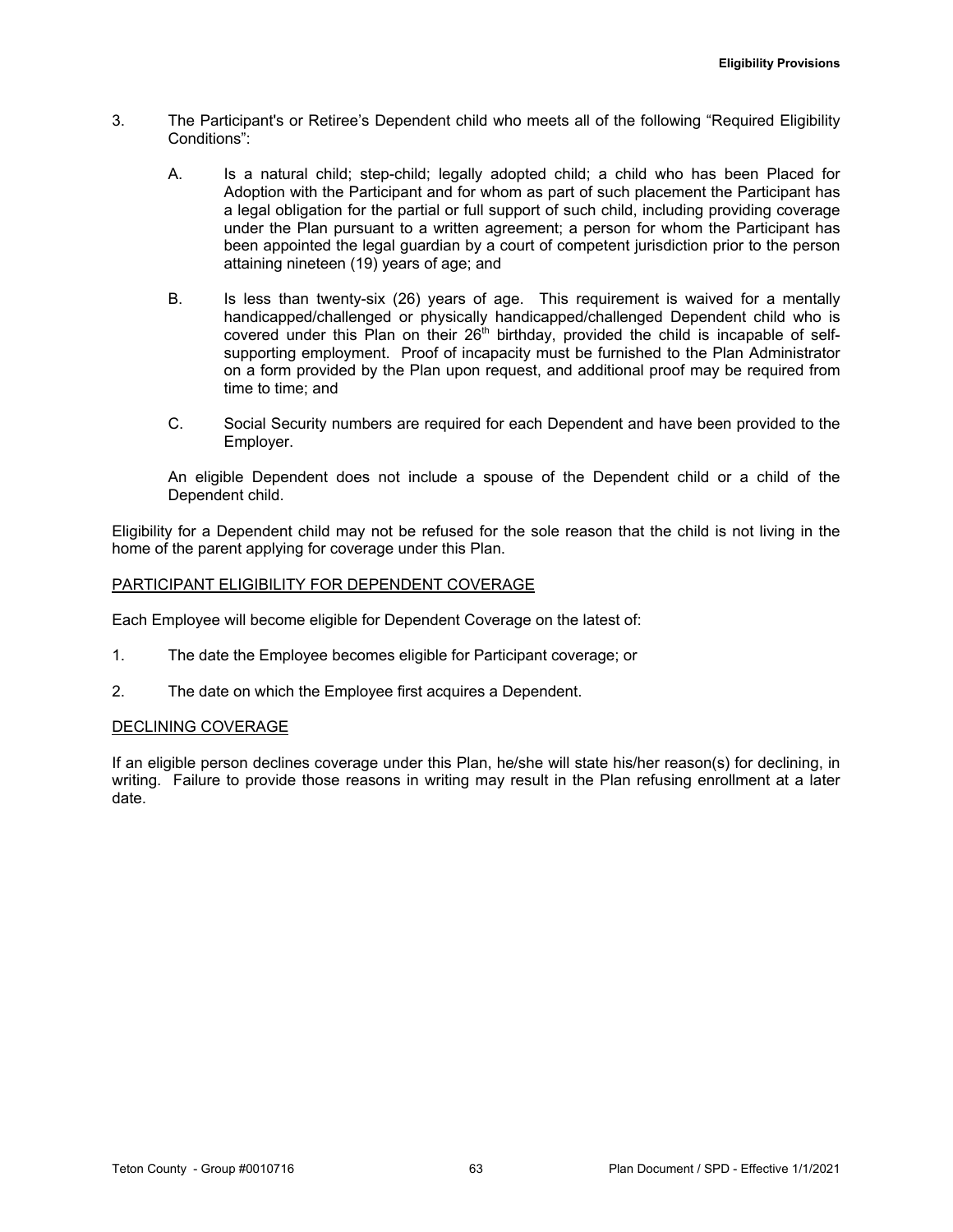- 3. The Participant's or Retiree's Dependent child who meets all of the following "Required Eligibility Conditions":
	- A. Is a natural child; step-child; legally adopted child; a child who has been Placed for Adoption with the Participant and for whom as part of such placement the Participant has a legal obligation for the partial or full support of such child, including providing coverage under the Plan pursuant to a written agreement; a person for whom the Participant has been appointed the legal guardian by a court of competent jurisdiction prior to the person attaining nineteen (19) years of age; and
	- B. Is less than twenty-six (26) years of age. This requirement is waived for a mentally handicapped/challenged or physically handicapped/challenged Dependent child who is covered under this Plan on their  $26<sup>th</sup>$  birthday, provided the child is incapable of selfsupporting employment. Proof of incapacity must be furnished to the Plan Administrator on a form provided by the Plan upon request, and additional proof may be required from time to time; and
	- C. Social Security numbers are required for each Dependent and have been provided to the Employer.

An eligible Dependent does not include a spouse of the Dependent child or a child of the Dependent child.

Eligibility for a Dependent child may not be refused for the sole reason that the child is not living in the home of the parent applying for coverage under this Plan.

# PARTICIPANT ELIGIBILITY FOR DEPENDENT COVERAGE

Each Employee will become eligible for Dependent Coverage on the latest of:

- 1. The date the Employee becomes eligible for Participant coverage; or
- 2. The date on which the Employee first acquires a Dependent.

# DECLINING COVERAGE

If an eligible person declines coverage under this Plan, he/she will state his/her reason(s) for declining, in writing. Failure to provide those reasons in writing may result in the Plan refusing enrollment at a later date.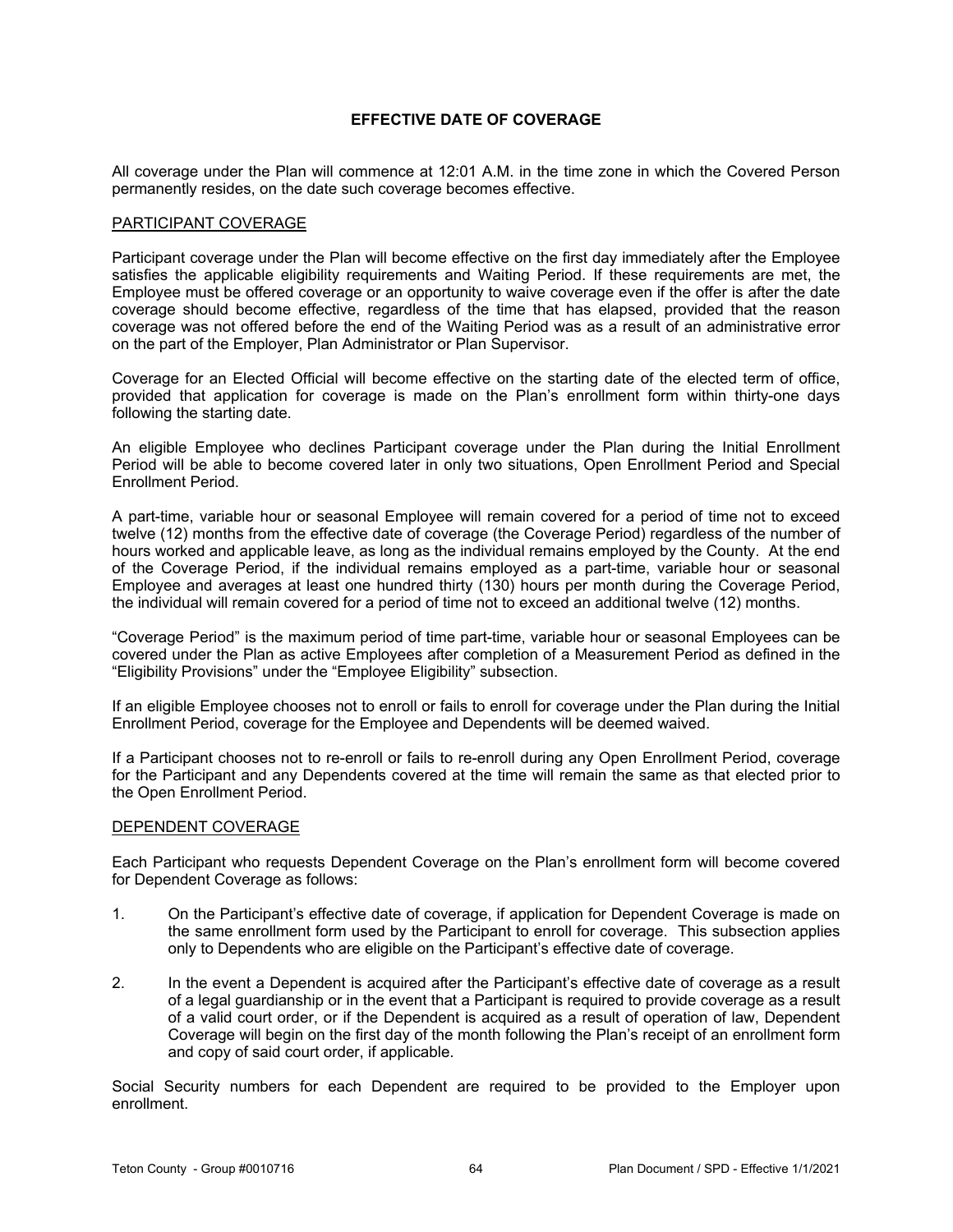# **EFFECTIVE DATE OF COVERAGE**

All coverage under the Plan will commence at 12:01 A.M. in the time zone in which the Covered Person permanently resides, on the date such coverage becomes effective.

# PARTICIPANT COVERAGE

Participant coverage under the Plan will become effective on the first day immediately after the Employee satisfies the applicable eligibility requirements and Waiting Period. If these requirements are met, the Employee must be offered coverage or an opportunity to waive coverage even if the offer is after the date coverage should become effective, regardless of the time that has elapsed, provided that the reason coverage was not offered before the end of the Waiting Period was as a result of an administrative error on the part of the Employer, Plan Administrator or Plan Supervisor.

Coverage for an Elected Official will become effective on the starting date of the elected term of office, provided that application for coverage is made on the Plan's enrollment form within thirty-one days following the starting date.

An eligible Employee who declines Participant coverage under the Plan during the Initial Enrollment Period will be able to become covered later in only two situations, Open Enrollment Period and Special Enrollment Period.

A part-time, variable hour or seasonal Employee will remain covered for a period of time not to exceed twelve (12) months from the effective date of coverage (the Coverage Period) regardless of the number of hours worked and applicable leave, as long as the individual remains employed by the County. At the end of the Coverage Period, if the individual remains employed as a part-time, variable hour or seasonal Employee and averages at least one hundred thirty (130) hours per month during the Coverage Period, the individual will remain covered for a period of time not to exceed an additional twelve (12) months.

"Coverage Period" is the maximum period of time part-time, variable hour or seasonal Employees can be covered under the Plan as active Employees after completion of a Measurement Period as defined in the "Eligibility Provisions" under the "Employee Eligibility" subsection.

If an eligible Employee chooses not to enroll or fails to enroll for coverage under the Plan during the Initial Enrollment Period, coverage for the Employee and Dependents will be deemed waived.

If a Participant chooses not to re-enroll or fails to re-enroll during any Open Enrollment Period, coverage for the Participant and any Dependents covered at the time will remain the same as that elected prior to the Open Enrollment Period.

#### DEPENDENT COVERAGE

Each Participant who requests Dependent Coverage on the Plan's enrollment form will become covered for Dependent Coverage as follows:

- 1. On the Participant's effective date of coverage, if application for Dependent Coverage is made on the same enrollment form used by the Participant to enroll for coverage. This subsection applies only to Dependents who are eligible on the Participant's effective date of coverage.
- 2. In the event a Dependent is acquired after the Participant's effective date of coverage as a result of a legal guardianship or in the event that a Participant is required to provide coverage as a result of a valid court order, or if the Dependent is acquired as a result of operation of law, Dependent Coverage will begin on the first day of the month following the Plan's receipt of an enrollment form and copy of said court order, if applicable.

Social Security numbers for each Dependent are required to be provided to the Employer upon enrollment.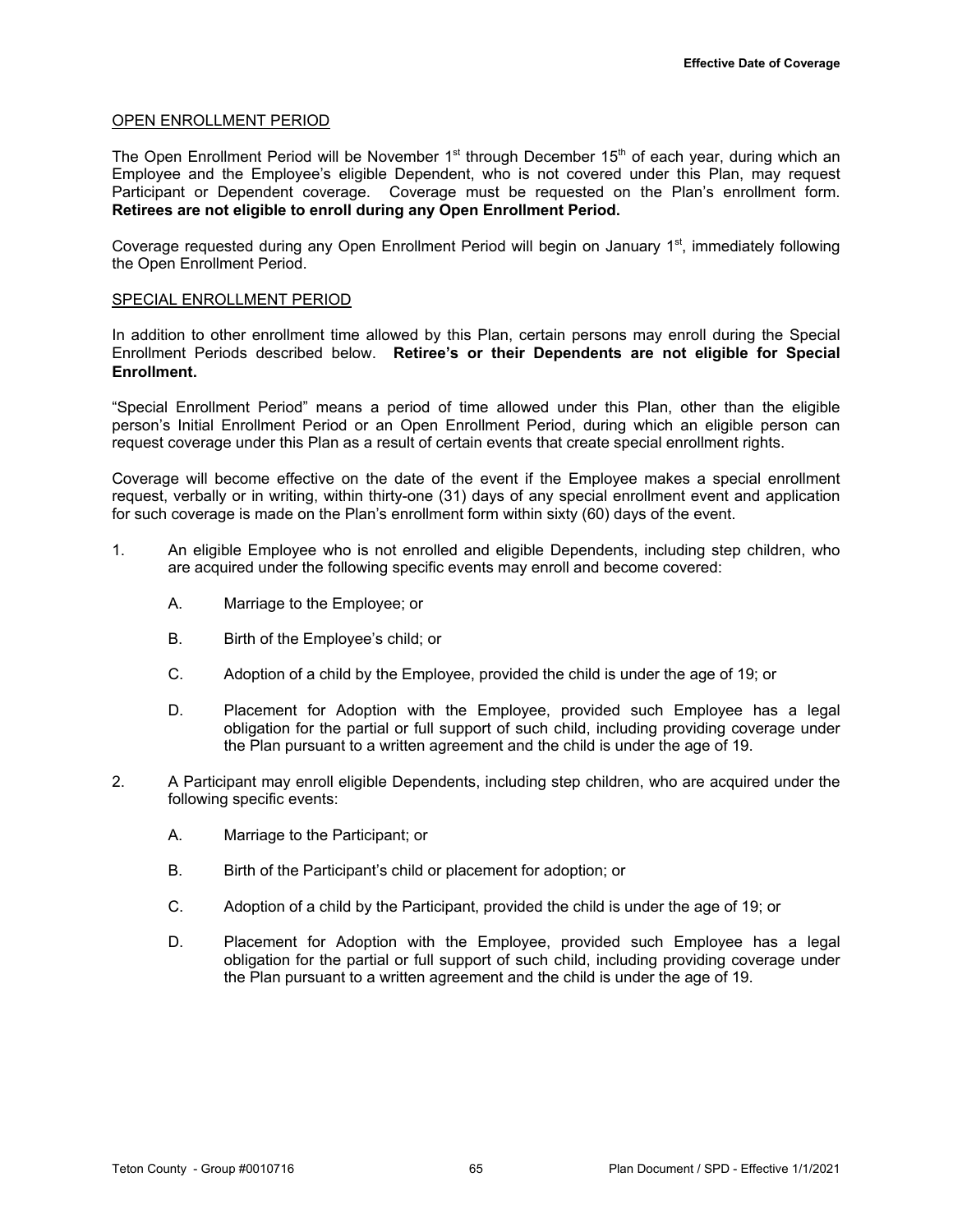# OPEN ENROLLMENT PERIOD

The Open Enrollment Period will be November 1<sup>st</sup> through December 15<sup>th</sup> of each year, during which an Employee and the Employee's eligible Dependent, who is not covered under this Plan, may request Participant or Dependent coverage. Coverage must be requested on the Plan's enrollment form. **Retirees are not eligible to enroll during any Open Enrollment Period.**

Coverage requested during any Open Enrollment Period will begin on January 1<sup>st</sup>, immediately following the Open Enrollment Period.

#### SPECIAL ENROLLMENT PERIOD

In addition to other enrollment time allowed by this Plan, certain persons may enroll during the Special Enrollment Periods described below. **Retiree's or their Dependents are not eligible for Special Enrollment.**

"Special Enrollment Period" means a period of time allowed under this Plan, other than the eligible person's Initial Enrollment Period or an Open Enrollment Period, during which an eligible person can request coverage under this Plan as a result of certain events that create special enrollment rights.

Coverage will become effective on the date of the event if the Employee makes a special enrollment request, verbally or in writing, within thirty-one (31) days of any special enrollment event and application for such coverage is made on the Plan's enrollment form within sixty (60) days of the event.

- 1. An eligible Employee who is not enrolled and eligible Dependents, including step children, who are acquired under the following specific events may enroll and become covered:
	- A. Marriage to the Employee; or
	- B. Birth of the Employee's child; or
	- C. Adoption of a child by the Employee, provided the child is under the age of 19; or
	- D. Placement for Adoption with the Employee, provided such Employee has a legal obligation for the partial or full support of such child, including providing coverage under the Plan pursuant to a written agreement and the child is under the age of 19.
- 2. A Participant may enroll eligible Dependents, including step children, who are acquired under the following specific events:
	- A. Marriage to the Participant; or
	- B. Birth of the Participant's child or placement for adoption; or
	- C. Adoption of a child by the Participant, provided the child is under the age of 19; or
	- D. Placement for Adoption with the Employee, provided such Employee has a legal obligation for the partial or full support of such child, including providing coverage under the Plan pursuant to a written agreement and the child is under the age of 19.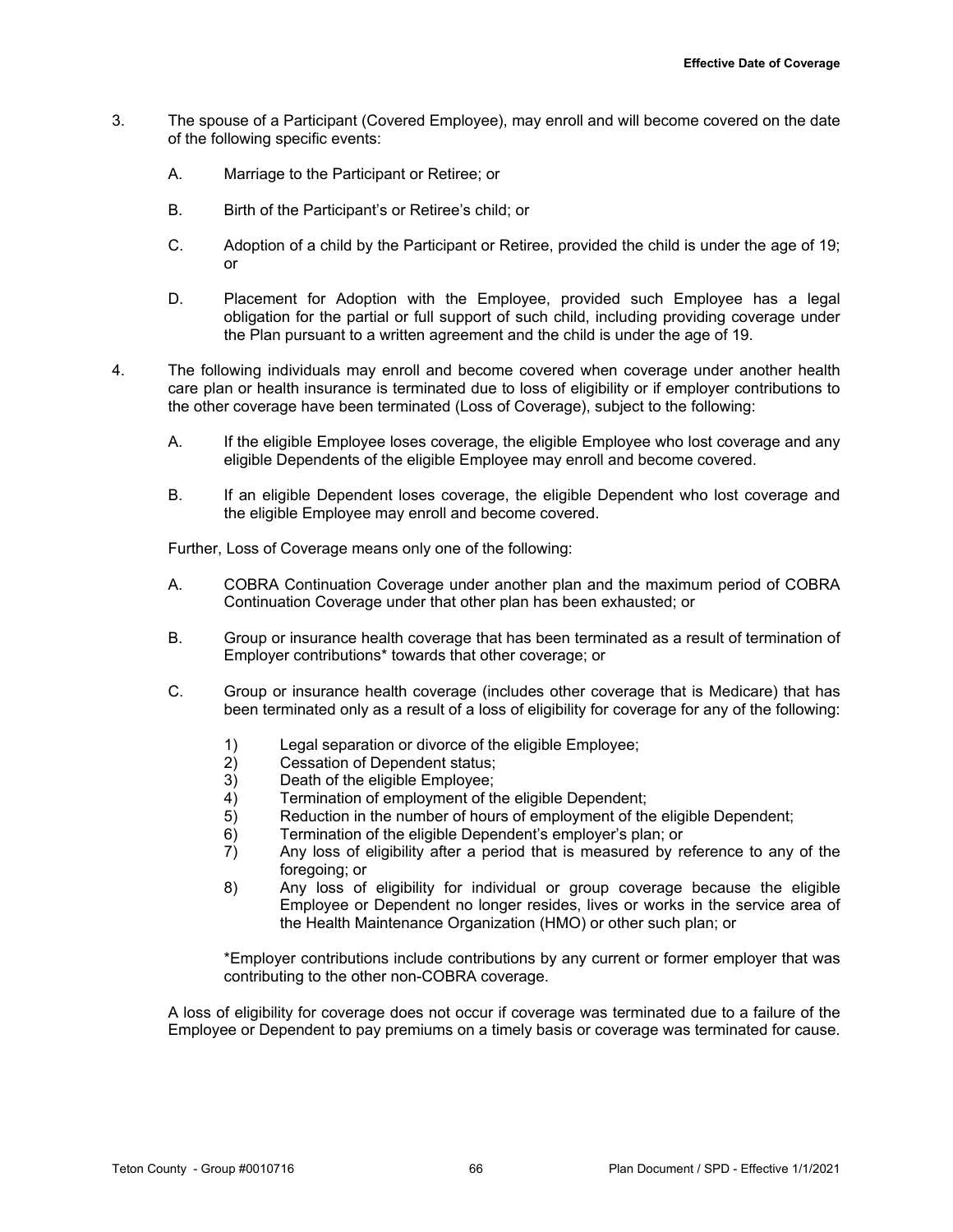- 3. The spouse of a Participant (Covered Employee), may enroll and will become covered on the date of the following specific events:
	- A. Marriage to the Participant or Retiree; or
	- B. Birth of the Participant's or Retiree's child; or
	- C. Adoption of a child by the Participant or Retiree, provided the child is under the age of 19; or
	- D. Placement for Adoption with the Employee, provided such Employee has a legal obligation for the partial or full support of such child, including providing coverage under the Plan pursuant to a written agreement and the child is under the age of 19.
- 4. The following individuals may enroll and become covered when coverage under another health care plan or health insurance is terminated due to loss of eligibility or if employer contributions to the other coverage have been terminated (Loss of Coverage), subject to the following:
	- A. If the eligible Employee loses coverage, the eligible Employee who lost coverage and any eligible Dependents of the eligible Employee may enroll and become covered.
	- B. If an eligible Dependent loses coverage, the eligible Dependent who lost coverage and the eligible Employee may enroll and become covered.

Further, Loss of Coverage means only one of the following:

- A. COBRA Continuation Coverage under another plan and the maximum period of COBRA Continuation Coverage under that other plan has been exhausted; or
- B. Group or insurance health coverage that has been terminated as a result of termination of Employer contributions\* towards that other coverage; or
- C. Group or insurance health coverage (includes other coverage that is Medicare) that has been terminated only as a result of a loss of eligibility for coverage for any of the following:
	- 1) Legal separation or divorce of the eligible Employee;<br>2) Cessation of Dependent status;
	- Cessation of Dependent status;
	- 3) Death of the eligible Employee;
	- 4) Termination of employment of the eligible Dependent;<br>5) Reduction in the number of hours of employment of the
	- Reduction in the number of hours of employment of the eligible Dependent;
	- 6) Termination of the eligible Dependent's employer's plan; or
	- 7) Any loss of eligibility after a period that is measured by reference to any of the foregoing; or
	- 8) Any loss of eligibility for individual or group coverage because the eligible Employee or Dependent no longer resides, lives or works in the service area of the Health Maintenance Organization (HMO) or other such plan; or

\*Employer contributions include contributions by any current or former employer that was contributing to the other non-COBRA coverage.

A loss of eligibility for coverage does not occur if coverage was terminated due to a failure of the Employee or Dependent to pay premiums on a timely basis or coverage was terminated for cause.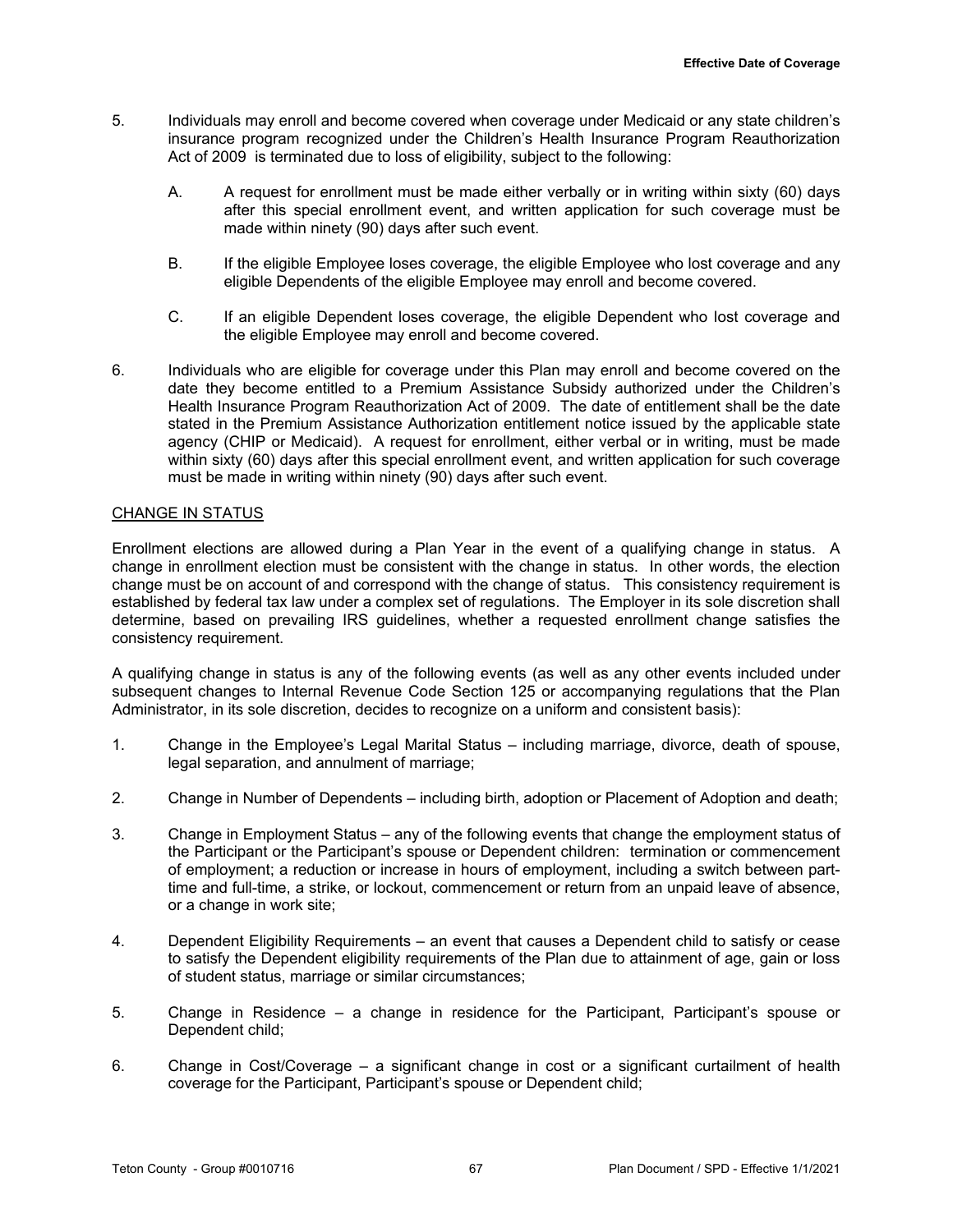- 5. Individuals may enroll and become covered when coverage under Medicaid or any state children's insurance program recognized under the Children's Health Insurance Program Reauthorization Act of 2009 is terminated due to loss of eligibility, subject to the following:
	- A. A request for enrollment must be made either verbally or in writing within sixty (60) days after this special enrollment event, and written application for such coverage must be made within ninety (90) days after such event.
	- B. If the eligible Employee loses coverage, the eligible Employee who lost coverage and any eligible Dependents of the eligible Employee may enroll and become covered.
	- C. If an eligible Dependent loses coverage, the eligible Dependent who lost coverage and the eligible Employee may enroll and become covered.
- 6. Individuals who are eligible for coverage under this Plan may enroll and become covered on the date they become entitled to a Premium Assistance Subsidy authorized under the Children's Health Insurance Program Reauthorization Act of 2009. The date of entitlement shall be the date stated in the Premium Assistance Authorization entitlement notice issued by the applicable state agency (CHIP or Medicaid). A request for enrollment, either verbal or in writing, must be made within sixty (60) days after this special enrollment event, and written application for such coverage must be made in writing within ninety (90) days after such event.

# CHANGE IN STATUS

Enrollment elections are allowed during a Plan Year in the event of a qualifying change in status. A change in enrollment election must be consistent with the change in status. In other words, the election change must be on account of and correspond with the change of status. This consistency requirement is established by federal tax law under a complex set of regulations. The Employer in its sole discretion shall determine, based on prevailing IRS guidelines, whether a requested enrollment change satisfies the consistency requirement.

A qualifying change in status is any of the following events (as well as any other events included under subsequent changes to Internal Revenue Code Section 125 or accompanying regulations that the Plan Administrator, in its sole discretion, decides to recognize on a uniform and consistent basis):

- 1. Change in the Employee's Legal Marital Status including marriage, divorce, death of spouse, legal separation, and annulment of marriage;
- 2. Change in Number of Dependents including birth, adoption or Placement of Adoption and death;
- 3. Change in Employment Status any of the following events that change the employment status of the Participant or the Participant's spouse or Dependent children: termination or commencement of employment; a reduction or increase in hours of employment, including a switch between parttime and full-time, a strike, or lockout, commencement or return from an unpaid leave of absence, or a change in work site;
- 4. Dependent Eligibility Requirements an event that causes a Dependent child to satisfy or cease to satisfy the Dependent eligibility requirements of the Plan due to attainment of age, gain or loss of student status, marriage or similar circumstances;
- 5. Change in Residence a change in residence for the Participant, Participant's spouse or Dependent child;
- 6. Change in Cost/Coverage a significant change in cost or a significant curtailment of health coverage for the Participant, Participant's spouse or Dependent child;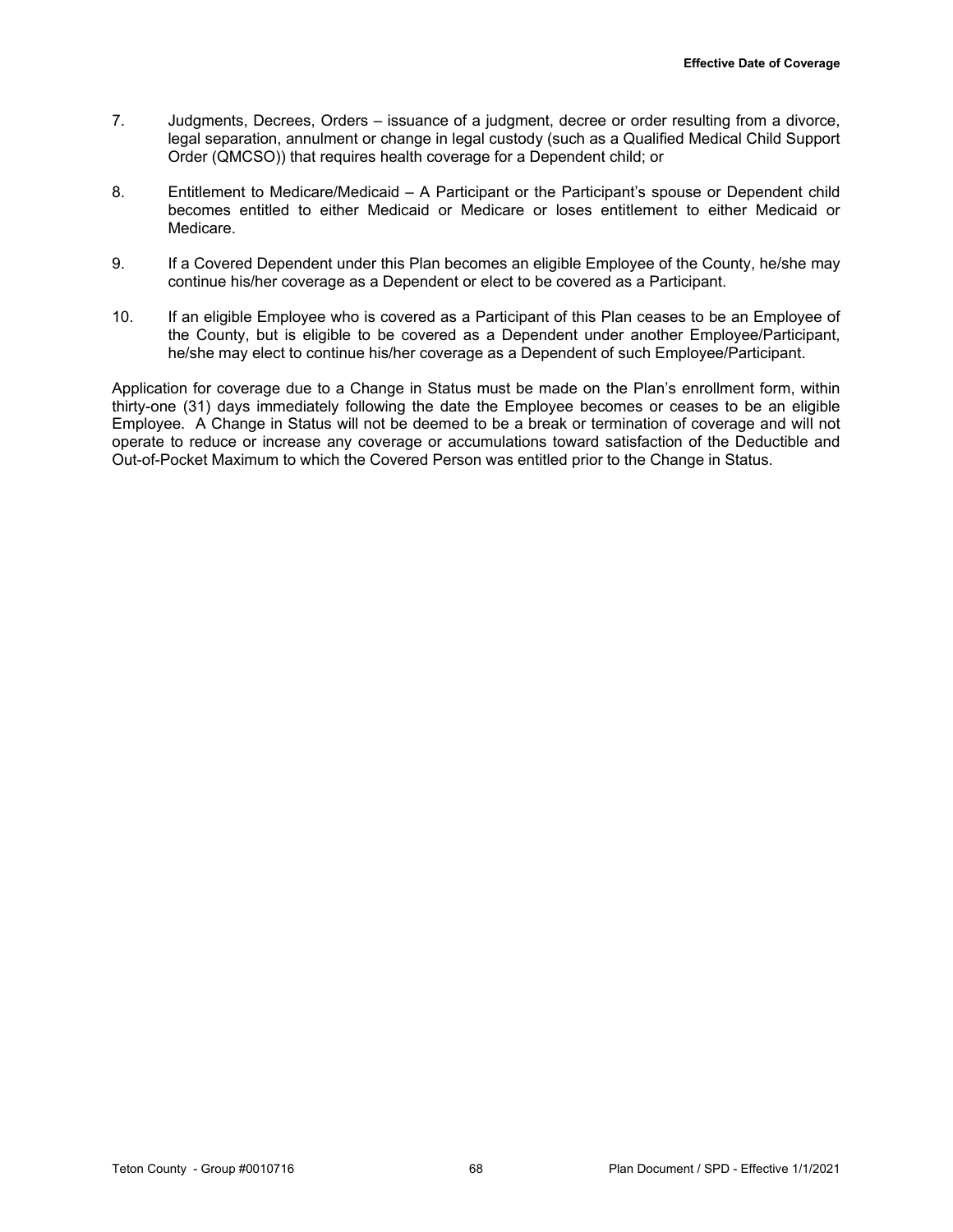- 7. Judgments, Decrees, Orders issuance of a judgment, decree or order resulting from a divorce, legal separation, annulment or change in legal custody (such as a Qualified Medical Child Support Order (QMCSO)) that requires health coverage for a Dependent child; or
- 8. Entitlement to Medicare/Medicaid A Participant or the Participant's spouse or Dependent child becomes entitled to either Medicaid or Medicare or loses entitlement to either Medicaid or Medicare.
- 9. If a Covered Dependent under this Plan becomes an eligible Employee of the County, he/she may continue his/her coverage as a Dependent or elect to be covered as a Participant.
- 10. If an eligible Employee who is covered as a Participant of this Plan ceases to be an Employee of the County, but is eligible to be covered as a Dependent under another Employee/Participant, he/she may elect to continue his/her coverage as a Dependent of such Employee/Participant.

Application for coverage due to a Change in Status must be made on the Plan's enrollment form, within thirty-one (31) days immediately following the date the Employee becomes or ceases to be an eligible Employee. A Change in Status will not be deemed to be a break or termination of coverage and will not operate to reduce or increase any coverage or accumulations toward satisfaction of the Deductible and Out-of-Pocket Maximum to which the Covered Person was entitled prior to the Change in Status.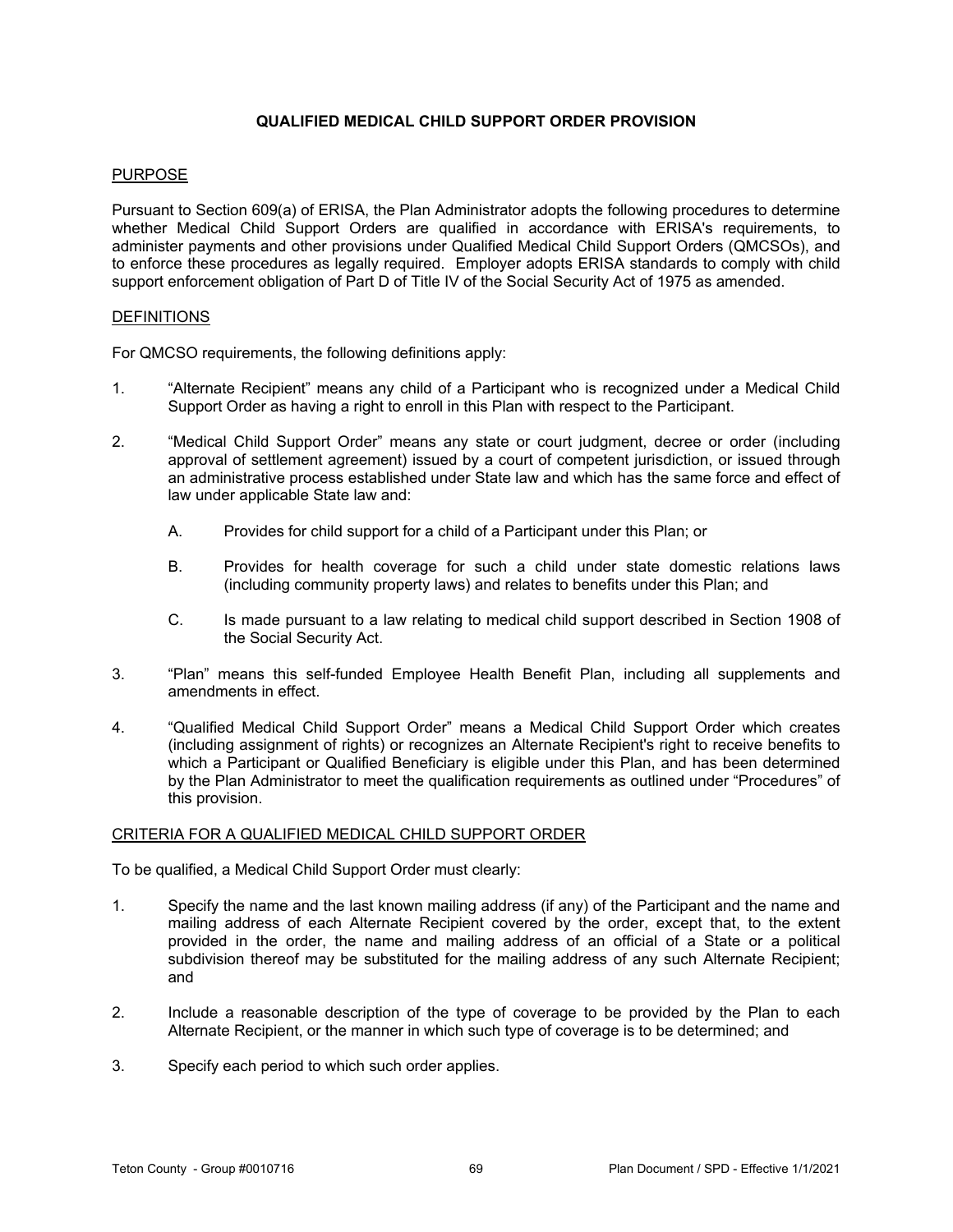# **QUALIFIED MEDICAL CHILD SUPPORT ORDER PROVISION**

## PURPOSE

Pursuant to Section 609(a) of ERISA, the Plan Administrator adopts the following procedures to determine whether Medical Child Support Orders are qualified in accordance with ERISA's requirements, to administer payments and other provisions under Qualified Medical Child Support Orders (QMCSOs), and to enforce these procedures as legally required. Employer adopts ERISA standards to comply with child support enforcement obligation of Part D of Title IV of the Social Security Act of 1975 as amended.

### **DEFINITIONS**

For QMCSO requirements, the following definitions apply:

- 1. "Alternate Recipient" means any child of a Participant who is recognized under a Medical Child Support Order as having a right to enroll in this Plan with respect to the Participant.
- 2. "Medical Child Support Order" means any state or court judgment, decree or order (including approval of settlement agreement) issued by a court of competent jurisdiction, or issued through an administrative process established under State law and which has the same force and effect of law under applicable State law and:
	- A. Provides for child support for a child of a Participant under this Plan; or
	- B. Provides for health coverage for such a child under state domestic relations laws (including community property laws) and relates to benefits under this Plan; and
	- C. Is made pursuant to a law relating to medical child support described in Section 1908 of the Social Security Act.
- 3. "Plan" means this self-funded Employee Health Benefit Plan, including all supplements and amendments in effect.
- 4. "Qualified Medical Child Support Order" means a Medical Child Support Order which creates (including assignment of rights) or recognizes an Alternate Recipient's right to receive benefits to which a Participant or Qualified Beneficiary is eligible under this Plan, and has been determined by the Plan Administrator to meet the qualification requirements as outlined under "Procedures" of this provision.

#### CRITERIA FOR A QUALIFIED MEDICAL CHILD SUPPORT ORDER

To be qualified, a Medical Child Support Order must clearly:

- 1. Specify the name and the last known mailing address (if any) of the Participant and the name and mailing address of each Alternate Recipient covered by the order, except that, to the extent provided in the order, the name and mailing address of an official of a State or a political subdivision thereof may be substituted for the mailing address of any such Alternate Recipient; and
- 2. Include a reasonable description of the type of coverage to be provided by the Plan to each Alternate Recipient, or the manner in which such type of coverage is to be determined; and
- 3. Specify each period to which such order applies.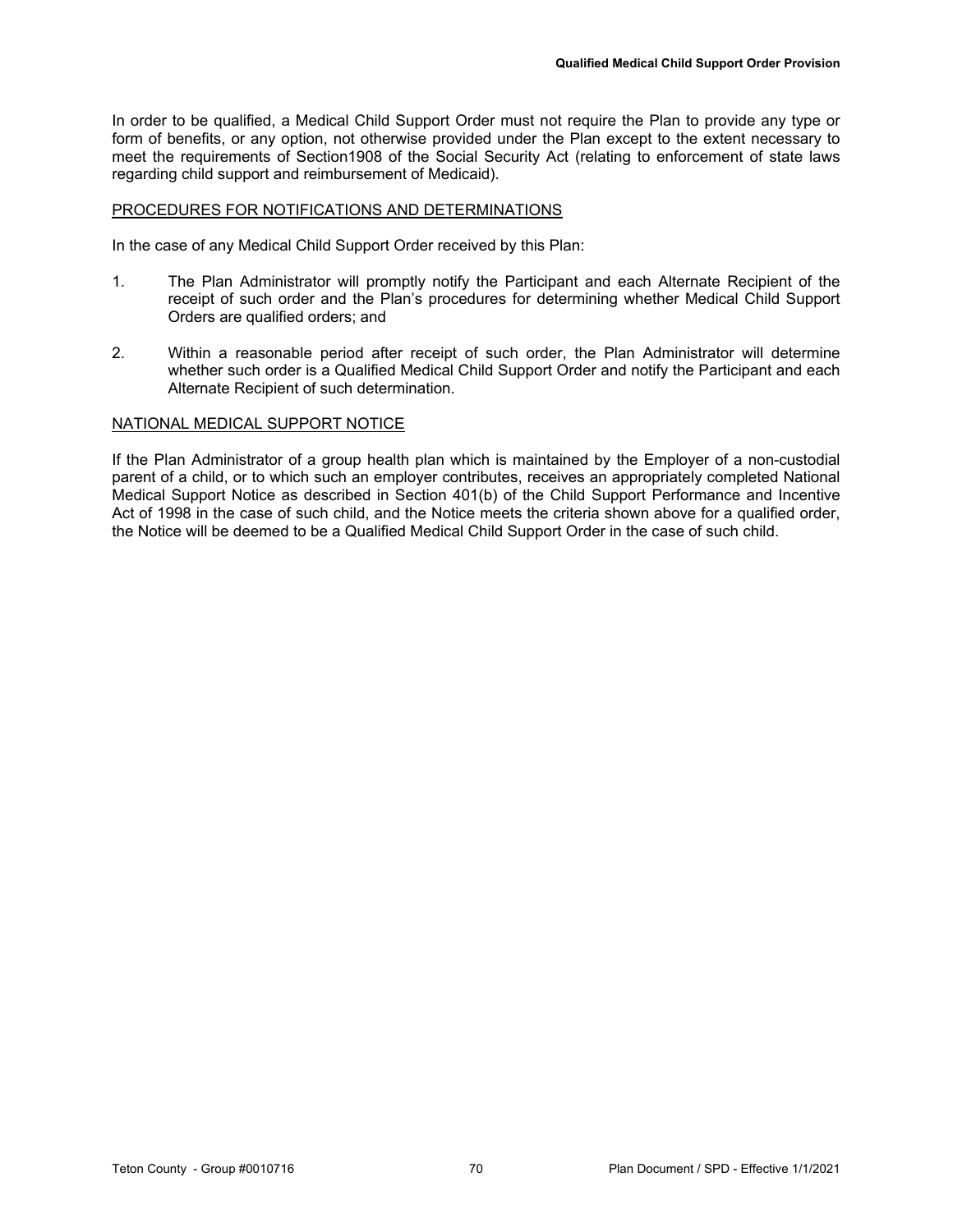In order to be qualified, a Medical Child Support Order must not require the Plan to provide any type or form of benefits, or any option, not otherwise provided under the Plan except to the extent necessary to meet the requirements of Section1908 of the Social Security Act (relating to enforcement of state laws regarding child support and reimbursement of Medicaid).

### PROCEDURES FOR NOTIFICATIONS AND DETERMINATIONS

In the case of any Medical Child Support Order received by this Plan:

- 1. The Plan Administrator will promptly notify the Participant and each Alternate Recipient of the receipt of such order and the Plan's procedures for determining whether Medical Child Support Orders are qualified orders; and
- 2. Within a reasonable period after receipt of such order, the Plan Administrator will determine whether such order is a Qualified Medical Child Support Order and notify the Participant and each Alternate Recipient of such determination.

### NATIONAL MEDICAL SUPPORT NOTICE

If the Plan Administrator of a group health plan which is maintained by the Employer of a non-custodial parent of a child, or to which such an employer contributes, receives an appropriately completed National Medical Support Notice as described in Section 401(b) of the Child Support Performance and Incentive Act of 1998 in the case of such child, and the Notice meets the criteria shown above for a qualified order, the Notice will be deemed to be a Qualified Medical Child Support Order in the case of such child.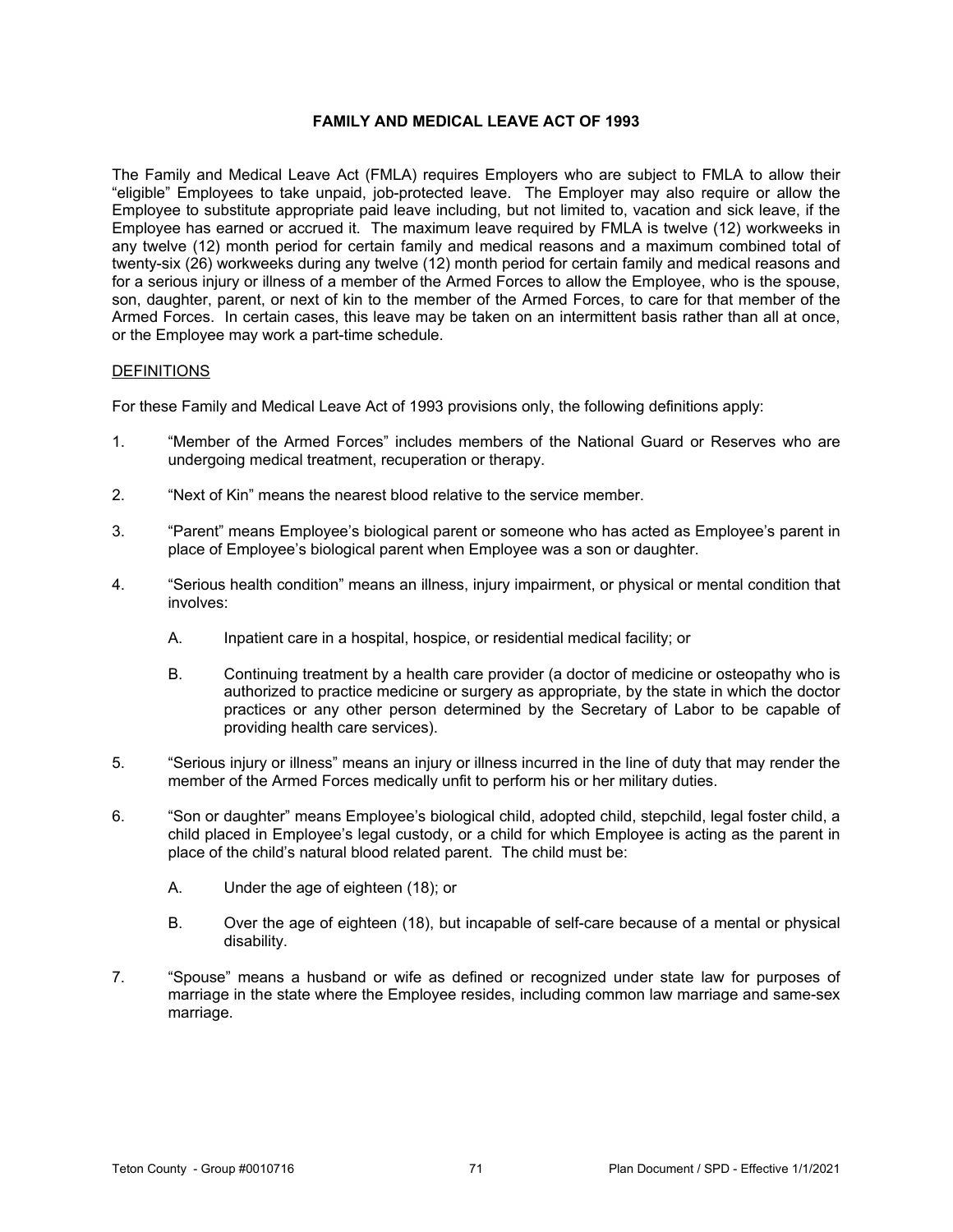## **FAMILY AND MEDICAL LEAVE ACT OF 1993**

The Family and Medical Leave Act (FMLA) requires Employers who are subject to FMLA to allow their "eligible" Employees to take unpaid, job-protected leave. The Employer may also require or allow the Employee to substitute appropriate paid leave including, but not limited to, vacation and sick leave, if the Employee has earned or accrued it. The maximum leave required by FMLA is twelve (12) workweeks in any twelve (12) month period for certain family and medical reasons and a maximum combined total of twenty-six (26) workweeks during any twelve (12) month period for certain family and medical reasons and for a serious injury or illness of a member of the Armed Forces to allow the Employee, who is the spouse, son, daughter, parent, or next of kin to the member of the Armed Forces, to care for that member of the Armed Forces. In certain cases, this leave may be taken on an intermittent basis rather than all at once, or the Employee may work a part-time schedule.

# **DEFINITIONS**

For these Family and Medical Leave Act of 1993 provisions only, the following definitions apply:

- 1. "Member of the Armed Forces" includes members of the National Guard or Reserves who are undergoing medical treatment, recuperation or therapy.
- 2. "Next of Kin" means the nearest blood relative to the service member.
- 3. "Parent" means Employee's biological parent or someone who has acted as Employee's parent in place of Employee's biological parent when Employee was a son or daughter.
- 4. "Serious health condition" means an illness, injury impairment, or physical or mental condition that involves:
	- A. Inpatient care in a hospital, hospice, or residential medical facility; or
	- B. Continuing treatment by a health care provider (a doctor of medicine or osteopathy who is authorized to practice medicine or surgery as appropriate, by the state in which the doctor practices or any other person determined by the Secretary of Labor to be capable of providing health care services).
- 5. "Serious injury or illness" means an injury or illness incurred in the line of duty that may render the member of the Armed Forces medically unfit to perform his or her military duties.
- 6. "Son or daughter" means Employee's biological child, adopted child, stepchild, legal foster child, a child placed in Employee's legal custody, or a child for which Employee is acting as the parent in place of the child's natural blood related parent. The child must be:
	- A. Under the age of eighteen (18); or
	- B. Over the age of eighteen (18), but incapable of self-care because of a mental or physical disability.
- 7. "Spouse" means a husband or wife as defined or recognized under state law for purposes of marriage in the state where the Employee resides, including common law marriage and same-sex marriage.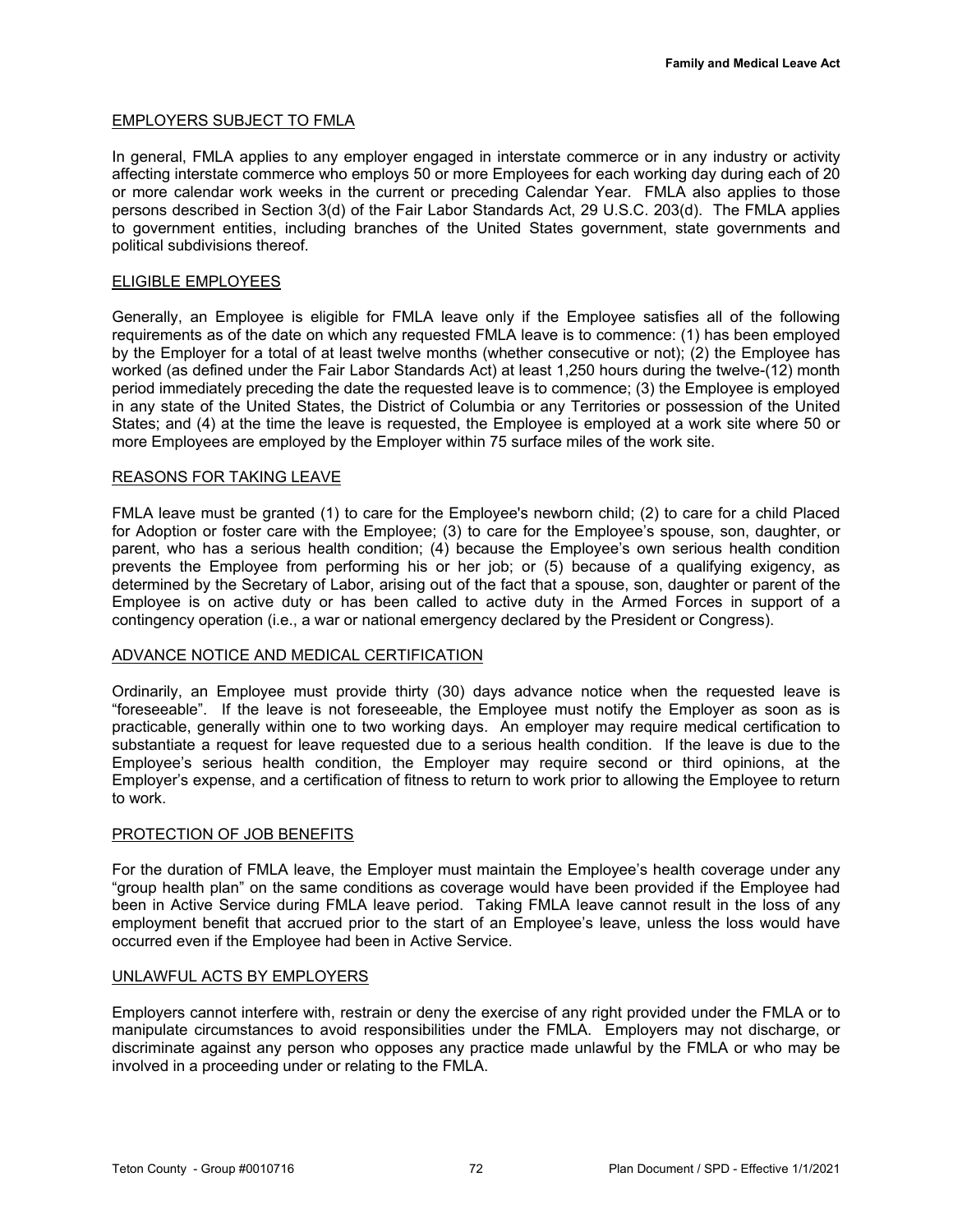# EMPLOYERS SUBJECT TO FMLA

In general, FMLA applies to any employer engaged in interstate commerce or in any industry or activity affecting interstate commerce who employs 50 or more Employees for each working day during each of 20 or more calendar work weeks in the current or preceding Calendar Year. FMLA also applies to those persons described in Section 3(d) of the Fair Labor Standards Act, 29 U.S.C. 203(d). The FMLA applies to government entities, including branches of the United States government, state governments and political subdivisions thereof.

## ELIGIBLE EMPLOYEES

Generally, an Employee is eligible for FMLA leave only if the Employee satisfies all of the following requirements as of the date on which any requested FMLA leave is to commence: (1) has been employed by the Employer for a total of at least twelve months (whether consecutive or not); (2) the Employee has worked (as defined under the Fair Labor Standards Act) at least 1,250 hours during the twelve-(12) month period immediately preceding the date the requested leave is to commence; (3) the Employee is employed in any state of the United States, the District of Columbia or any Territories or possession of the United States; and (4) at the time the leave is requested, the Employee is employed at a work site where 50 or more Employees are employed by the Employer within 75 surface miles of the work site.

### REASONS FOR TAKING LEAVE

FMLA leave must be granted (1) to care for the Employee's newborn child; (2) to care for a child Placed for Adoption or foster care with the Employee; (3) to care for the Employee's spouse, son, daughter, or parent, who has a serious health condition; (4) because the Employee's own serious health condition prevents the Employee from performing his or her job; or (5) because of a qualifying exigency, as determined by the Secretary of Labor, arising out of the fact that a spouse, son, daughter or parent of the Employee is on active duty or has been called to active duty in the Armed Forces in support of a contingency operation (i.e., a war or national emergency declared by the President or Congress).

## ADVANCE NOTICE AND MEDICAL CERTIFICATION

Ordinarily, an Employee must provide thirty (30) days advance notice when the requested leave is "foreseeable". If the leave is not foreseeable, the Employee must notify the Employer as soon as is practicable, generally within one to two working days. An employer may require medical certification to substantiate a request for leave requested due to a serious health condition. If the leave is due to the Employee's serious health condition, the Employer may require second or third opinions, at the Employer's expense, and a certification of fitness to return to work prior to allowing the Employee to return to work.

## PROTECTION OF JOB BENEFITS

For the duration of FMLA leave, the Employer must maintain the Employee's health coverage under any "group health plan" on the same conditions as coverage would have been provided if the Employee had been in Active Service during FMLA leave period. Taking FMLA leave cannot result in the loss of any employment benefit that accrued prior to the start of an Employee's leave, unless the loss would have occurred even if the Employee had been in Active Service.

#### UNLAWFUL ACTS BY EMPLOYERS

Employers cannot interfere with, restrain or deny the exercise of any right provided under the FMLA or to manipulate circumstances to avoid responsibilities under the FMLA. Employers may not discharge, or discriminate against any person who opposes any practice made unlawful by the FMLA or who may be involved in a proceeding under or relating to the FMLA.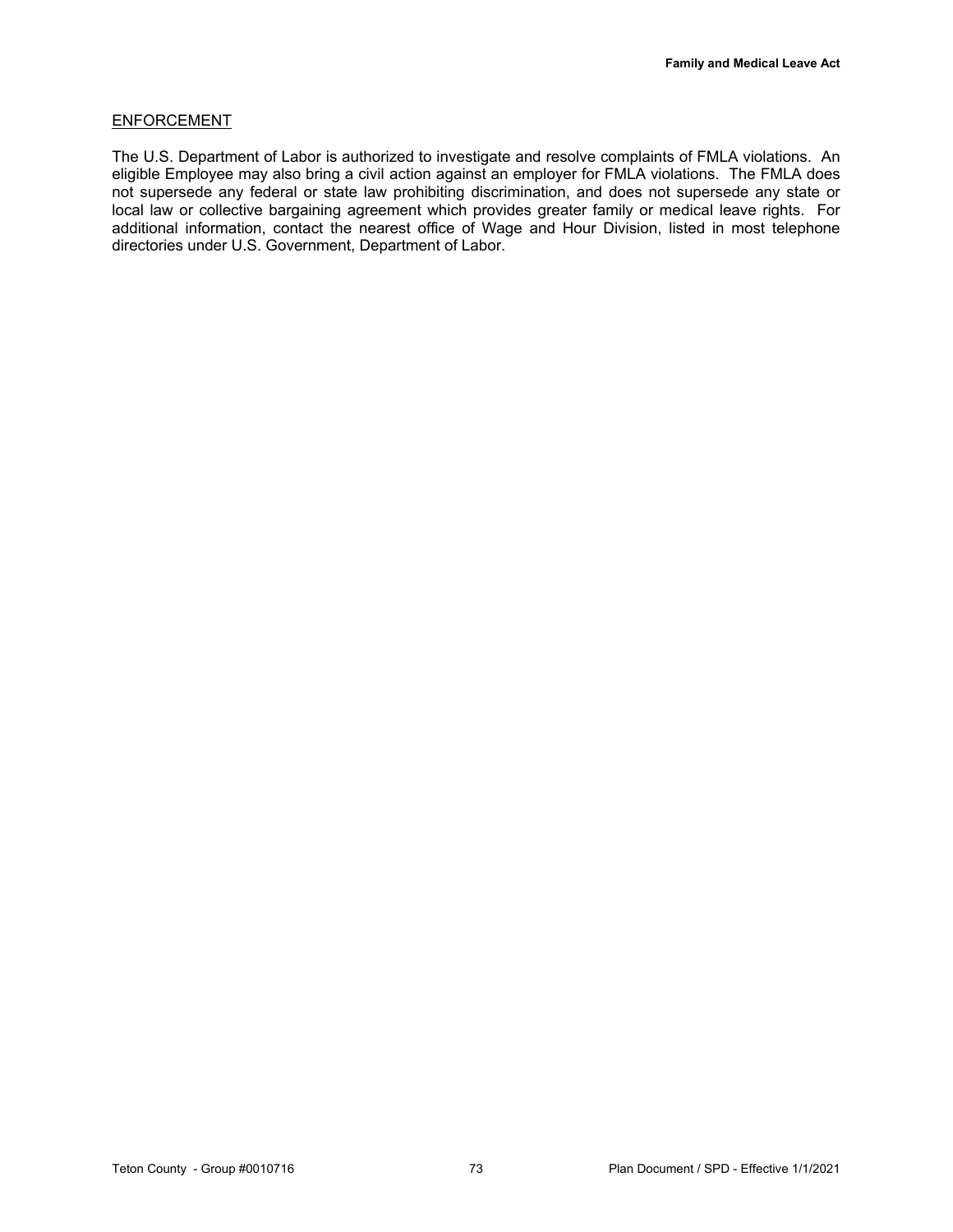## **ENFORCEMENT**

The U.S. Department of Labor is authorized to investigate and resolve complaints of FMLA violations. An eligible Employee may also bring a civil action against an employer for FMLA violations. The FMLA does not supersede any federal or state law prohibiting discrimination, and does not supersede any state or local law or collective bargaining agreement which provides greater family or medical leave rights. For additional information, contact the nearest office of Wage and Hour Division, listed in most telephone directories under U.S. Government, Department of Labor.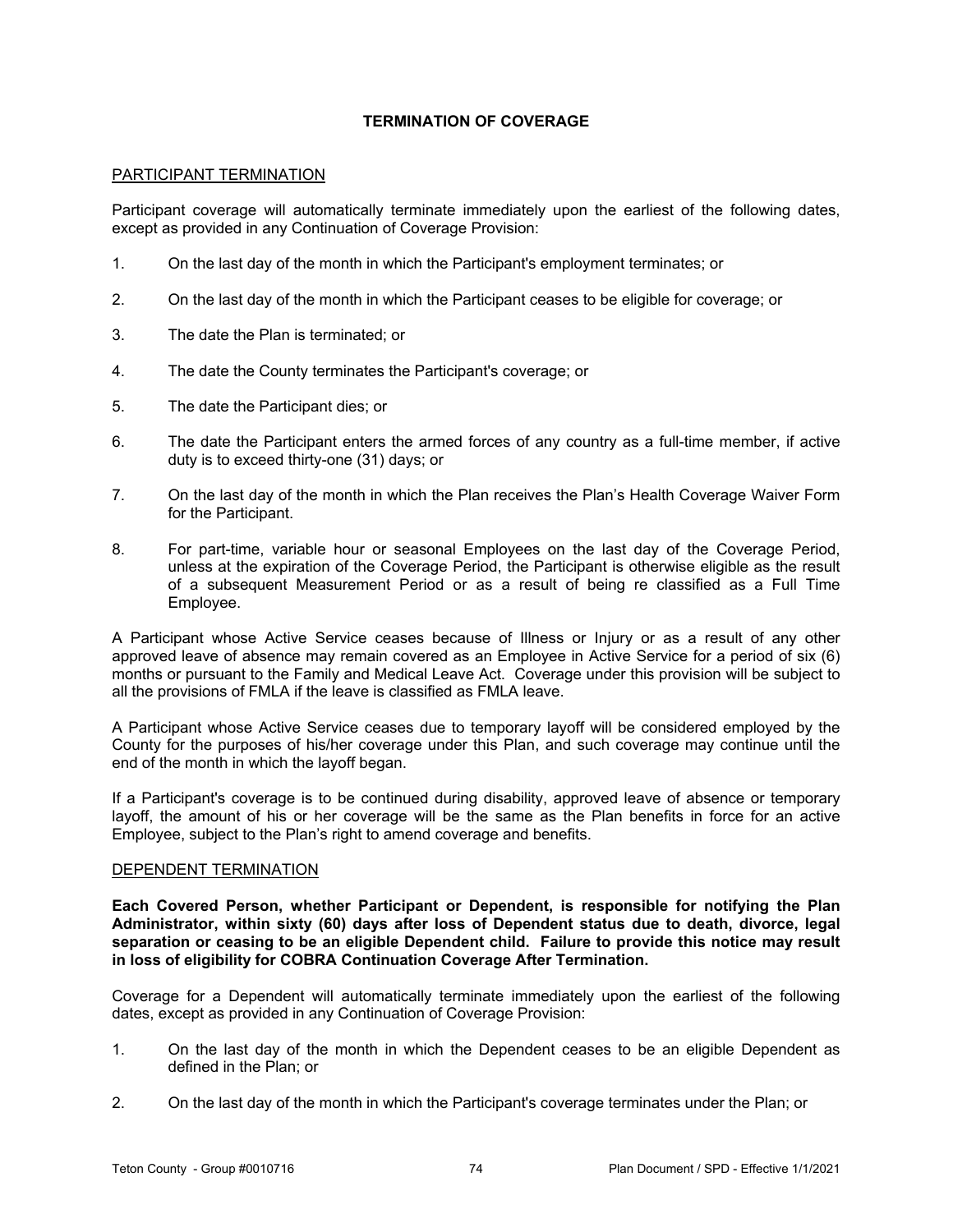# **TERMINATION OF COVERAGE**

# PARTICIPANT TERMINATION

Participant coverage will automatically terminate immediately upon the earliest of the following dates, except as provided in any Continuation of Coverage Provision:

- 1. On the last day of the month in which the Participant's employment terminates; or
- 2. On the last day of the month in which the Participant ceases to be eligible for coverage; or
- 3. The date the Plan is terminated; or
- 4. The date the County terminates the Participant's coverage; or
- 5. The date the Participant dies; or
- 6. The date the Participant enters the armed forces of any country as a full-time member, if active duty is to exceed thirty-one (31) days; or
- 7. On the last day of the month in which the Plan receives the Plan's Health Coverage Waiver Form for the Participant.
- 8. For part-time, variable hour or seasonal Employees on the last day of the Coverage Period, unless at the expiration of the Coverage Period, the Participant is otherwise eligible as the result of a subsequent Measurement Period or as a result of being re classified as a Full Time Employee.

A Participant whose Active Service ceases because of Illness or Injury or as a result of any other approved leave of absence may remain covered as an Employee in Active Service for a period of six (6) months or pursuant to the Family and Medical Leave Act. Coverage under this provision will be subject to all the provisions of FMLA if the leave is classified as FMLA leave.

A Participant whose Active Service ceases due to temporary layoff will be considered employed by the County for the purposes of his/her coverage under this Plan, and such coverage may continue until the end of the month in which the layoff began.

If a Participant's coverage is to be continued during disability, approved leave of absence or temporary layoff, the amount of his or her coverage will be the same as the Plan benefits in force for an active Employee, subject to the Plan's right to amend coverage and benefits.

## DEPENDENT TERMINATION

**Each Covered Person, whether Participant or Dependent, is responsible for notifying the Plan Administrator, within sixty (60) days after loss of Dependent status due to death, divorce, legal separation or ceasing to be an eligible Dependent child. Failure to provide this notice may result in loss of eligibility for COBRA Continuation Coverage After Termination.**

Coverage for a Dependent will automatically terminate immediately upon the earliest of the following dates, except as provided in any Continuation of Coverage Provision:

- 1. On the last day of the month in which the Dependent ceases to be an eligible Dependent as defined in the Plan; or
- 2. On the last day of the month in which the Participant's coverage terminates under the Plan; or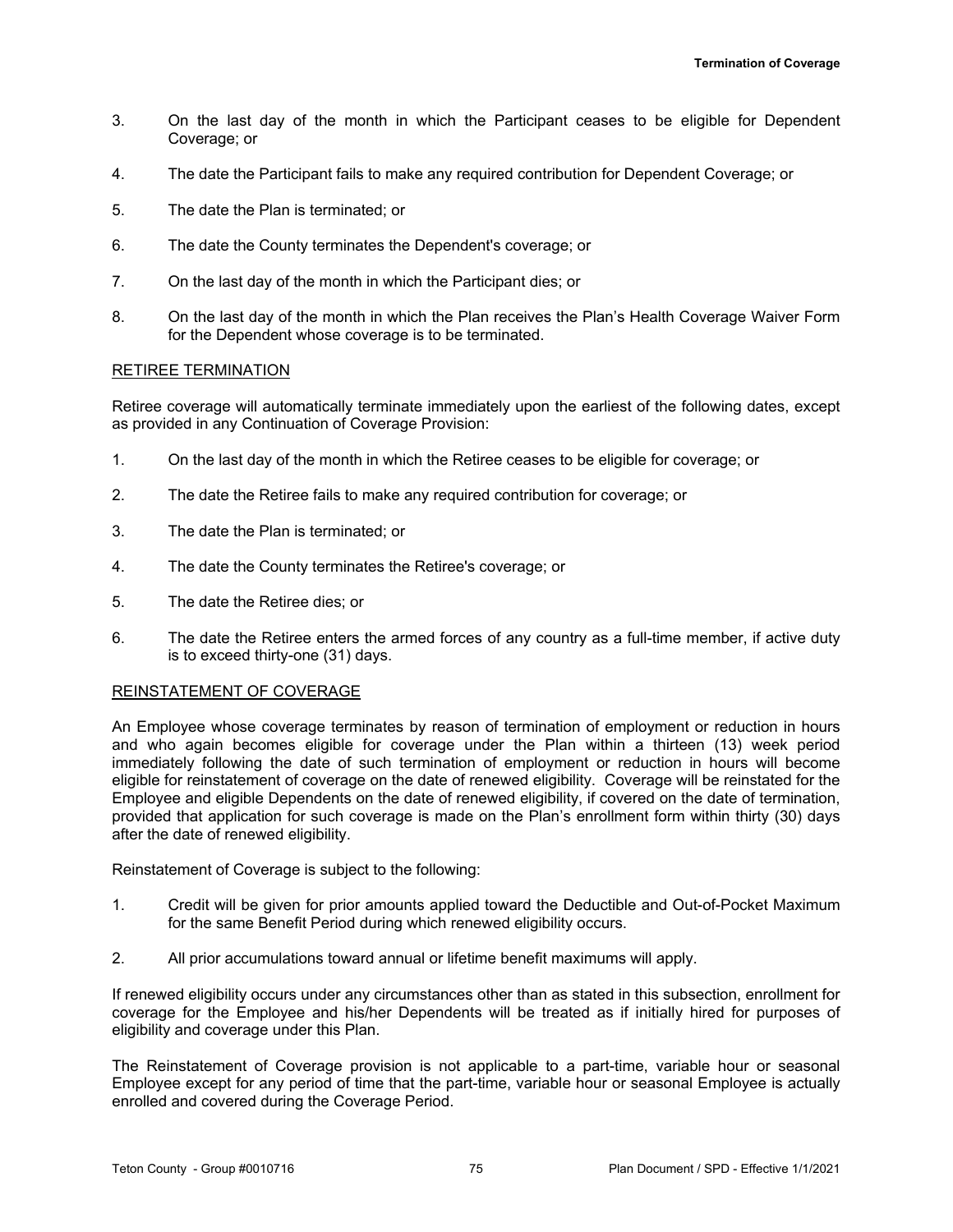- 3. On the last day of the month in which the Participant ceases to be eligible for Dependent Coverage; or
- 4. The date the Participant fails to make any required contribution for Dependent Coverage; or
- 5. The date the Plan is terminated; or
- 6. The date the County terminates the Dependent's coverage; or
- 7. On the last day of the month in which the Participant dies; or
- 8. On the last day of the month in which the Plan receives the Plan's Health Coverage Waiver Form for the Dependent whose coverage is to be terminated.

## RETIREE TERMINATION

Retiree coverage will automatically terminate immediately upon the earliest of the following dates, except as provided in any Continuation of Coverage Provision:

- 1. On the last day of the month in which the Retiree ceases to be eligible for coverage; or
- 2. The date the Retiree fails to make any required contribution for coverage; or
- 3. The date the Plan is terminated; or
- 4. The date the County terminates the Retiree's coverage; or
- 5. The date the Retiree dies; or
- 6. The date the Retiree enters the armed forces of any country as a full-time member, if active duty is to exceed thirty-one (31) days.

## REINSTATEMENT OF COVERAGE

An Employee whose coverage terminates by reason of termination of employment or reduction in hours and who again becomes eligible for coverage under the Plan within a thirteen (13) week period immediately following the date of such termination of employment or reduction in hours will become eligible for reinstatement of coverage on the date of renewed eligibility. Coverage will be reinstated for the Employee and eligible Dependents on the date of renewed eligibility, if covered on the date of termination, provided that application for such coverage is made on the Plan's enrollment form within thirty (30) days after the date of renewed eligibility.

Reinstatement of Coverage is subject to the following:

- 1. Credit will be given for prior amounts applied toward the Deductible and Out-of-Pocket Maximum for the same Benefit Period during which renewed eligibility occurs.
- 2. All prior accumulations toward annual or lifetime benefit maximums will apply.

If renewed eligibility occurs under any circumstances other than as stated in this subsection, enrollment for coverage for the Employee and his/her Dependents will be treated as if initially hired for purposes of eligibility and coverage under this Plan.

The Reinstatement of Coverage provision is not applicable to a part-time, variable hour or seasonal Employee except for any period of time that the part-time, variable hour or seasonal Employee is actually enrolled and covered during the Coverage Period.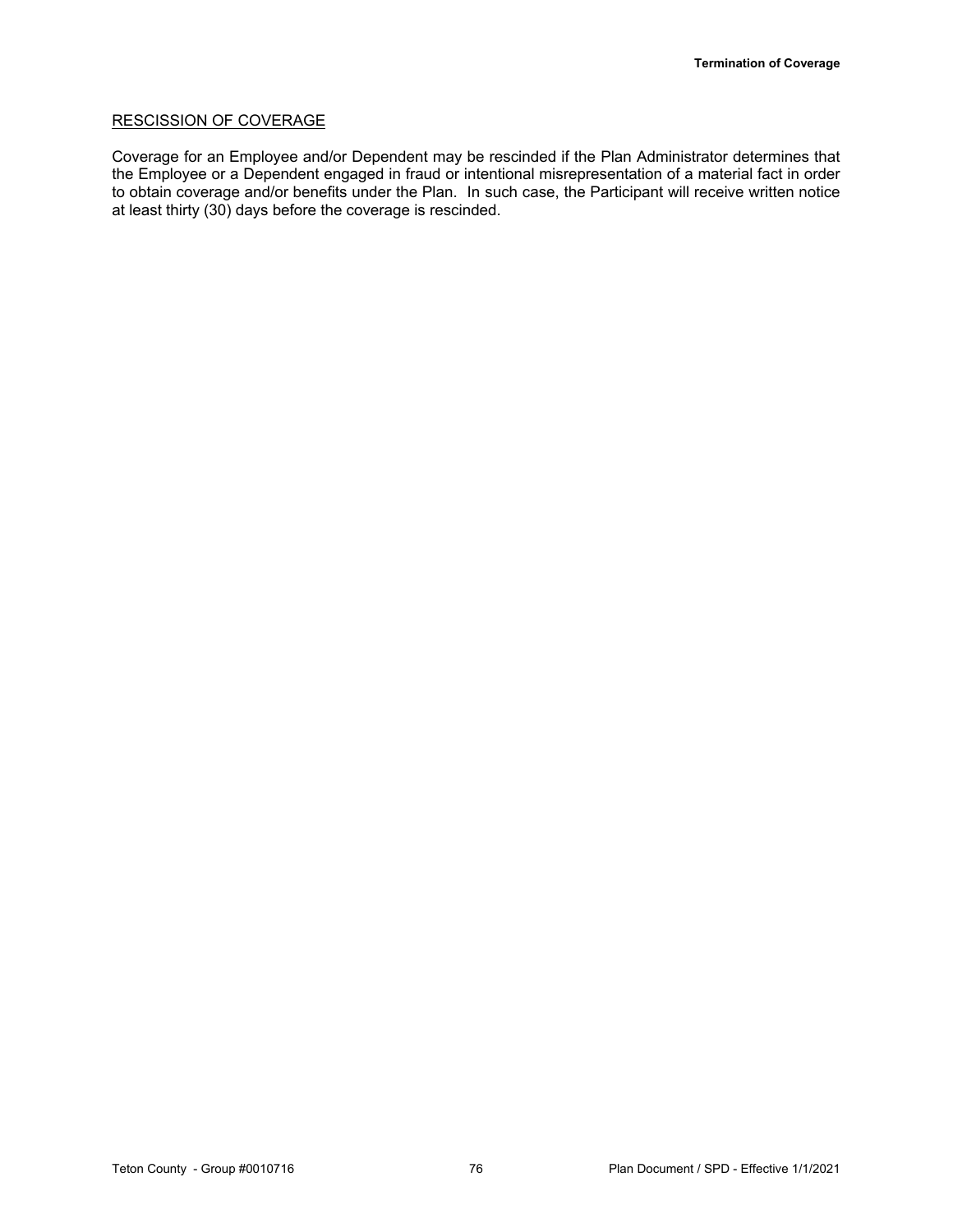## RESCISSION OF COVERAGE

Coverage for an Employee and/or Dependent may be rescinded if the Plan Administrator determines that the Employee or a Dependent engaged in fraud or intentional misrepresentation of a material fact in order to obtain coverage and/or benefits under the Plan. In such case, the Participant will receive written notice at least thirty (30) days before the coverage is rescinded.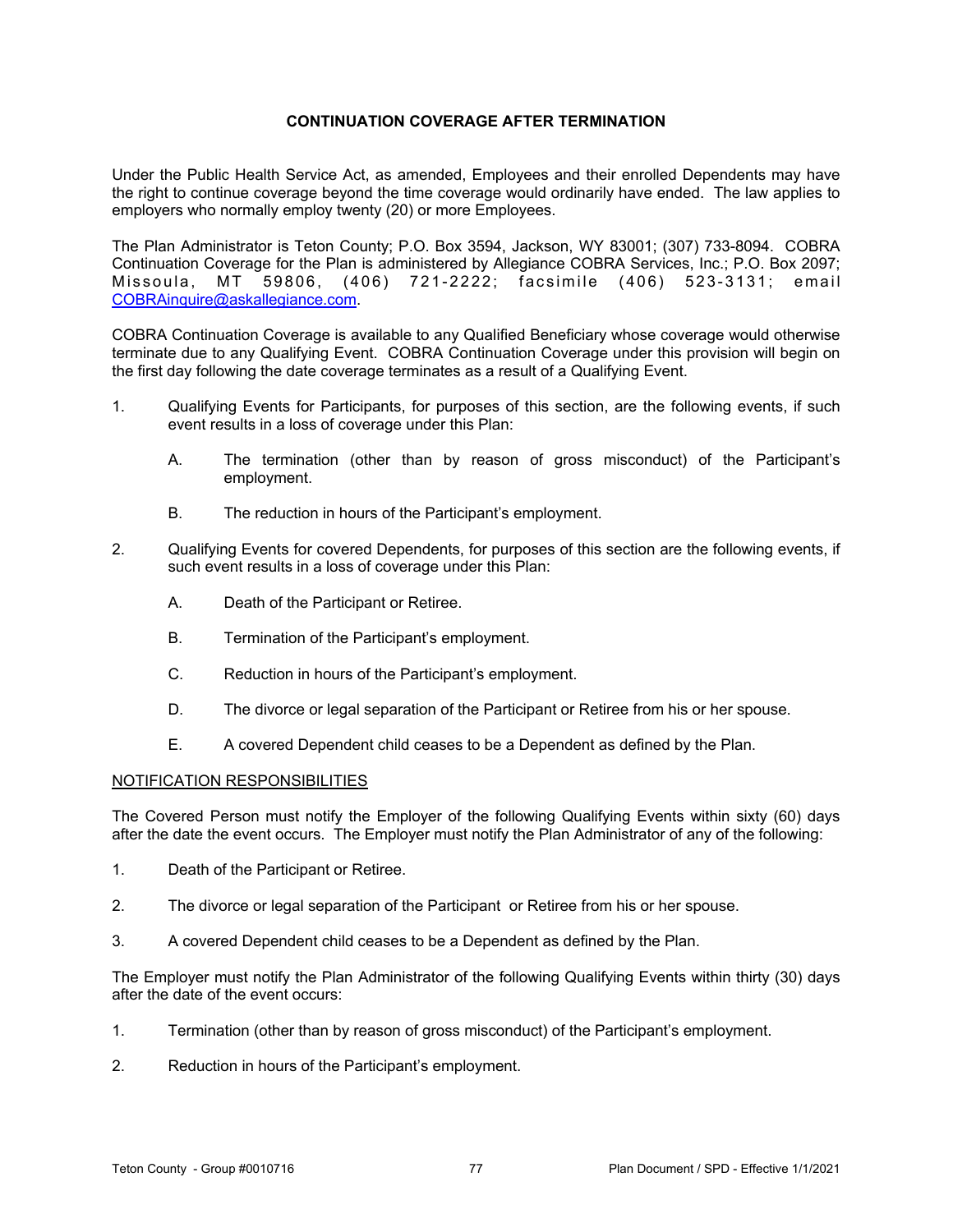# **CONTINUATION COVERAGE AFTER TERMINATION**

Under the Public Health Service Act, as amended, Employees and their enrolled Dependents may have the right to continue coverage beyond the time coverage would ordinarily have ended. The law applies to employers who normally employ twenty (20) or more Employees.

The Plan Administrator is Teton County; P.O. Box 3594, Jackson, WY 83001; (307) 733-8094. COBRA Continuation Coverage for the Plan is administered by Allegiance COBRA Services, Inc.; P.O. Box 2097; Missoula, MT 59806, (406) 721-2222; facsimile (406) 523-3131; email COBRAinquire@askallegiance.com.

COBRA Continuation Coverage is available to any Qualified Beneficiary whose coverage would otherwise terminate due to any Qualifying Event. COBRA Continuation Coverage under this provision will begin on the first day following the date coverage terminates as a result of a Qualifying Event.

- 1. Qualifying Events for Participants, for purposes of this section, are the following events, if such event results in a loss of coverage under this Plan:
	- A. The termination (other than by reason of gross misconduct) of the Participant's employment.
	- B. The reduction in hours of the Participant's employment.
- 2. Qualifying Events for covered Dependents, for purposes of this section are the following events, if such event results in a loss of coverage under this Plan:
	- A. Death of the Participant or Retiree.
	- B. Termination of the Participant's employment.
	- C. Reduction in hours of the Participant's employment.
	- D. The divorce or legal separation of the Participant or Retiree from his or her spouse.
	- E. A covered Dependent child ceases to be a Dependent as defined by the Plan.

## NOTIFICATION RESPONSIBILITIES

The Covered Person must notify the Employer of the following Qualifying Events within sixty (60) days after the date the event occurs. The Employer must notify the Plan Administrator of any of the following:

- 1. Death of the Participant or Retiree.
- 2. The divorce or legal separation of the Participant or Retiree from his or her spouse.
- 3. A covered Dependent child ceases to be a Dependent as defined by the Plan.

The Employer must notify the Plan Administrator of the following Qualifying Events within thirty (30) days after the date of the event occurs:

- 1. Termination (other than by reason of gross misconduct) of the Participant's employment.
- 2. Reduction in hours of the Participant's employment.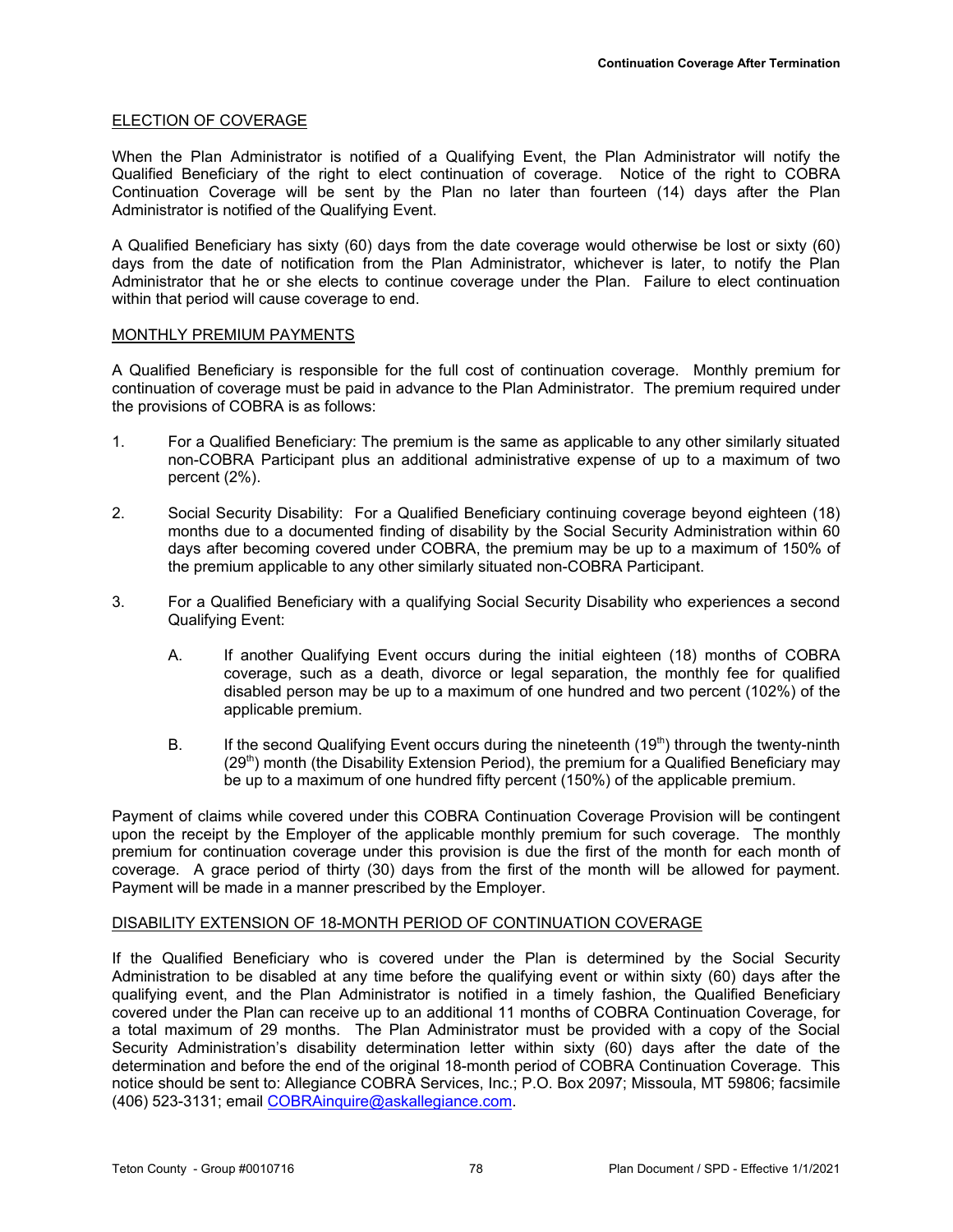# ELECTION OF COVERAGE

When the Plan Administrator is notified of a Qualifying Event, the Plan Administrator will notify the Qualified Beneficiary of the right to elect continuation of coverage. Notice of the right to COBRA Continuation Coverage will be sent by the Plan no later than fourteen (14) days after the Plan Administrator is notified of the Qualifying Event.

A Qualified Beneficiary has sixty (60) days from the date coverage would otherwise be lost or sixty (60) days from the date of notification from the Plan Administrator, whichever is later, to notify the Plan Administrator that he or she elects to continue coverage under the Plan. Failure to elect continuation within that period will cause coverage to end.

## MONTHLY PREMIUM PAYMENTS

A Qualified Beneficiary is responsible for the full cost of continuation coverage. Monthly premium for continuation of coverage must be paid in advance to the Plan Administrator. The premium required under the provisions of COBRA is as follows:

- 1. For a Qualified Beneficiary: The premium is the same as applicable to any other similarly situated non-COBRA Participant plus an additional administrative expense of up to a maximum of two percent (2%).
- 2. Social Security Disability: For a Qualified Beneficiary continuing coverage beyond eighteen (18) months due to a documented finding of disability by the Social Security Administration within 60 days after becoming covered under COBRA, the premium may be up to a maximum of 150% of the premium applicable to any other similarly situated non-COBRA Participant.
- 3. For a Qualified Beneficiary with a qualifying Social Security Disability who experiences a second Qualifying Event:
	- A. If another Qualifying Event occurs during the initial eighteen (18) months of COBRA coverage, such as a death, divorce or legal separation, the monthly fee for qualified disabled person may be up to a maximum of one hundred and two percent (102%) of the applicable premium.
	- B. If the second Qualifying Event occurs during the nineteenth (19<sup>th</sup>) through the twenty-ninth  $(29<sup>th</sup>)$  month (the Disability Extension Period), the premium for a Qualified Beneficiary may be up to a maximum of one hundred fifty percent (150%) of the applicable premium.

Payment of claims while covered under this COBRA Continuation Coverage Provision will be contingent upon the receipt by the Employer of the applicable monthly premium for such coverage. The monthly premium for continuation coverage under this provision is due the first of the month for each month of coverage. A grace period of thirty (30) days from the first of the month will be allowed for payment. Payment will be made in a manner prescribed by the Employer.

# DISABILITY EXTENSION OF 18-MONTH PERIOD OF CONTINUATION COVERAGE

If the Qualified Beneficiary who is covered under the Plan is determined by the Social Security Administration to be disabled at any time before the qualifying event or within sixty (60) days after the qualifying event, and the Plan Administrator is notified in a timely fashion, the Qualified Beneficiary covered under the Plan can receive up to an additional 11 months of COBRA Continuation Coverage, for a total maximum of 29 months. The Plan Administrator must be provided with a copy of the Social Security Administration's disability determination letter within sixty (60) days after the date of the determination and before the end of the original 18-month period of COBRA Continuation Coverage. This notice should be sent to: Allegiance COBRA Services, Inc.; P.O. Box 2097; Missoula, MT 59806; facsimile (406) 523-3131; email COBRAinquire@askallegiance.com.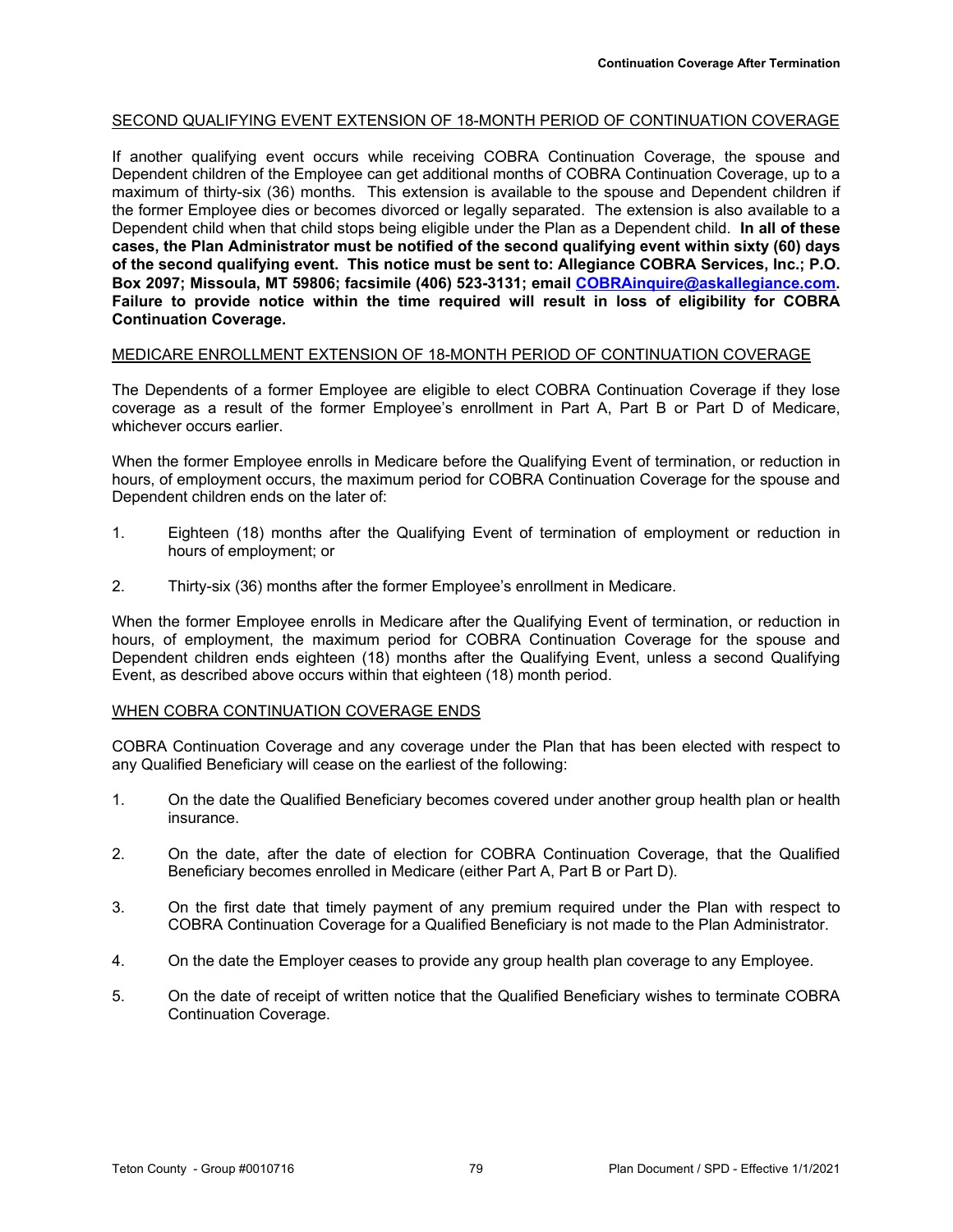# SECOND QUALIFYING EVENT EXTENSION OF 18-MONTH PERIOD OF CONTINUATION COVERAGE

If another qualifying event occurs while receiving COBRA Continuation Coverage, the spouse and Dependent children of the Employee can get additional months of COBRA Continuation Coverage, up to a maximum of thirty-six (36) months. This extension is available to the spouse and Dependent children if the former Employee dies or becomes divorced or legally separated. The extension is also available to a Dependent child when that child stops being eligible under the Plan as a Dependent child. **In all of these cases, the Plan Administrator must be notified of the second qualifying event within sixty (60) days of the second qualifying event. This notice must be sent to: Allegiance COBRA Services, Inc.; P.O. Box 2097; Missoula, MT 59806; facsimile (406) 523-3131; email COBRAinquire@askallegiance.com. Failure to provide notice within the time required will result in loss of eligibility for COBRA Continuation Coverage.**

# MEDICARE ENROLLMENT EXTENSION OF 18-MONTH PERIOD OF CONTINUATION COVERAGE

The Dependents of a former Employee are eligible to elect COBRA Continuation Coverage if they lose coverage as a result of the former Employee's enrollment in Part A, Part B or Part D of Medicare, whichever occurs earlier.

When the former Employee enrolls in Medicare before the Qualifying Event of termination, or reduction in hours, of employment occurs, the maximum period for COBRA Continuation Coverage for the spouse and Dependent children ends on the later of:

- 1. Eighteen (18) months after the Qualifying Event of termination of employment or reduction in hours of employment; or
- 2. Thirty-six (36) months after the former Employee's enrollment in Medicare.

When the former Employee enrolls in Medicare after the Qualifying Event of termination, or reduction in hours, of employment, the maximum period for COBRA Continuation Coverage for the spouse and Dependent children ends eighteen (18) months after the Qualifying Event, unless a second Qualifying Event, as described above occurs within that eighteen (18) month period.

## WHEN COBRA CONTINUATION COVERAGE ENDS

COBRA Continuation Coverage and any coverage under the Plan that has been elected with respect to any Qualified Beneficiary will cease on the earliest of the following:

- 1. On the date the Qualified Beneficiary becomes covered under another group health plan or health insurance.
- 2. On the date, after the date of election for COBRA Continuation Coverage, that the Qualified Beneficiary becomes enrolled in Medicare (either Part A, Part B or Part D).
- 3. On the first date that timely payment of any premium required under the Plan with respect to COBRA Continuation Coverage for a Qualified Beneficiary is not made to the Plan Administrator.
- 4. On the date the Employer ceases to provide any group health plan coverage to any Employee.
- 5. On the date of receipt of written notice that the Qualified Beneficiary wishes to terminate COBRA Continuation Coverage.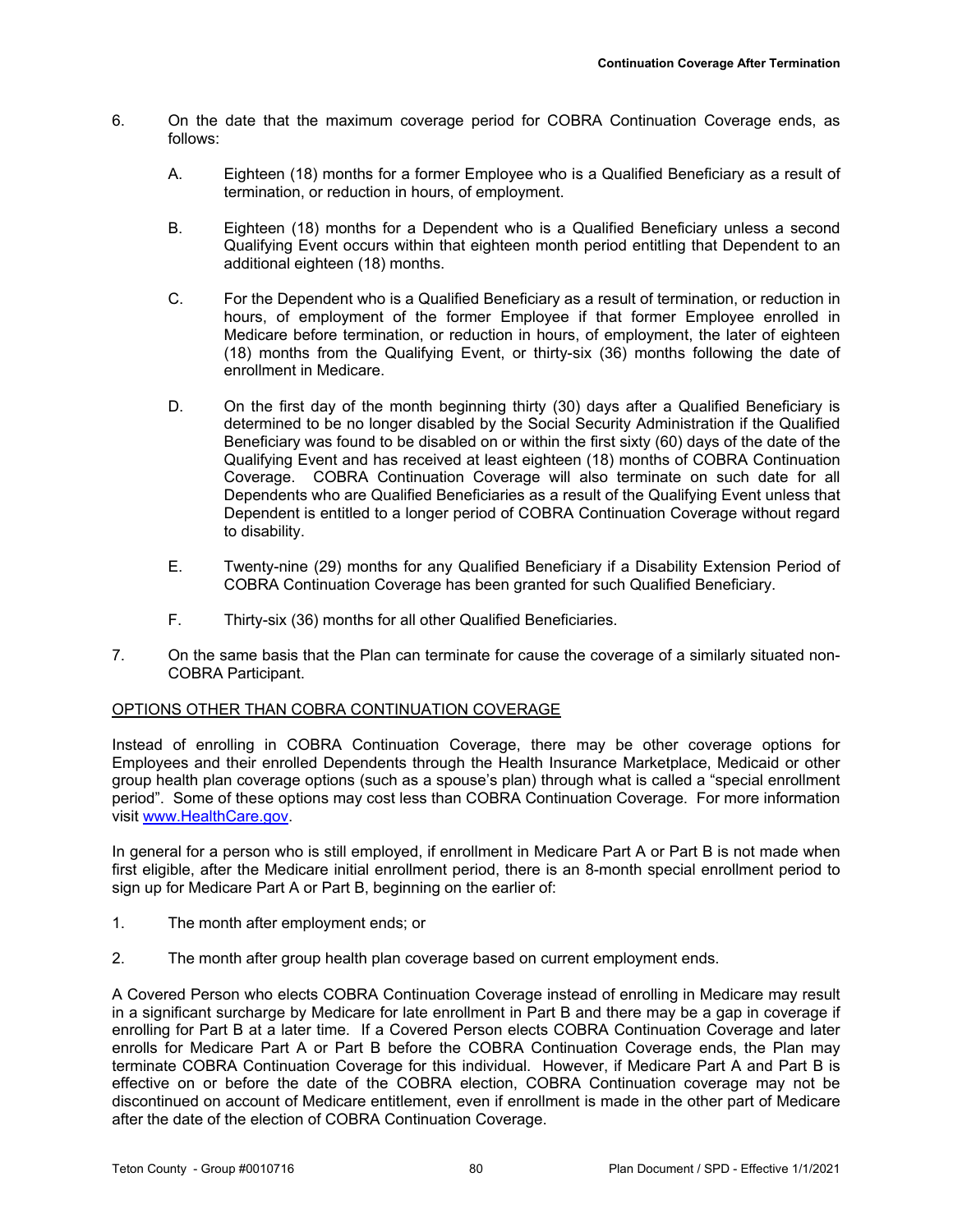- 6. On the date that the maximum coverage period for COBRA Continuation Coverage ends, as follows:
	- A. Eighteen (18) months for a former Employee who is a Qualified Beneficiary as a result of termination, or reduction in hours, of employment.
	- B. Eighteen (18) months for a Dependent who is a Qualified Beneficiary unless a second Qualifying Event occurs within that eighteen month period entitling that Dependent to an additional eighteen (18) months.
	- C. For the Dependent who is a Qualified Beneficiary as a result of termination, or reduction in hours, of employment of the former Employee if that former Employee enrolled in Medicare before termination, or reduction in hours, of employment, the later of eighteen (18) months from the Qualifying Event, or thirty-six (36) months following the date of enrollment in Medicare.
	- D. On the first day of the month beginning thirty (30) days after a Qualified Beneficiary is determined to be no longer disabled by the Social Security Administration if the Qualified Beneficiary was found to be disabled on or within the first sixty (60) days of the date of the Qualifying Event and has received at least eighteen (18) months of COBRA Continuation Coverage. COBRA Continuation Coverage will also terminate on such date for all Dependents who are Qualified Beneficiaries as a result of the Qualifying Event unless that Dependent is entitled to a longer period of COBRA Continuation Coverage without regard to disability.
	- E. Twenty-nine (29) months for any Qualified Beneficiary if a Disability Extension Period of COBRA Continuation Coverage has been granted for such Qualified Beneficiary.
	- F. Thirty-six (36) months for all other Qualified Beneficiaries.
- 7. On the same basis that the Plan can terminate for cause the coverage of a similarly situated non-COBRA Participant.

# OPTIONS OTHER THAN COBRA CONTINUATION COVERAGE

Instead of enrolling in COBRA Continuation Coverage, there may be other coverage options for Employees and their enrolled Dependents through the Health Insurance Marketplace, Medicaid or other group health plan coverage options (such as a spouse's plan) through what is called a "special enrollment period". Some of these options may cost less than COBRA Continuation Coverage. For more information visit www.HealthCare.gov.

In general for a person who is still employed, if enrollment in Medicare Part A or Part B is not made when first eligible, after the Medicare initial enrollment period, there is an 8-month special enrollment period to sign up for Medicare Part A or Part B, beginning on the earlier of:

- 1. The month after employment ends; or
- 2. The month after group health plan coverage based on current employment ends.

A Covered Person who elects COBRA Continuation Coverage instead of enrolling in Medicare may result in a significant surcharge by Medicare for late enrollment in Part B and there may be a gap in coverage if enrolling for Part B at a later time. If a Covered Person elects COBRA Continuation Coverage and later enrolls for Medicare Part A or Part B before the COBRA Continuation Coverage ends, the Plan may terminate COBRA Continuation Coverage for this individual. However, if Medicare Part A and Part B is effective on or before the date of the COBRA election, COBRA Continuation coverage may not be discontinued on account of Medicare entitlement, even if enrollment is made in the other part of Medicare after the date of the election of COBRA Continuation Coverage.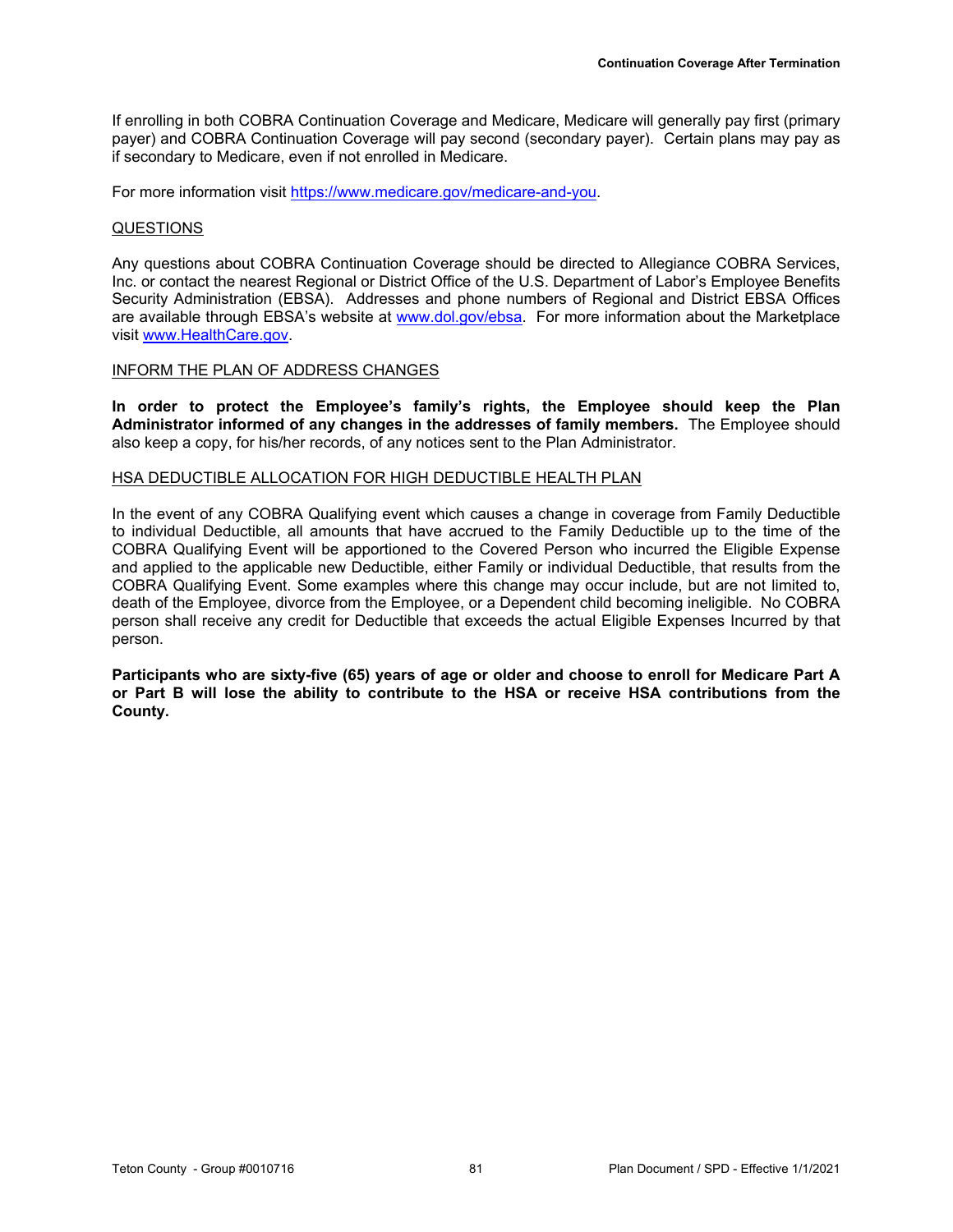If enrolling in both COBRA Continuation Coverage and Medicare, Medicare will generally pay first (primary payer) and COBRA Continuation Coverage will pay second (secondary payer). Certain plans may pay as if secondary to Medicare, even if not enrolled in Medicare.

For more information visit https://www.medicare.gov/medicare-and-you.

## QUESTIONS

Any questions about COBRA Continuation Coverage should be directed to Allegiance COBRA Services, Inc. or contact the nearest Regional or District Office of the U.S. Department of Labor's Employee Benefits Security Administration (EBSA). Addresses and phone numbers of Regional and District EBSA Offices are available through EBSA's website at www.dol.gov/ebsa. For more information about the Marketplace visit www.HealthCare.gov.

### INFORM THE PLAN OF ADDRESS CHANGES

**In order to protect the Employee's family's rights, the Employee should keep the Plan Administrator informed of any changes in the addresses of family members.** The Employee should also keep a copy, for his/her records, of any notices sent to the Plan Administrator.

## HSA DEDUCTIBLE ALLOCATION FOR HIGH DEDUCTIBLE HEALTH PLAN

In the event of any COBRA Qualifying event which causes a change in coverage from Family Deductible to individual Deductible, all amounts that have accrued to the Family Deductible up to the time of the COBRA Qualifying Event will be apportioned to the Covered Person who incurred the Eligible Expense and applied to the applicable new Deductible, either Family or individual Deductible, that results from the COBRA Qualifying Event. Some examples where this change may occur include, but are not limited to, death of the Employee, divorce from the Employee, or a Dependent child becoming ineligible. No COBRA person shall receive any credit for Deductible that exceeds the actual Eligible Expenses Incurred by that person.

**Participants who are sixty-five (65) years of age or older and choose to enroll for Medicare Part A or Part B will lose the ability to contribute to the HSA or receive HSA contributions from the County.**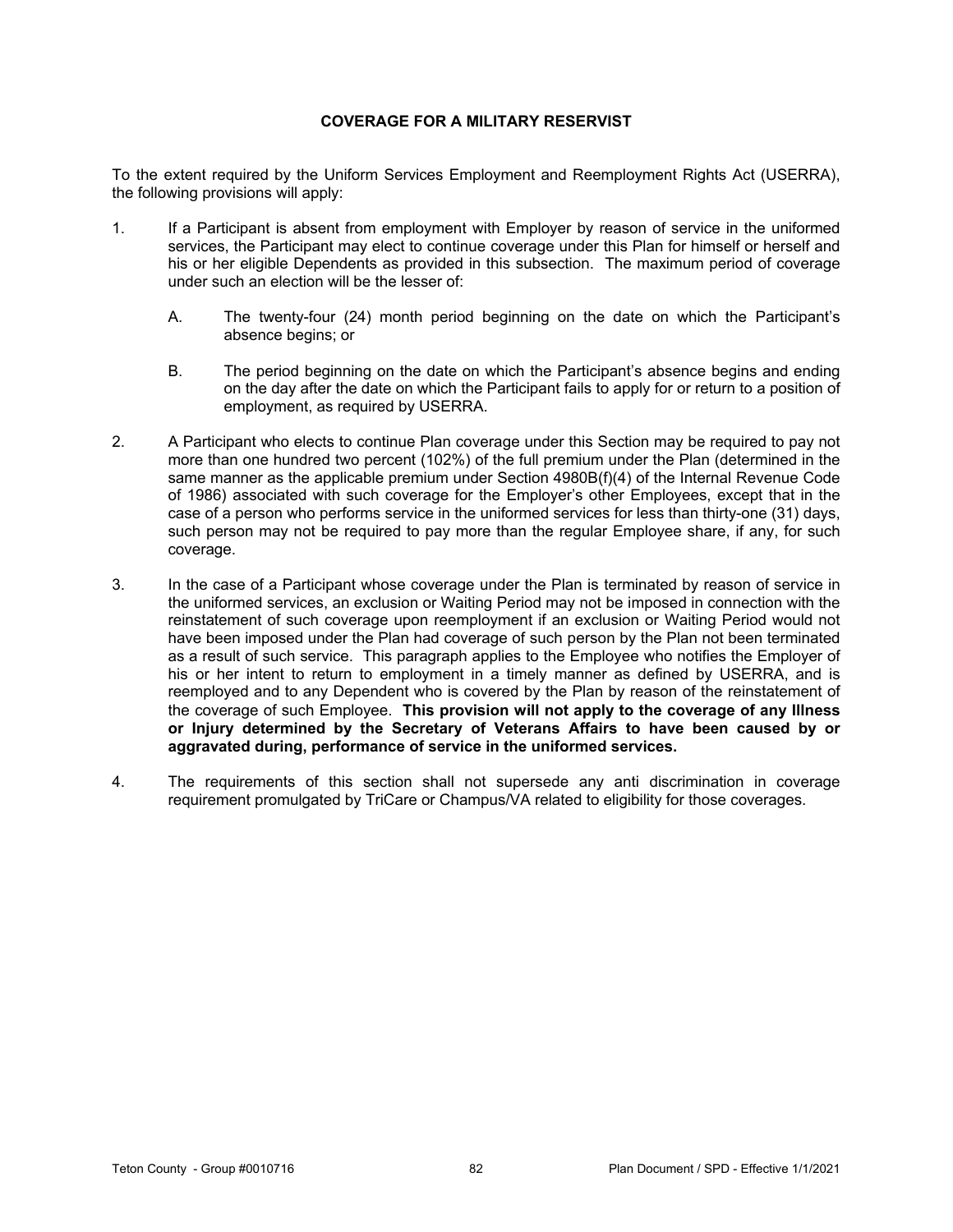# **COVERAGE FOR A MILITARY RESERVIST**

To the extent required by the Uniform Services Employment and Reemployment Rights Act (USERRA), the following provisions will apply:

- 1. If a Participant is absent from employment with Employer by reason of service in the uniformed services, the Participant may elect to continue coverage under this Plan for himself or herself and his or her eligible Dependents as provided in this subsection. The maximum period of coverage under such an election will be the lesser of:
	- A. The twenty-four (24) month period beginning on the date on which the Participant's absence begins; or
	- B. The period beginning on the date on which the Participant's absence begins and ending on the day after the date on which the Participant fails to apply for or return to a position of employment, as required by USERRA.
- 2. A Participant who elects to continue Plan coverage under this Section may be required to pay not more than one hundred two percent (102%) of the full premium under the Plan (determined in the same manner as the applicable premium under Section 4980B(f)(4) of the Internal Revenue Code of 1986) associated with such coverage for the Employer's other Employees, except that in the case of a person who performs service in the uniformed services for less than thirty-one (31) days, such person may not be required to pay more than the regular Employee share, if any, for such coverage.
- 3. In the case of a Participant whose coverage under the Plan is terminated by reason of service in the uniformed services, an exclusion or Waiting Period may not be imposed in connection with the reinstatement of such coverage upon reemployment if an exclusion or Waiting Period would not have been imposed under the Plan had coverage of such person by the Plan not been terminated as a result of such service. This paragraph applies to the Employee who notifies the Employer of his or her intent to return to employment in a timely manner as defined by USERRA, and is reemployed and to any Dependent who is covered by the Plan by reason of the reinstatement of the coverage of such Employee. **This provision will not apply to the coverage of any Illness or Injury determined by the Secretary of Veterans Affairs to have been caused by or aggravated during, performance of service in the uniformed services.**
- 4. The requirements of this section shall not supersede any anti discrimination in coverage requirement promulgated by TriCare or Champus/VA related to eligibility for those coverages.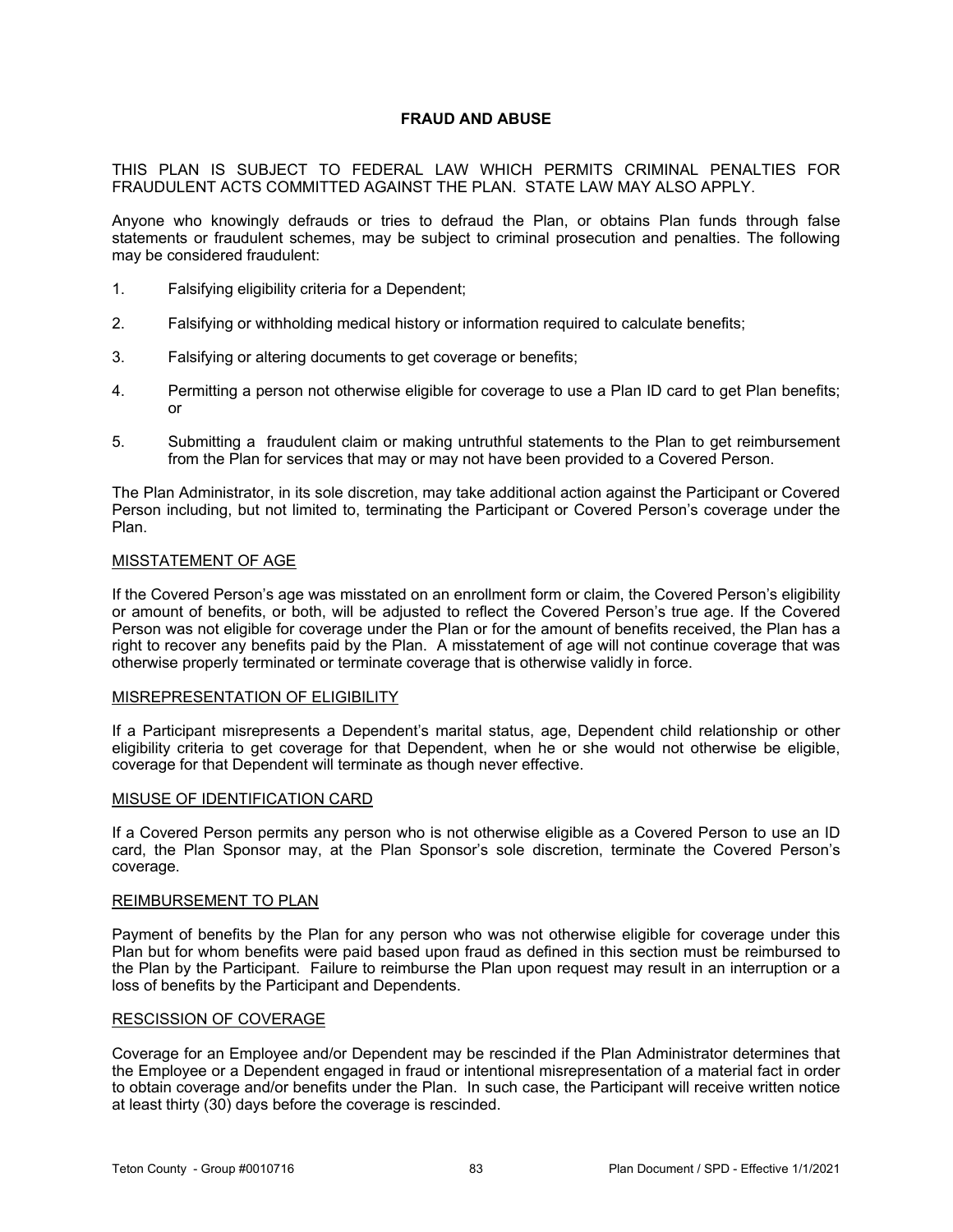# **FRAUD AND ABUSE**

THIS PLAN IS SUBJECT TO FEDERAL LAW WHICH PERMITS CRIMINAL PENALTIES FOR FRAUDULENT ACTS COMMITTED AGAINST THE PLAN. STATE LAW MAY ALSO APPLY.

Anyone who knowingly defrauds or tries to defraud the Plan, or obtains Plan funds through false statements or fraudulent schemes, may be subject to criminal prosecution and penalties. The following may be considered fraudulent:

- 1. Falsifying eligibility criteria for a Dependent;
- 2. Falsifying or withholding medical history or information required to calculate benefits;
- 3. Falsifying or altering documents to get coverage or benefits;
- 4. Permitting a person not otherwise eligible for coverage to use a Plan ID card to get Plan benefits; or
- 5. Submitting a fraudulent claim or making untruthful statements to the Plan to get reimbursement from the Plan for services that may or may not have been provided to a Covered Person.

The Plan Administrator, in its sole discretion, may take additional action against the Participant or Covered Person including, but not limited to, terminating the Participant or Covered Person's coverage under the Plan.

### MISSTATEMENT OF AGE

If the Covered Person's age was misstated on an enrollment form or claim, the Covered Person's eligibility or amount of benefits, or both, will be adjusted to reflect the Covered Person's true age. If the Covered Person was not eligible for coverage under the Plan or for the amount of benefits received, the Plan has a right to recover any benefits paid by the Plan. A misstatement of age will not continue coverage that was otherwise properly terminated or terminate coverage that is otherwise validly in force.

#### MISREPRESENTATION OF ELIGIBILITY

If a Participant misrepresents a Dependent's marital status, age, Dependent child relationship or other eligibility criteria to get coverage for that Dependent, when he or she would not otherwise be eligible, coverage for that Dependent will terminate as though never effective.

#### MISUSE OF IDENTIFICATION CARD

If a Covered Person permits any person who is not otherwise eligible as a Covered Person to use an ID card, the Plan Sponsor may, at the Plan Sponsor's sole discretion, terminate the Covered Person's coverage.

### REIMBURSEMENT TO PLAN

Payment of benefits by the Plan for any person who was not otherwise eligible for coverage under this Plan but for whom benefits were paid based upon fraud as defined in this section must be reimbursed to the Plan by the Participant. Failure to reimburse the Plan upon request may result in an interruption or a loss of benefits by the Participant and Dependents.

### RESCISSION OF COVERAGE

Coverage for an Employee and/or Dependent may be rescinded if the Plan Administrator determines that the Employee or a Dependent engaged in fraud or intentional misrepresentation of a material fact in order to obtain coverage and/or benefits under the Plan. In such case, the Participant will receive written notice at least thirty (30) days before the coverage is rescinded.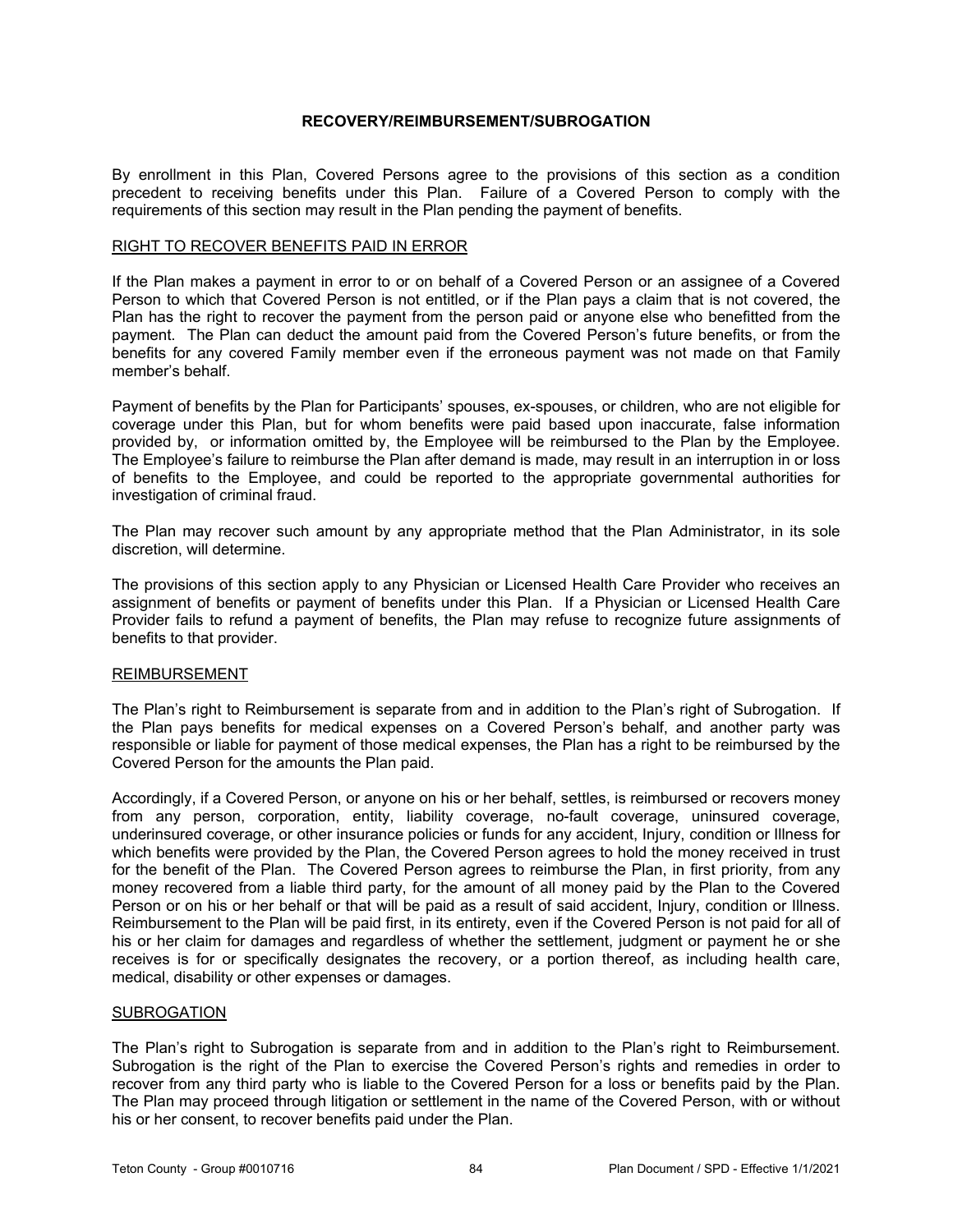## **RECOVERY/REIMBURSEMENT/SUBROGATION**

By enrollment in this Plan, Covered Persons agree to the provisions of this section as a condition precedent to receiving benefits under this Plan. Failure of a Covered Person to comply with the requirements of this section may result in the Plan pending the payment of benefits.

### RIGHT TO RECOVER BENEFITS PAID IN ERROR

If the Plan makes a payment in error to or on behalf of a Covered Person or an assignee of a Covered Person to which that Covered Person is not entitled, or if the Plan pays a claim that is not covered, the Plan has the right to recover the payment from the person paid or anyone else who benefitted from the payment. The Plan can deduct the amount paid from the Covered Person's future benefits, or from the benefits for any covered Family member even if the erroneous payment was not made on that Family member's behalf.

Payment of benefits by the Plan for Participants' spouses, ex-spouses, or children, who are not eligible for coverage under this Plan, but for whom benefits were paid based upon inaccurate, false information provided by, or information omitted by, the Employee will be reimbursed to the Plan by the Employee. The Employee's failure to reimburse the Plan after demand is made, may result in an interruption in or loss of benefits to the Employee, and could be reported to the appropriate governmental authorities for investigation of criminal fraud.

The Plan may recover such amount by any appropriate method that the Plan Administrator, in its sole discretion, will determine.

The provisions of this section apply to any Physician or Licensed Health Care Provider who receives an assignment of benefits or payment of benefits under this Plan. If a Physician or Licensed Health Care Provider fails to refund a payment of benefits, the Plan may refuse to recognize future assignments of benefits to that provider.

#### REIMBURSEMENT

The Plan's right to Reimbursement is separate from and in addition to the Plan's right of Subrogation. If the Plan pays benefits for medical expenses on a Covered Person's behalf, and another party was responsible or liable for payment of those medical expenses, the Plan has a right to be reimbursed by the Covered Person for the amounts the Plan paid.

Accordingly, if a Covered Person, or anyone on his or her behalf, settles, is reimbursed or recovers money from any person, corporation, entity, liability coverage, no-fault coverage, uninsured coverage, underinsured coverage, or other insurance policies or funds for any accident, Injury, condition or Illness for which benefits were provided by the Plan, the Covered Person agrees to hold the money received in trust for the benefit of the Plan. The Covered Person agrees to reimburse the Plan, in first priority, from any money recovered from a liable third party, for the amount of all money paid by the Plan to the Covered Person or on his or her behalf or that will be paid as a result of said accident, Injury, condition or Illness. Reimbursement to the Plan will be paid first, in its entirety, even if the Covered Person is not paid for all of his or her claim for damages and regardless of whether the settlement, judgment or payment he or she receives is for or specifically designates the recovery, or a portion thereof, as including health care, medical, disability or other expenses or damages.

#### **SUBROGATION**

The Plan's right to Subrogation is separate from and in addition to the Plan's right to Reimbursement. Subrogation is the right of the Plan to exercise the Covered Person's rights and remedies in order to recover from any third party who is liable to the Covered Person for a loss or benefits paid by the Plan. The Plan may proceed through litigation or settlement in the name of the Covered Person, with or without his or her consent, to recover benefits paid under the Plan.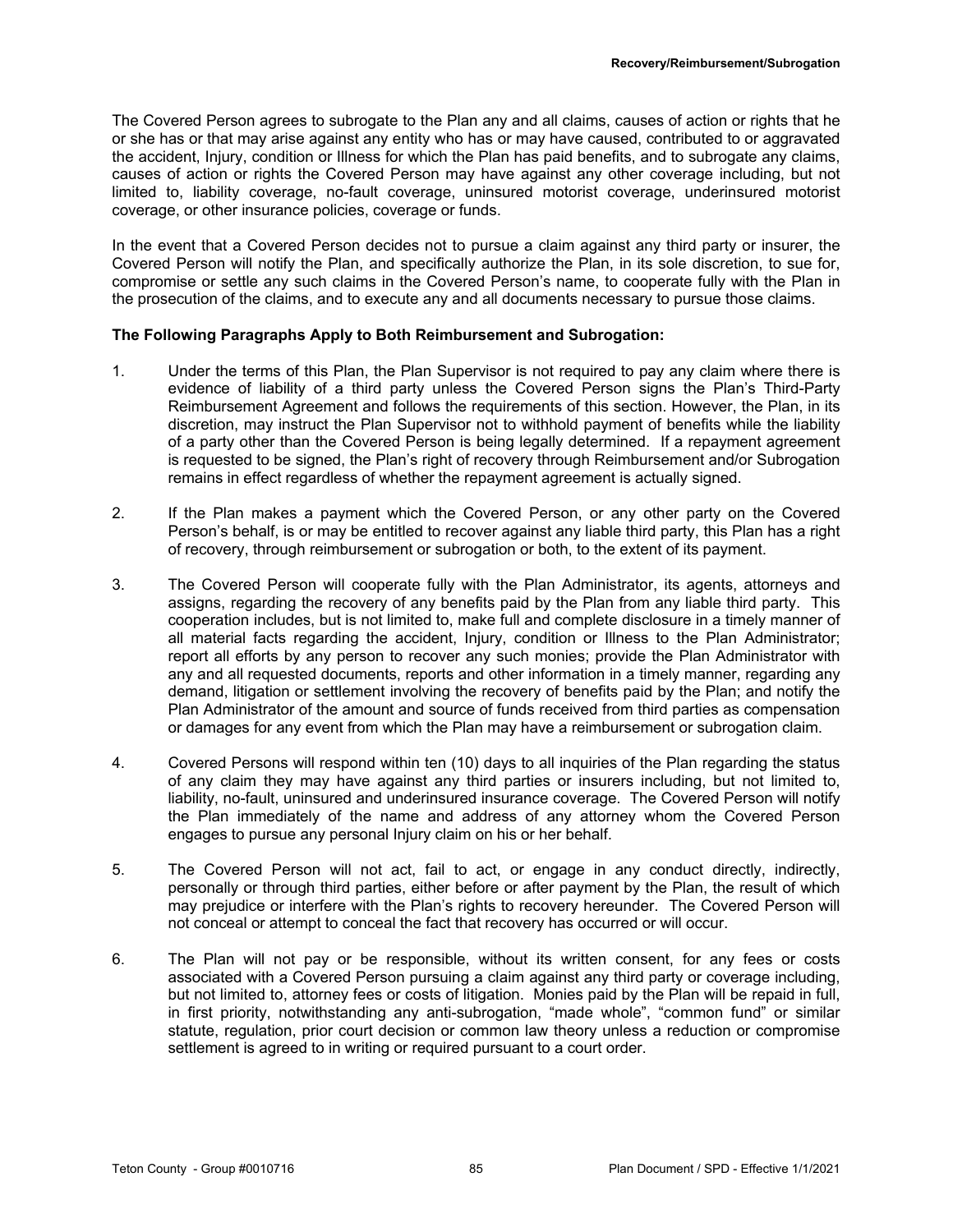The Covered Person agrees to subrogate to the Plan any and all claims, causes of action or rights that he or she has or that may arise against any entity who has or may have caused, contributed to or aggravated the accident, Injury, condition or Illness for which the Plan has paid benefits, and to subrogate any claims, causes of action or rights the Covered Person may have against any other coverage including, but not limited to, liability coverage, no-fault coverage, uninsured motorist coverage, underinsured motorist coverage, or other insurance policies, coverage or funds.

In the event that a Covered Person decides not to pursue a claim against any third party or insurer, the Covered Person will notify the Plan, and specifically authorize the Plan, in its sole discretion, to sue for, compromise or settle any such claims in the Covered Person's name, to cooperate fully with the Plan in the prosecution of the claims, and to execute any and all documents necessary to pursue those claims.

# **The Following Paragraphs Apply to Both Reimbursement and Subrogation:**

- 1. Under the terms of this Plan, the Plan Supervisor is not required to pay any claim where there is evidence of liability of a third party unless the Covered Person signs the Plan's Third-Party Reimbursement Agreement and follows the requirements of this section. However, the Plan, in its discretion, may instruct the Plan Supervisor not to withhold payment of benefits while the liability of a party other than the Covered Person is being legally determined. If a repayment agreement is requested to be signed, the Plan's right of recovery through Reimbursement and/or Subrogation remains in effect regardless of whether the repayment agreement is actually signed.
- 2. If the Plan makes a payment which the Covered Person, or any other party on the Covered Person's behalf, is or may be entitled to recover against any liable third party, this Plan has a right of recovery, through reimbursement or subrogation or both, to the extent of its payment.
- 3. The Covered Person will cooperate fully with the Plan Administrator, its agents, attorneys and assigns, regarding the recovery of any benefits paid by the Plan from any liable third party. This cooperation includes, but is not limited to, make full and complete disclosure in a timely manner of all material facts regarding the accident, Injury, condition or Illness to the Plan Administrator; report all efforts by any person to recover any such monies; provide the Plan Administrator with any and all requested documents, reports and other information in a timely manner, regarding any demand, litigation or settlement involving the recovery of benefits paid by the Plan; and notify the Plan Administrator of the amount and source of funds received from third parties as compensation or damages for any event from which the Plan may have a reimbursement or subrogation claim.
- 4. Covered Persons will respond within ten (10) days to all inquiries of the Plan regarding the status of any claim they may have against any third parties or insurers including, but not limited to, liability, no-fault, uninsured and underinsured insurance coverage. The Covered Person will notify the Plan immediately of the name and address of any attorney whom the Covered Person engages to pursue any personal Injury claim on his or her behalf.
- 5. The Covered Person will not act, fail to act, or engage in any conduct directly, indirectly, personally or through third parties, either before or after payment by the Plan, the result of which may prejudice or interfere with the Plan's rights to recovery hereunder. The Covered Person will not conceal or attempt to conceal the fact that recovery has occurred or will occur.
- 6. The Plan will not pay or be responsible, without its written consent, for any fees or costs associated with a Covered Person pursuing a claim against any third party or coverage including, but not limited to, attorney fees or costs of litigation. Monies paid by the Plan will be repaid in full, in first priority, notwithstanding any anti-subrogation, "made whole", "common fund" or similar statute, regulation, prior court decision or common law theory unless a reduction or compromise settlement is agreed to in writing or required pursuant to a court order.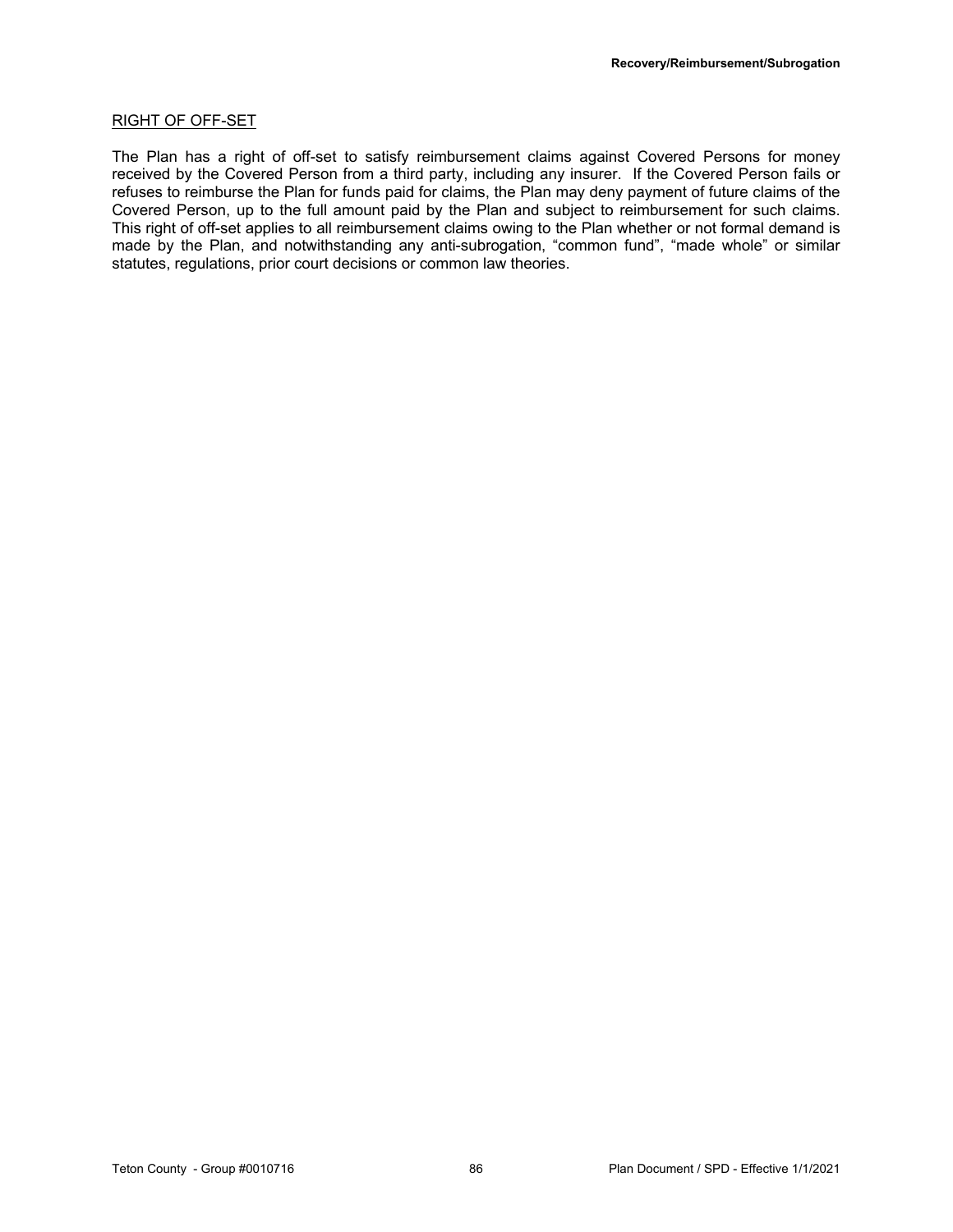## RIGHT OF OFF-SET

The Plan has a right of off-set to satisfy reimbursement claims against Covered Persons for money received by the Covered Person from a third party, including any insurer. If the Covered Person fails or refuses to reimburse the Plan for funds paid for claims, the Plan may deny payment of future claims of the Covered Person, up to the full amount paid by the Plan and subject to reimbursement for such claims. This right of off-set applies to all reimbursement claims owing to the Plan whether or not formal demand is made by the Plan, and notwithstanding any anti-subrogation, "common fund", "made whole" or similar statutes, regulations, prior court decisions or common law theories.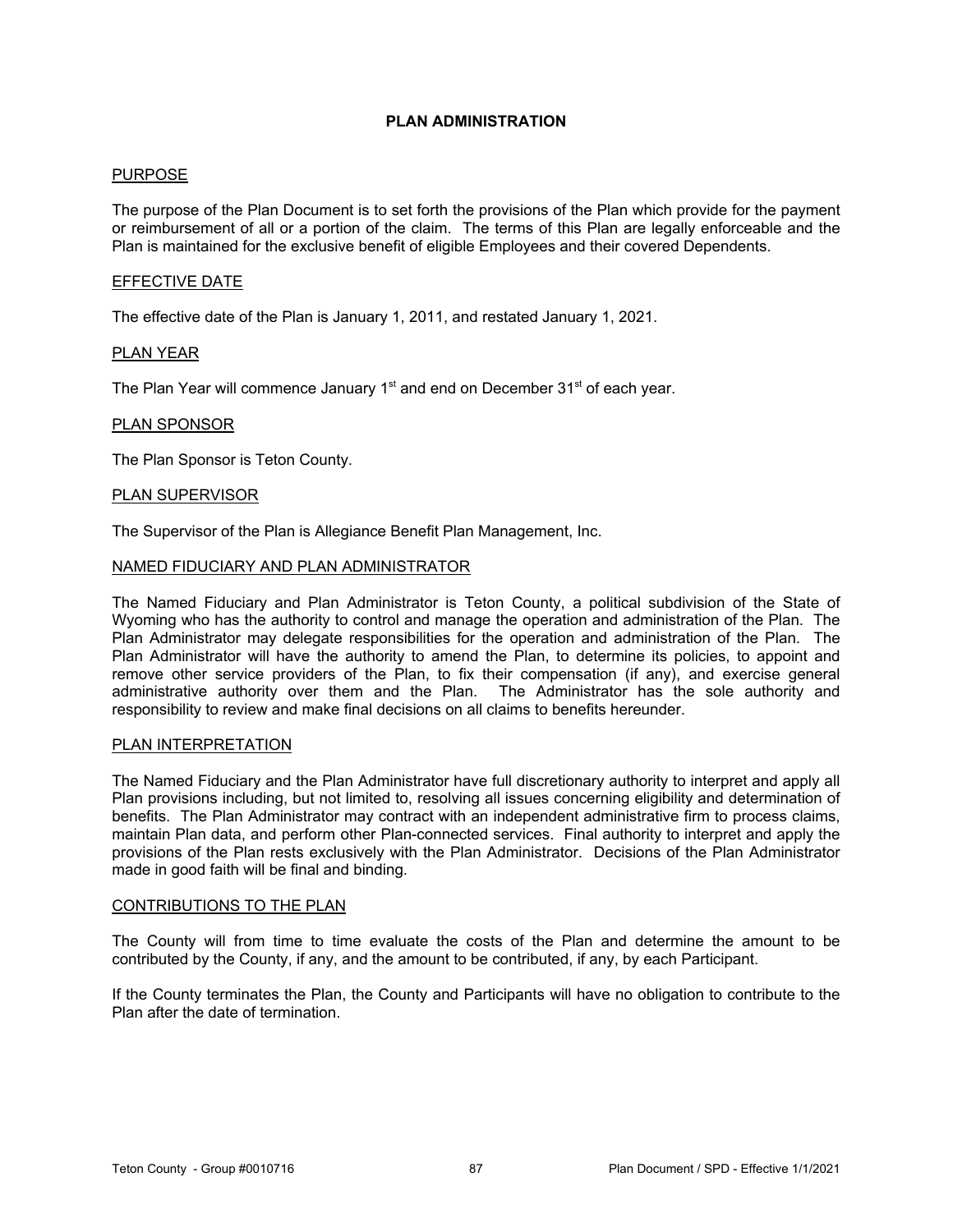# **PLAN ADMINISTRATION**

## PURPOSE

The purpose of the Plan Document is to set forth the provisions of the Plan which provide for the payment or reimbursement of all or a portion of the claim. The terms of this Plan are legally enforceable and the Plan is maintained for the exclusive benefit of eligible Employees and their covered Dependents.

## EFFECTIVE DATE

The effective date of the Plan is January 1, 2011, and restated January 1, 2021.

## PLAN YEAR

The Plan Year will commence January  $1<sup>st</sup>$  and end on December  $31<sup>st</sup>$  of each year.

### PLAN SPONSOR

The Plan Sponsor is Teton County.

### PLAN SUPERVISOR

The Supervisor of the Plan is Allegiance Benefit Plan Management, Inc.

### NAMED FIDUCIARY AND PLAN ADMINISTRATOR

The Named Fiduciary and Plan Administrator is Teton County, a political subdivision of the State of Wyoming who has the authority to control and manage the operation and administration of the Plan. The Plan Administrator may delegate responsibilities for the operation and administration of the Plan. The Plan Administrator will have the authority to amend the Plan, to determine its policies, to appoint and remove other service providers of the Plan, to fix their compensation (if any), and exercise general administrative authority over them and the Plan. The Administrator has the sole authority and responsibility to review and make final decisions on all claims to benefits hereunder.

### PLAN INTERPRETATION

The Named Fiduciary and the Plan Administrator have full discretionary authority to interpret and apply all Plan provisions including, but not limited to, resolving all issues concerning eligibility and determination of benefits. The Plan Administrator may contract with an independent administrative firm to process claims, maintain Plan data, and perform other Plan-connected services. Final authority to interpret and apply the provisions of the Plan rests exclusively with the Plan Administrator. Decisions of the Plan Administrator made in good faith will be final and binding.

### CONTRIBUTIONS TO THE PLAN

The County will from time to time evaluate the costs of the Plan and determine the amount to be contributed by the County, if any, and the amount to be contributed, if any, by each Participant.

If the County terminates the Plan, the County and Participants will have no obligation to contribute to the Plan after the date of termination.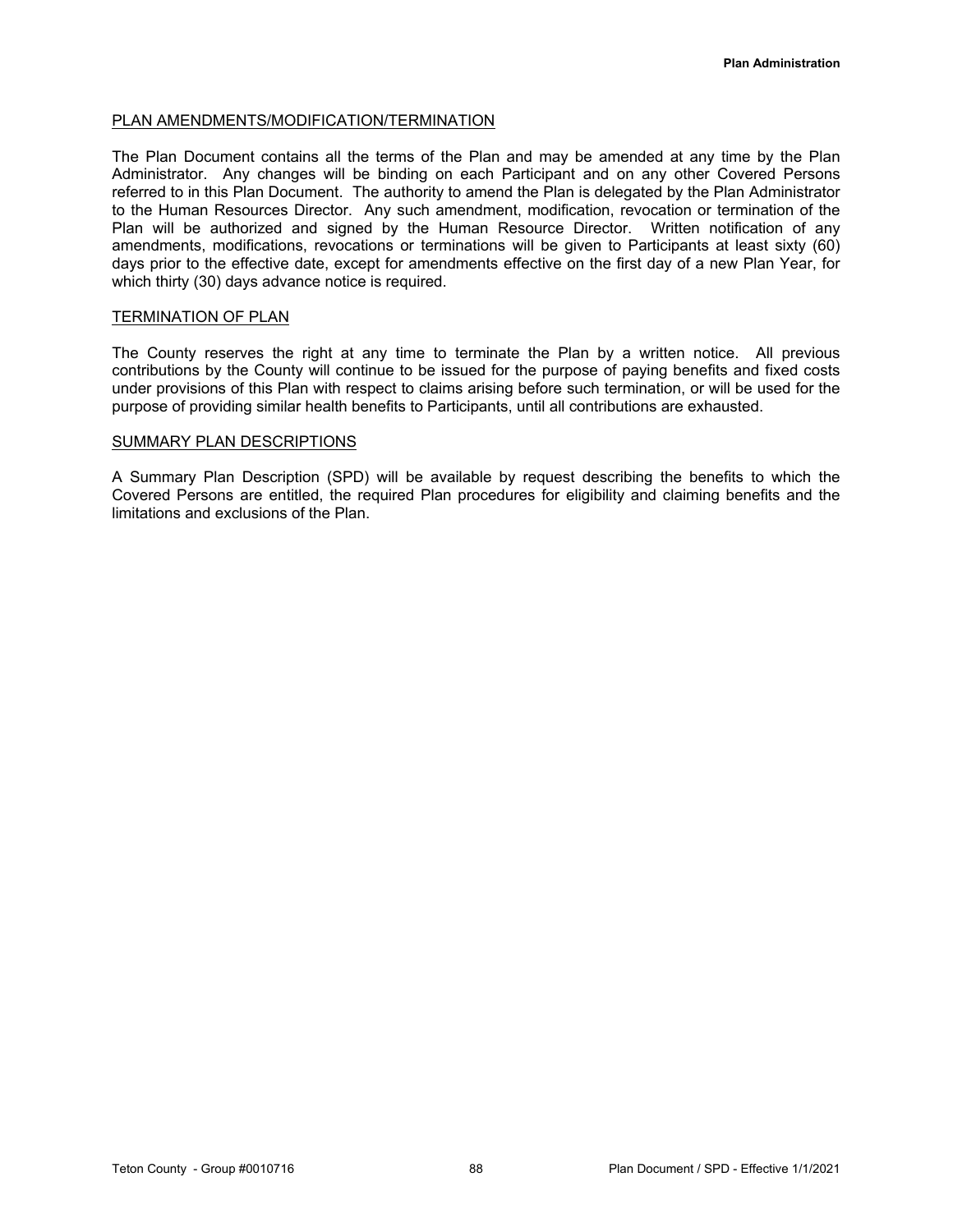## PLAN AMENDMENTS/MODIFICATION/TERMINATION

The Plan Document contains all the terms of the Plan and may be amended at any time by the Plan Administrator. Any changes will be binding on each Participant and on any other Covered Persons referred to in this Plan Document. The authority to amend the Plan is delegated by the Plan Administrator to the Human Resources Director. Any such amendment, modification, revocation or termination of the Plan will be authorized and signed by the Human Resource Director. Written notification of any amendments, modifications, revocations or terminations will be given to Participants at least sixty (60) days prior to the effective date, except for amendments effective on the first day of a new Plan Year, for which thirty (30) days advance notice is required.

### TERMINATION OF PLAN

The County reserves the right at any time to terminate the Plan by a written notice. All previous contributions by the County will continue to be issued for the purpose of paying benefits and fixed costs under provisions of this Plan with respect to claims arising before such termination, or will be used for the purpose of providing similar health benefits to Participants, until all contributions are exhausted.

#### SUMMARY PLAN DESCRIPTIONS

A Summary Plan Description (SPD) will be available by request describing the benefits to which the Covered Persons are entitled, the required Plan procedures for eligibility and claiming benefits and the limitations and exclusions of the Plan.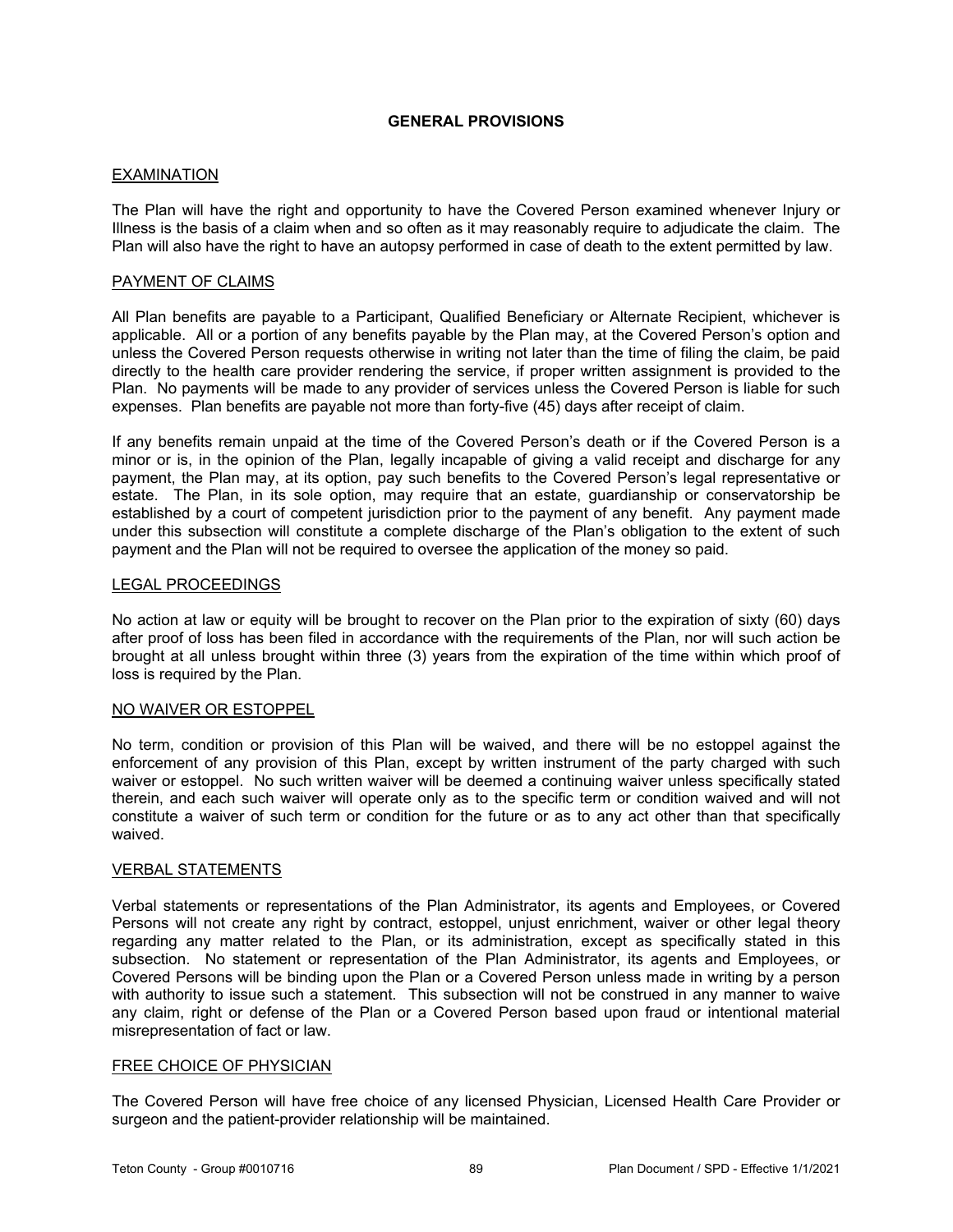# **GENERAL PROVISIONS**

## EXAMINATION

The Plan will have the right and opportunity to have the Covered Person examined whenever Injury or Illness is the basis of a claim when and so often as it may reasonably require to adjudicate the claim. The Plan will also have the right to have an autopsy performed in case of death to the extent permitted by law.

### PAYMENT OF CLAIMS

All Plan benefits are payable to a Participant, Qualified Beneficiary or Alternate Recipient, whichever is applicable. All or a portion of any benefits payable by the Plan may, at the Covered Person's option and unless the Covered Person requests otherwise in writing not later than the time of filing the claim, be paid directly to the health care provider rendering the service, if proper written assignment is provided to the Plan. No payments will be made to any provider of services unless the Covered Person is liable for such expenses. Plan benefits are payable not more than forty-five (45) days after receipt of claim.

If any benefits remain unpaid at the time of the Covered Person's death or if the Covered Person is a minor or is, in the opinion of the Plan, legally incapable of giving a valid receipt and discharge for any payment, the Plan may, at its option, pay such benefits to the Covered Person's legal representative or estate. The Plan, in its sole option, may require that an estate, guardianship or conservatorship be established by a court of competent jurisdiction prior to the payment of any benefit. Any payment made under this subsection will constitute a complete discharge of the Plan's obligation to the extent of such payment and the Plan will not be required to oversee the application of the money so paid.

### LEGAL PROCEEDINGS

No action at law or equity will be brought to recover on the Plan prior to the expiration of sixty (60) days after proof of loss has been filed in accordance with the requirements of the Plan, nor will such action be brought at all unless brought within three (3) years from the expiration of the time within which proof of loss is required by the Plan.

## NO WAIVER OR ESTOPPEL

No term, condition or provision of this Plan will be waived, and there will be no estoppel against the enforcement of any provision of this Plan, except by written instrument of the party charged with such waiver or estoppel. No such written waiver will be deemed a continuing waiver unless specifically stated therein, and each such waiver will operate only as to the specific term or condition waived and will not constitute a waiver of such term or condition for the future or as to any act other than that specifically waived.

## VERBAL STATEMENTS

Verbal statements or representations of the Plan Administrator, its agents and Employees, or Covered Persons will not create any right by contract, estoppel, unjust enrichment, waiver or other legal theory regarding any matter related to the Plan, or its administration, except as specifically stated in this subsection. No statement or representation of the Plan Administrator, its agents and Employees, or Covered Persons will be binding upon the Plan or a Covered Person unless made in writing by a person with authority to issue such a statement. This subsection will not be construed in any manner to waive any claim, right or defense of the Plan or a Covered Person based upon fraud or intentional material misrepresentation of fact or law.

#### FREE CHOICE OF PHYSICIAN

The Covered Person will have free choice of any licensed Physician, Licensed Health Care Provider or surgeon and the patient-provider relationship will be maintained.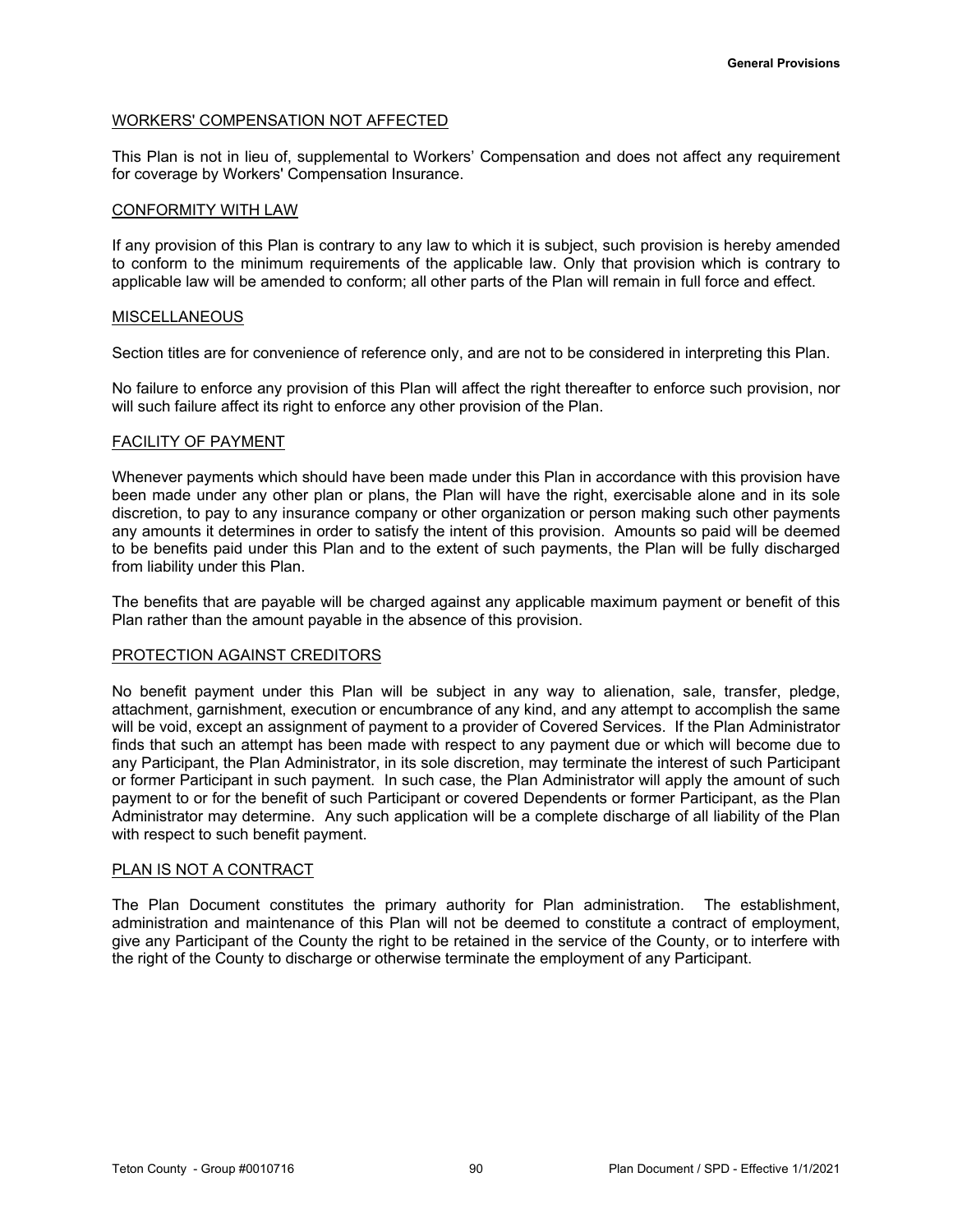## WORKERS' COMPENSATION NOT AFFECTED

This Plan is not in lieu of, supplemental to Workers' Compensation and does not affect any requirement for coverage by Workers' Compensation Insurance.

#### CONFORMITY WITH LAW

If any provision of this Plan is contrary to any law to which it is subject, such provision is hereby amended to conform to the minimum requirements of the applicable law. Only that provision which is contrary to applicable law will be amended to conform; all other parts of the Plan will remain in full force and effect.

### MISCELLANEOUS

Section titles are for convenience of reference only, and are not to be considered in interpreting this Plan.

No failure to enforce any provision of this Plan will affect the right thereafter to enforce such provision, nor will such failure affect its right to enforce any other provision of the Plan.

## FACILITY OF PAYMENT

Whenever payments which should have been made under this Plan in accordance with this provision have been made under any other plan or plans, the Plan will have the right, exercisable alone and in its sole discretion, to pay to any insurance company or other organization or person making such other payments any amounts it determines in order to satisfy the intent of this provision. Amounts so paid will be deemed to be benefits paid under this Plan and to the extent of such payments, the Plan will be fully discharged from liability under this Plan.

The benefits that are payable will be charged against any applicable maximum payment or benefit of this Plan rather than the amount payable in the absence of this provision.

## PROTECTION AGAINST CREDITORS

No benefit payment under this Plan will be subject in any way to alienation, sale, transfer, pledge, attachment, garnishment, execution or encumbrance of any kind, and any attempt to accomplish the same will be void, except an assignment of payment to a provider of Covered Services. If the Plan Administrator finds that such an attempt has been made with respect to any payment due or which will become due to any Participant, the Plan Administrator, in its sole discretion, may terminate the interest of such Participant or former Participant in such payment. In such case, the Plan Administrator will apply the amount of such payment to or for the benefit of such Participant or covered Dependents or former Participant, as the Plan Administrator may determine. Any such application will be a complete discharge of all liability of the Plan with respect to such benefit payment.

## PLAN IS NOT A CONTRACT

The Plan Document constitutes the primary authority for Plan administration. The establishment, administration and maintenance of this Plan will not be deemed to constitute a contract of employment, give any Participant of the County the right to be retained in the service of the County, or to interfere with the right of the County to discharge or otherwise terminate the employment of any Participant.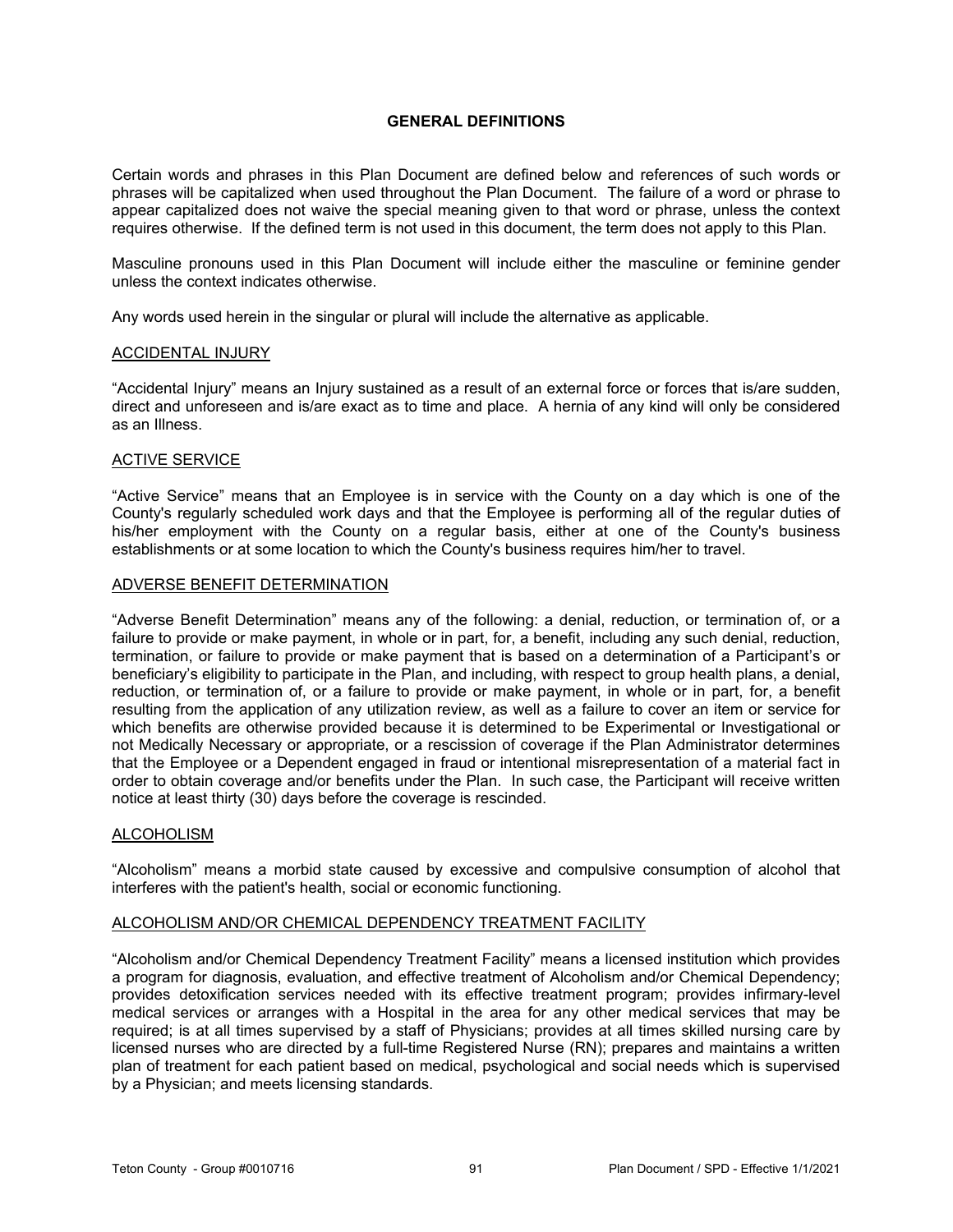## **GENERAL DEFINITIONS**

Certain words and phrases in this Plan Document are defined below and references of such words or phrases will be capitalized when used throughout the Plan Document. The failure of a word or phrase to appear capitalized does not waive the special meaning given to that word or phrase, unless the context requires otherwise. If the defined term is not used in this document, the term does not apply to this Plan.

Masculine pronouns used in this Plan Document will include either the masculine or feminine gender unless the context indicates otherwise.

Any words used herein in the singular or plural will include the alternative as applicable.

### ACCIDENTAL INJURY

"Accidental Injury" means an Injury sustained as a result of an external force or forces that is/are sudden, direct and unforeseen and is/are exact as to time and place. A hernia of any kind will only be considered as an Illness.

### ACTIVE SERVICE

"Active Service" means that an Employee is in service with the County on a day which is one of the County's regularly scheduled work days and that the Employee is performing all of the regular duties of his/her employment with the County on a regular basis, either at one of the County's business establishments or at some location to which the County's business requires him/her to travel.

### ADVERSE BENEFIT DETERMINATION

"Adverse Benefit Determination" means any of the following: a denial, reduction, or termination of, or a failure to provide or make payment, in whole or in part, for, a benefit, including any such denial, reduction, termination, or failure to provide or make payment that is based on a determination of a Participant's or beneficiary's eligibility to participate in the Plan, and including, with respect to group health plans, a denial, reduction, or termination of, or a failure to provide or make payment, in whole or in part, for, a benefit resulting from the application of any utilization review, as well as a failure to cover an item or service for which benefits are otherwise provided because it is determined to be Experimental or Investigational or not Medically Necessary or appropriate, or a rescission of coverage if the Plan Administrator determines that the Employee or a Dependent engaged in fraud or intentional misrepresentation of a material fact in order to obtain coverage and/or benefits under the Plan. In such case, the Participant will receive written notice at least thirty (30) days before the coverage is rescinded.

## ALCOHOLISM

"Alcoholism" means a morbid state caused by excessive and compulsive consumption of alcohol that interferes with the patient's health, social or economic functioning.

## ALCOHOLISM AND/OR CHEMICAL DEPENDENCY TREATMENT FACILITY

"Alcoholism and/or Chemical Dependency Treatment Facility" means a licensed institution which provides a program for diagnosis, evaluation, and effective treatment of Alcoholism and/or Chemical Dependency; provides detoxification services needed with its effective treatment program; provides infirmary-level medical services or arranges with a Hospital in the area for any other medical services that may be required; is at all times supervised by a staff of Physicians; provides at all times skilled nursing care by licensed nurses who are directed by a full-time Registered Nurse (RN); prepares and maintains a written plan of treatment for each patient based on medical, psychological and social needs which is supervised by a Physician; and meets licensing standards.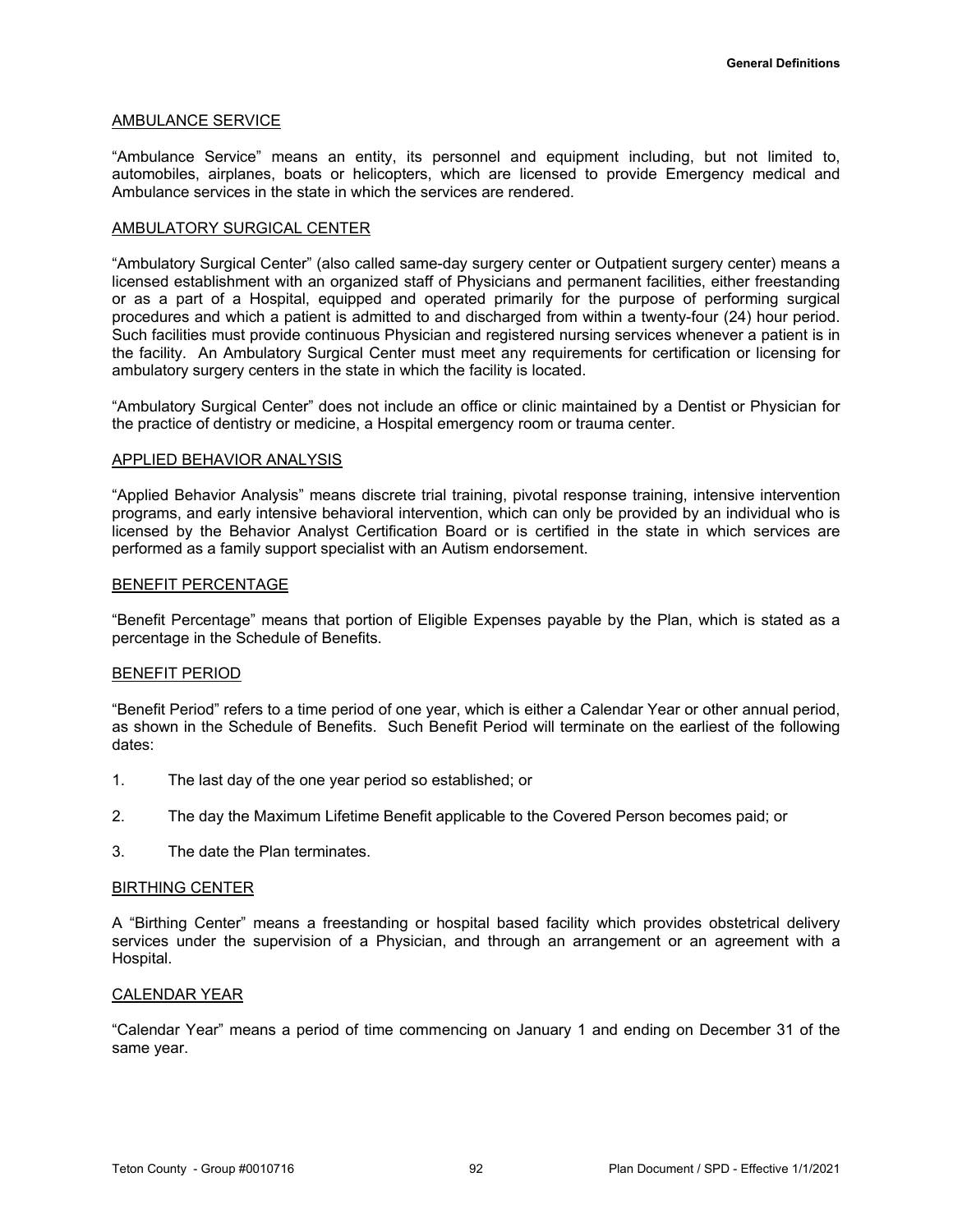### AMBULANCE SERVICE

"Ambulance Service" means an entity, its personnel and equipment including, but not limited to, automobiles, airplanes, boats or helicopters, which are licensed to provide Emergency medical and Ambulance services in the state in which the services are rendered.

### AMBULATORY SURGICAL CENTER

"Ambulatory Surgical Center" (also called same-day surgery center or Outpatient surgery center) means a licensed establishment with an organized staff of Physicians and permanent facilities, either freestanding or as a part of a Hospital, equipped and operated primarily for the purpose of performing surgical procedures and which a patient is admitted to and discharged from within a twenty-four (24) hour period. Such facilities must provide continuous Physician and registered nursing services whenever a patient is in the facility. An Ambulatory Surgical Center must meet any requirements for certification or licensing for ambulatory surgery centers in the state in which the facility is located.

"Ambulatory Surgical Center" does not include an office or clinic maintained by a Dentist or Physician for the practice of dentistry or medicine, a Hospital emergency room or trauma center.

#### APPLIED BEHAVIOR ANALYSIS

"Applied Behavior Analysis" means discrete trial training, pivotal response training, intensive intervention programs, and early intensive behavioral intervention, which can only be provided by an individual who is licensed by the Behavior Analyst Certification Board or is certified in the state in which services are performed as a family support specialist with an Autism endorsement.

#### BENEFIT PERCENTAGE

"Benefit Percentage" means that portion of Eligible Expenses payable by the Plan, which is stated as a percentage in the Schedule of Benefits.

#### BENEFIT PERIOD

"Benefit Period" refers to a time period of one year, which is either a Calendar Year or other annual period, as shown in the Schedule of Benefits. Such Benefit Period will terminate on the earliest of the following dates:

- 1. The last day of the one year period so established; or
- 2. The day the Maximum Lifetime Benefit applicable to the Covered Person becomes paid; or
- 3. The date the Plan terminates.

#### BIRTHING CENTER

A "Birthing Center" means a freestanding or hospital based facility which provides obstetrical delivery services under the supervision of a Physician, and through an arrangement or an agreement with a Hospital.

## CALENDAR YEAR

"Calendar Year" means a period of time commencing on January 1 and ending on December 31 of the same year.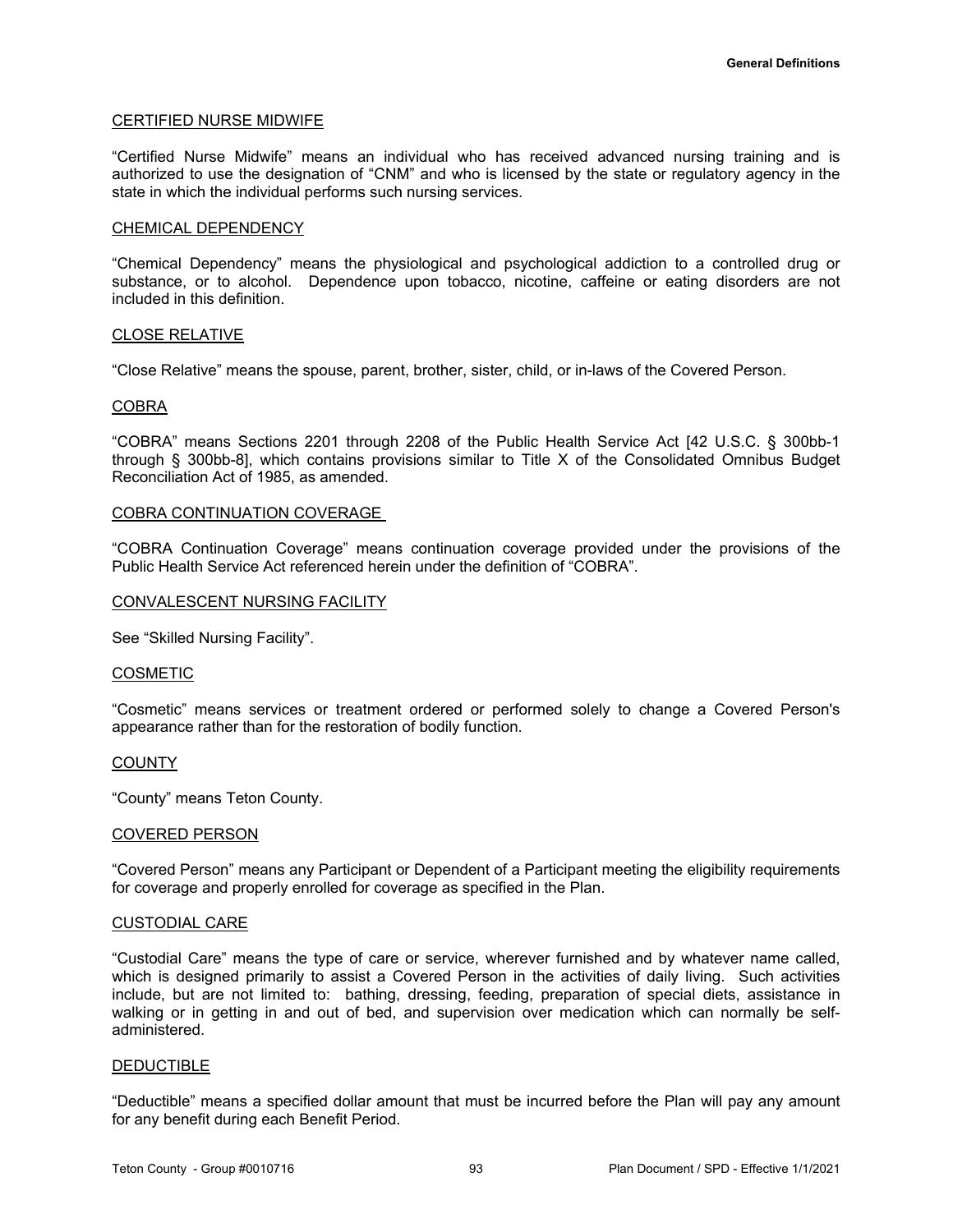### CERTIFIED NURSE MIDWIFE

"Certified Nurse Midwife" means an individual who has received advanced nursing training and is authorized to use the designation of "CNM" and who is licensed by the state or regulatory agency in the state in which the individual performs such nursing services.

#### CHEMICAL DEPENDENCY

"Chemical Dependency" means the physiological and psychological addiction to a controlled drug or substance, or to alcohol. Dependence upon tobacco, nicotine, caffeine or eating disorders are not included in this definition.

#### CLOSE RELATIVE

"Close Relative" means the spouse, parent, brother, sister, child, or in-laws of the Covered Person.

#### COBRA

"COBRA" means Sections 2201 through 2208 of the Public Health Service Act [42 U.S.C. § 300bb-1 through § 300bb-8], which contains provisions similar to Title X of the Consolidated Omnibus Budget Reconciliation Act of 1985, as amended.

#### COBRA CONTINUATION COVERAGE

"COBRA Continuation Coverage" means continuation coverage provided under the provisions of the Public Health Service Act referenced herein under the definition of "COBRA".

#### CONVALESCENT NURSING FACILITY

See "Skilled Nursing Facility".

#### COSMETIC

"Cosmetic" means services or treatment ordered or performed solely to change a Covered Person's appearance rather than for the restoration of bodily function.

#### **COUNTY**

"County" means Teton County.

#### COVERED PERSON

"Covered Person" means any Participant or Dependent of a Participant meeting the eligibility requirements for coverage and properly enrolled for coverage as specified in the Plan.

#### CUSTODIAL CARE

"Custodial Care" means the type of care or service, wherever furnished and by whatever name called, which is designed primarily to assist a Covered Person in the activities of daily living. Such activities include, but are not limited to: bathing, dressing, feeding, preparation of special diets, assistance in walking or in getting in and out of bed, and supervision over medication which can normally be selfadministered.

#### DEDUCTIBLE

"Deductible" means a specified dollar amount that must be incurred before the Plan will pay any amount for any benefit during each Benefit Period.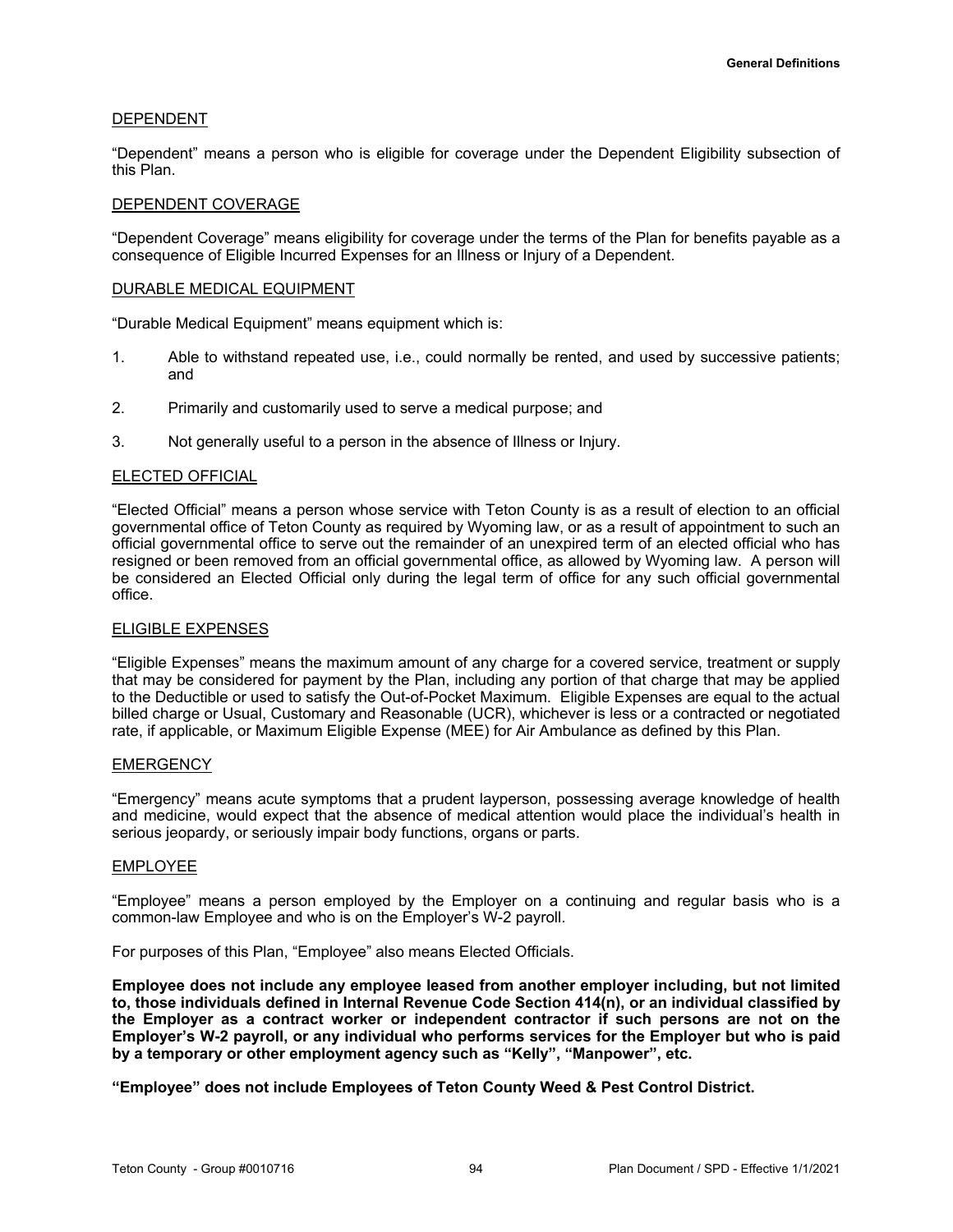## DEPENDENT

"Dependent" means a person who is eligible for coverage under the Dependent Eligibility subsection of this Plan.

## DEPENDENT COVERAGE

"Dependent Coverage" means eligibility for coverage under the terms of the Plan for benefits payable as a consequence of Eligible Incurred Expenses for an Illness or Injury of a Dependent.

### DURABLE MEDICAL EQUIPMENT

"Durable Medical Equipment" means equipment which is:

- 1. Able to withstand repeated use, i.e., could normally be rented, and used by successive patients; and
- 2. Primarily and customarily used to serve a medical purpose; and
- 3. Not generally useful to a person in the absence of Illness or Injury.

### ELECTED OFFICIAL

"Elected Official" means a person whose service with Teton County is as a result of election to an official governmental office of Teton County as required by Wyoming law, or as a result of appointment to such an official governmental office to serve out the remainder of an unexpired term of an elected official who has resigned or been removed from an official governmental office, as allowed by Wyoming law. A person will be considered an Elected Official only during the legal term of office for any such official governmental office.

#### ELIGIBLE EXPENSES

"Eligible Expenses" means the maximum amount of any charge for a covered service, treatment or supply that may be considered for payment by the Plan, including any portion of that charge that may be applied to the Deductible or used to satisfy the Out-of-Pocket Maximum. Eligible Expenses are equal to the actual billed charge or Usual, Customary and Reasonable (UCR), whichever is less or a contracted or negotiated rate, if applicable, or Maximum Eligible Expense (MEE) for Air Ambulance as defined by this Plan.

#### **EMERGENCY**

"Emergency" means acute symptoms that a prudent layperson, possessing average knowledge of health and medicine, would expect that the absence of medical attention would place the individual's health in serious jeopardy, or seriously impair body functions, organs or parts.

#### EMPLOYEE

"Employee" means a person employed by the Employer on a continuing and regular basis who is a common-law Employee and who is on the Employer's W-2 payroll.

For purposes of this Plan, "Employee" also means Elected Officials.

**Employee does not include any employee leased from another employer including, but not limited to, those individuals defined in Internal Revenue Code Section 414(n), or an individual classified by the Employer as a contract worker or independent contractor if such persons are not on the Employer's W-2 payroll, or any individual who performs services for the Employer but who is paid by a temporary or other employment agency such as "Kelly", "Manpower", etc.**

**"Employee" does not include Employees of Teton County Weed & Pest Control District.**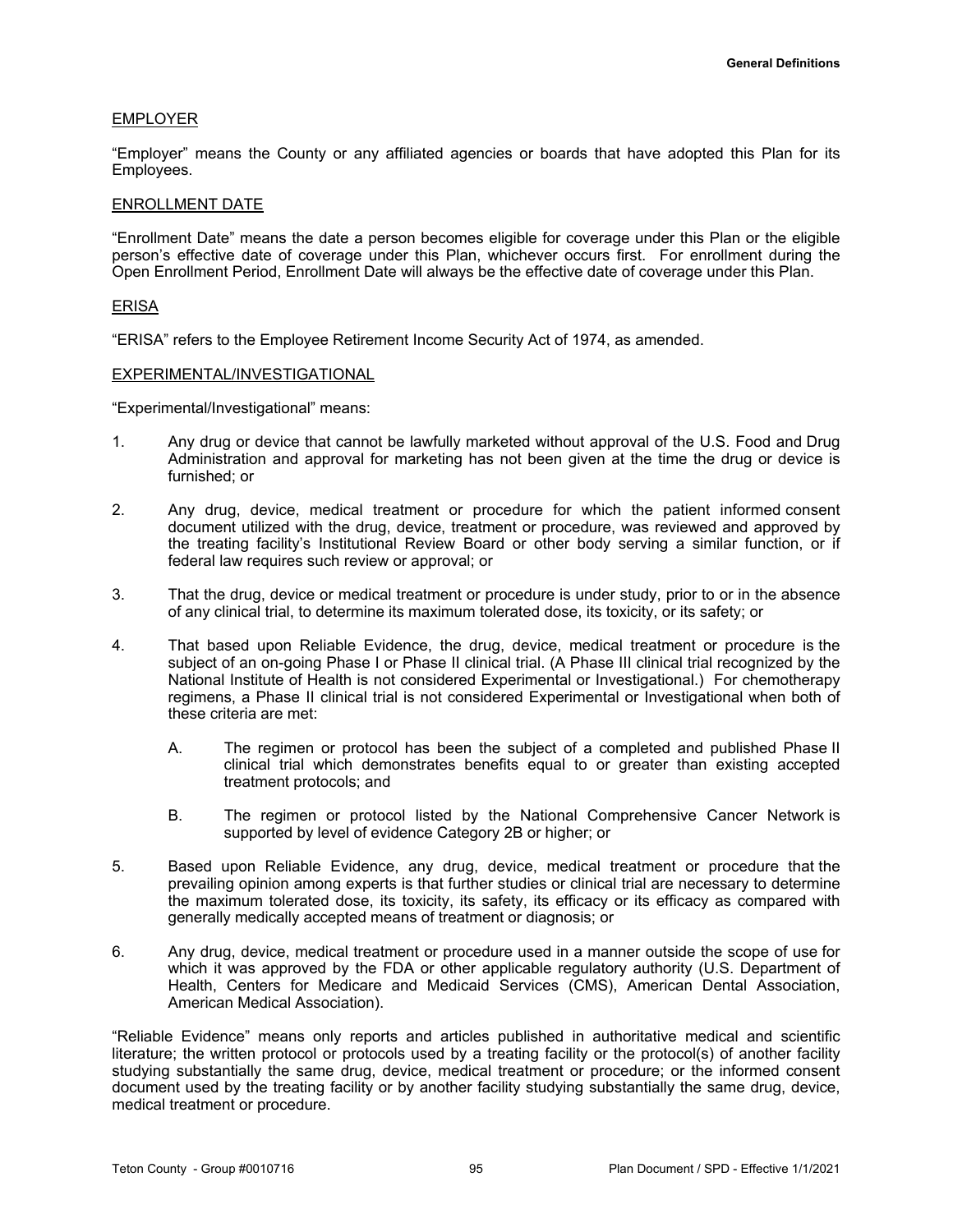## EMPLOYER

"Employer" means the County or any affiliated agencies or boards that have adopted this Plan for its Employees.

## ENROLLMENT DATE

"Enrollment Date" means the date a person becomes eligible for coverage under this Plan or the eligible person's effective date of coverage under this Plan, whichever occurs first. For enrollment during the Open Enrollment Period, Enrollment Date will always be the effective date of coverage under this Plan.

#### ERISA

"ERISA" refers to the Employee Retirement Income Security Act of 1974, as amended.

#### EXPERIMENTAL/INVESTIGATIONAL

"Experimental/Investigational" means:

- 1. Any drug or device that cannot be lawfully marketed without approval of the U.S. Food and Drug Administration and approval for marketing has not been given at the time the drug or device is furnished; or
- 2. Any drug, device, medical treatment or procedure for which the patient informed consent document utilized with the drug, device, treatment or procedure, was reviewed and approved by the treating facility's Institutional Review Board or other body serving a similar function, or if federal law requires such review or approval; or
- 3. That the drug, device or medical treatment or procedure is under study, prior to or in the absence of any clinical trial, to determine its maximum tolerated dose, its toxicity, or its safety; or
- 4. That based upon Reliable Evidence, the drug, device, medical treatment or procedure is the subject of an on-going Phase I or Phase II clinical trial. (A Phase III clinical trial recognized by the National Institute of Health is not considered Experimental or Investigational.) For chemotherapy regimens, a Phase II clinical trial is not considered Experimental or Investigational when both of these criteria are met:
	- A. The regimen or protocol has been the subject of a completed and published Phase II clinical trial which demonstrates benefits equal to or greater than existing accepted treatment protocols; and
	- B. The regimen or protocol listed by the National Comprehensive Cancer Network is supported by level of evidence Category 2B or higher; or
- 5. Based upon Reliable Evidence, any drug, device, medical treatment or procedure that the prevailing opinion among experts is that further studies or clinical trial are necessary to determine the maximum tolerated dose, its toxicity, its safety, its efficacy or its efficacy as compared with generally medically accepted means of treatment or diagnosis; or
- 6. Any drug, device, medical treatment or procedure used in a manner outside the scope of use for which it was approved by the FDA or other applicable regulatory authority (U.S. Department of Health, Centers for Medicare and Medicaid Services (CMS), American Dental Association, American Medical Association).

"Reliable Evidence" means only reports and articles published in authoritative medical and scientific literature; the written protocol or protocols used by a treating facility or the protocol(s) of another facility studying substantially the same drug, device, medical treatment or procedure; or the informed consent document used by the treating facility or by another facility studying substantially the same drug, device, medical treatment or procedure.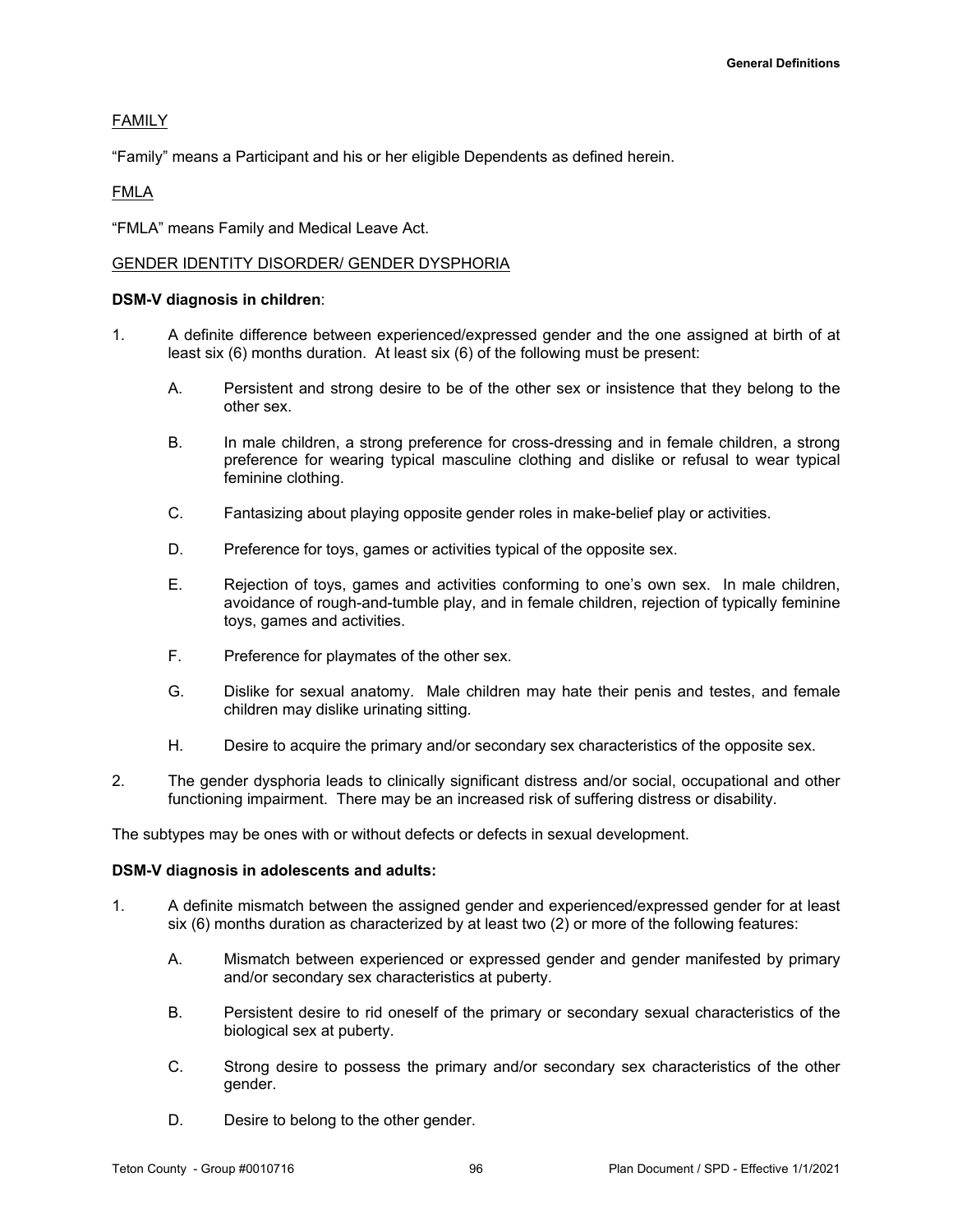## FAMILY

"Family" means a Participant and his or her eligible Dependents as defined herein.

# FMLA

"FMLA" means Family and Medical Leave Act.

# GENDER IDENTITY DISORDER/ GENDER DYSPHORIA

### **DSM-V diagnosis in children**:

- 1. A definite difference between experienced/expressed gender and the one assigned at birth of at least six (6) months duration. At least six (6) of the following must be present:
	- A. Persistent and strong desire to be of the other sex or insistence that they belong to the other sex.
	- B. In male children, a strong preference for cross-dressing and in female children, a strong preference for wearing typical masculine clothing and dislike or refusal to wear typical feminine clothing.
	- C. Fantasizing about playing opposite gender roles in make-belief play or activities.
	- D. Preference for toys, games or activities typical of the opposite sex.
	- E. Rejection of toys, games and activities conforming to one's own sex. In male children, avoidance of rough-and-tumble play, and in female children, rejection of typically feminine toys, games and activities.
	- F. Preference for playmates of the other sex.
	- G. Dislike for sexual anatomy. Male children may hate their penis and testes, and female children may dislike urinating sitting.
	- H. Desire to acquire the primary and/or secondary sex characteristics of the opposite sex.
- 2. The gender dysphoria leads to clinically significant distress and/or social, occupational and other functioning impairment. There may be an increased risk of suffering distress or disability.

The subtypes may be ones with or without defects or defects in sexual development.

#### **DSM-V diagnosis in adolescents and adults:**

- 1. A definite mismatch between the assigned gender and experienced/expressed gender for at least six (6) months duration as characterized by at least two (2) or more of the following features:
	- A. Mismatch between experienced or expressed gender and gender manifested by primary and/or secondary sex characteristics at puberty.
	- B. Persistent desire to rid oneself of the primary or secondary sexual characteristics of the biological sex at puberty.
	- C. Strong desire to possess the primary and/or secondary sex characteristics of the other gender.
	- D. Desire to belong to the other gender.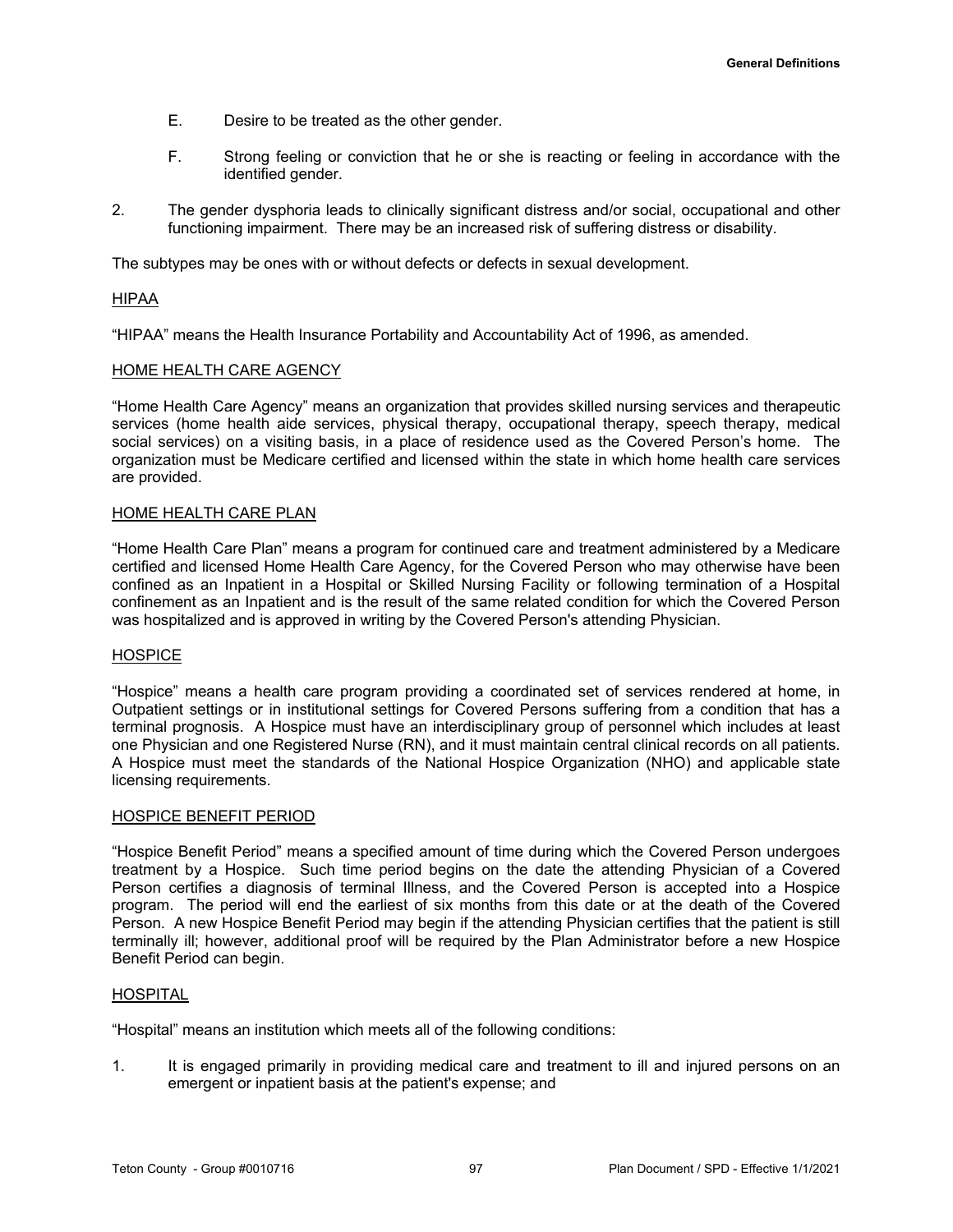- E. Desire to be treated as the other gender.
- F. Strong feeling or conviction that he or she is reacting or feeling in accordance with the identified gender.
- 2. The gender dysphoria leads to clinically significant distress and/or social, occupational and other functioning impairment. There may be an increased risk of suffering distress or disability.

The subtypes may be ones with or without defects or defects in sexual development.

## HIPAA

"HIPAA" means the Health Insurance Portability and Accountability Act of 1996, as amended.

### HOME HEALTH CARE AGENCY

"Home Health Care Agency" means an organization that provides skilled nursing services and therapeutic services (home health aide services, physical therapy, occupational therapy, speech therapy, medical social services) on a visiting basis, in a place of residence used as the Covered Person's home. The organization must be Medicare certified and licensed within the state in which home health care services are provided.

## HOME HEALTH CARE PLAN

"Home Health Care Plan" means a program for continued care and treatment administered by a Medicare certified and licensed Home Health Care Agency, for the Covered Person who may otherwise have been confined as an Inpatient in a Hospital or Skilled Nursing Facility or following termination of a Hospital confinement as an Inpatient and is the result of the same related condition for which the Covered Person was hospitalized and is approved in writing by the Covered Person's attending Physician.

#### **HOSPICE**

"Hospice" means a health care program providing a coordinated set of services rendered at home, in Outpatient settings or in institutional settings for Covered Persons suffering from a condition that has a terminal prognosis. A Hospice must have an interdisciplinary group of personnel which includes at least one Physician and one Registered Nurse (RN), and it must maintain central clinical records on all patients. A Hospice must meet the standards of the National Hospice Organization (NHO) and applicable state licensing requirements.

#### HOSPICE BENEFIT PERIOD

"Hospice Benefit Period" means a specified amount of time during which the Covered Person undergoes treatment by a Hospice. Such time period begins on the date the attending Physician of a Covered Person certifies a diagnosis of terminal Illness, and the Covered Person is accepted into a Hospice program. The period will end the earliest of six months from this date or at the death of the Covered Person. A new Hospice Benefit Period may begin if the attending Physician certifies that the patient is still terminally ill; however, additional proof will be required by the Plan Administrator before a new Hospice Benefit Period can begin.

#### **HOSPITAL**

"Hospital" means an institution which meets all of the following conditions:

1. It is engaged primarily in providing medical care and treatment to ill and injured persons on an emergent or inpatient basis at the patient's expense; and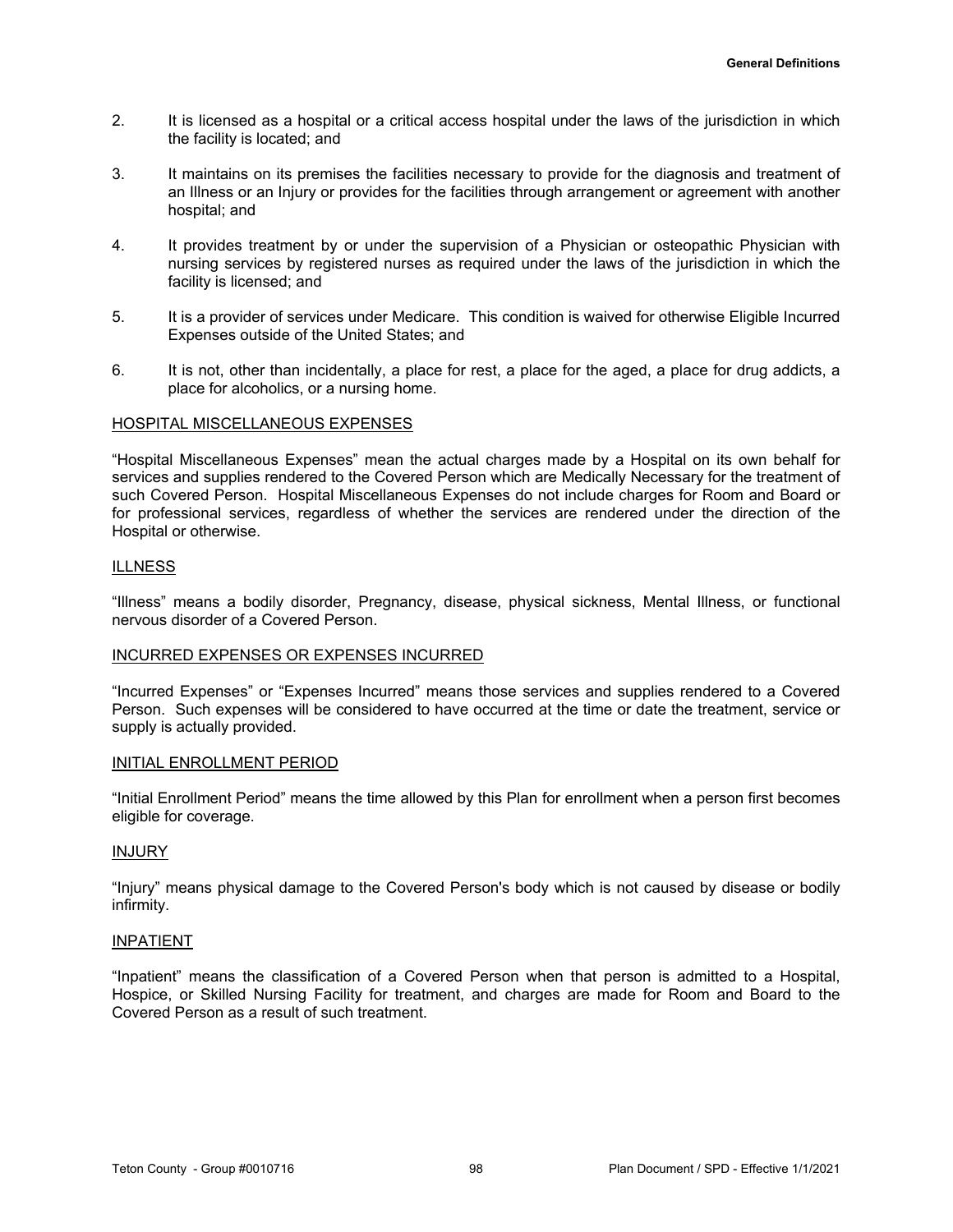- 2. It is licensed as a hospital or a critical access hospital under the laws of the jurisdiction in which the facility is located; and
- 3. It maintains on its premises the facilities necessary to provide for the diagnosis and treatment of an Illness or an Injury or provides for the facilities through arrangement or agreement with another hospital; and
- 4. It provides treatment by or under the supervision of a Physician or osteopathic Physician with nursing services by registered nurses as required under the laws of the jurisdiction in which the facility is licensed; and
- 5. It is a provider of services under Medicare. This condition is waived for otherwise Eligible Incurred Expenses outside of the United States; and
- 6. It is not, other than incidentally, a place for rest, a place for the aged, a place for drug addicts, a place for alcoholics, or a nursing home.

### HOSPITAL MISCELLANEOUS EXPENSES

"Hospital Miscellaneous Expenses" mean the actual charges made by a Hospital on its own behalf for services and supplies rendered to the Covered Person which are Medically Necessary for the treatment of such Covered Person. Hospital Miscellaneous Expenses do not include charges for Room and Board or for professional services, regardless of whether the services are rendered under the direction of the Hospital or otherwise.

### ILLNESS

"Illness" means a bodily disorder, Pregnancy, disease, physical sickness, Mental Illness, or functional nervous disorder of a Covered Person.

#### INCURRED EXPENSES OR EXPENSES INCURRED

"Incurred Expenses" or "Expenses Incurred" means those services and supplies rendered to a Covered Person. Such expenses will be considered to have occurred at the time or date the treatment, service or supply is actually provided.

#### INITIAL ENROLLMENT PERIOD

"Initial Enrollment Period" means the time allowed by this Plan for enrollment when a person first becomes eligible for coverage.

#### INJURY

"Injury" means physical damage to the Covered Person's body which is not caused by disease or bodily infirmity.

#### INPATIENT

"Inpatient" means the classification of a Covered Person when that person is admitted to a Hospital, Hospice, or Skilled Nursing Facility for treatment, and charges are made for Room and Board to the Covered Person as a result of such treatment.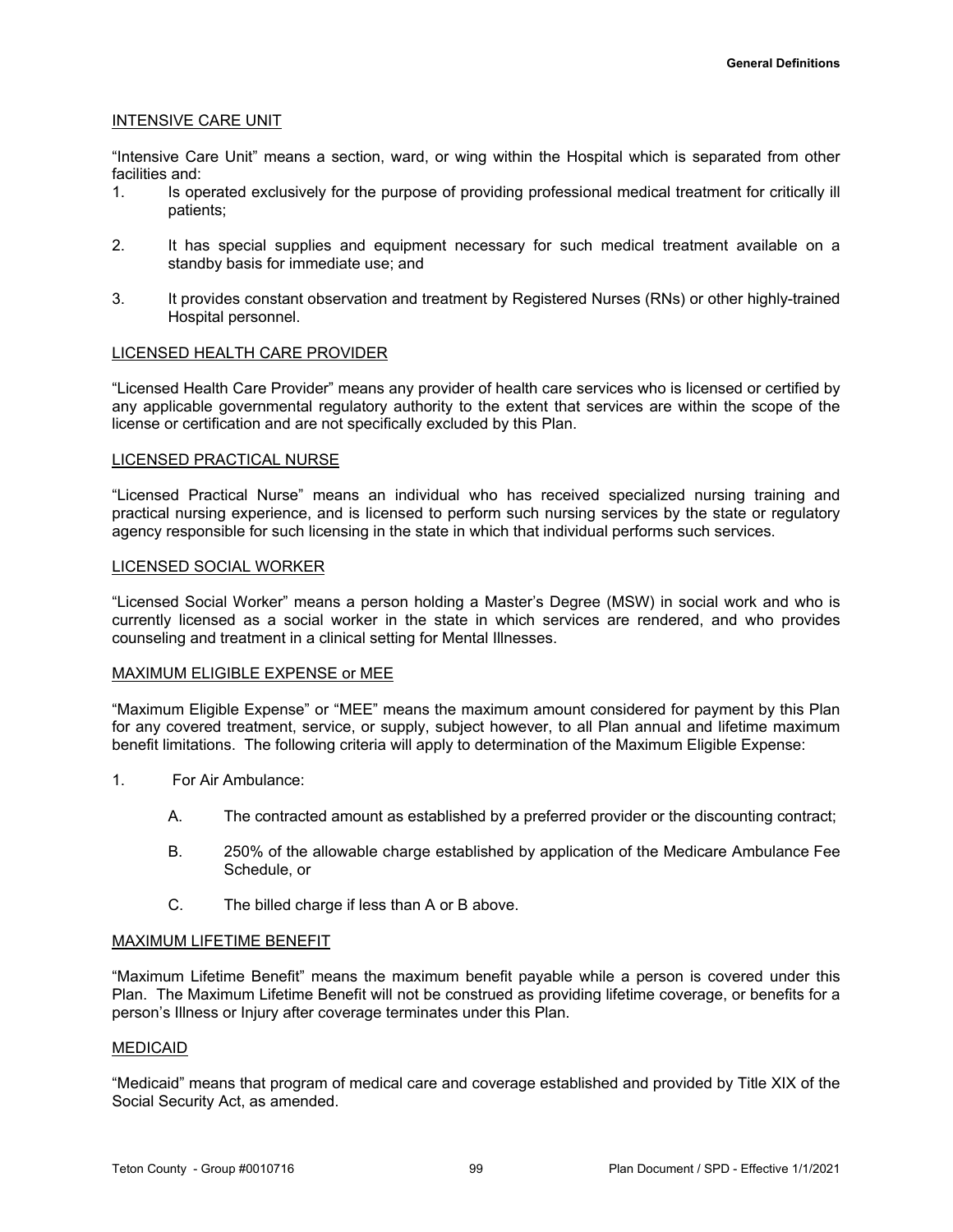## INTENSIVE CARE UNIT

"Intensive Care Unit" means a section, ward, or wing within the Hospital which is separated from other facilities and:

- 1. Is operated exclusively for the purpose of providing professional medical treatment for critically ill patients;
- 2. It has special supplies and equipment necessary for such medical treatment available on a standby basis for immediate use; and
- 3. It provides constant observation and treatment by Registered Nurses (RNs) or other highly-trained Hospital personnel.

### LICENSED HEALTH CARE PROVIDER

"Licensed Health Care Provider" means any provider of health care services who is licensed or certified by any applicable governmental regulatory authority to the extent that services are within the scope of the license or certification and are not specifically excluded by this Plan.

#### LICENSED PRACTICAL NURSE

"Licensed Practical Nurse" means an individual who has received specialized nursing training and practical nursing experience, and is licensed to perform such nursing services by the state or regulatory agency responsible for such licensing in the state in which that individual performs such services.

#### LICENSED SOCIAL WORKER

"Licensed Social Worker" means a person holding a Master's Degree (MSW) in social work and who is currently licensed as a social worker in the state in which services are rendered, and who provides counseling and treatment in a clinical setting for Mental Illnesses.

#### MAXIMUM ELIGIBLE EXPENSE or MEE

"Maximum Eligible Expense" or "MEE" means the maximum amount considered for payment by this Plan for any covered treatment, service, or supply, subject however, to all Plan annual and lifetime maximum benefit limitations. The following criteria will apply to determination of the Maximum Eligible Expense:

- 1. For Air Ambulance:
	- A. The contracted amount as established by a preferred provider or the discounting contract;
	- B. 250% of the allowable charge established by application of the Medicare Ambulance Fee Schedule, or
	- C. The billed charge if less than A or B above.

#### MAXIMUM LIFETIME BENEFIT

"Maximum Lifetime Benefit" means the maximum benefit payable while a person is covered under this Plan. The Maximum Lifetime Benefit will not be construed as providing lifetime coverage, or benefits for a person's Illness or Injury after coverage terminates under this Plan.

#### MEDICAID

"Medicaid" means that program of medical care and coverage established and provided by Title XIX of the Social Security Act, as amended.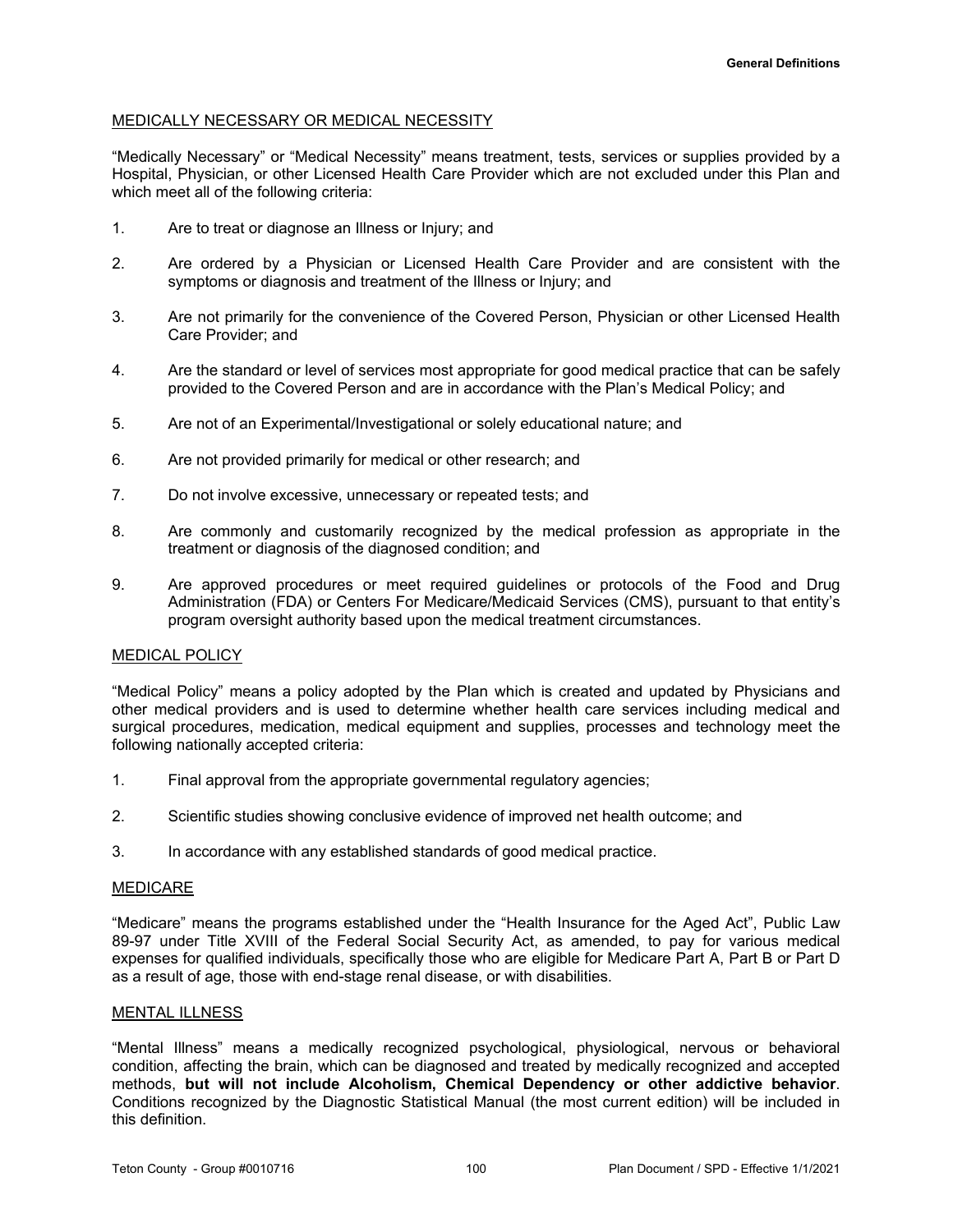# MEDICALLY NECESSARY OR MEDICAL NECESSITY

"Medically Necessary" or "Medical Necessity" means treatment, tests, services or supplies provided by a Hospital, Physician, or other Licensed Health Care Provider which are not excluded under this Plan and which meet all of the following criteria:

- 1. Are to treat or diagnose an Illness or Injury; and
- 2. Are ordered by a Physician or Licensed Health Care Provider and are consistent with the symptoms or diagnosis and treatment of the Illness or Injury; and
- 3. Are not primarily for the convenience of the Covered Person, Physician or other Licensed Health Care Provider; and
- 4. Are the standard or level of services most appropriate for good medical practice that can be safely provided to the Covered Person and are in accordance with the Plan's Medical Policy; and
- 5. Are not of an Experimental/Investigational or solely educational nature; and
- 6. Are not provided primarily for medical or other research; and
- 7. Do not involve excessive, unnecessary or repeated tests; and
- 8. Are commonly and customarily recognized by the medical profession as appropriate in the treatment or diagnosis of the diagnosed condition; and
- 9. Are approved procedures or meet required guidelines or protocols of the Food and Drug Administration (FDA) or Centers For Medicare/Medicaid Services (CMS), pursuant to that entity's program oversight authority based upon the medical treatment circumstances.

#### MEDICAL POLICY

"Medical Policy" means a policy adopted by the Plan which is created and updated by Physicians and other medical providers and is used to determine whether health care services including medical and surgical procedures, medication, medical equipment and supplies, processes and technology meet the following nationally accepted criteria:

- 1. Final approval from the appropriate governmental regulatory agencies;
- 2. Scientific studies showing conclusive evidence of improved net health outcome; and
- 3. In accordance with any established standards of good medical practice.

#### MEDICARE

"Medicare" means the programs established under the "Health Insurance for the Aged Act", Public Law 89-97 under Title XVIII of the Federal Social Security Act, as amended, to pay for various medical expenses for qualified individuals, specifically those who are eligible for Medicare Part A, Part B or Part D as a result of age, those with end-stage renal disease, or with disabilities.

#### MENTAL ILLNESS

"Mental Illness" means a medically recognized psychological, physiological, nervous or behavioral condition, affecting the brain, which can be diagnosed and treated by medically recognized and accepted methods, **but will not include Alcoholism, Chemical Dependency or other addictive behavior**. Conditions recognized by the Diagnostic Statistical Manual (the most current edition) will be included in this definition.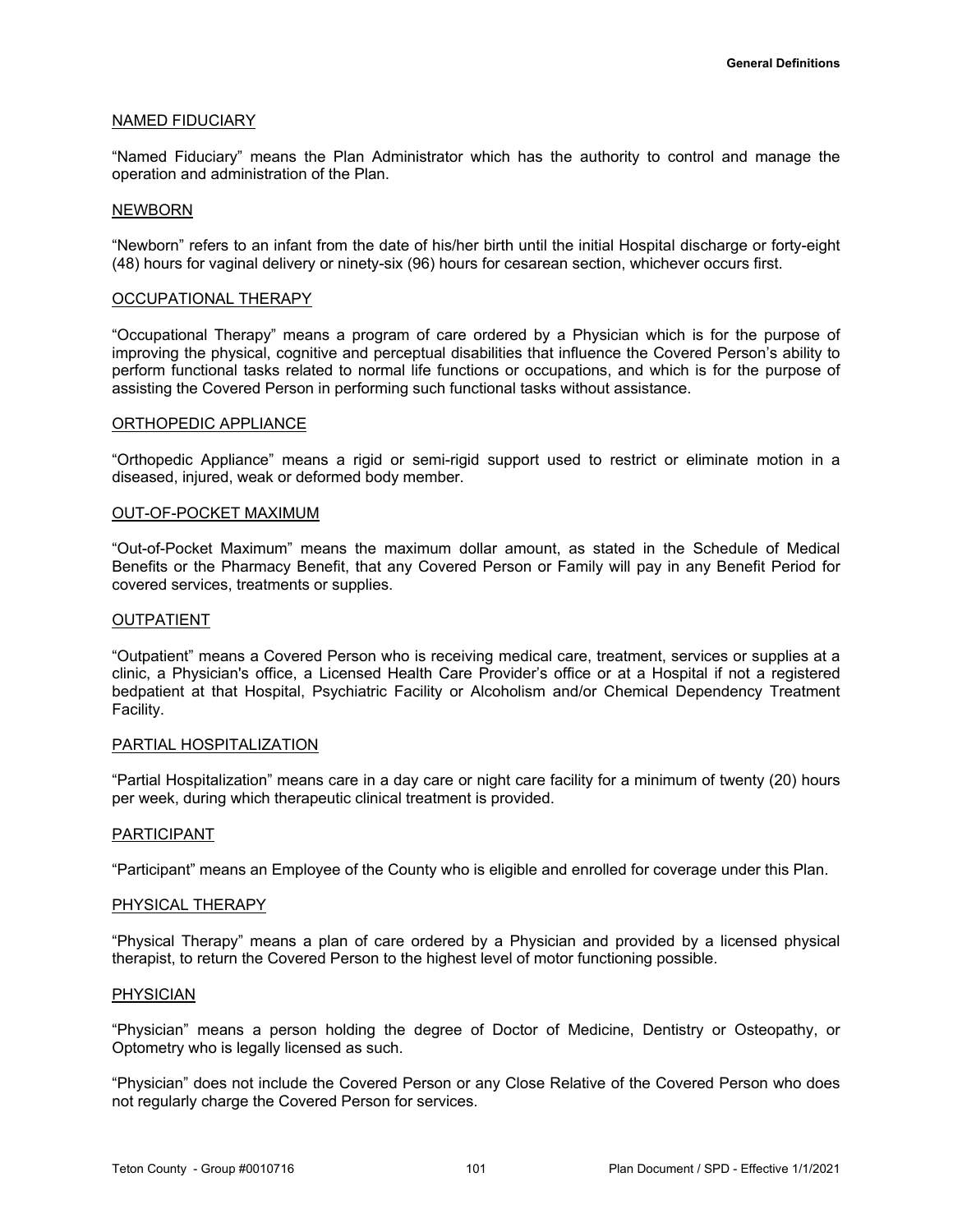## NAMED FIDUCIARY

"Named Fiduciary" means the Plan Administrator which has the authority to control and manage the operation and administration of the Plan.

#### NEWBORN

"Newborn" refers to an infant from the date of his/her birth until the initial Hospital discharge or forty-eight (48) hours for vaginal delivery or ninety-six (96) hours for cesarean section, whichever occurs first.

#### OCCUPATIONAL THERAPY

"Occupational Therapy" means a program of care ordered by a Physician which is for the purpose of improving the physical, cognitive and perceptual disabilities that influence the Covered Person's ability to perform functional tasks related to normal life functions or occupations, and which is for the purpose of assisting the Covered Person in performing such functional tasks without assistance.

#### ORTHOPEDIC APPLIANCE

"Orthopedic Appliance" means a rigid or semi-rigid support used to restrict or eliminate motion in a diseased, injured, weak or deformed body member.

#### OUT-OF-POCKET MAXIMUM

"Out-of-Pocket Maximum" means the maximum dollar amount, as stated in the Schedule of Medical Benefits or the Pharmacy Benefit, that any Covered Person or Family will pay in any Benefit Period for covered services, treatments or supplies.

#### **OUTPATIENT**

"Outpatient" means a Covered Person who is receiving medical care, treatment, services or supplies at a clinic, a Physician's office, a Licensed Health Care Provider's office or at a Hospital if not a registered bedpatient at that Hospital, Psychiatric Facility or Alcoholism and/or Chemical Dependency Treatment Facility.

### PARTIAL HOSPITALIZATION

"Partial Hospitalization" means care in a day care or night care facility for a minimum of twenty (20) hours per week, during which therapeutic clinical treatment is provided.

#### PARTICIPANT

"Participant" means an Employee of the County who is eligible and enrolled for coverage under this Plan.

#### PHYSICAL THERAPY

"Physical Therapy" means a plan of care ordered by a Physician and provided by a licensed physical therapist, to return the Covered Person to the highest level of motor functioning possible.

#### PHYSICIAN

"Physician" means a person holding the degree of Doctor of Medicine, Dentistry or Osteopathy, or Optometry who is legally licensed as such.

"Physician" does not include the Covered Person or any Close Relative of the Covered Person who does not regularly charge the Covered Person for services.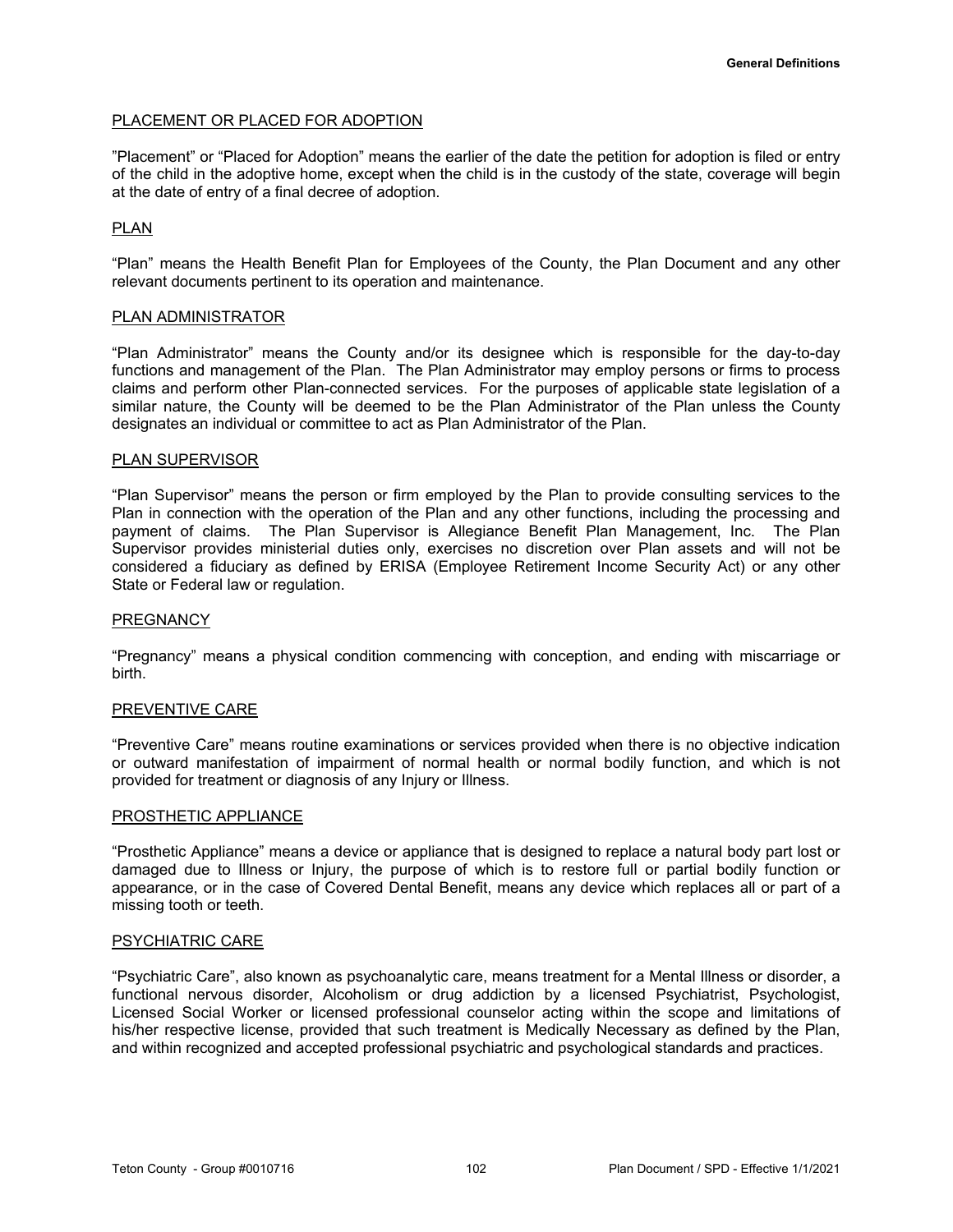# PLACEMENT OR PLACED FOR ADOPTION

"Placement" or "Placed for Adoption" means the earlier of the date the petition for adoption is filed or entry of the child in the adoptive home, except when the child is in the custody of the state, coverage will begin at the date of entry of a final decree of adoption.

# PLAN

"Plan" means the Health Benefit Plan for Employees of the County, the Plan Document and any other relevant documents pertinent to its operation and maintenance.

## PLAN ADMINISTRATOR

"Plan Administrator" means the County and/or its designee which is responsible for the day-to-day functions and management of the Plan. The Plan Administrator may employ persons or firms to process claims and perform other Plan-connected services. For the purposes of applicable state legislation of a similar nature, the County will be deemed to be the Plan Administrator of the Plan unless the County designates an individual or committee to act as Plan Administrator of the Plan.

### PLAN SUPERVISOR

"Plan Supervisor" means the person or firm employed by the Plan to provide consulting services to the Plan in connection with the operation of the Plan and any other functions, including the processing and payment of claims. The Plan Supervisor is Allegiance Benefit Plan Management, Inc. The Plan Supervisor provides ministerial duties only, exercises no discretion over Plan assets and will not be considered a fiduciary as defined by ERISA (Employee Retirement Income Security Act) or any other State or Federal law or regulation.

#### **PREGNANCY**

"Pregnancy" means a physical condition commencing with conception, and ending with miscarriage or birth.

# PREVENTIVE CARE

"Preventive Care" means routine examinations or services provided when there is no objective indication or outward manifestation of impairment of normal health or normal bodily function, and which is not provided for treatment or diagnosis of any Injury or Illness.

#### PROSTHETIC APPLIANCE

"Prosthetic Appliance" means a device or appliance that is designed to replace a natural body part lost or damaged due to Illness or Injury, the purpose of which is to restore full or partial bodily function or appearance, or in the case of Covered Dental Benefit, means any device which replaces all or part of a missing tooth or teeth.

#### PSYCHIATRIC CARE

"Psychiatric Care", also known as psychoanalytic care, means treatment for a Mental Illness or disorder, a functional nervous disorder, Alcoholism or drug addiction by a licensed Psychiatrist, Psychologist, Licensed Social Worker or licensed professional counselor acting within the scope and limitations of his/her respective license, provided that such treatment is Medically Necessary as defined by the Plan, and within recognized and accepted professional psychiatric and psychological standards and practices.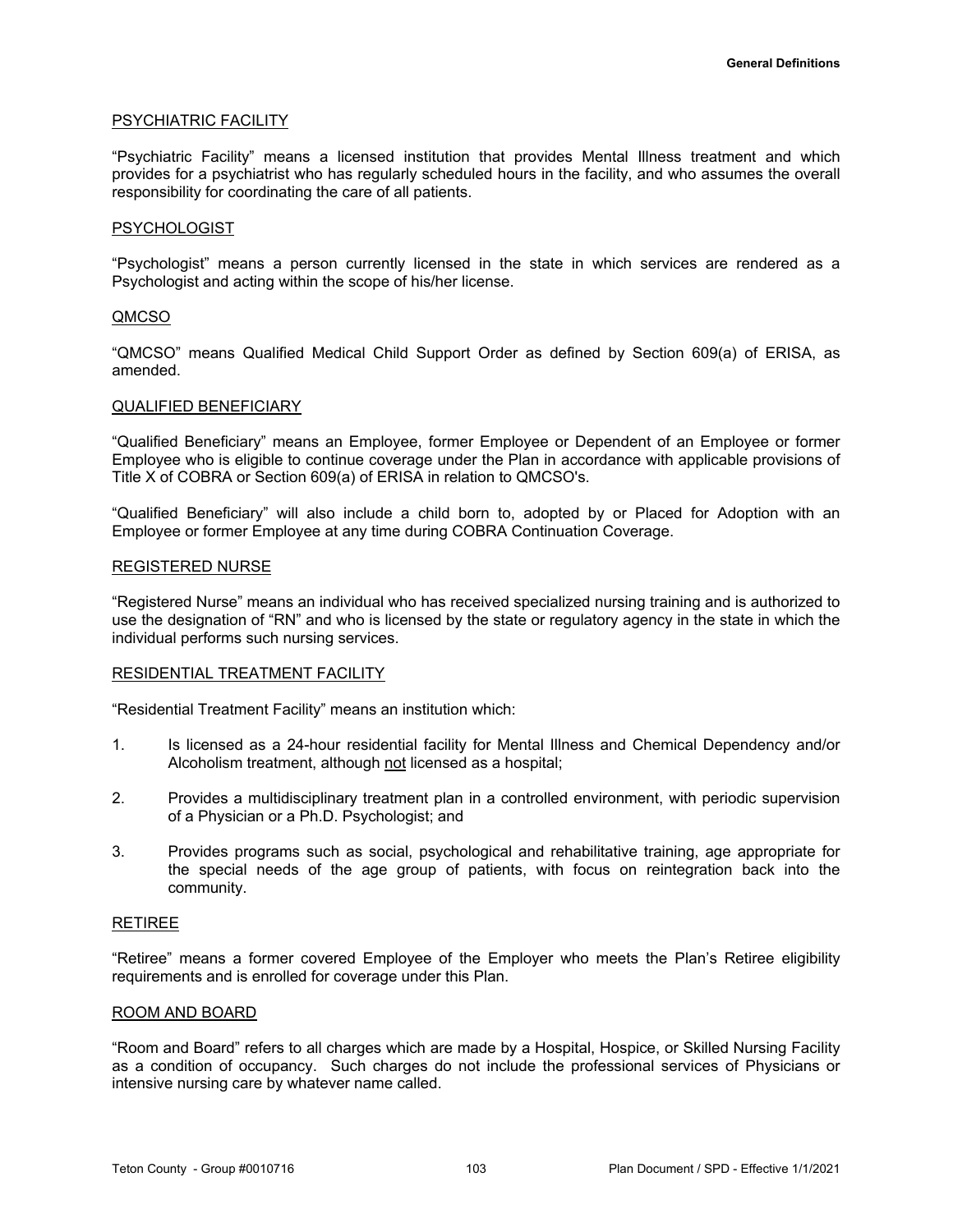## PSYCHIATRIC FACILITY

"Psychiatric Facility" means a licensed institution that provides Mental Illness treatment and which provides for a psychiatrist who has regularly scheduled hours in the facility, and who assumes the overall responsibility for coordinating the care of all patients.

### PSYCHOLOGIST

"Psychologist" means a person currently licensed in the state in which services are rendered as a Psychologist and acting within the scope of his/her license.

### QMCSO

"QMCSO" means Qualified Medical Child Support Order as defined by Section 609(a) of ERISA, as amended.

#### QUALIFIED BENEFICIARY

"Qualified Beneficiary" means an Employee, former Employee or Dependent of an Employee or former Employee who is eligible to continue coverage under the Plan in accordance with applicable provisions of Title X of COBRA or Section 609(a) of ERISA in relation to QMCSO's.

"Qualified Beneficiary" will also include a child born to, adopted by or Placed for Adoption with an Employee or former Employee at any time during COBRA Continuation Coverage.

#### REGISTERED NURSE

"Registered Nurse" means an individual who has received specialized nursing training and is authorized to use the designation of "RN" and who is licensed by the state or regulatory agency in the state in which the individual performs such nursing services.

#### RESIDENTIAL TREATMENT FACILITY

"Residential Treatment Facility" means an institution which:

- 1. Is licensed as a 24-hour residential facility for Mental Illness and Chemical Dependency and/or Alcoholism treatment, although not licensed as a hospital;
- 2. Provides a multidisciplinary treatment plan in a controlled environment, with periodic supervision of a Physician or a Ph.D. Psychologist; and
- 3. Provides programs such as social, psychological and rehabilitative training, age appropriate for the special needs of the age group of patients, with focus on reintegration back into the community.

### RETIREE

"Retiree" means a former covered Employee of the Employer who meets the Plan's Retiree eligibility requirements and is enrolled for coverage under this Plan.

#### ROOM AND BOARD

"Room and Board" refers to all charges which are made by a Hospital, Hospice, or Skilled Nursing Facility as a condition of occupancy. Such charges do not include the professional services of Physicians or intensive nursing care by whatever name called.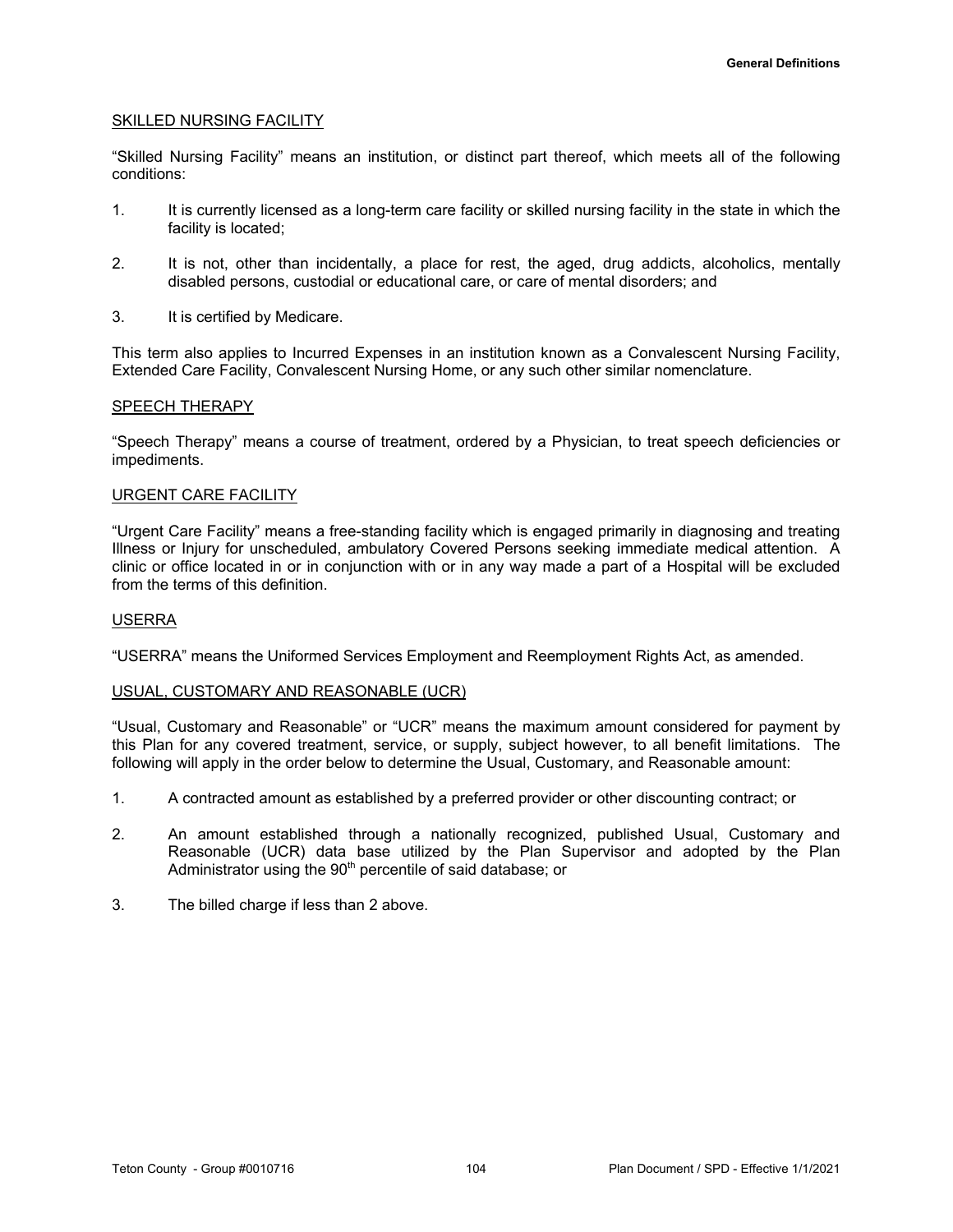# SKILLED NURSING FACILITY

"Skilled Nursing Facility" means an institution, or distinct part thereof, which meets all of the following conditions:

- 1. It is currently licensed as a long-term care facility or skilled nursing facility in the state in which the facility is located;
- 2. It is not, other than incidentally, a place for rest, the aged, drug addicts, alcoholics, mentally disabled persons, custodial or educational care, or care of mental disorders; and
- 3. It is certified by Medicare.

This term also applies to Incurred Expenses in an institution known as a Convalescent Nursing Facility, Extended Care Facility, Convalescent Nursing Home, or any such other similar nomenclature.

## SPEECH THERAPY

"Speech Therapy" means a course of treatment, ordered by a Physician, to treat speech deficiencies or impediments.

## URGENT CARE FACILITY

"Urgent Care Facility" means a free-standing facility which is engaged primarily in diagnosing and treating Illness or Injury for unscheduled, ambulatory Covered Persons seeking immediate medical attention. A clinic or office located in or in conjunction with or in any way made a part of a Hospital will be excluded from the terms of this definition.

## USERRA

"USERRA" means the Uniformed Services Employment and Reemployment Rights Act, as amended.

## USUAL, CUSTOMARY AND REASONABLE (UCR)

"Usual, Customary and Reasonable" or "UCR" means the maximum amount considered for payment by this Plan for any covered treatment, service, or supply, subject however, to all benefit limitations. The following will apply in the order below to determine the Usual, Customary, and Reasonable amount:

- 1. A contracted amount as established by a preferred provider or other discounting contract; or
- 2. An amount established through a nationally recognized, published Usual, Customary and Reasonable (UCR) data base utilized by the Plan Supervisor and adopted by the Plan Administrator using the  $90<sup>th</sup>$  percentile of said database; or
- 3. The billed charge if less than 2 above.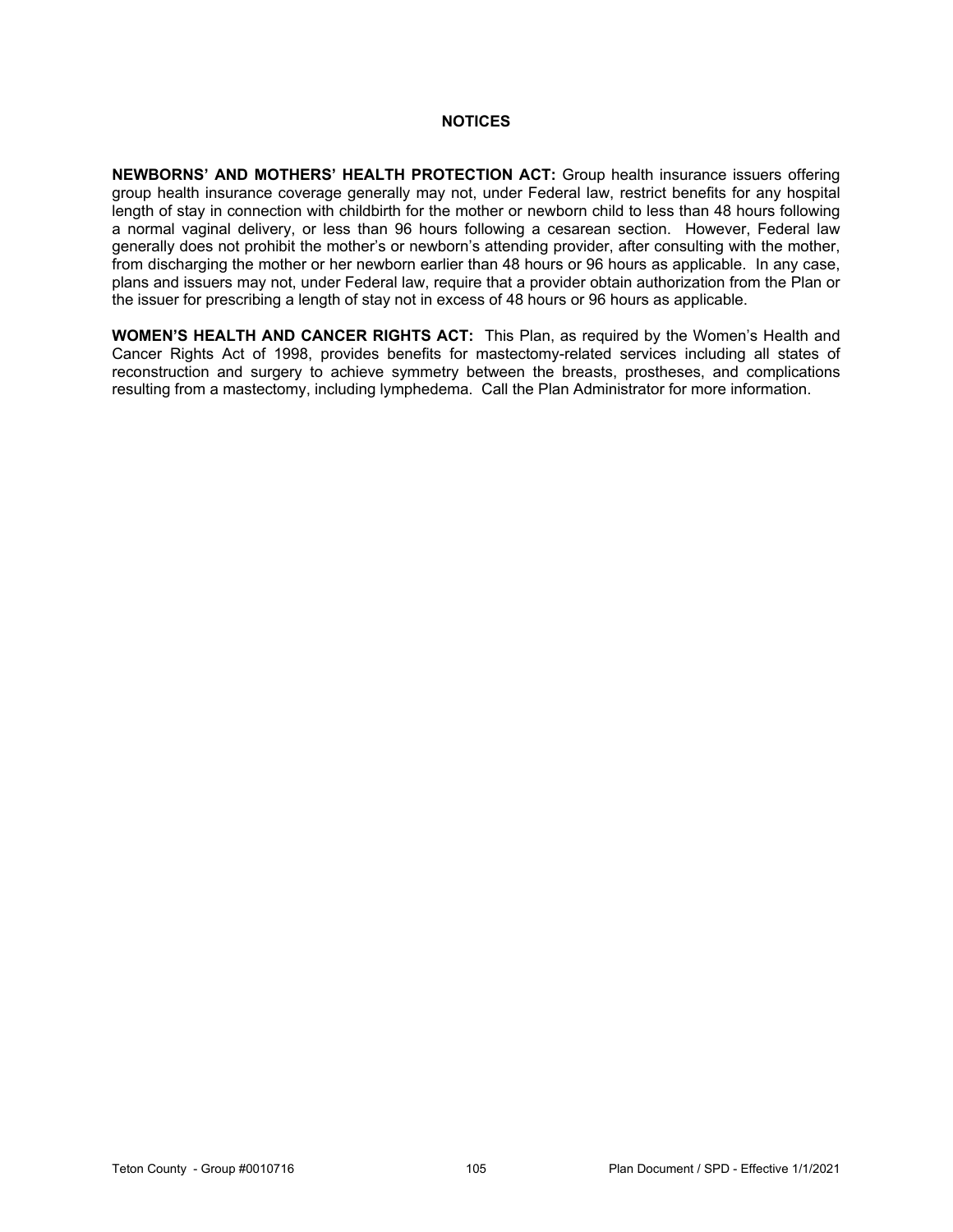## **NOTICES**

**NEWBORNS' AND MOTHERS' HEALTH PROTECTION ACT:** Group health insurance issuers offering group health insurance coverage generally may not, under Federal law, restrict benefits for any hospital length of stay in connection with childbirth for the mother or newborn child to less than 48 hours following a normal vaginal delivery, or less than 96 hours following a cesarean section. However, Federal law generally does not prohibit the mother's or newborn's attending provider, after consulting with the mother, from discharging the mother or her newborn earlier than 48 hours or 96 hours as applicable. In any case, plans and issuers may not, under Federal law, require that a provider obtain authorization from the Plan or the issuer for prescribing a length of stay not in excess of 48 hours or 96 hours as applicable.

**WOMEN'S HEALTH AND CANCER RIGHTS ACT:** This Plan, as required by the Women's Health and Cancer Rights Act of 1998, provides benefits for mastectomy-related services including all states of reconstruction and surgery to achieve symmetry between the breasts, prostheses, and complications resulting from a mastectomy, including lymphedema. Call the Plan Administrator for more information.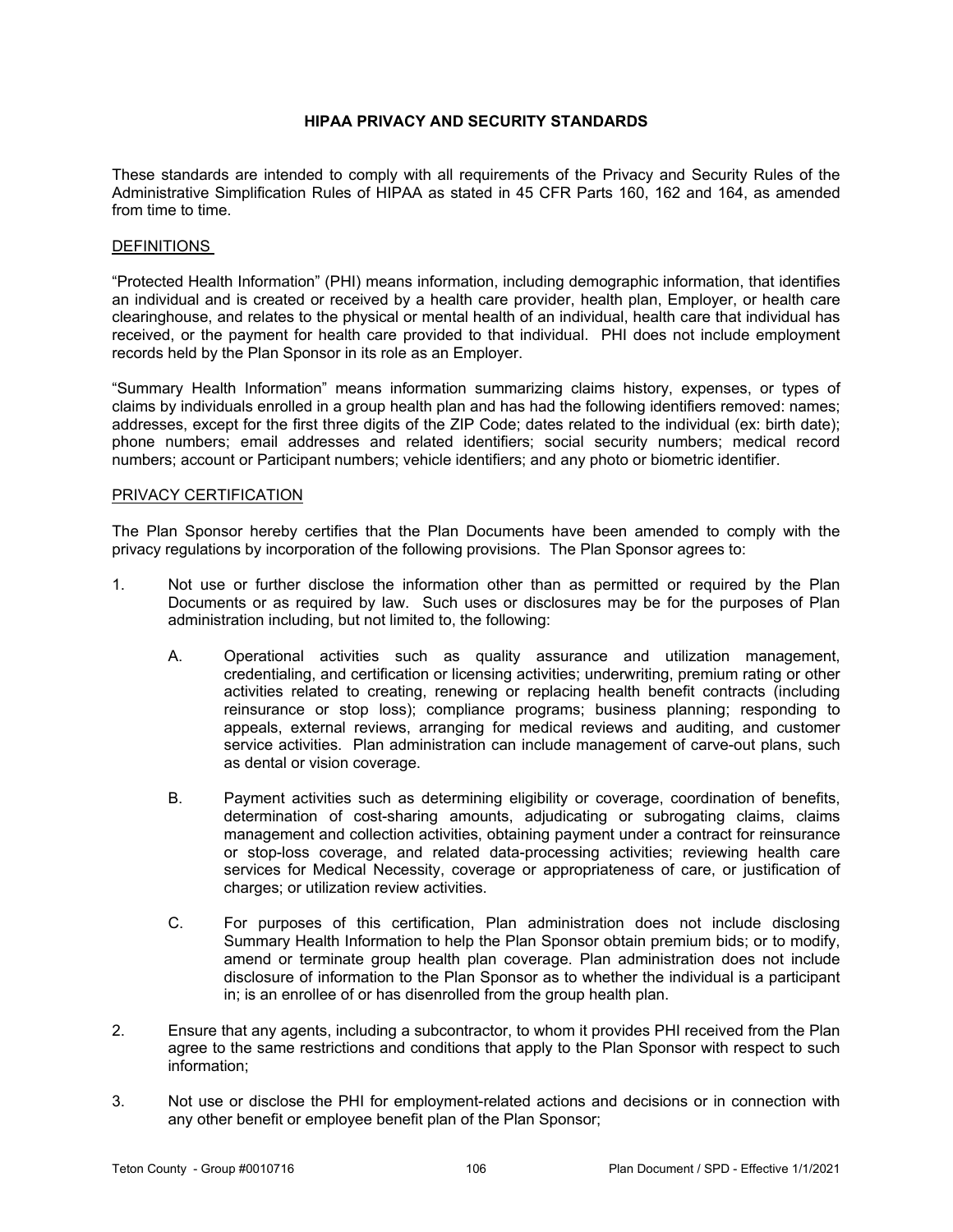# **HIPAA PRIVACY AND SECURITY STANDARDS**

These standards are intended to comply with all requirements of the Privacy and Security Rules of the Administrative Simplification Rules of HIPAA as stated in 45 CFR Parts 160, 162 and 164, as amended from time to time.

# DEFINITIONS

"Protected Health Information" (PHI) means information, including demographic information, that identifies an individual and is created or received by a health care provider, health plan, Employer, or health care clearinghouse, and relates to the physical or mental health of an individual, health care that individual has received, or the payment for health care provided to that individual. PHI does not include employment records held by the Plan Sponsor in its role as an Employer.

"Summary Health Information" means information summarizing claims history, expenses, or types of claims by individuals enrolled in a group health plan and has had the following identifiers removed: names; addresses, except for the first three digits of the ZIP Code; dates related to the individual (ex: birth date); phone numbers; email addresses and related identifiers; social security numbers; medical record numbers; account or Participant numbers; vehicle identifiers; and any photo or biometric identifier.

#### PRIVACY CERTIFICATION

The Plan Sponsor hereby certifies that the Plan Documents have been amended to comply with the privacy regulations by incorporation of the following provisions. The Plan Sponsor agrees to:

- 1. Not use or further disclose the information other than as permitted or required by the Plan Documents or as required by law. Such uses or disclosures may be for the purposes of Plan administration including, but not limited to, the following:
	- A. Operational activities such as quality assurance and utilization management, credentialing, and certification or licensing activities; underwriting, premium rating or other activities related to creating, renewing or replacing health benefit contracts (including reinsurance or stop loss); compliance programs; business planning; responding to appeals, external reviews, arranging for medical reviews and auditing, and customer service activities. Plan administration can include management of carve-out plans, such as dental or vision coverage.
	- B. Payment activities such as determining eligibility or coverage, coordination of benefits, determination of cost-sharing amounts, adjudicating or subrogating claims, claims management and collection activities, obtaining payment under a contract for reinsurance or stop-loss coverage, and related data-processing activities; reviewing health care services for Medical Necessity, coverage or appropriateness of care, or justification of charges; or utilization review activities.
	- C. For purposes of this certification, Plan administration does not include disclosing Summary Health Information to help the Plan Sponsor obtain premium bids; or to modify, amend or terminate group health plan coverage. Plan administration does not include disclosure of information to the Plan Sponsor as to whether the individual is a participant in; is an enrollee of or has disenrolled from the group health plan.
- 2. Ensure that any agents, including a subcontractor, to whom it provides PHI received from the Plan agree to the same restrictions and conditions that apply to the Plan Sponsor with respect to such information;
- 3. Not use or disclose the PHI for employment-related actions and decisions or in connection with any other benefit or employee benefit plan of the Plan Sponsor;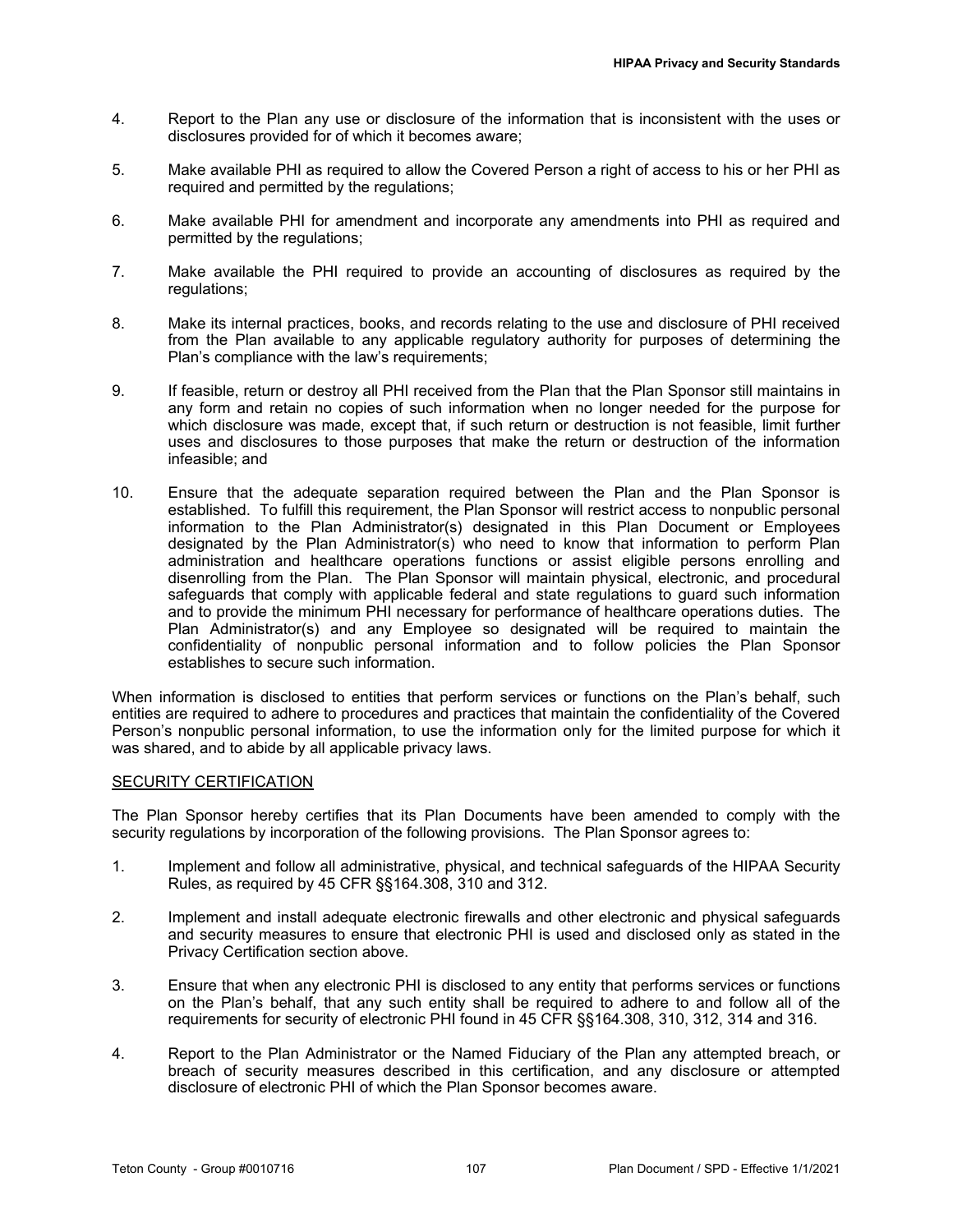- 4. Report to the Plan any use or disclosure of the information that is inconsistent with the uses or disclosures provided for of which it becomes aware;
- 5. Make available PHI as required to allow the Covered Person a right of access to his or her PHI as required and permitted by the regulations;
- 6. Make available PHI for amendment and incorporate any amendments into PHI as required and permitted by the regulations;
- 7. Make available the PHI required to provide an accounting of disclosures as required by the regulations;
- 8. Make its internal practices, books, and records relating to the use and disclosure of PHI received from the Plan available to any applicable regulatory authority for purposes of determining the Plan's compliance with the law's requirements;
- 9. If feasible, return or destroy all PHI received from the Plan that the Plan Sponsor still maintains in any form and retain no copies of such information when no longer needed for the purpose for which disclosure was made, except that, if such return or destruction is not feasible, limit further uses and disclosures to those purposes that make the return or destruction of the information infeasible; and
- 10. Ensure that the adequate separation required between the Plan and the Plan Sponsor is established. To fulfill this requirement, the Plan Sponsor will restrict access to nonpublic personal information to the Plan Administrator(s) designated in this Plan Document or Employees designated by the Plan Administrator(s) who need to know that information to perform Plan administration and healthcare operations functions or assist eligible persons enrolling and disenrolling from the Plan. The Plan Sponsor will maintain physical, electronic, and procedural safeguards that comply with applicable federal and state regulations to guard such information and to provide the minimum PHI necessary for performance of healthcare operations duties. The Plan Administrator(s) and any Employee so designated will be required to maintain the confidentiality of nonpublic personal information and to follow policies the Plan Sponsor establishes to secure such information.

When information is disclosed to entities that perform services or functions on the Plan's behalf, such entities are required to adhere to procedures and practices that maintain the confidentiality of the Covered Person's nonpublic personal information, to use the information only for the limited purpose for which it was shared, and to abide by all applicable privacy laws.

## SECURITY CERTIFICATION

The Plan Sponsor hereby certifies that its Plan Documents have been amended to comply with the security regulations by incorporation of the following provisions. The Plan Sponsor agrees to:

- 1. Implement and follow all administrative, physical, and technical safeguards of the HIPAA Security Rules, as required by 45 CFR §§164.308, 310 and 312.
- 2. Implement and install adequate electronic firewalls and other electronic and physical safeguards and security measures to ensure that electronic PHI is used and disclosed only as stated in the Privacy Certification section above.
- 3. Ensure that when any electronic PHI is disclosed to any entity that performs services or functions on the Plan's behalf, that any such entity shall be required to adhere to and follow all of the requirements for security of electronic PHI found in 45 CFR §§164.308, 310, 312, 314 and 316.
- 4. Report to the Plan Administrator or the Named Fiduciary of the Plan any attempted breach, or breach of security measures described in this certification, and any disclosure or attempted disclosure of electronic PHI of which the Plan Sponsor becomes aware.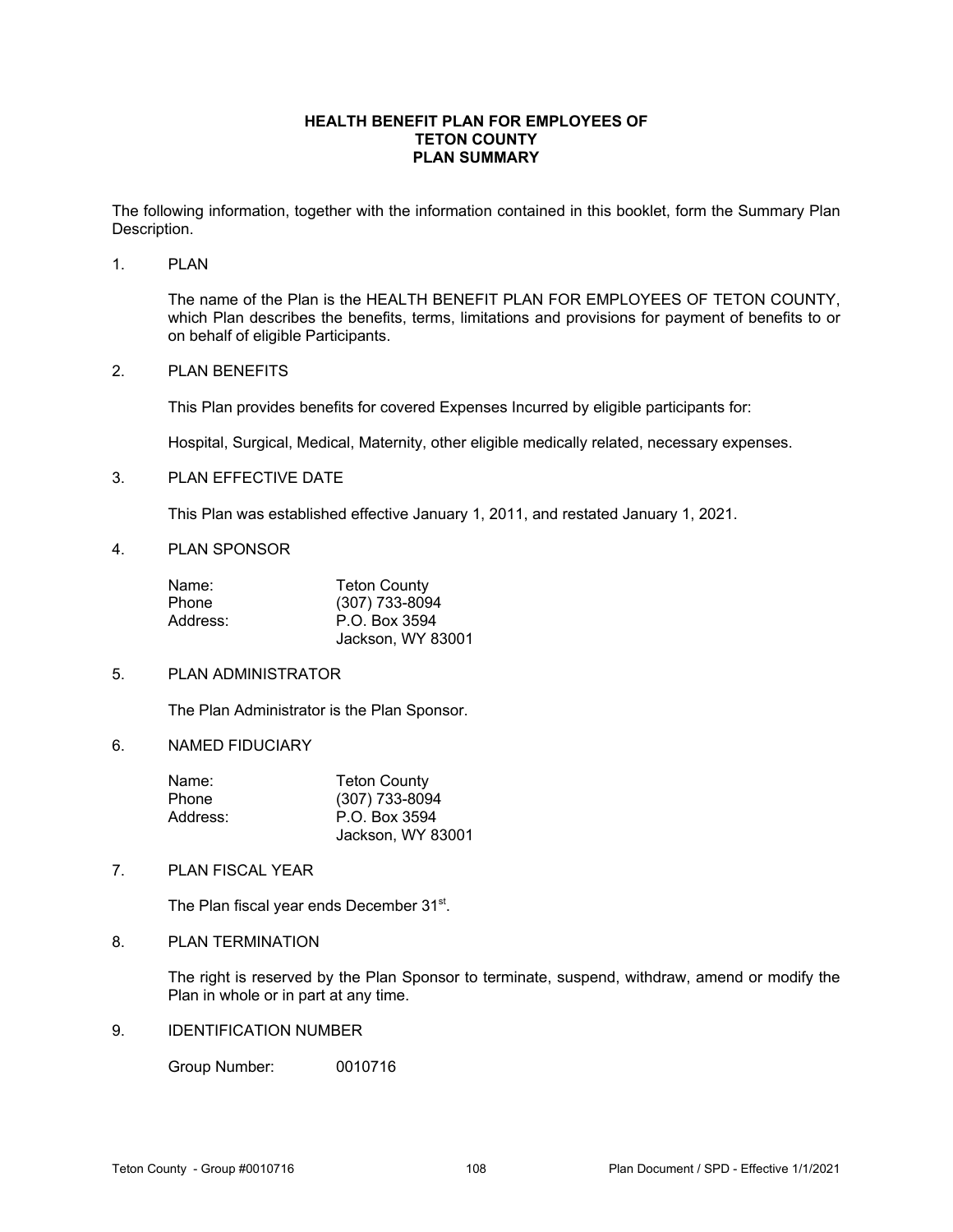## **HEALTH BENEFIT PLAN FOR EMPLOYEES OF TETON COUNTY PLAN SUMMARY**

The following information, together with the information contained in this booklet, form the Summary Plan Description.

#### 1. PLAN

The name of the Plan is the HEALTH BENEFIT PLAN FOR EMPLOYEES OF TETON COUNTY, which Plan describes the benefits, terms, limitations and provisions for payment of benefits to or on behalf of eligible Participants.

#### 2. PLAN BENEFITS

This Plan provides benefits for covered Expenses Incurred by eligible participants for:

Hospital, Surgical, Medical, Maternity, other eligible medically related, necessary expenses.

#### 3. PLAN EFFECTIVE DATE

This Plan was established effective January 1, 2011, and restated January 1, 2021.

#### 4. PLAN SPONSOR

| Name:    | <b>Teton County</b> |
|----------|---------------------|
| Phone    | (307) 733-8094      |
| Address: | P.O. Box 3594       |
|          | Jackson, WY 83001   |

#### 5. PLAN ADMINISTRATOR

The Plan Administrator is the Plan Sponsor.

# 6. NAMED FIDUCIARY

| Name:    | <b>Teton County</b> |
|----------|---------------------|
| Phone    | (307) 733-8094      |
| Address: | P.O. Box 3594       |
|          | Jackson, WY 83001   |

### 7. PLAN FISCAL YEAR

The Plan fiscal year ends December 31<sup>st</sup>.

#### 8. PLAN TERMINATION

The right is reserved by the Plan Sponsor to terminate, suspend, withdraw, amend or modify the Plan in whole or in part at any time.

## 9. IDENTIFICATION NUMBER

Group Number: 0010716